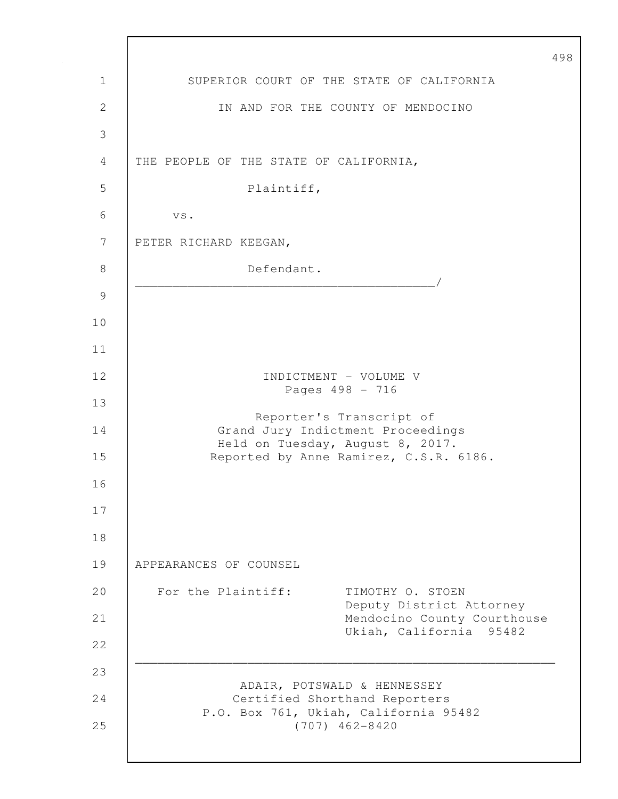498 1 SUPERIOR COURT OF THE STATE OF CALIFORNIA 2 IN AND FOR THE COUNTY OF MENDOCINO 3 4 THE PEOPLE OF THE STATE OF CALIFORNIA, 5 Plaintiff, 6 vs. 7 PETER RICHARD KEEGAN, 8 Defendant. \_\_\_\_\_\_\_\_\_\_\_\_\_\_\_\_\_\_\_\_\_\_\_\_\_\_\_\_\_\_\_\_\_\_\_\_\_\_\_\_/ 9 10 11 12 INDICTMENT – VOLUME V Pages 498 - 716 13 Reporter's Transcript of 14 Grand Jury Indictment Proceedings Held on Tuesday, August 8, 2017. 15 Reported by Anne Ramirez, C.S.R. 6186. 16 17 18 19 APPEARANCES OF COUNSEL 20 For the Plaintiff: TIMOTHY O. STOEN Deputy District Attorney 21 Mendocino County Courthouse Ukiah, California 95482 22 \_\_\_\_\_\_\_\_\_\_\_\_\_\_\_\_\_\_\_\_\_\_\_\_\_\_\_\_\_\_\_\_\_\_\_\_\_\_\_\_\_\_\_\_\_\_\_\_\_\_\_\_\_\_\_\_ 23 ADAIR, POTSWALD & HENNESSEY 24 Certified Shorthand Reporters P.O. Box 761, Ukiah, California 95482 25 (707) 462-8420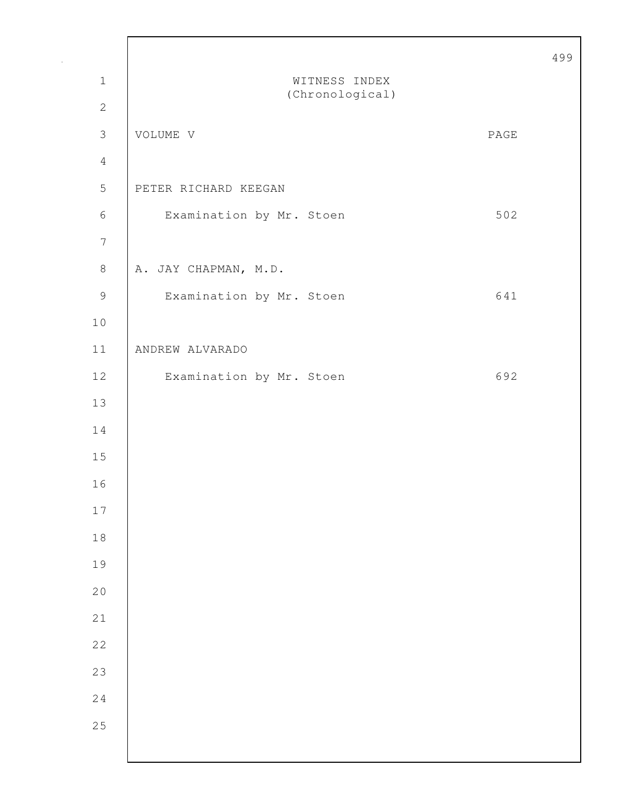|                |                                  |      | 49 |
|----------------|----------------------------------|------|----|
| $\mathbf 1$    | WITNESS INDEX<br>(Chronological) |      |    |
| $\mathbf{2}$   |                                  |      |    |
| $\mathfrak{Z}$ | VOLUME V                         | PAGE |    |
| $\overline{4}$ |                                  |      |    |
| $\mathsf S$    | PETER RICHARD KEEGAN             |      |    |
| $\sqrt{6}$     | Examination by Mr. Stoen         | 502  |    |
| $\overline{7}$ |                                  |      |    |
| $\,8\,$        | A. JAY CHAPMAN, M.D.             |      |    |
| $\mathcal{G}$  | Examination by Mr. Stoen         | 641  |    |
| $1\,0$         |                                  |      |    |
| $11$           | ANDREW ALVARADO                  |      |    |
| $12$           | Examination by Mr. Stoen         | 692  |    |
| 13             |                                  |      |    |
| 14             |                                  |      |    |
| 15             |                                  |      |    |
| 16             |                                  |      |    |
| $17\,$         |                                  |      |    |
| $1\,8$         |                                  |      |    |
| 19             |                                  |      |    |
| 20             |                                  |      |    |
| 21             |                                  |      |    |
| 22             |                                  |      |    |
| 23             |                                  |      |    |
| 24             |                                  |      |    |
| 25             |                                  |      |    |
|                |                                  |      |    |

Г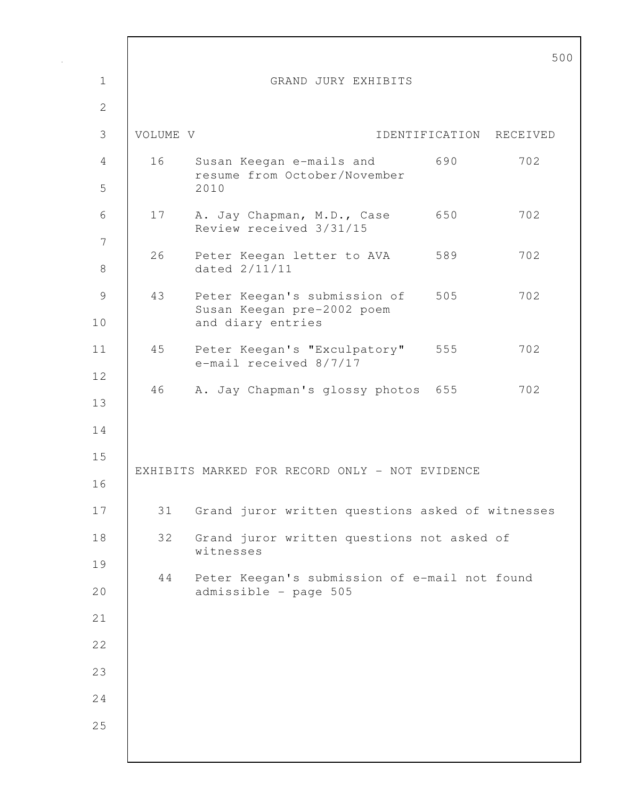|                     |          |                                                                                     |                | 5 <sub>0</sub> |
|---------------------|----------|-------------------------------------------------------------------------------------|----------------|----------------|
| $\mathbf 1$         |          | GRAND JURY EXHIBITS                                                                 |                |                |
| $\mathbf{2}$        |          |                                                                                     |                |                |
| 3                   | VOLUME V |                                                                                     | IDENTIFICATION | RECEIVED       |
| 4<br>5              | 16       | Susan Keegan e-mails and<br>resume from October/November<br>2010                    | 690            | 702            |
| 6<br>$\overline{7}$ | 17       | A. Jay Chapman, M.D., Case<br>Review received 3/31/15                               | 650            | 702            |
| $8\,$               | 26       | Peter Keegan letter to AVA 589<br>dated 2/11/11                                     |                | 702            |
| $\mathcal{G}$<br>10 | 43       | Peter Keegan's submission of 505<br>Susan Keegan pre-2002 poem<br>and diary entries |                | 702            |
| 11                  | 45       | Peter Keegan's "Exculpatory" 555<br>e-mail received 8/7/17                          |                | 702            |
| 12<br>13            | 46       | A. Jay Chapman's glossy photos 655                                                  |                | 702            |
| 14<br>15<br>16      |          | EXHIBITS MARKED FOR RECORD ONLY - NOT EVIDENCE                                      |                |                |
| 17                  | 31       | Grand juror written questions asked of witnesses                                    |                |                |
| 18                  | 32       | Grand juror written questions not asked of<br>witnesses                             |                |                |
| 19                  | 44       | Peter Keegan's submission of e-mail not found                                       |                |                |
| 20                  |          | admissible - page 505                                                               |                |                |
| 21                  |          |                                                                                     |                |                |
| 22                  |          |                                                                                     |                |                |
| 23                  |          |                                                                                     |                |                |
| 24                  |          |                                                                                     |                |                |
| 25                  |          |                                                                                     |                |                |
|                     |          |                                                                                     |                |                |

Г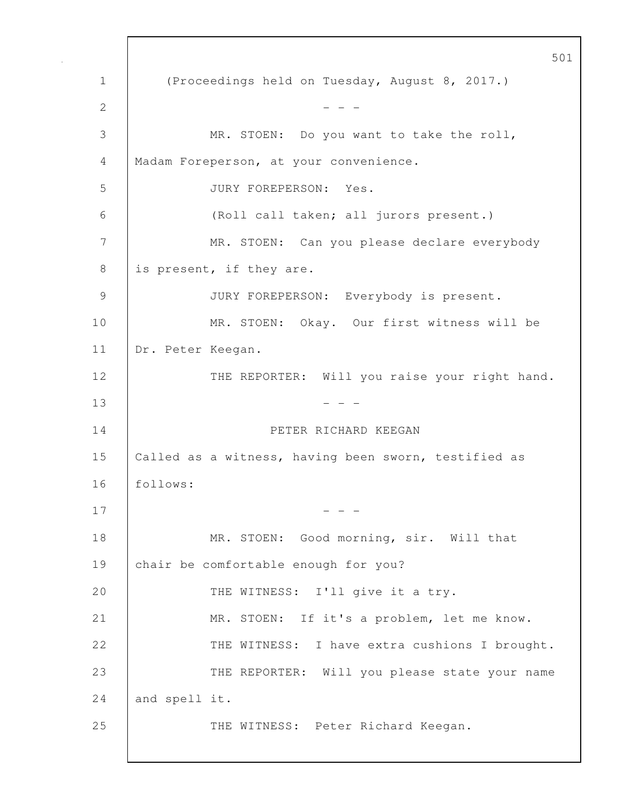501 1 (Proceedings held on Tuesday, August 8, 2017.) 2  $- - -$ 3 MR. STOEN: Do you want to take the roll, 4 Madam Foreperson, at your convenience. 5 JURY FOREPERSON: Yes. 6 (Roll call taken; all jurors present.) 7 | MR. STOEN: Can you please declare everybody 8 is present, if they are. 9 JURY FOREPERSON: Everybody is present. 10 MR. STOEN: Okay. Our first witness will be 11 Dr. Peter Keegan. 12 | THE REPORTER: Will you raise your right hand.  $13$  - - -14 PETER RICHARD KEEGAN 15 | Called as a witness, having been sworn, testified as 16 follows:  $17$  - - -18 | MR. STOEN: Good morning, sir. Will that 19 chair be comfortable enough for you? 20 THE WITNESS: I'll give it a try. 21 MR. STOEN: If it's a problem, let me know. 22 THE WITNESS: I have extra cushions I brought. 23 THE REPORTER: Will you please state your name 24 and spell it. 25 THE WITNESS: Peter Richard Keegan.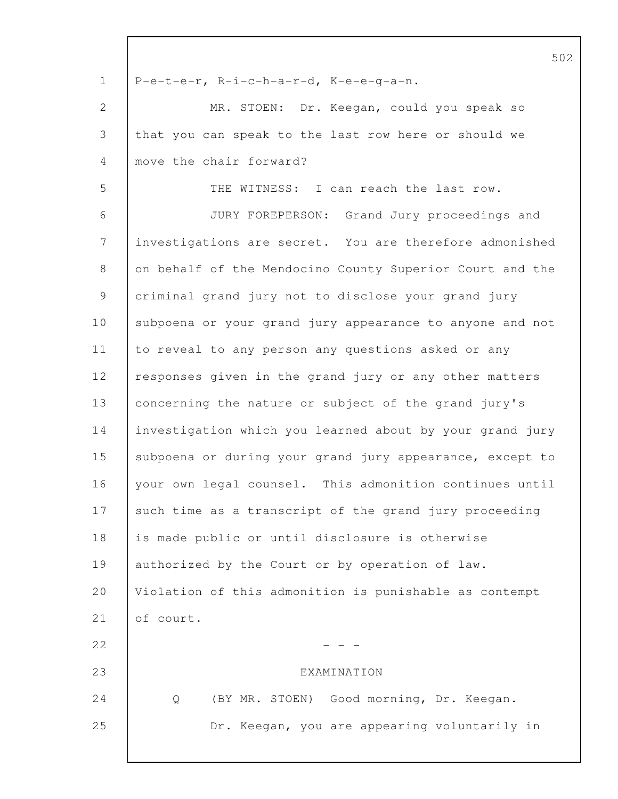|               | 5C                                                       |
|---------------|----------------------------------------------------------|
| $\mathbf 1$   | P-e-t-e-r, R-i-c-h-a-r-d, K-e-e-g-a-n.                   |
| $\mathbf{2}$  | MR. STOEN: Dr. Keegan, could you speak so                |
| 3             | that you can speak to the last row here or should we     |
| 4             | move the chair forward?                                  |
| 5             | THE WITNESS: I can reach the last row.                   |
| 6             | JURY FOREPERSON:<br>Grand Jury proceedings and           |
| 7             | investigations are secret. You are therefore admonished  |
| 8             | on behalf of the Mendocino County Superior Court and the |
| $\mathcal{G}$ | criminal grand jury not to disclose your grand jury      |
| 10            | subpoena or your grand jury appearance to anyone and not |
| 11            | to reveal to any person any questions asked or any       |
| 12            | responses given in the grand jury or any other matters   |
| 13            | concerning the nature or subject of the grand jury's     |
| 14            | investigation which you learned about by your grand jury |
| 15            | subpoena or during your grand jury appearance, except to |
| 16            | your own legal counsel. This admonition continues until  |
| 17            | such time as a transcript of the grand jury proceeding   |
| 18            | is made public or until disclosure is otherwise          |
| 19            | authorized by the Court or by operation of law.          |
| 20            | Violation of this admonition is punishable as contempt   |
| 21            | of court.                                                |
| 22            |                                                          |
| 23            | EXAMINATION                                              |
| 24            | (BY MR. STOEN) Good morning, Dr. Keegan.<br>Q            |
| 25            | Dr. Keegan, you are appearing voluntarily in             |
|               |                                                          |

 $\mathsf{I}$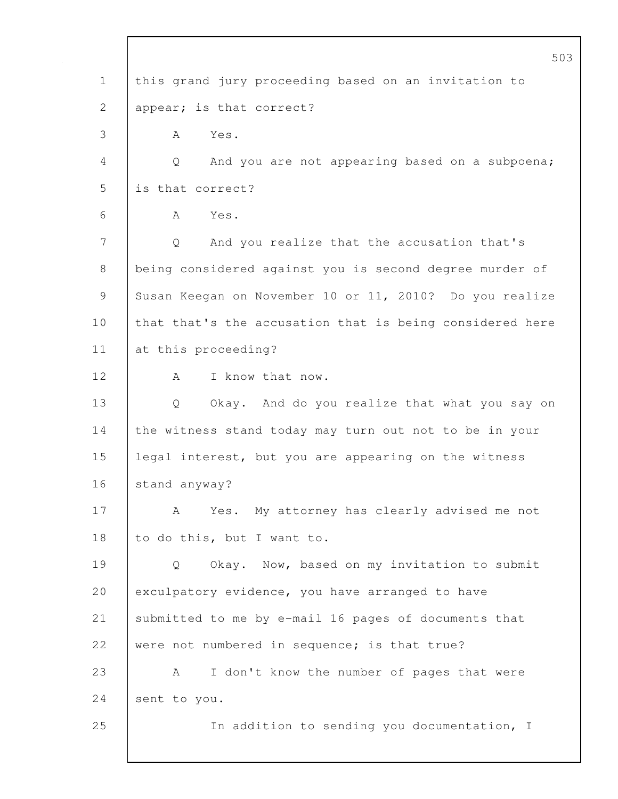|             | 503                                                      |
|-------------|----------------------------------------------------------|
| $\mathbf 1$ | this grand jury proceeding based on an invitation to     |
| 2           | appear; is that correct?                                 |
| 3           | Yes.<br>A                                                |
| 4           | And you are not appearing based on a subpoena;<br>Q      |
| 5           | is that correct?                                         |
| 6           | Yes.<br>A                                                |
| 7           | And you realize that the accusation that's<br>Q          |
| 8           | being considered against you is second degree murder of  |
| 9           | Susan Keegan on November 10 or 11, 2010? Do you realize  |
| 10          | that that's the accusation that is being considered here |
| 11          | at this proceeding?                                      |
| 12          | I know that now.<br>A                                    |
| 13          | Q<br>Okay. And do you realize that what you say on       |
| 14          | the witness stand today may turn out not to be in your   |
| 15          | legal interest, but you are appearing on the witness     |
| 16          | stand anyway?                                            |
| 17          | Yes. My attorney has clearly advised me not<br>A         |
| 18          | to do this, but I want to.                               |
| 19          | Okay. Now, based on my invitation to submit<br>Q         |
| 20          | exculpatory evidence, you have arranged to have          |
| 21          | submitted to me by e-mail 16 pages of documents that     |
| 22          | were not numbered in sequence; is that true?             |
| 23          | I don't know the number of pages that were<br>А          |
| 24          | sent to you.                                             |
| 25          | In addition to sending you documentation, I              |
|             |                                                          |

 $\mathbf{I}$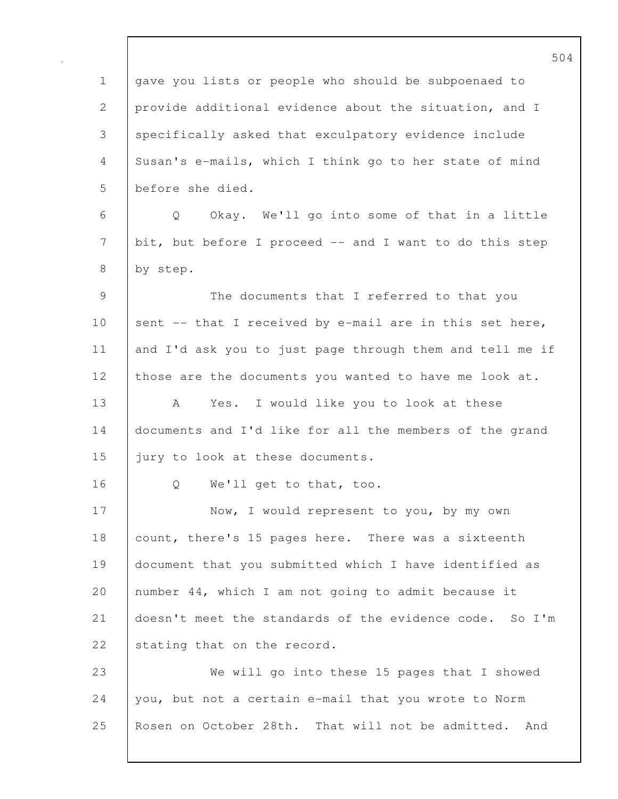504 1 gave you lists or people who should be subpoenaed to 2 provide additional evidence about the situation, and I 3 specifically asked that exculpatory evidence include 4 Susan's e-mails, which I think go to her state of mind 5 before she died. 6 Q Okay. We'll go into some of that in a little 7 bit, but before I proceed -- and I want to do this step 8 by step. 9 The documents that I referred to that you 10 sent -- that I received by e-mail are in this set here, 11 and I'd ask you to just page through them and tell me if 12 those are the documents you wanted to have me look at. 13 A Yes. I would like you to look at these 14 documents and I'd like for all the members of the grand 15 jury to look at these documents. 16 | O We'll get to that, too. 17 | Now, I would represent to you, by my own 18 count, there's 15 pages here. There was a sixteenth 19 document that you submitted which I have identified as 20 number 44, which I am not going to admit because it 21 doesn't meet the standards of the evidence code. So I'm 22 stating that on the record. 23 We will go into these 15 pages that I showed 24 you, but not a certain e-mail that you wrote to Norm 25 Rosen on October 28th. That will not be admitted. And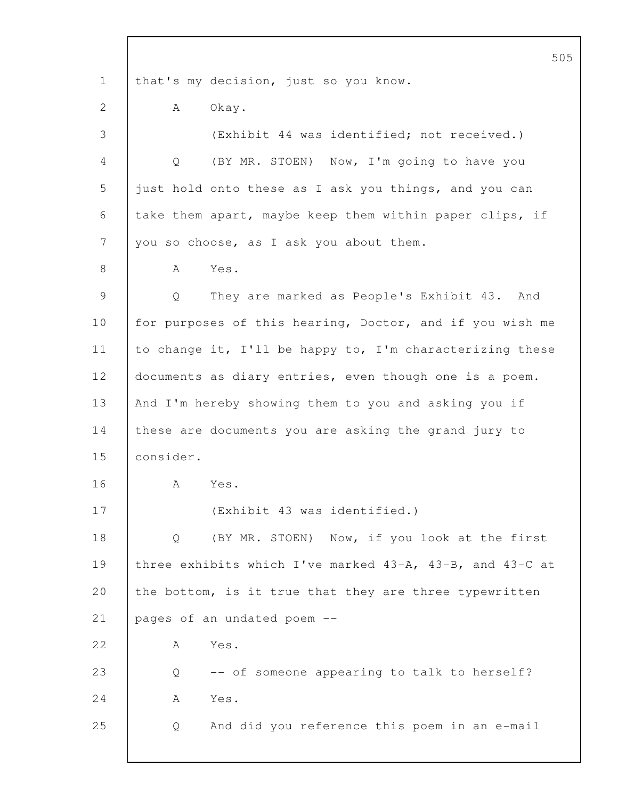505 1 that's my decision, just so you know. 2 | A Okay. 3 (Exhibit 44 was identified; not received.) 4 Q (BY MR. STOEN) Now, I'm going to have you 5 just hold onto these as I ask you things, and you can 6 take them apart, maybe keep them within paper clips, if 7 you so choose, as I ask you about them. 8 | A Yes. 9 | Q They are marked as People's Exhibit 43. And 10 for purposes of this hearing, Doctor, and if you wish me 11 to change it, I'll be happy to, I'm characterizing these 12 documents as diary entries, even though one is a poem. 13 | And I'm hereby showing them to you and asking you if 14 these are documents you are asking the grand jury to 15 consider. 16 A Yes. 17 (Exhibit 43 was identified.) 18 Q (BY MR. STOEN) Now, if you look at the first 19 three exhibits which I've marked 43-A, 43-B, and 43-C at 20 the bottom, is it true that they are three typewritten 21 pages of an undated poem --22 A Yes. 23 Q -- of someone appearing to talk to herself? 24 A Yes. 25 Q And did you reference this poem in an e-mail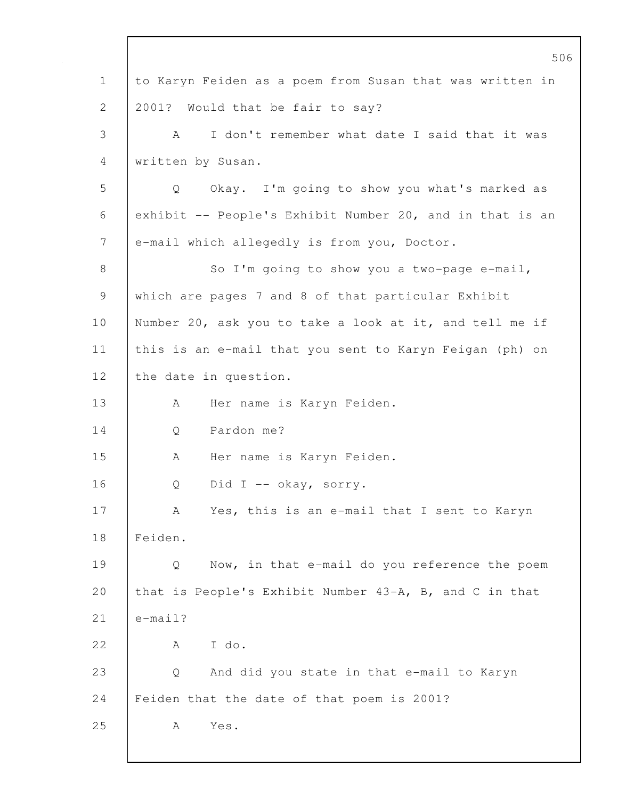506 1 to Karyn Feiden as a poem from Susan that was written in 2 2001? Would that be fair to say? 3 A I don't remember what date I said that it was 4 written by Susan. 5 Q Okay. I'm going to show you what's marked as 6 exhibit -- People's Exhibit Number 20, and in that is an 7 e-mail which allegedly is from you, Doctor. 8 So I'm going to show you a two-page e-mail, 9 which are pages 7 and 8 of that particular Exhibit 10 Number 20, ask you to take a look at it, and tell me if 11 this is an e-mail that you sent to Karyn Feigan (ph) on 12 | the date in question. 13 A Her name is Karyn Feiden. 14 | O Pardon me? 15 | A Her name is Karyn Feiden. 16 Q Did I -- okay, sorry. 17 | A Yes, this is an e-mail that I sent to Karyn 18 Feiden. 19 Q Now, in that e-mail do you reference the poem 20 that is People's Exhibit Number 43-A, B, and C in that 21  $\leq$  e-mail? 22 A I do. 23 Q And did you state in that e-mail to Karyn 24 | Feiden that the date of that poem is 2001? 25 | A Yes.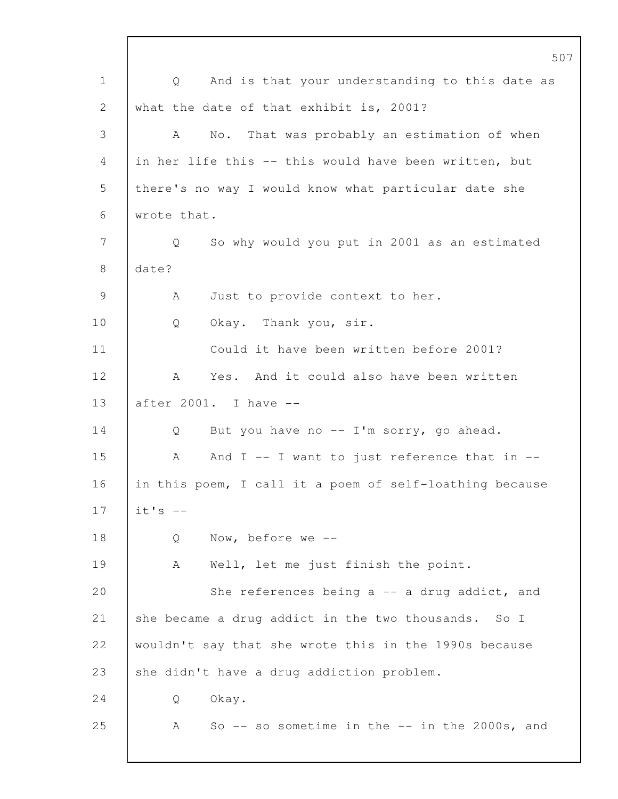507 1 | Q And is that your understanding to this date as 2 what the date of that exhibit is, 2001? 3 A No. That was probably an estimation of when 4 in her life this -- this would have been written, but 5 there's no way I would know what particular date she 6 wrote that. 7 Q So why would you put in 2001 as an estimated 8 date? 9 | A Just to provide context to her. 10 | Q Okay. Thank you, sir. 11 Could it have been written before 2001? 12 A Yes. And it could also have been written 13 after 2001. I have -- 14 Q But you have no -- I'm sorry, go ahead.  $15$  A  $15$  And I -- I want to just reference that in --16 in this poem, I call it a poem of self-loathing because 17  $\vert$  it's  $-$ 18 | Q Now, before we --19 | A Well, let me just finish the point. 20 She references being a -- a drug addict, and 21 she became a drug addict in the two thousands. So I 22 wouldn't say that she wrote this in the 1990s because 23 she didn't have a drug addiction problem. 24 Q Okay. 25 A So -- so sometime in the -- in the 2000s, and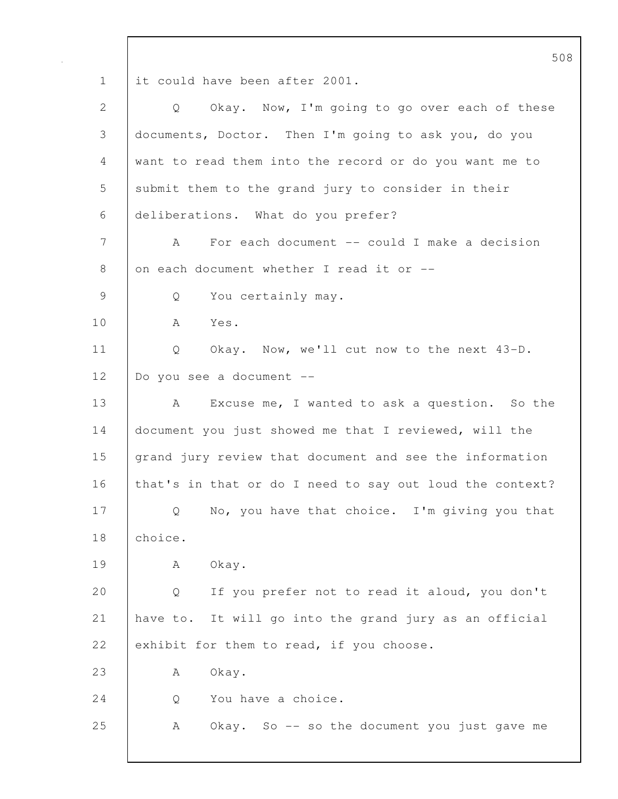508 1 it could have been after 2001. 2 Q Okay. Now, I'm going to go over each of these 3 documents, Doctor. Then I'm going to ask you, do you 4 want to read them into the record or do you want me to 5 submit them to the grand jury to consider in their 6 deliberations. What do you prefer? 7 A For each document -- could I make a decision 8 on each document whether I read it or  $-$ 9 Q You certainly may. 10 A Yes. 11 | Q Okay. Now, we'll cut now to the next 43-D. 12 Do you see a document -- 13 A Excuse me, I wanted to ask a question. So the 14 document you just showed me that I reviewed, will the 15 grand jury review that document and see the information 16 that's in that or do I need to say out loud the context? 17 | Q No, you have that choice. I'm giving you that 18 choice. 19 | A Okay. 20 Q If you prefer not to read it aloud, you don't 21 have to. It will go into the grand jury as an official 22 exhibit for them to read, if you choose. 23 A Okay. 24 |  $\qquad$  O You have a choice. 25 A Okay. So -- so the document you just gave me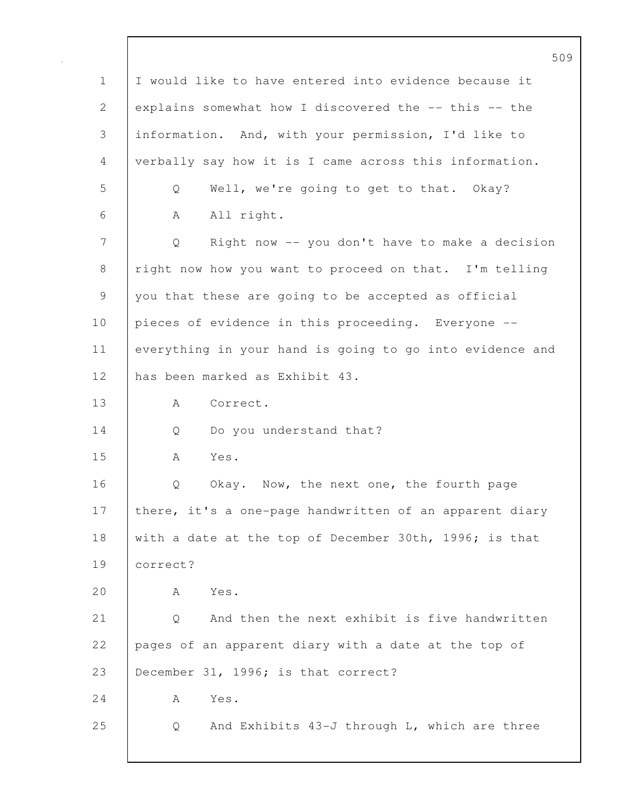|             | 509                                                      |
|-------------|----------------------------------------------------------|
| $\mathbf 1$ | I would like to have entered into evidence because it    |
| 2           | explains somewhat how I discovered the -- this -- the    |
| 3           | information. And, with your permission, I'd like to      |
| 4           | verbally say how it is I came across this information.   |
| 5           | Well, we're going to get to that. Okay?<br>Q             |
| 6           | All right.<br>A                                          |
| 7           | Right now -- you don't have to make a decision<br>Q      |
| 8           | right now how you want to proceed on that. I'm telling   |
| 9           | you that these are going to be accepted as official      |
| 10          | pieces of evidence in this proceeding. Everyone --       |
| 11          | everything in your hand is going to go into evidence and |
| 12          | has been marked as Exhibit 43.                           |
| 13          | Correct.<br>A                                            |
| 14          | Do you understand that?<br>Q                             |
| 15          | Yes.<br>A                                                |
| 16          | Okay. Now, the next one, the fourth page<br>Q            |
| 17          | there, it's a one-page handwritten of an apparent diary  |
| 18          | with a date at the top of December 30th, 1996; is that   |
| 19          | correct?                                                 |
| 20          | Yes.<br>Α                                                |
| 21          | And then the next exhibit is five handwritten<br>Q       |
| 22          | pages of an apparent diary with a date at the top of     |
| 23          | December 31, 1996; is that correct?                      |
| 24          | Yes.<br>А                                                |
| 25          | And Exhibits 43-J through L, which are three<br>Q        |
|             |                                                          |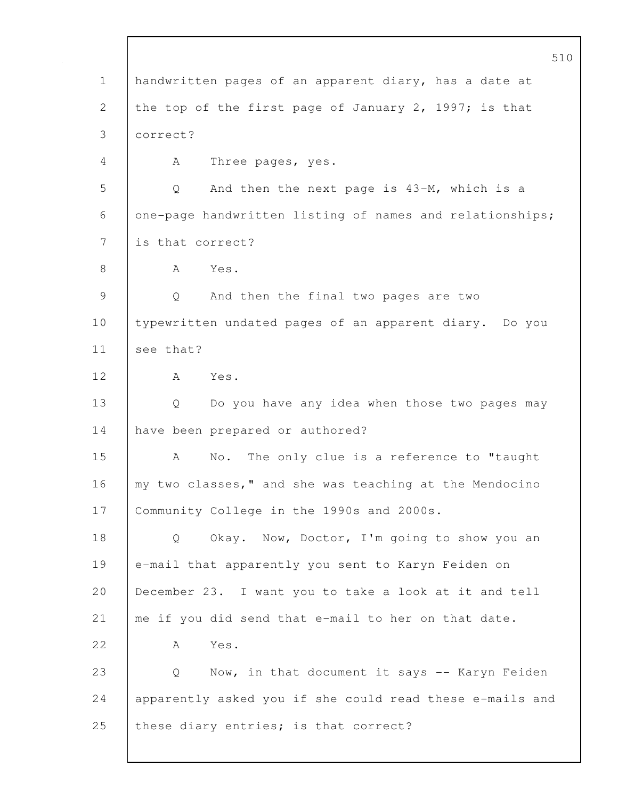510 1 handwritten pages of an apparent diary, has a date at 2 the top of the first page of January 2, 1997; is that 3 correct? 4 | A Three pages, yes. 5 Q And then the next page is 43-M, which is a 6 one-page handwritten listing of names and relationships; 7 is that correct? 8 | A Yes. 9 Q And then the final two pages are two 10 typewritten undated pages of an apparent diary. Do you 11 see that? 12 A Yes. 13 Q Do you have any idea when those two pages may 14 have been prepared or authored? 15 | A No. The only clue is a reference to "taught 16 | my two classes," and she was teaching at the Mendocino 17 Community College in the 1990s and 2000s. 18 | Q Okay. Now, Doctor, I'm going to show you an 19 e-mail that apparently you sent to Karyn Feiden on 20 December 23. I want you to take a look at it and tell 21 | me if you did send that e-mail to her on that date. 22 A Yes. 23 Q Now, in that document it says -- Karyn Feiden 24 apparently asked you if she could read these e-mails and 25 these diary entries; is that correct?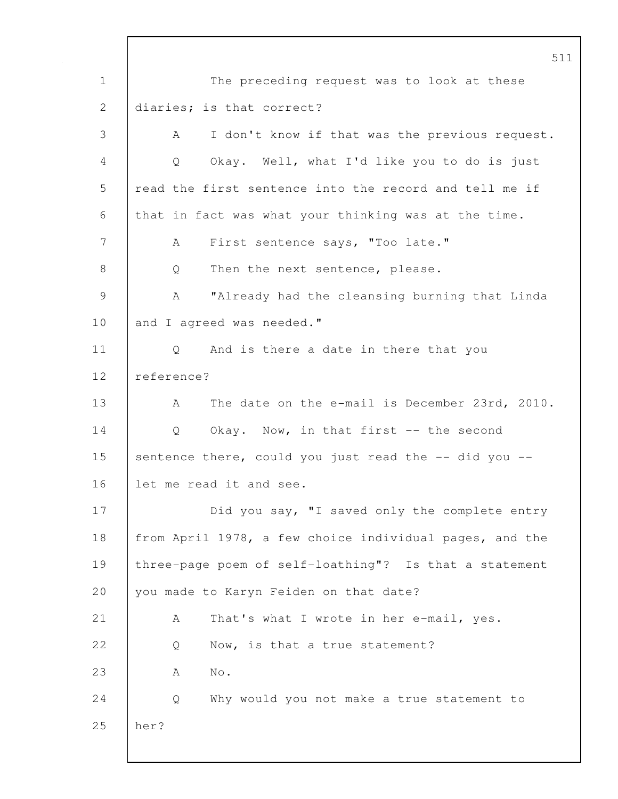511 1 The preceding request was to look at these 2 | diaries; is that correct? 3 A I don't know if that was the previous request. 4 Q Okay. Well, what I'd like you to do is just 5 read the first sentence into the record and tell me if 6 that in fact was what your thinking was at the time. 7 | A First sentence says, "Too late." 8 | Q Then the next sentence, please. 9 | A "Already had the cleansing burning that Linda 10 and I agreed was needed." 11 | Q And is there a date in there that you 12 reference? 13 | A The date on the e-mail is December 23rd, 2010. 14 Q Okay. Now, in that first -- the second 15 sentence there, could you just read the -- did you --16 let me read it and see. 17 | Did you say, "I saved only the complete entry 18 from April 1978, a few choice individual pages, and the 19 three-page poem of self-loathing"? Is that a statement 20 vou made to Karyn Feiden on that date? 21 | A That's what I wrote in her e-mail, yes. 22 O Now, is that a true statement? 23 | A No. 24 Q Why would you not make a true statement to 25 her?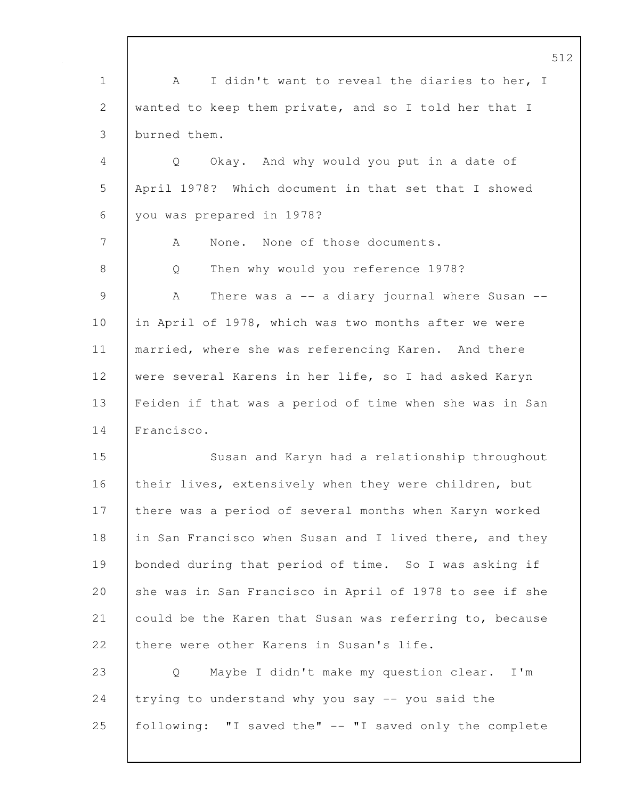512 1 | A I didn't want to reveal the diaries to her, I 2 wanted to keep them private, and so I told her that I 3 burned them. 4 Q Okay. And why would you put in a date of 5 April 1978? Which document in that set that I showed 6 you was prepared in 1978? 7 A None. None of those documents. 8 | Q Then why would you reference 1978? 9 A There was a -- a diary journal where Susan --10 in April of 1978, which was two months after we were 11 | married, where she was referencing Karen. And there 12 were several Karens in her life, so I had asked Karyn 13 Feiden if that was a period of time when she was in San 14 Francisco. 15 Susan and Karyn had a relationship throughout 16 their lives, extensively when they were children, but 17 | there was a period of several months when Karyn worked 18 in San Francisco when Susan and I lived there, and they 19 bonded during that period of time. So I was asking if 20 she was in San Francisco in April of 1978 to see if she 21 could be the Karen that Susan was referring to, because 22 there were other Karens in Susan's life. 23 Q Maybe I didn't make my question clear. I'm 24 trying to understand why you say  $-$  you said the 25 following: "I saved the" -- "I saved only the complete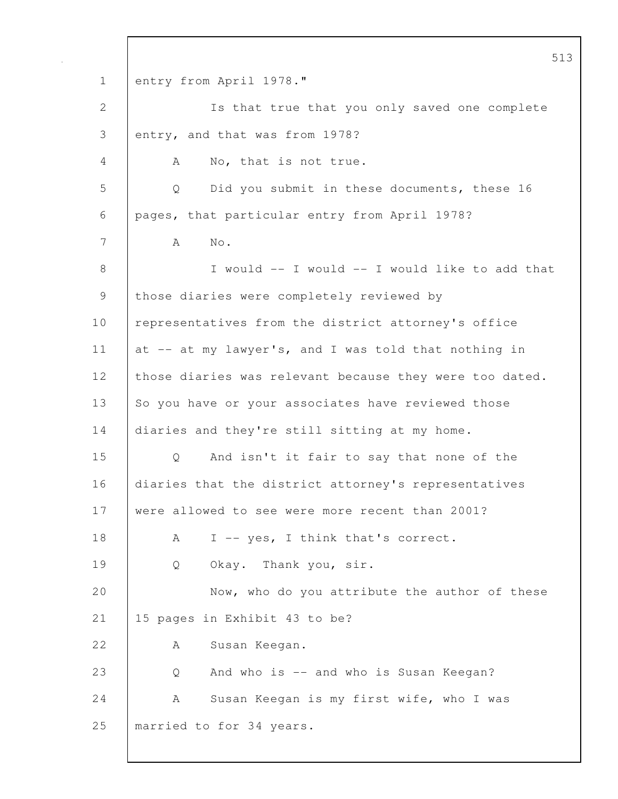513 1 entry from April 1978." 2 Is that true that you only saved one complete 3 entry, and that was from 1978? 4 A No, that is not true. 5 Q Did you submit in these documents, these 16 6 pages, that particular entry from April 1978? 7 A No. 8 I would -- I would -- I would like to add that 9 those diaries were completely reviewed by 10 representatives from the district attorney's office 11 at -- at my lawyer's, and I was told that nothing in 12 | those diaries was relevant because they were too dated. 13 So you have or your associates have reviewed those 14 diaries and they're still sitting at my home. 15 Q And isn't it fair to say that none of the 16 diaries that the district attorney's representatives 17 were allowed to see were more recent than 2001? 18 A I -- yes, I think that's correct. 19 | Q Okay. Thank you, sir. 20 Now, who do you attribute the author of these 21 15 pages in Exhibit 43 to be? 22 | A Susan Keegan. 23 Q And who is -- and who is Susan Keegan? 24 | A Susan Keegan is my first wife, who I was 25 married to for 34 years.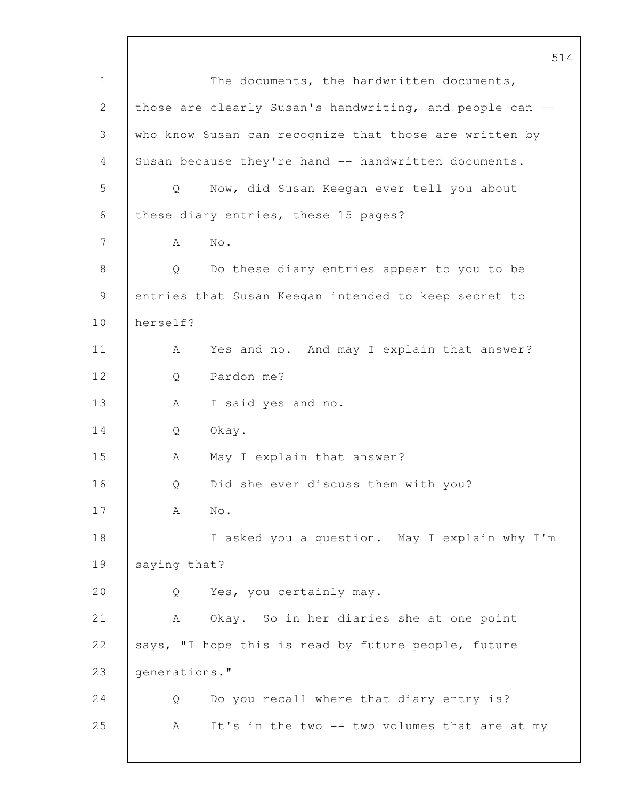514 1 The documents, the handwritten documents, 2 those are clearly Susan's handwriting, and people can --3 who know Susan can recognize that those are written by 4 Susan because they're hand -- handwritten documents. 5 Q Now, did Susan Keegan ever tell you about 6 these diary entries, these 15 pages? 7 A No. 8 Q Do these diary entries appear to you to be 9 entries that Susan Keegan intended to keep secret to 10 herself? 11 | A Yes and no. And may I explain that answer? 12 Q Pardon me? 13 | A I said yes and no. 14 Q Okay. 15 A May I explain that answer? 16 | O Did she ever discuss them with you? 17 A No. 18 I asked you a question. May I explain why I'm 19 saying that? 20 Q Yes, you certainly may. 21 A Okay. So in her diaries she at one point 22 says, "I hope this is read by future people, future 23 generations." 24 Q Do you recall where that diary entry is? 25 A It's in the two -- two volumes that are at my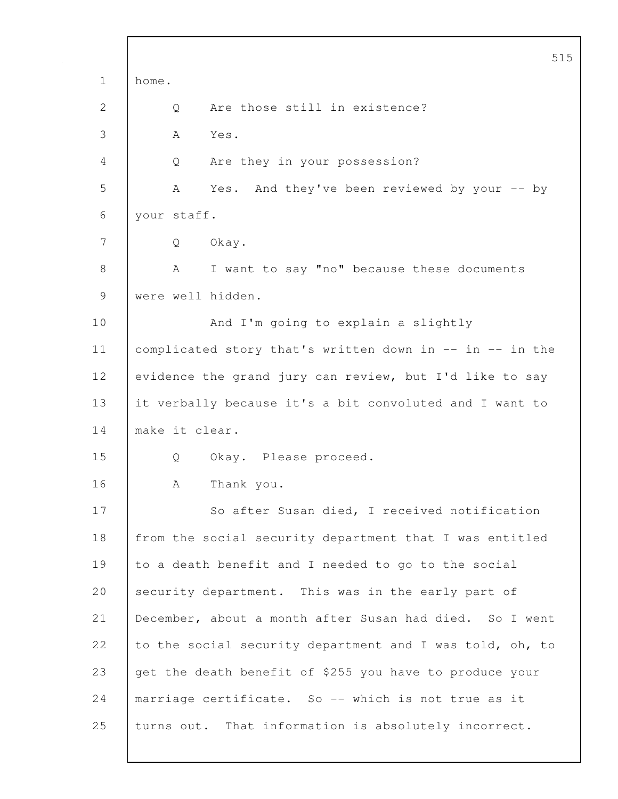|              | 515                                                      |
|--------------|----------------------------------------------------------|
| $\mathbf 1$  | home.                                                    |
| $\mathbf{2}$ | Are those still in existence?<br>Q                       |
| 3            | Yes.<br>A                                                |
| 4            | Are they in your possession?<br>Q                        |
| 5            | And they've been reviewed by your -- by<br>A<br>Yes.     |
| 6            | your staff.                                              |
| 7            | Okay.<br>Q                                               |
| 8            | I want to say "no" because these documents<br>A          |
| 9            | were well hidden.                                        |
| 10           | And I'm going to explain a slightly                      |
| 11           | complicated story that's written down in -- in -- in the |
| 12           | evidence the grand jury can review, but I'd like to say  |
| 13           | it verbally because it's a bit convoluted and I want to  |
| 14           | make it clear.                                           |
| 15           | Okay. Please proceed.<br>Q                               |
| 16           | Thank you.<br>А                                          |
| 17           | So after Susan died, I received notification             |
| 18           | from the social security department that I was entitled  |
| 19           | to a death benefit and I needed to go to the social      |
| 20           | security department. This was in the early part of       |
| 21           | December, about a month after Susan had died. So I went  |
| 22           | to the social security department and I was told, oh, to |
| 23           | get the death benefit of \$255 you have to produce your  |
| 24           | marriage certificate. So -- which is not true as it      |
| 25           | turns out. That information is absolutely incorrect.     |

 $\mathsf{l}$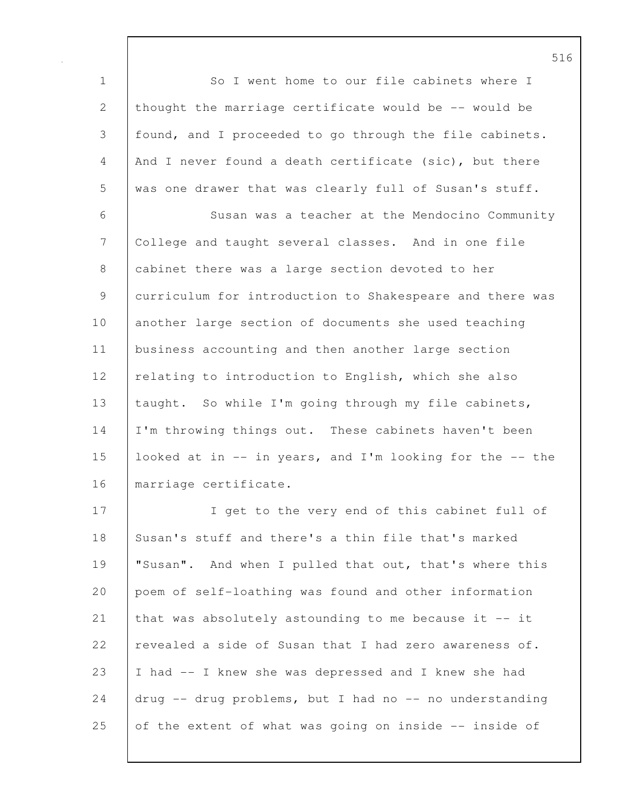1 So I went home to our file cabinets where I 2 thought the marriage certificate would be -- would be 3 found, and I proceeded to go through the file cabinets. 4 And I never found a death certificate (sic), but there 5 was one drawer that was clearly full of Susan's stuff.

6 Susan was a teacher at the Mendocino Community 7 College and taught several classes. And in one file 8 cabinet there was a large section devoted to her 9 curriculum for introduction to Shakespeare and there was 10 another large section of documents she used teaching 11 business accounting and then another large section 12 | relating to introduction to English, which she also 13 | taught. So while I'm going through my file cabinets, 14 | I'm throwing things out. These cabinets haven't been 15 looked at in -- in years, and I'm looking for the -- the 16 marriage certificate.

17 | I get to the very end of this cabinet full of 18 Susan's stuff and there's a thin file that's marked 19 "Susan". And when I pulled that out, that's where this 20 poem of self-loathing was found and other information 21 that was absolutely astounding to me because it -- it 22 revealed a side of Susan that I had zero awareness of. 23 I had -- I knew she was depressed and I knew she had 24  $\vert$  drug -- drug problems, but I had no -- no understanding 25 of the extent of what was going on inside  $-$ - inside of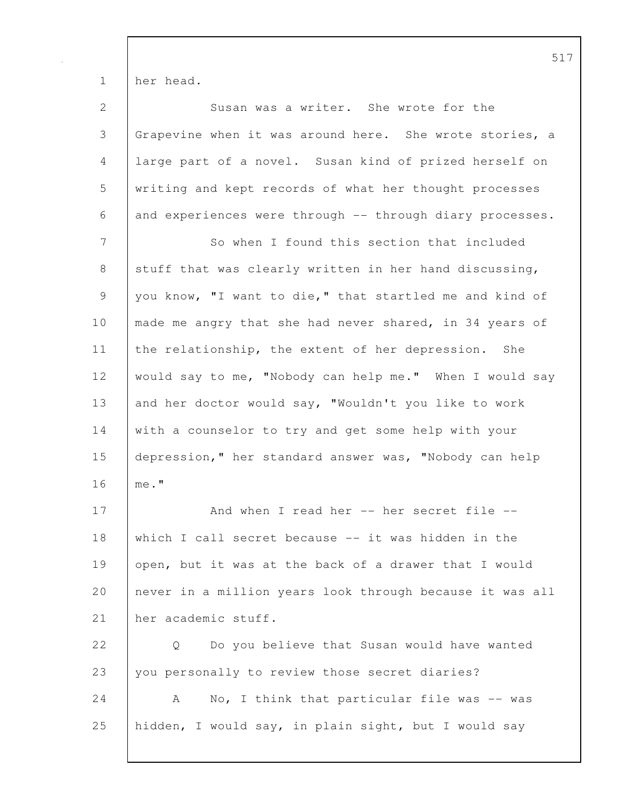1 her head.

| $\mathbf{2}$   | Susan was a writer. She wrote for the                    |
|----------------|----------------------------------------------------------|
| $\mathfrak{Z}$ | Grapevine when it was around here. She wrote stories, a  |
| $\overline{4}$ | large part of a novel. Susan kind of prized herself on   |
| 5              | writing and kept records of what her thought processes   |
| 6              | and experiences were through -- through diary processes. |
| 7              | So when I found this section that included               |
| $\,8\,$        | stuff that was clearly written in her hand discussing,   |
| $\mathsf 9$    | you know, "I want to die," that startled me and kind of  |
| 10             | made me angry that she had never shared, in 34 years of  |
| 11             | the relationship, the extent of her depression. She      |
| 12             | would say to me, "Nobody can help me." When I would say  |
| 13             | and her doctor would say, "Wouldn't you like to work     |
| 14             | with a counselor to try and get some help with your      |
| 15             | depression," her standard answer was, "Nobody can help   |
| 16             | me."                                                     |
| 17             | And when I read her -- her secret file --                |
| 18             | which I call secret because -- it was hidden in the      |
| 19             | open, but it was at the back of a drawer that I would    |
| 20             | never in a million years look through because it was all |
| 21             | her academic stuff.                                      |
| 22             | Do you believe that Susan would have wanted<br>Q         |
| 23             | you personally to review those secret diaries?           |
| 24             | No, I think that particular file was -- was<br>A         |
| 25             | hidden, I would say, in plain sight, but I would say     |
|                |                                                          |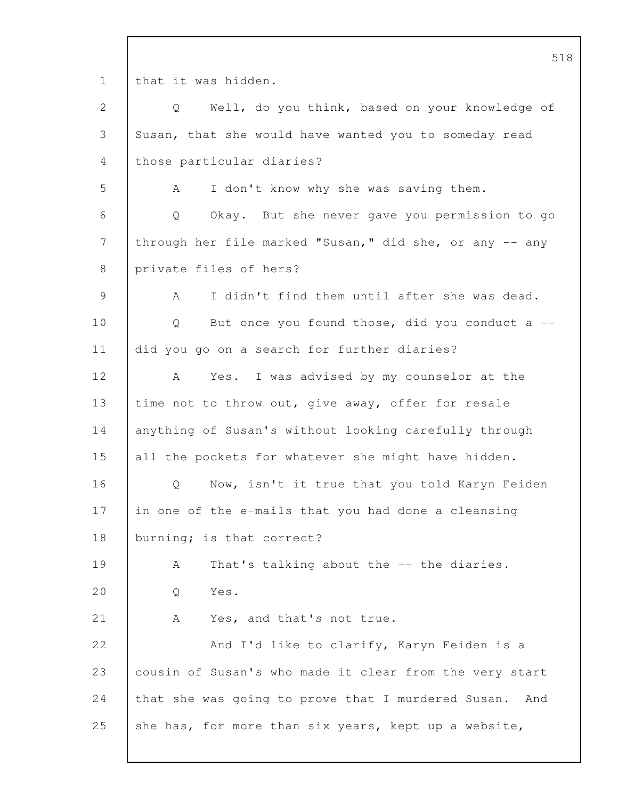1 that it was hidden.

2 Q Well, do you think, based on your knowledge of 3 Susan, that she would have wanted you to someday read 4 | those particular diaries? 5 A I don't know why she was saving them. 6 Q Okay. But she never gave you permission to go 7 through her file marked "Susan," did she, or any -- any 8 private files of hers? 9 | A I didn't find them until after she was dead. 10 | Q But once you found those, did you conduct a --11 did you go on a search for further diaries? 12 A Yes. I was advised by my counselor at the 13 time not to throw out, give away, offer for resale 14 anything of Susan's without looking carefully through 15 all the pockets for whatever she might have hidden. 16 | Q Now, isn't it true that you told Karyn Feiden 17 in one of the e-mails that you had done a cleansing 18 burning; is that correct? 19 | A That's talking about the -- the diaries. 20 Q Yes. 21 | A Yes, and that's not true. 22 And I'd like to clarify, Karyn Feiden is a 23 cousin of Susan's who made it clear from the very start 24 that she was going to prove that I murdered Susan. And 25 she has, for more than six years, kept up a website,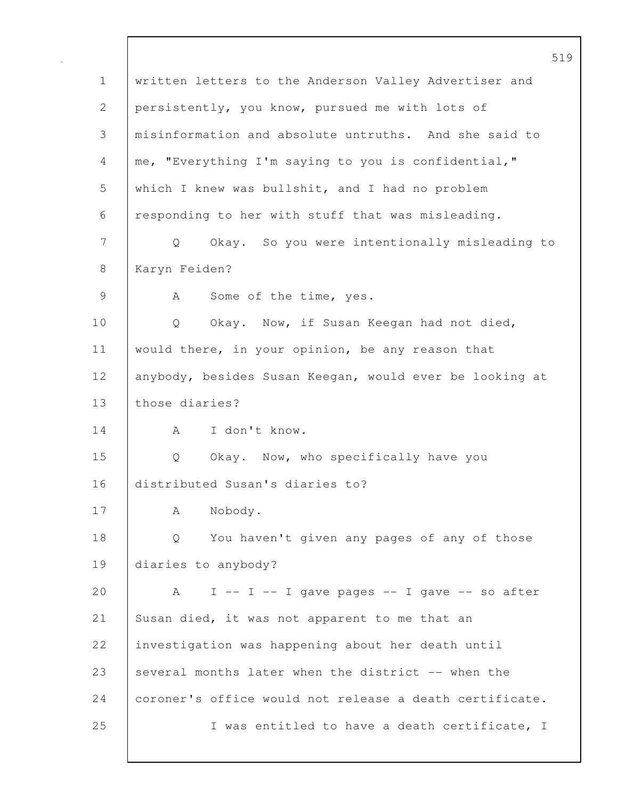519 1 written letters to the Anderson Valley Advertiser and 2 persistently, you know, pursued me with lots of 3 misinformation and absolute untruths. And she said to 4 me, "Everything I'm saying to you is confidential," 5 which I knew was bullshit, and I had no problem 6 responding to her with stuff that was misleading. 7 Q Okay. So you were intentionally misleading to 8 Karyn Feiden? 9 | A Some of the time, yes. 10 | Q Okay. Now, if Susan Keegan had not died, 11 | would there, in your opinion, be any reason that 12 anybody, besides Susan Keegan, would ever be looking at 13 those diaries? 14 A I don't know. 15 Q Okay. Now, who specifically have you 16 distributed Susan's diaries to? 17 | A Nobody. 18 Q You haven't given any pages of any of those 19 diaries to anybody? 20  $\vert$  A I -- I -- I gave pages -- I gave -- so after 21 Susan died, it was not apparent to me that an 22 investigation was happening about her death until 23 several months later when the district -- when the 24 coroner's office would not release a death certificate. 25 | I was entitled to have a death certificate, I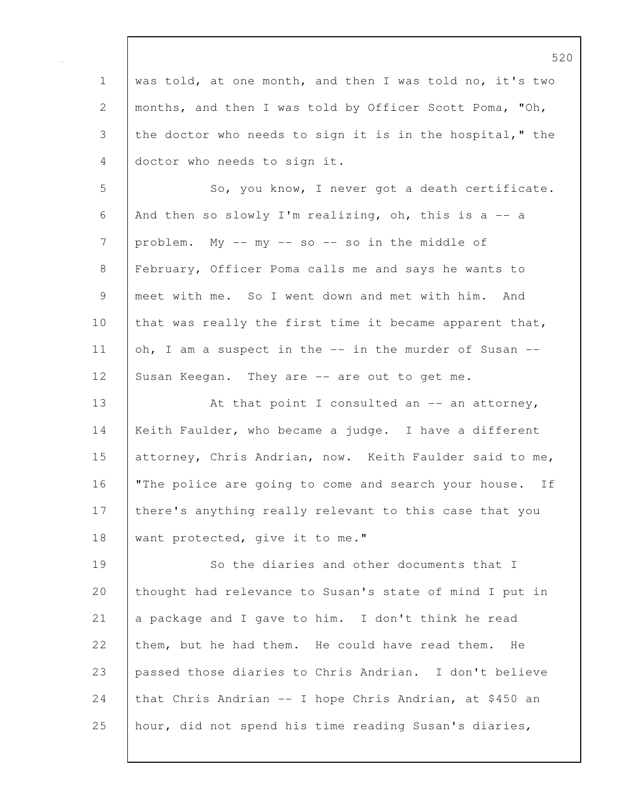|                | ے ب                                                      |
|----------------|----------------------------------------------------------|
| $\mathbf 1$    | was told, at one month, and then I was told no, it's two |
| 2              | months, and then I was told by Officer Scott Poma, "Oh,  |
| 3              | the doctor who needs to sign it is in the hospital," the |
| 4              | doctor who needs to sign it.                             |
| 5              | So, you know, I never got a death certificate.           |
| 6              | And then so slowly I'm realizing, oh, this is a $-$ a    |
| $\overline{7}$ | problem. My -- my -- so -- so in the middle of           |
| $8\,$          | February, Officer Poma calls me and says he wants to     |
| $\mathcal{G}$  | meet with me. So I went down and met with him. And       |
| 10             | that was really the first time it became apparent that,  |
| 11             | oh, I am a suspect in the -- in the murder of Susan --   |
| 12             | Susan Keegan. They are -- are out to get me.             |
| 13             | At that point I consulted an $-$ an attorney,            |
| 14             | Keith Faulder, who became a judge. I have a different    |
| 15             | attorney, Chris Andrian, now. Keith Faulder said to me,  |
| 16             | "The police are going to come and search your house. If  |
| 17             | there's anything really relevant to this case that you   |
| 18             | want protected, give it to me."                          |
| 19             | So the diaries and other documents that I                |
| 20             | thought had relevance to Susan's state of mind I put in  |
| 21             | a package and I gave to him. I don't think he read       |
| 22             | them, but he had them. He could have read them.<br>He    |
| 23             | passed those diaries to Chris Andrian. I don't believe   |
| 24             | that Chris Andrian -- I hope Chris Andrian, at \$450 an  |
| 25             | hour, did not spend his time reading Susan's diaries,    |
|                |                                                          |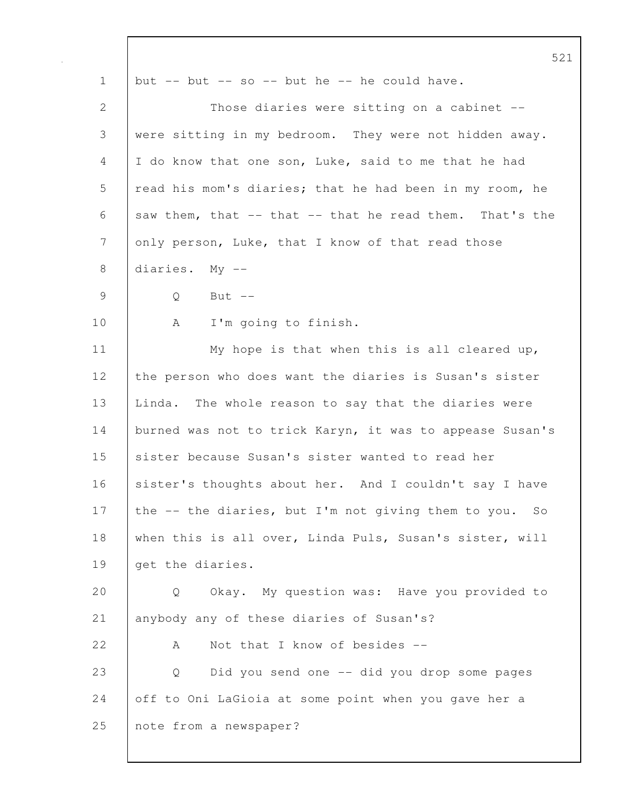|                | 521                                                      |
|----------------|----------------------------------------------------------|
| $\mathbf 1$    | but $--$ but $--$ so $--$ but he $--$ he could have.     |
| $\overline{2}$ | Those diaries were sitting on a cabinet --               |
| 3              | were sitting in my bedroom. They were not hidden away.   |
| 4              | I do know that one son, Luke, said to me that he had     |
| 5              | read his mom's diaries; that he had been in my room, he  |
| 6              | saw them, that -- that -- that he read them. That's the  |
| 7              | only person, Luke, that I know of that read those        |
| 8              | diaries. My --                                           |
| $\mathcal{G}$  | Q<br>But $--$                                            |
| 10             | I'm going to finish.<br>A                                |
| 11             | My hope is that when this is all cleared up,             |
| 12             | the person who does want the diaries is Susan's sister   |
| 13             | Linda. The whole reason to say that the diaries were     |
| 14             | burned was not to trick Karyn, it was to appease Susan's |
| 15             | sister because Susan's sister wanted to read her         |
| 16             | sister's thoughts about her. And I couldn't say I have   |
| 17             | the -- the diaries, but I'm not giving them to you. So   |
| 18             | when this is all over, Linda Puls, Susan's sister, will  |
| 19             | get the diaries.                                         |
| 20             | Okay. My question was: Have you provided to<br>Q         |
| 21             | anybody any of these diaries of Susan's?                 |
| 22             | Not that I know of besides --<br>А                       |
| 23             | Did you send one -- did you drop some pages<br>Q         |
| 24             | off to Oni LaGioia at some point when you gave her a     |
| 25             | note from a newspaper?                                   |
|                |                                                          |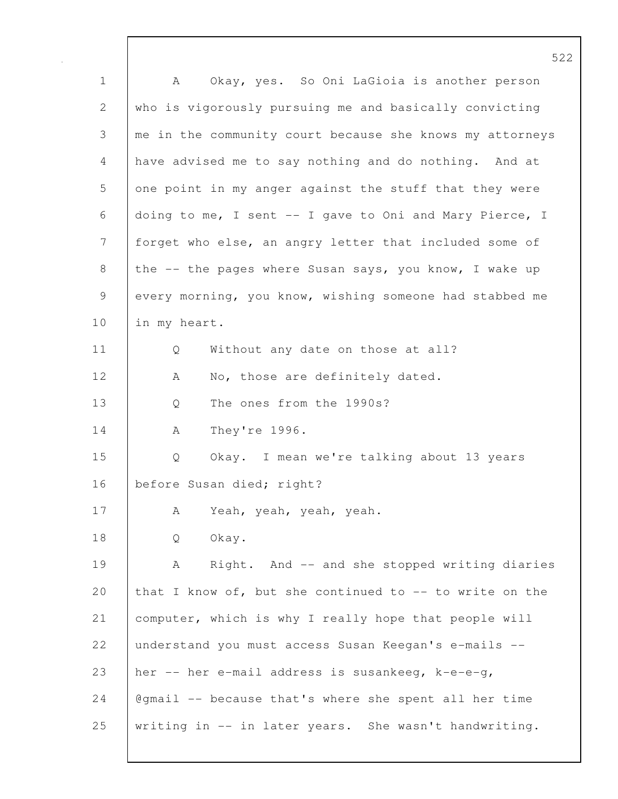522 1 A Okay, yes. So Oni LaGioia is another person 2 who is vigorously pursuing me and basically convicting 3 me in the community court because she knows my attorneys 4 have advised me to say nothing and do nothing. And at 5 one point in my anger against the stuff that they were 6 doing to me, I sent -- I gave to Oni and Mary Pierce, I 7 forget who else, an angry letter that included some of 8 the -- the pages where Susan says, you know, I wake up 9 every morning, you know, wishing someone had stabbed me 10 | in my heart. 11 | Q Without any date on those at all? 12 | A No, those are definitely dated. 13 Q The ones from the 1990s? 14 | A They're 1996. 15 Q Okay. I mean we're talking about 13 years 16 | before Susan died; right? 17 A Yeah, yeah, yeah, yeah. 18 Q Okay. 19 | A Right. And -- and she stopped writing diaries 20 that I know of, but she continued to -- to write on the 21 | computer, which is why I really hope that people will 22 understand you must access Susan Keegan's e-mails -- 23 her  $-$  her e-mail address is susankeeg, k-e-e-g, 24  $\sqrt{q}$  @gmail -- because that's where she spent all her time 25 writing in -- in later years. She wasn't handwriting.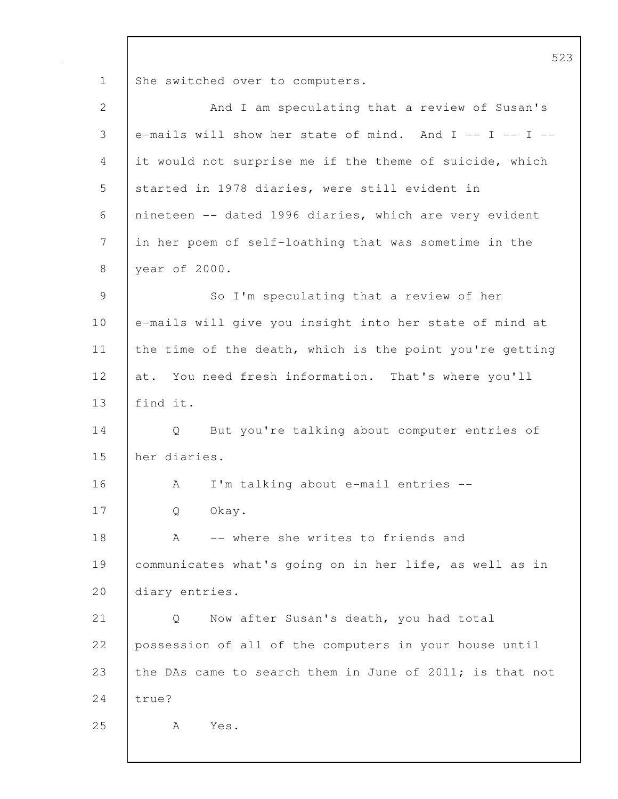1 She switched over to computers.

| $\mathbf{2}$ | And I am speculating that a review of Susan's            |
|--------------|----------------------------------------------------------|
| 3            | e-mails will show her state of mind. And I -- I -- I --  |
| 4            | it would not surprise me if the theme of suicide, which  |
| 5            | started in 1978 diaries, were still evident in           |
| 6            | nineteen -- dated 1996 diaries, which are very evident   |
| 7            | in her poem of self-loathing that was sometime in the    |
| 8            | year of 2000.                                            |
| 9            | So I'm speculating that a review of her                  |
| 10           | e-mails will give you insight into her state of mind at  |
| 11           | the time of the death, which is the point you're getting |
| 12           | at. You need fresh information. That's where you'll      |
| 13           | find it.                                                 |
| 14           | But you're talking about computer entries of<br>Q        |
| 15           | her diaries.                                             |
| 16           | I'm talking about e-mail entries --<br>A                 |
| 17           | Okay.<br>Q                                               |
| 18           | -- where she writes to friends and<br>A                  |
| 19           | communicates what's going on in her life, as well as in  |
| 20           | diary entries.                                           |
| 21           | Now after Susan's death, you had total<br>Q              |
| 22           | possession of all of the computers in your house until   |
| 23           | the DAs came to search them in June of 2011; is that not |
| 24           | true?                                                    |
| 25           | A<br>Yes.                                                |
|              |                                                          |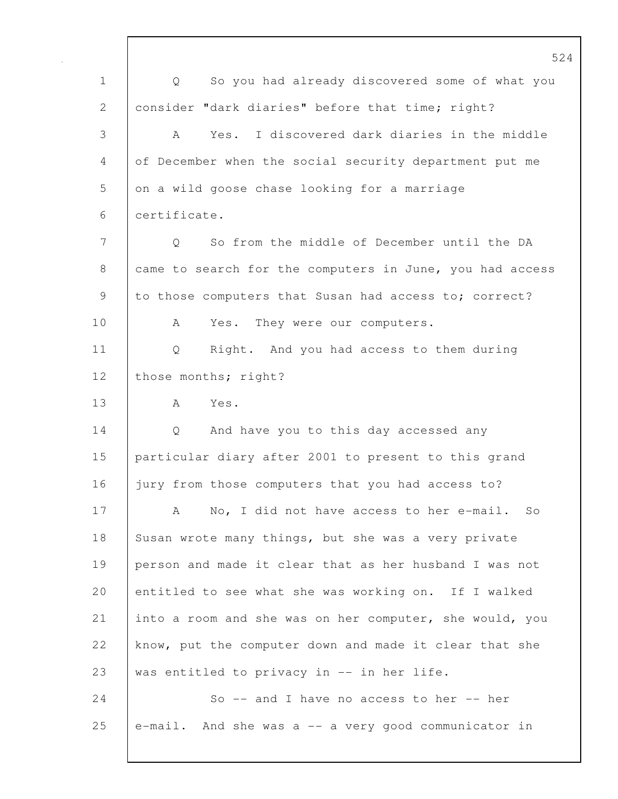1 Q So you had already discovered some of what you 2 consider "dark diaries" before that time; right? 3 A Yes. I discovered dark diaries in the middle 4 of December when the social security department put me 5 on a wild goose chase looking for a marriage 6 certificate. 7 | O So from the middle of December until the DA 8 came to search for the computers in June, you had access 9 to those computers that Susan had access to; correct? 10 | A Yes. They were our computers. 11 Q Right. And you had access to them during 12 | those months; right? 13 A Yes. 14 Q And have you to this day accessed any 15 particular diary after 2001 to present to this grand 16 jury from those computers that you had access to? 17 | A No, I did not have access to her e-mail. So 18 Susan wrote many things, but she was a very private 19 person and made it clear that as her husband I was not 20 entitled to see what she was working on. If I walked 21 into a room and she was on her computer, she would, you 22 know, put the computer down and made it clear that she 23 was entitled to privacy in  $-$  in her life. 24 So -- and I have no access to her -- her 25  $|$  e-mail. And she was a  $-$  a very good communicator in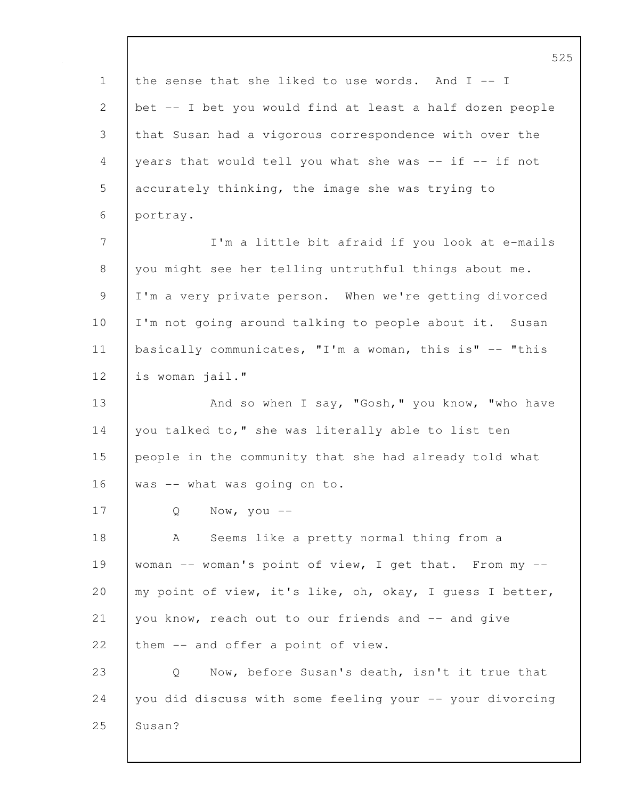525 1 the sense that she liked to use words. And I -- I 2 bet -- I bet you would find at least a half dozen people 3 that Susan had a vigorous correspondence with over the 4 years that would tell you what she was  $--$  if  $--$  if not 5 accurately thinking, the image she was trying to 6 portray. 7 I'm a little bit afraid if you look at e-mails 8 you might see her telling untruthful things about me. 9 I'm a very private person. When we're getting divorced 10 I'm not going around talking to people about it. Susan 11 basically communicates, "I'm a woman, this is" -- "this 12 is woman jail." 13 | And so when I say, "Gosh," you know, "who have 14 you talked to," she was literally able to list ten 15 people in the community that she had already told what  $16$  was  $-$  what was going on to. 17 Q Now, you -- 18 | A Seems like a pretty normal thing from a 19 | woman -- woman's point of view, I get that. From my --20 | my point of view, it's like, oh, okay, I quess I better, 21 you know, reach out to our friends and -- and give 22 them -- and offer a point of view. 23 Q Now, before Susan's death, isn't it true that 24 you did discuss with some feeling your -- your divorcing 25 | Susan?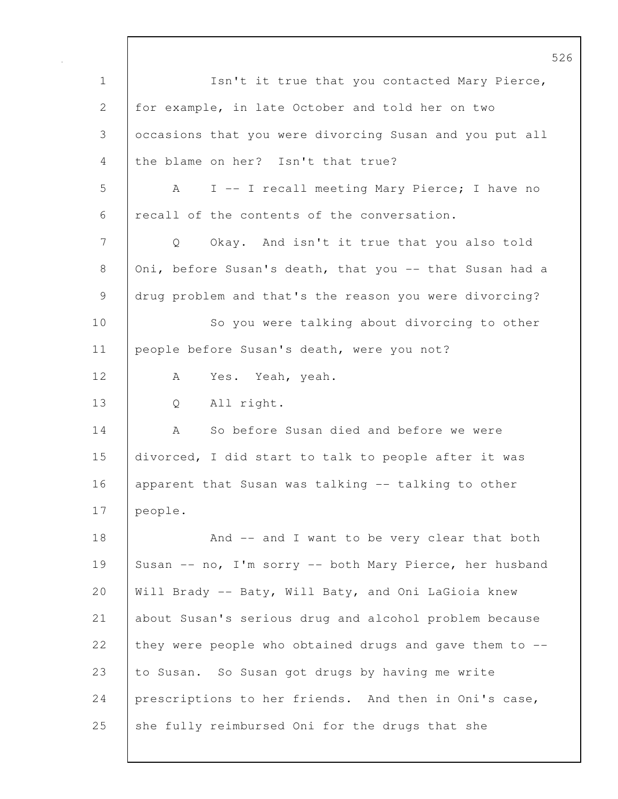1 Isn't it true that you contacted Mary Pierce, 2 for example, in late October and told her on two 3 occasions that you were divorcing Susan and you put all 4 the blame on her? Isn't that true? 5 A I -- I recall meeting Mary Pierce; I have no 6 recall of the contents of the conversation. 7 Q Okay. And isn't it true that you also told 8 Oni, before Susan's death, that you -- that Susan had a 9 drug problem and that's the reason you were divorcing? 10 So you were talking about divorcing to other 11 | people before Susan's death, were you not? 12 | A Yes. Yeah, yeah. 13 Q All right. 14 A So before Susan died and before we were 15 divorced, I did start to talk to people after it was 16 apparent that Susan was talking -- talking to other 17 people. 18 | And -- and I want to be very clear that both 19 Susan -- no, I'm sorry -- both Mary Pierce, her husband 20 Will Brady -- Baty, Will Baty, and Oni LaGioia knew 21 about Susan's serious drug and alcohol problem because 22 they were people who obtained drugs and gave them to --23 to Susan. So Susan got drugs by having me write 24 prescriptions to her friends. And then in Oni's case, 25 she fully reimbursed Oni for the drugs that she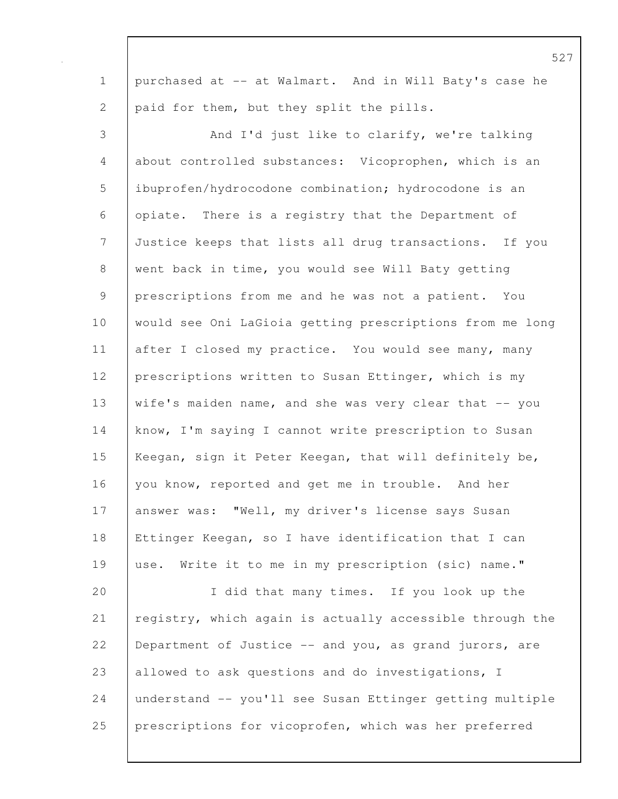1 purchased at -- at Walmart. And in Will Baty's case he 2 paid for them, but they split the pills. 3 And I'd just like to clarify, we're talking 4 about controlled substances: Vicoprophen, which is an 5 ibuprofen/hydrocodone combination; hydrocodone is an 6 opiate. There is a registry that the Department of 7 Justice keeps that lists all drug transactions. If you 8 went back in time, you would see Will Baty getting 9 prescriptions from me and he was not a patient. You 10 would see Oni LaGioia getting prescriptions from me long 11 after I closed my practice. You would see many, many 12 prescriptions written to Susan Ettinger, which is my 13 wife's maiden name, and she was very clear that -- you 14 know, I'm saying I cannot write prescription to Susan 15 | Keegan, sign it Peter Keegan, that will definitely be, 16 vou know, reported and get me in trouble. And her 17 answer was: "Well, my driver's license says Susan 18 Ettinger Keegan, so I have identification that I can 19 use. Write it to me in my prescription (sic) name." 20 I did that many times. If you look up the 21 registry, which again is actually accessible through the 22 Department of Justice -- and you, as grand jurors, are 23 allowed to ask questions and do investigations, I 24 understand -- you'll see Susan Ettinger getting multiple 25 prescriptions for vicoprofen, which was her preferred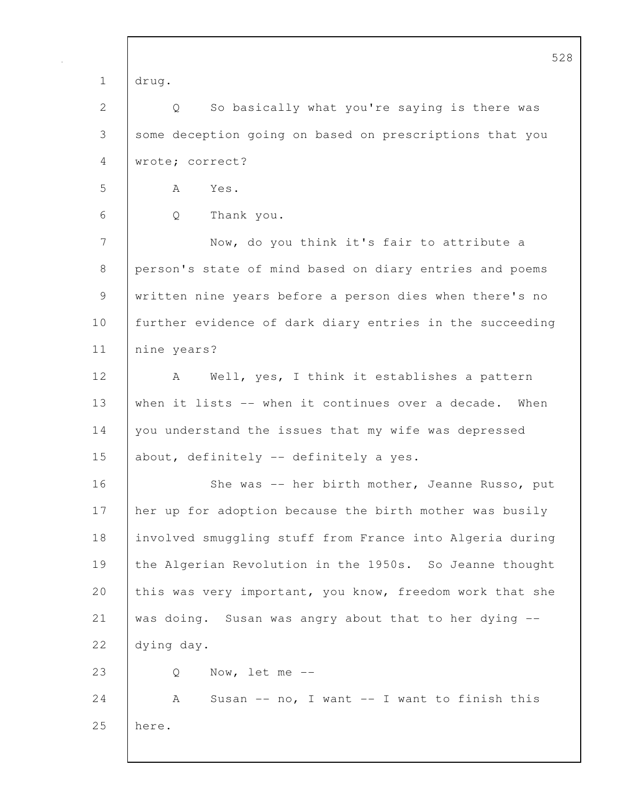|             | 52                                                       |
|-------------|----------------------------------------------------------|
| $\mathbf 1$ | drug.                                                    |
| 2           | So basically what you're saying is there was<br>Q        |
| 3           | some deception going on based on prescriptions that you  |
| 4           | wrote; correct?                                          |
| 5           | Yes.<br>A                                                |
| 6           | Q<br>Thank you.                                          |
| 7           | Now, do you think it's fair to attribute a               |
| 8           | person's state of mind based on diary entries and poems  |
| 9           | written nine years before a person dies when there's no  |
| 10          | further evidence of dark diary entries in the succeeding |
| 11          | nine years?                                              |
| 12          | Well, yes, I think it establishes a pattern<br>A         |
| 13          | when it lists -- when it continues over a decade. When   |
| 14          | you understand the issues that my wife was depressed     |
| 15          | about, definitely -- definitely a yes.                   |
| 16          | She was -- her birth mother, Jeanne Russo, put           |
| 17          | her up for adoption because the birth mother was busily  |
| 18          | involved smuggling stuff from France into Algeria during |
| 19          | the Algerian Revolution in the 1950s. So Jeanne thought  |
| 20          | this was very important, you know, freedom work that she |
| 21          | was doing. Susan was angry about that to her dying --    |
| 22          | dying day.                                               |
| 23          | Now, let me $--$<br>Q                                    |
| 24          | Susan $--$ no, I want $--$ I want to finish this<br>А    |
| 25          | here.                                                    |
|             |                                                          |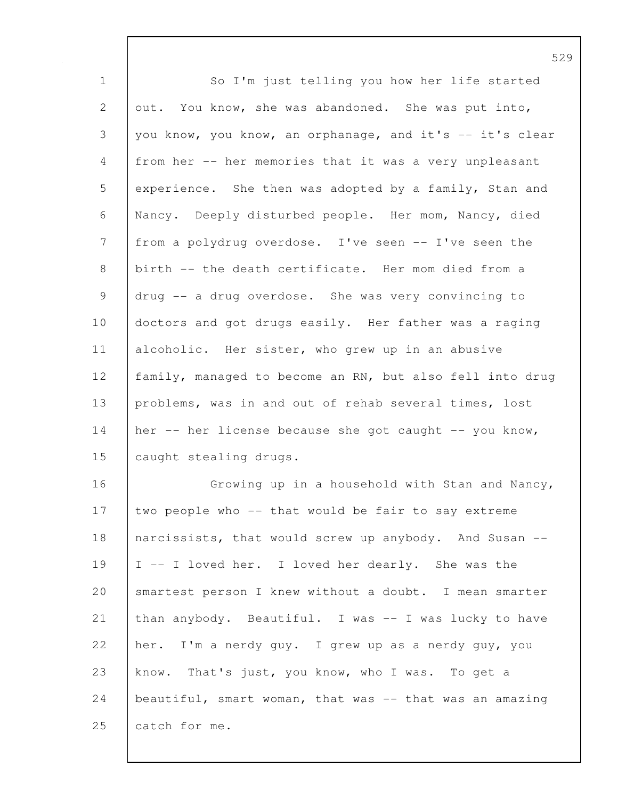1 | So I'm just telling you how her life started 2 out. You know, she was abandoned. She was put into, 3 you know, you know, an orphanage, and it's -- it's clear 4 from her -- her memories that it was a very unpleasant 5 experience. She then was adopted by a family, Stan and 6 Nancy. Deeply disturbed people. Her mom, Nancy, died 7 from a polydrug overdose. I've seen -- I've seen the 8 birth -- the death certificate. Her mom died from a 9 drug -- a drug overdose. She was very convincing to 10 doctors and got drugs easily. Her father was a raging 11 | alcoholic. Her sister, who grew up in an abusive 12 family, managed to become an RN, but also fell into drug 13 problems, was in and out of rehab several times, lost 14 her -- her license because she got caught -- you know, 15 | caught stealing drugs. 16 Growing up in a household with Stan and Nancy, 17 two people who -- that would be fair to say extreme 18 | narcissists, that would screw up anybody. And Susan --19 I -- I loved her. I loved her dearly. She was the 20 | smartest person I knew without a doubt. I mean smarter 21 than anybody. Beautiful. I was -- I was lucky to have 22 her. I'm a nerdy guy. I grew up as a nerdy guy, you 23 know. That's just, you know, who I was. To get a 24 beautiful, smart woman, that was -- that was an amazing 25 catch for me.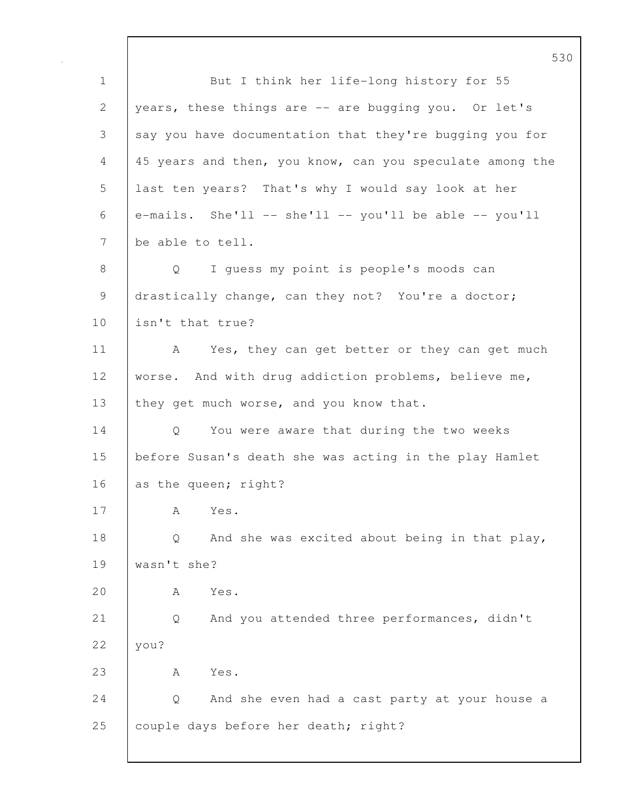1 But I think her life-long history for 55 2 years, these things are -- are bugging you. Or let's 3 say you have documentation that they're bugging you for 4 45 years and then, you know, can you speculate among the 5 last ten years? That's why I would say look at her 6  $\epsilon$  e-mails. She'll -- she'll -- you'll be able -- you'll 7 be able to tell. 8 Q I guess my point is people's moods can 9 drastically change, can they not? You're a doctor; 10 **isn't** that true? 11 | A Yes, they can get better or they can get much 12 worse. And with drug addiction problems, believe me, 13 they get much worse, and you know that. 14 Q You were aware that during the two weeks 15 before Susan's death she was acting in the play Hamlet 16 as the queen; right? 17 A Yes. 18 Q And she was excited about being in that play, 19 wasn't she? 20 A Yes. 21 Q And you attended three performances, didn't 22 vou? 23 A Yes. 24 | Q And she even had a cast party at your house a 25 couple days before her death; right?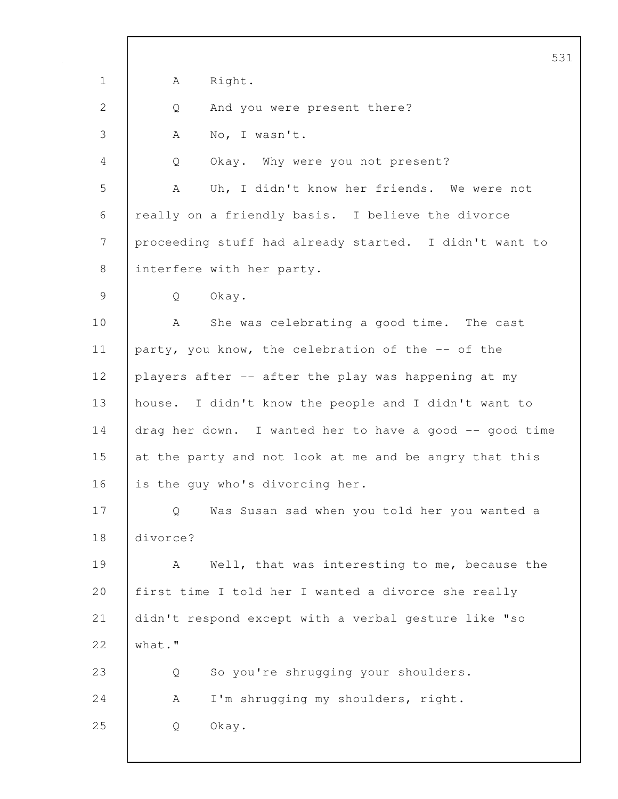|             | 5 <sup>3</sup>                                          |
|-------------|---------------------------------------------------------|
| $\mathbf 1$ | Right.<br>А                                             |
| 2           | And you were present there?<br>Q                        |
| 3           | No, I wasn't.<br>A                                      |
| 4           | Okay. Why were you not present?<br>Q                    |
| 5           | Uh, I didn't know her friends. We were not<br>A         |
| 6           | really on a friendly basis. I believe the divorce       |
| 7           | proceeding stuff had already started. I didn't want to  |
| 8           | interfere with her party.                               |
| 9           | Okay.<br>Q                                              |
| 10          | She was celebrating a good time. The cast<br>A          |
| 11          | party, you know, the celebration of the -- of the       |
| 12          | players after -- after the play was happening at my     |
| 13          | house. I didn't know the people and I didn't want to    |
| 14          | drag her down. I wanted her to have a good -- good time |
| 15          | at the party and not look at me and be angry that this  |
| 16          | is the guy who's divorcing her.                         |
| 17          | Was Susan sad when you told her you wanted a<br>Q       |
| 18          | divorce?                                                |
| 19          | Well, that was interesting to me, because the<br>A      |
| 20          | first time I told her I wanted a divorce she really     |
| 21          | didn't respond except with a verbal gesture like "so    |
| 22          | what."                                                  |
| 23          | So you're shrugging your shoulders.<br>Q                |
| 24          | I'm shrugging my shoulders, right.<br>Α                 |
| 25          | Okay.<br>Q                                              |
|             |                                                         |

 $\mathsf{l}$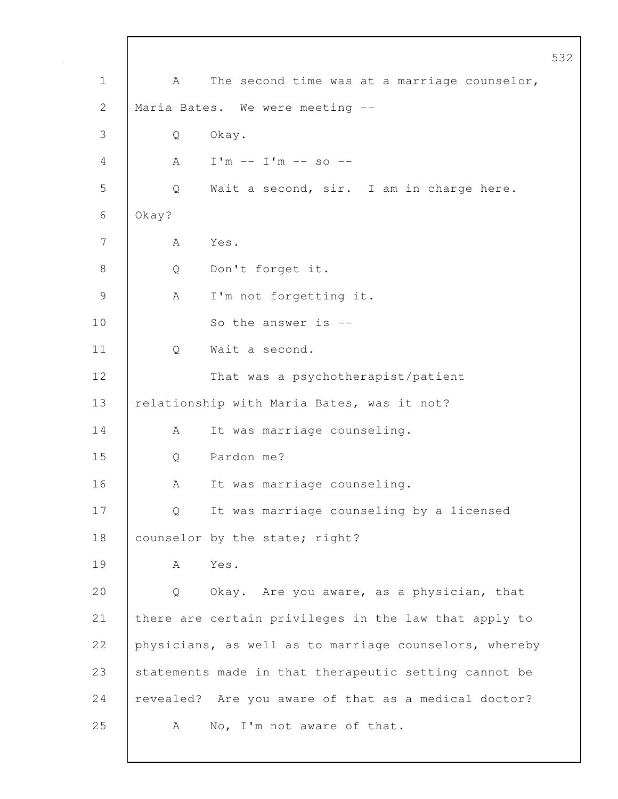|                |                                                        |                                                       | 532 |
|----------------|--------------------------------------------------------|-------------------------------------------------------|-----|
| $\mathbf 1$    | A                                                      | The second time was at a marriage counselor,          |     |
| $\mathbf{2}$   | Maria Bates. We were meeting --                        |                                                       |     |
| 3              | Okay.<br>Q                                             |                                                       |     |
| 4              | Α                                                      | $I'm -- I'm -- so --$                                 |     |
| 5              | Q                                                      | Wait a second, sir. I am in charge here.              |     |
| 6              | Okay?                                                  |                                                       |     |
| 7              | Yes.<br>А                                              |                                                       |     |
| $8\,$          | Q                                                      | Don't forget it.                                      |     |
| $\overline{9}$ | A                                                      | I'm not forgetting it.                                |     |
| 10             |                                                        | So the answer is --                                   |     |
| 11             | Q                                                      | Wait a second.                                        |     |
| 12             |                                                        | That was a psychotherapist/patient                    |     |
| 13             |                                                        | relationship with Maria Bates, was it not?            |     |
| 14             | A                                                      | It was marriage counseling.                           |     |
| 15             | Q                                                      | Pardon me?                                            |     |
| 16             | Α                                                      | It was marriage counseling.                           |     |
| 17             | Q                                                      | It was marriage counseling by a licensed              |     |
| 18             |                                                        | counselor by the state; right?                        |     |
| 19             | Yes.<br>A                                              |                                                       |     |
| 20             | Q                                                      | Okay. Are you aware, as a physician, that             |     |
| 21             |                                                        | there are certain privileges in the law that apply to |     |
| 22             | physicians, as well as to marriage counselors, whereby |                                                       |     |
| 23             | statements made in that therapeutic setting cannot be  |                                                       |     |
| 24             |                                                        | revealed? Are you aware of that as a medical doctor?  |     |
| 25             | A                                                      | No, I'm not aware of that.                            |     |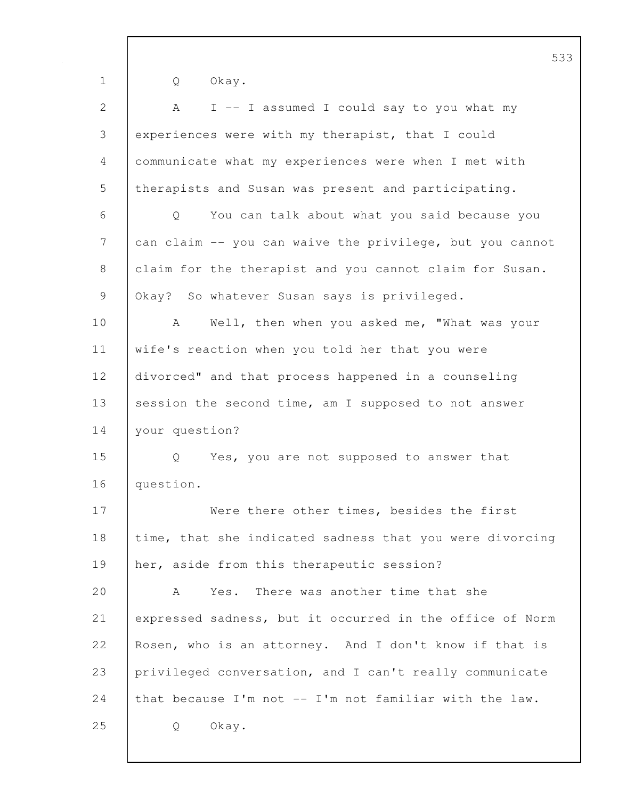|                | J --                                                     |  |  |
|----------------|----------------------------------------------------------|--|--|
| $\mathbf 1$    | Okay.<br>Q                                               |  |  |
| $\overline{2}$ | I -- I assumed I could say to you what my<br>A           |  |  |
| 3              | experiences were with my therapist, that I could         |  |  |
| 4              | communicate what my experiences were when I met with     |  |  |
| 5              | therapists and Susan was present and participating.      |  |  |
| 6              | You can talk about what you said because you<br>Q        |  |  |
| 7              | can claim -- you can waive the privilege, but you cannot |  |  |
| 8              | claim for the therapist and you cannot claim for Susan.  |  |  |
| 9              | Okay? So whatever Susan says is privileged.              |  |  |
| 10             | Well, then when you asked me, "What was your<br>A        |  |  |
| 11             | wife's reaction when you told her that you were          |  |  |
| 12             | divorced" and that process happened in a counseling      |  |  |
| 13             | session the second time, am I supposed to not answer     |  |  |
| 14             | your question?                                           |  |  |
| 15             | Yes, you are not supposed to answer that<br>Q            |  |  |
| 16             | question.                                                |  |  |
| 17             | Were there other times, besides the first                |  |  |
| 18             | time, that she indicated sadness that you were divorcing |  |  |
| 19             | her, aside from this therapeutic session?                |  |  |
| 20             | Yes. There was another time that she<br>A                |  |  |
| 21             | expressed sadness, but it occurred in the office of Norm |  |  |
| 22             | Rosen, who is an attorney. And I don't know if that is   |  |  |
| 23             | privileged conversation, and I can't really communicate  |  |  |
| 24             | that because I'm not -- I'm not familiar with the law.   |  |  |
| 25             | Okay.<br>Q                                               |  |  |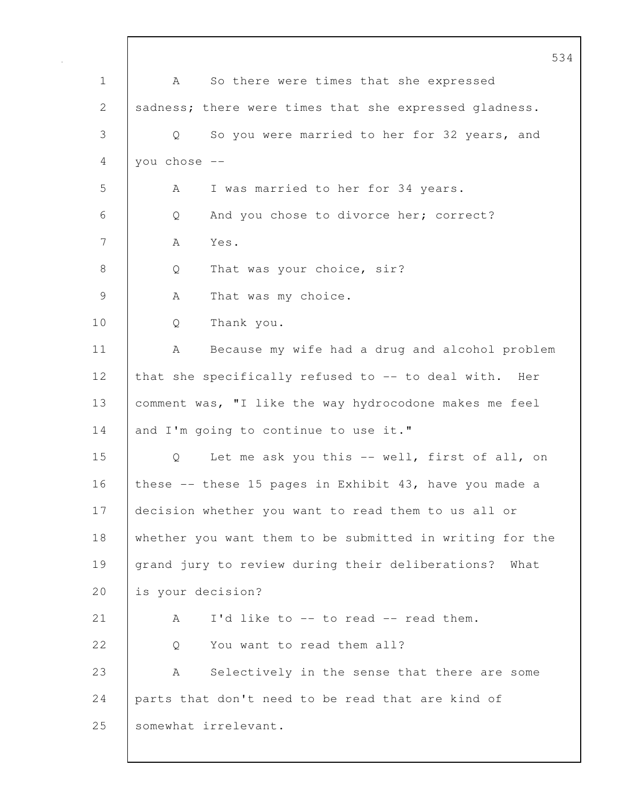534 1 | A So there were times that she expressed 2 sadness; there were times that she expressed gladness. 3 Q So you were married to her for 32 years, and  $4$  you chose  $-$ 5 A I was married to her for 34 years. 6 Q And you chose to divorce her; correct? 7 A Yes. 8 Q That was your choice, sir? 9 A That was my choice. 10 Q Thank you. 11 | A Because my wife had a drug and alcohol problem 12 that she specifically refused to -- to deal with. Her 13 comment was, "I like the way hydrocodone makes me feel 14 and I'm going to continue to use it." 15 Q Let me ask you this -- well, first of all, on 16 these -- these 15 pages in Exhibit 43, have you made a 17 decision whether you want to read them to us all or 18 whether you want them to be submitted in writing for the 19 grand jury to review during their deliberations? What 20 is your decision? 21 A I'd like to -- to read -- read them. 22 | 0 You want to read them all? 23 A Selectively in the sense that there are some 24 parts that don't need to be read that are kind of 25 | somewhat irrelevant.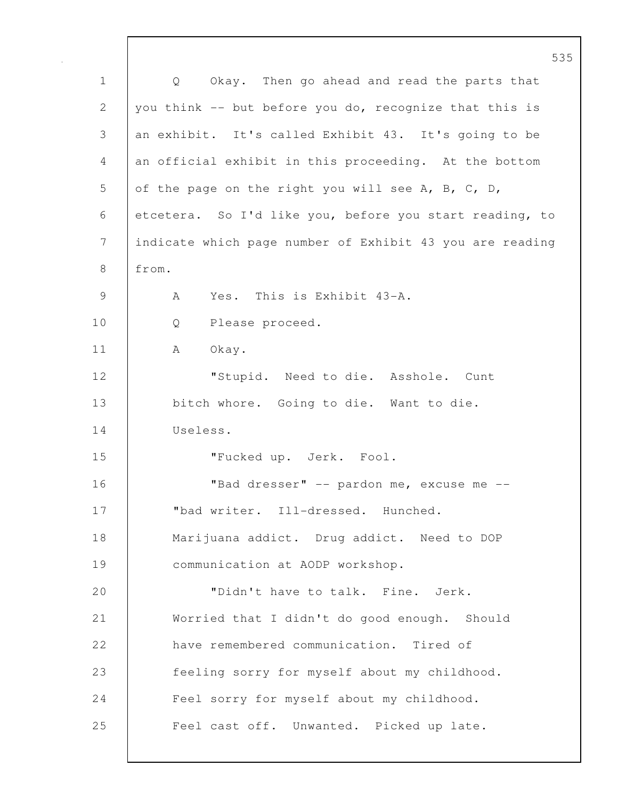|             | ೨ ೨                                                              |
|-------------|------------------------------------------------------------------|
| $\mathbf 1$ | Okay. Then go ahead and read the parts that<br>$Q \qquad \qquad$ |
| 2           | you think -- but before you do, recognize that this is           |
| 3           | an exhibit. It's called Exhibit 43. It's going to be             |
| 4           | an official exhibit in this proceeding. At the bottom            |
| 5           | of the page on the right you will see A, B, C, D,                |
| 6           | etcetera. So I'd like you, before you start reading, to          |
| 7           | indicate which page number of Exhibit 43 you are reading         |
| $8\,$       | from.                                                            |
| 9           | Yes. This is Exhibit 43-A.<br>A                                  |
| 10          | Please proceed.<br>Q                                             |
| 11          | Okay.<br>A                                                       |
| 12          | "Stupid. Need to die. Asshole. Cunt                              |
| 13          | bitch whore. Going to die. Want to die.                          |
| 14          | Useless.                                                         |
| 15          | "Fucked up. Jerk. Fool.                                          |
| 16          | "Bad dresser" -- pardon me, excuse me --                         |
| 17          | "bad writer. Ill-dressed. Hunched.                               |
| 18          | Marijuana addict. Drug addict. Need to DOP                       |
| 19          | communication at AODP workshop.                                  |
| 20          | "Didn't have to talk. Fine. Jerk.                                |
| 21          | Worried that I didn't do good enough. Should                     |
| 22          | have remembered communication. Tired of                          |
| 23          | feeling sorry for myself about my childhood.                     |
| 24          | Feel sorry for myself about my childhood.                        |
| 25          | Feel cast off. Unwanted. Picked up late.                         |
|             |                                                                  |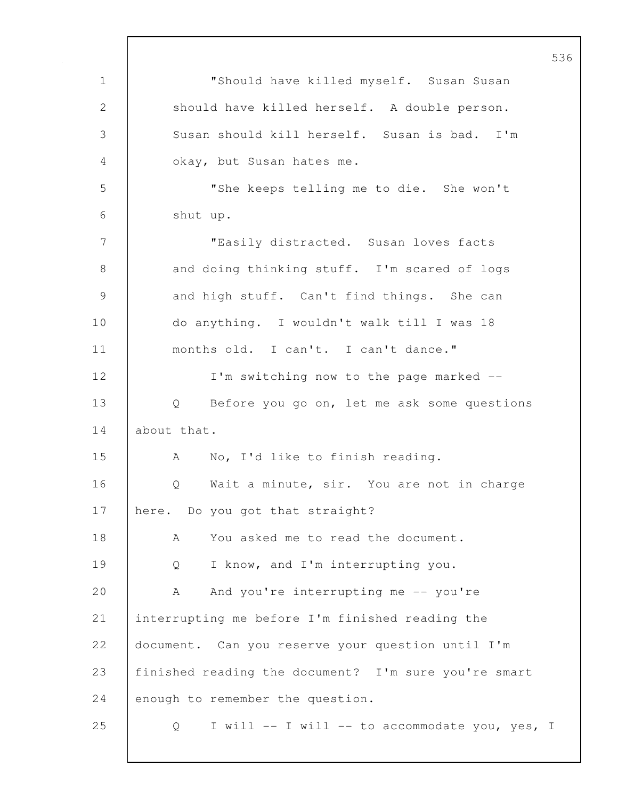1 "Should have killed myself. Susan Susan 2 should have killed herself. A double person. 3 Susan should kill herself. Susan is bad. I'm 4 okay, but Susan hates me. 5 "She keeps telling me to die. She won't 6 shut up. 7 | TEASily distracted. Susan loves facts 8 and doing thinking stuff. I'm scared of logs 9 and high stuff. Can't find things. She can 10 do anything. I wouldn't walk till I was 18 11 months old. I can't. I can't dance." 12 | I'm switching now to the page marked --13 Q Before you go on, let me ask some questions 14 about that. 15 A No, I'd like to finish reading. 16 | O Wait a minute, sir. You are not in charge 17 here. Do you got that straight? 18 A You asked me to read the document. 19 Q I know, and I'm interrupting you. 20 A And you're interrupting me -- you're 21 interrupting me before I'm finished reading the 22 document. Can you reserve your question until I'm 23 finished reading the document? I'm sure you're smart 24 enough to remember the question. 25 Q I will -- I will -- to accommodate you, yes, I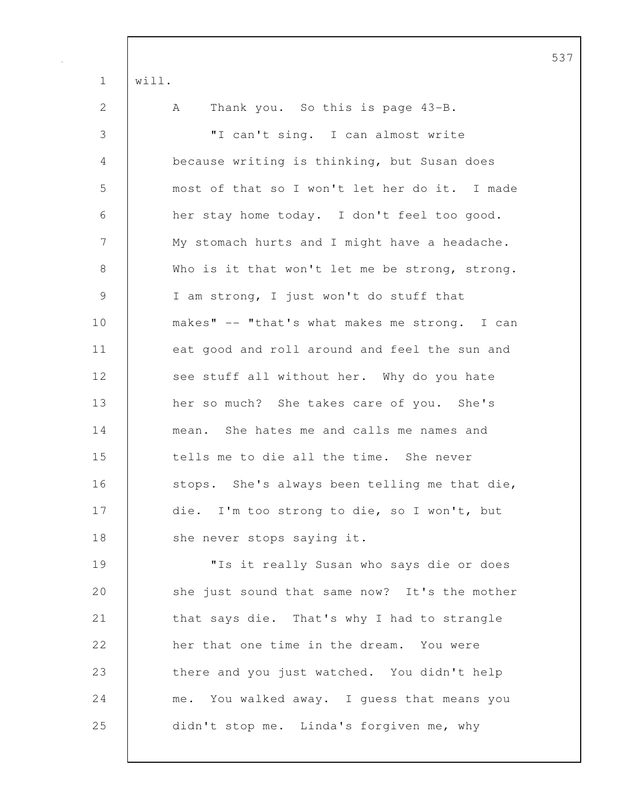| $\mathbf 1$   | will.                                            |
|---------------|--------------------------------------------------|
| 2             | Thank you. So this is page 43-B.<br>$\mathbf{A}$ |
| $\mathcal{S}$ | "I can't sing. I can almost write                |
| 4             | because writing is thinking, but Susan does      |
| 5             | most of that so I won't let her do it. I made    |
| 6             | her stay home today. I don't feel too good.      |
| 7             | My stomach hurts and I might have a headache.    |
| $8\,$         | Who is it that won't let me be strong, strong.   |
| $\mathcal{G}$ | I am strong, I just won't do stuff that          |
| 10            | makes" -- "that's what makes me strong. I can    |
| 11            | eat good and roll around and feel the sun and    |
| 12            | see stuff all without her. Why do you hate       |
| 13            | her so much? She takes care of you. She's        |
| 14            | mean. She hates me and calls me names and        |
| 15            | tells me to die all the time. She never          |
| 16            | stops. She's always been telling me that die,    |
| 17            | die. I'm too strong to die, so I won't, but      |
| 18            | she never stops saying it.                       |
| 19            | "Is it really Susan who says die or does         |
| 20            | she just sound that same now? It's the mother    |
| 21            | that says die. That's why I had to strangle      |
| 22            | her that one time in the dream. You were         |
| 23            | there and you just watched. You didn't help      |
| 24            | me. You walked away. I guess that means you      |
| 25            | didn't stop me. Linda's forgiven me, why         |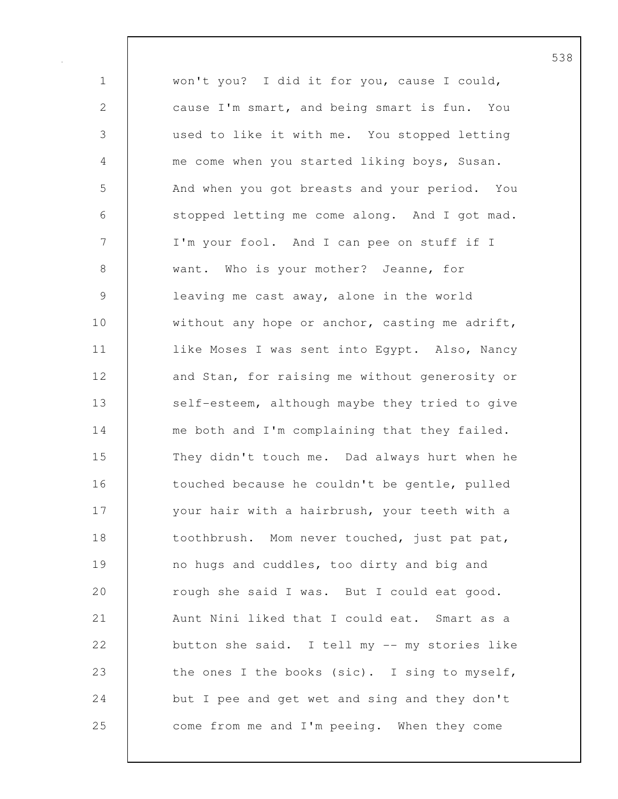1 won't you? I did it for you, cause I could, 2 cause I'm smart, and being smart is fun. You 3 used to like it with me. You stopped letting 4 me come when you started liking boys, Susan. 5 And when you got breasts and your period. You 6 stopped letting me come along. And I got mad. 7 I'm your fool. And I can pee on stuff if I 8 want. Who is your mother? Jeanne, for 9 leaving me cast away, alone in the world 10 without any hope or anchor, casting me adrift, 11 | like Moses I was sent into Egypt. Also, Nancy 12 and Stan, for raising me without generosity or 13 self-esteem, although maybe they tried to give 14 me both and I'm complaining that they failed. 15 They didn't touch me. Dad always hurt when he 16 touched because he couldn't be gentle, pulled 17 | your hair with a hairbrush, your teeth with a 18 toothbrush. Mom never touched, just pat pat, 19 no hugs and cuddles, too dirty and big and 20 crough she said I was. But I could eat good. 21 | Aunt Nini liked that I could eat. Smart as a 22 button she said. I tell my -- my stories like 23 the ones I the books (sic). I sing to myself, 24 but I pee and get wet and sing and they don't 25 come from me and I'm peeing. When they come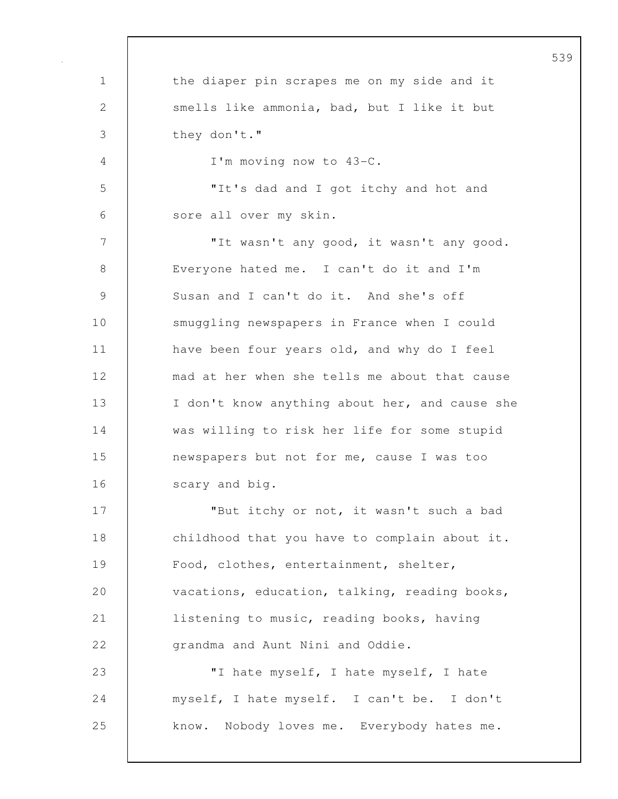| $\mathbf 1$   | the diaper pin scrapes me on my side and it    |
|---------------|------------------------------------------------|
| $\mathbf{2}$  | smells like ammonia, bad, but I like it but    |
| 3             | they don't."                                   |
| 4             | I'm moving now to 43-C.                        |
| 5             | "It's dad and I got itchy and hot and          |
| 6             | sore all over my skin.                         |
| 7             | "It wasn't any good, it wasn't any good.       |
| $8\,$         | Everyone hated me. I can't do it and I'm       |
| $\mathcal{G}$ | Susan and I can't do it. And she's off         |
| 10            | smuggling newspapers in France when I could    |
| 11            | have been four years old, and why do I feel    |
| 12            | mad at her when she tells me about that cause  |
| 13            | I don't know anything about her, and cause she |
| 14            | was willing to risk her life for some stupid   |
| 15            | newspapers but not for me, cause I was too     |
| 16            | scary and big.                                 |
| 17            | "But itchy or not, it wasn't such a bad        |
| 18            | childhood that you have to complain about it.  |
| 19            | Food, clothes, entertainment, shelter,         |
| 20            | vacations, education, talking, reading books,  |
| 21            | listening to music, reading books, having      |
| 22            | grandma and Aunt Nini and Oddie.               |
| 23            | "I hate myself, I hate myself, I hate          |
| 24            | myself, I hate myself. I can't be. I don't     |
| 25            | know. Nobody loves me. Everybody hates me.     |
|               |                                                |

 $\mathsf{l}$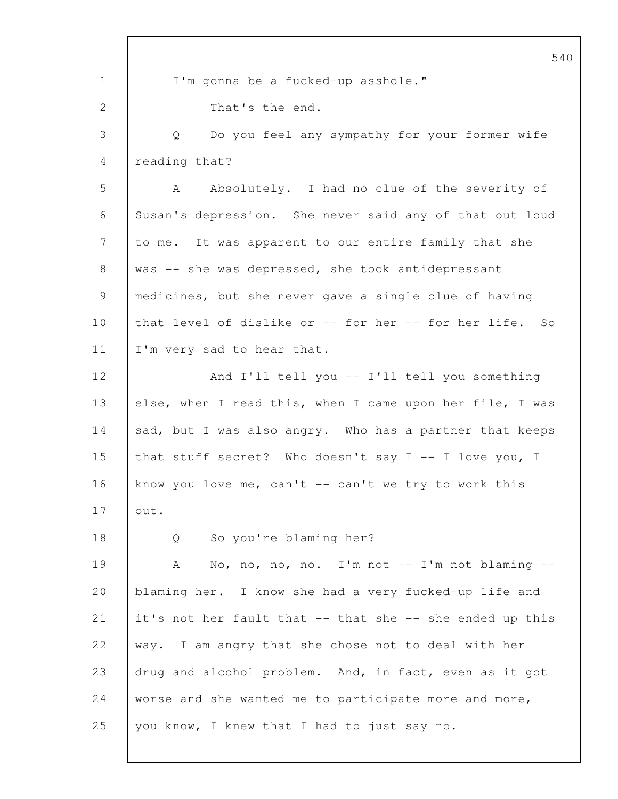540 1 I'm gonna be a fucked-up asshole." 2 That's the end. 3 Q Do you feel any sympathy for your former wife 4 reading that? 5 A Absolutely. I had no clue of the severity of 6 Susan's depression. She never said any of that out loud 7 to me. It was apparent to our entire family that she 8 | was -- she was depressed, she took antidepressant 9 medicines, but she never gave a single clue of having 10 that level of dislike or -- for her -- for her life. So 11 | I'm very sad to hear that. 12 And I'll tell you -- I'll tell you something 13 else, when I read this, when I came upon her file, I was 14 sad, but I was also angry. Who has a partner that keeps 15 that stuff secret? Who doesn't say I -- I love you, I 16 know you love me, can't  $-$  can't we try to work this 17 out. 18 Q So you're blaming her? 19 A No, no, no, no. I'm not -- I'm not blaming --20 blaming her. I know she had a very fucked-up life and 21 it's not her fault that  $--$  that she  $--$  she ended up this 22 way. I am angry that she chose not to deal with her 23 drug and alcohol problem. And, in fact, even as it got 24 worse and she wanted me to participate more and more, 25 | you know, I knew that I had to just say no.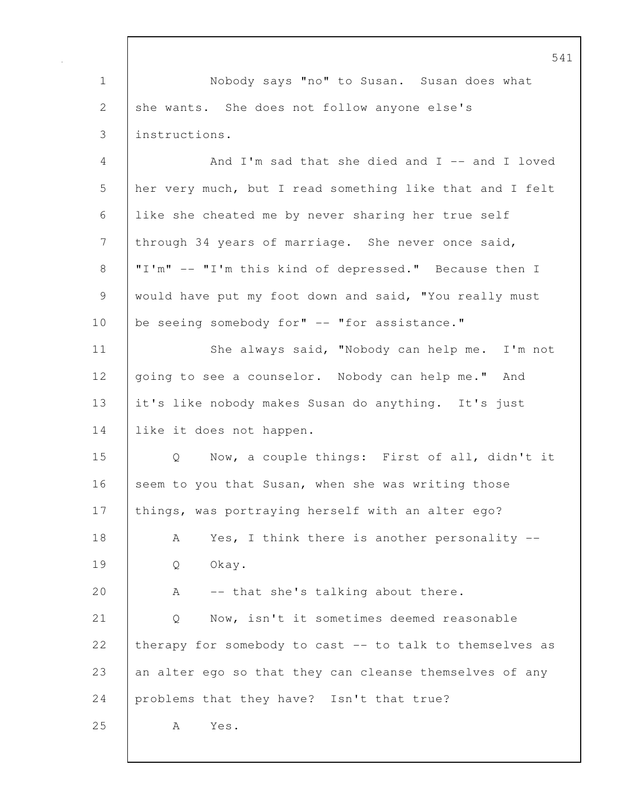541 1 Nobody says "no" to Susan. Susan does what 2 she wants. She does not follow anyone else's 3 instructions. 4 And I'm sad that she died and I -- and I loved 5 her very much, but I read something like that and I felt 6 like she cheated me by never sharing her true self 7 through 34 years of marriage. She never once said, 8 | "I'm" -- "I'm this kind of depressed." Because then I 9 would have put my foot down and said, "You really must 10 be seeing somebody for" -- "for assistance." 11 | She always said, "Nobody can help me. I'm not 12 | going to see a counselor. Nobody can help me." And 13 it's like nobody makes Susan do anything. It's just 14 | like it does not happen. 15 Q Now, a couple things: First of all, didn't it 16 seem to you that Susan, when she was writing those 17 | things, was portraying herself with an alter ego? 18 | A Yes, I think there is another personality --19 Q Okay. 20 A -- that she's talking about there. 21 Q Now, isn't it sometimes deemed reasonable 22 therapy for somebody to cast -- to talk to themselves as 23 an alter ego so that they can cleanse themselves of any 24 problems that they have? Isn't that true? 25 A Yes.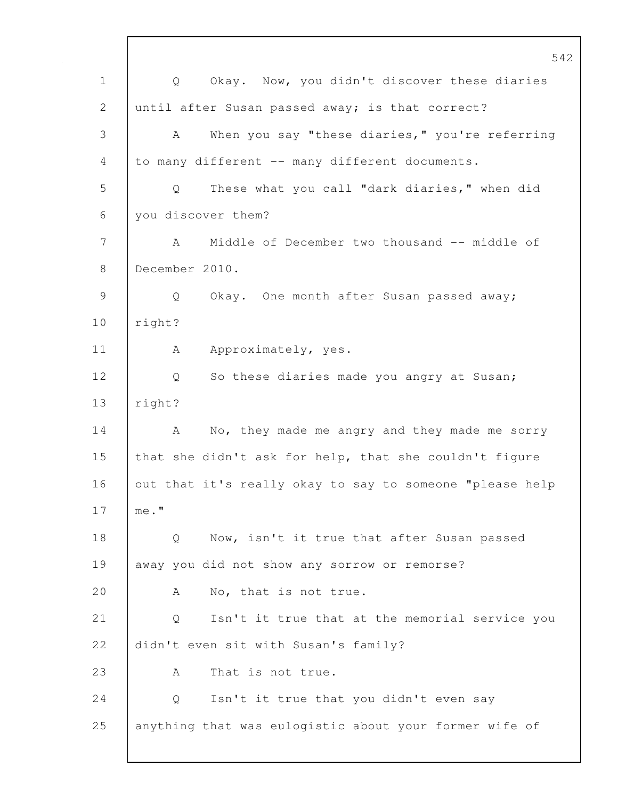|               | 542                                                               |
|---------------|-------------------------------------------------------------------|
| $\mathbf 1$   | Okay. Now, you didn't discover these diaries<br>$Q \qquad \qquad$ |
| 2             | until after Susan passed away; is that correct?                   |
| 3             | When you say "these diaries," you're referring<br>A               |
| 4             | to many different -- many different documents.                    |
| 5             | These what you call "dark diaries," when did<br>Q                 |
| 6             | you discover them?                                                |
| 7             | Middle of December two thousand -- middle of<br>A                 |
| 8             | December 2010.                                                    |
| $\mathcal{G}$ | Q<br>Okay. One month after Susan passed away;                     |
| 10            | right?                                                            |
| 11            | Approximately, yes.<br>A                                          |
| 12            | So these diaries made you angry at Susan;<br>Q                    |
| 13            | right?                                                            |
| 14            | No, they made me angry and they made me sorry<br>A                |
| 15            | that she didn't ask for help, that she couldn't figure            |
| 16            | out that it's really okay to say to someone "please help          |
| 17            | me."                                                              |
| 18            | Now, isn't it true that after Susan passed<br>Q                   |
| 19            | away you did not show any sorrow or remorse?                      |
| 20            | No, that is not true.<br>A                                        |
| 21            | Isn't it true that at the memorial service you<br>Q               |
| 22            | didn't even sit with Susan's family?                              |
| 23            | That is not true.<br>Α                                            |
| 24            | Isn't it true that you didn't even say<br>Q                       |
| 25            | anything that was eulogistic about your former wife of            |
|               |                                                                   |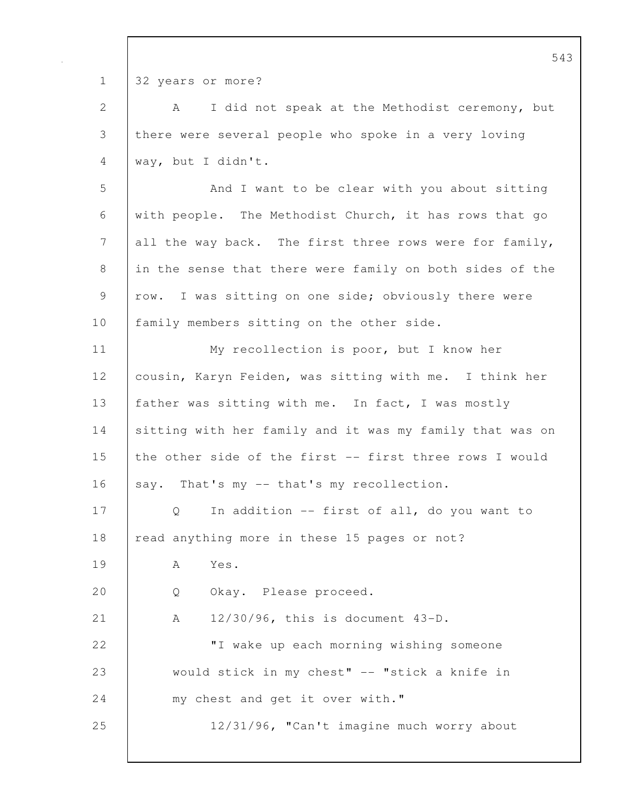1 32 years or more?

| $\mathbf{2}$   | I did not speak at the Methodist ceremony, but<br>A      |
|----------------|----------------------------------------------------------|
| $\mathfrak{Z}$ | there were several people who spoke in a very loving     |
| $\overline{4}$ | way, but I didn't.                                       |
| 5              | And I want to be clear with you about sitting            |
| 6              | with people. The Methodist Church, it has rows that go   |
| 7              | all the way back. The first three rows were for family,  |
| $8\,$          | in the sense that there were family on both sides of the |
| $\mathsf 9$    | row. I was sitting on one side; obviously there were     |
| 10             | family members sitting on the other side.                |
| 11             | My recollection is poor, but I know her                  |
| 12             | cousin, Karyn Feiden, was sitting with me. I think her   |
| 13             | father was sitting with me. In fact, I was mostly        |
| 14             | sitting with her family and it was my family that was on |
| 15             | the other side of the first -- first three rows I would  |
| 16             | say. That's my -- that's my recollection.                |
| 17             | In addition -- first of all, do you want to<br>Q         |
| 18             | read anything more in these 15 pages or not?             |
| 19             | Yes.<br>A                                                |
| 20             | Okay. Please proceed.<br>Q                               |
| 21             | 12/30/96, this is document 43-D.<br>А                    |
| 22             | "I wake up each morning wishing someone                  |
| 23             | would stick in my chest" -- "stick a knife in            |
| 24             | my chest and get it over with."                          |
| 25             | 12/31/96, "Can't imagine much worry about                |
|                |                                                          |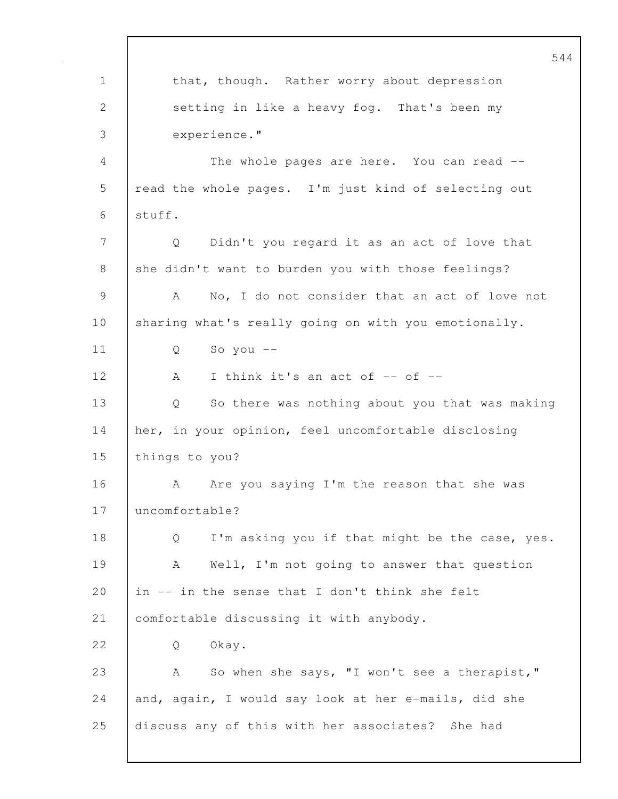544 1 that, though. Rather worry about depression 2 setting in like a heavy fog. That's been my 3 experience." 4 The whole pages are here. You can read -- 5 read the whole pages. I'm just kind of selecting out  $6$  | stuff. 7 Q Didn't you regard it as an act of love that 8 she didn't want to burden you with those feelings? 9 A No, I do not consider that an act of love not 10 sharing what's really going on with you emotionally. 11 Q So you -- 12 A I think it's an act of -- of --13 Q So there was nothing about you that was making 14 her, in your opinion, feel uncomfortable disclosing 15 things to you? 16 A Are you saying I'm the reason that she was 17 uncomfortable? 18 Q I'm asking you if that might be the case, yes. 19 A Well, I'm not going to answer that question 20  $\int$  in -- in the sense that I don't think she felt 21 comfortable discussing it with anybody. 22 | O Okay. 23 A So when she says, "I won't see a therapist," 24 and, again, I would say look at her e-mails, did she 25 discuss any of this with her associates? She had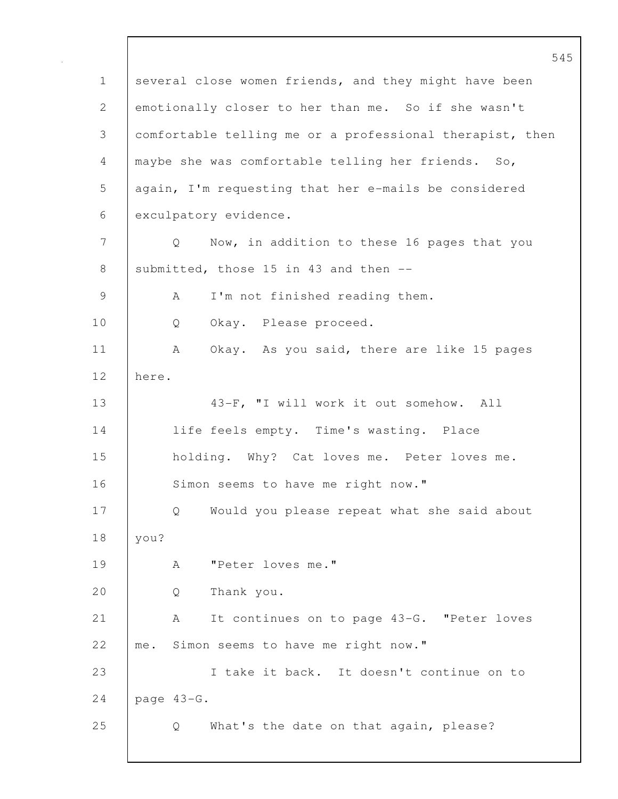545 1 several close women friends, and they might have been 2 emotionally closer to her than me. So if she wasn't 3 comfortable telling me or a professional therapist, then 4 maybe she was comfortable telling her friends. So, 5 again, I'm requesting that her e-mails be considered 6 exculpatory evidence. 7 Q Now, in addition to these 16 pages that you 8 submitted, those 15 in 43 and then  $-$ 9 | A I'm not finished reading them. 10 Q Okay. Please proceed. 11 | A Okay. As you said, there are like 15 pages 12 here. 13 | 43-F, "I will work it out somehow. All 14 | life feels empty. Time's wasting. Place 15 holding. Why? Cat loves me. Peter loves me. 16 Simon seems to have me right now." 17 | Q Would you please repeat what she said about 18 you? 19 A "Peter loves me." 20 Q Thank you. 21 A It continues on to page 43-G. "Peter loves 22 me. Simon seems to have me right now." 23 I take it back. It doesn't continue on to 24 page 43-G. 25 Q What's the date on that again, please?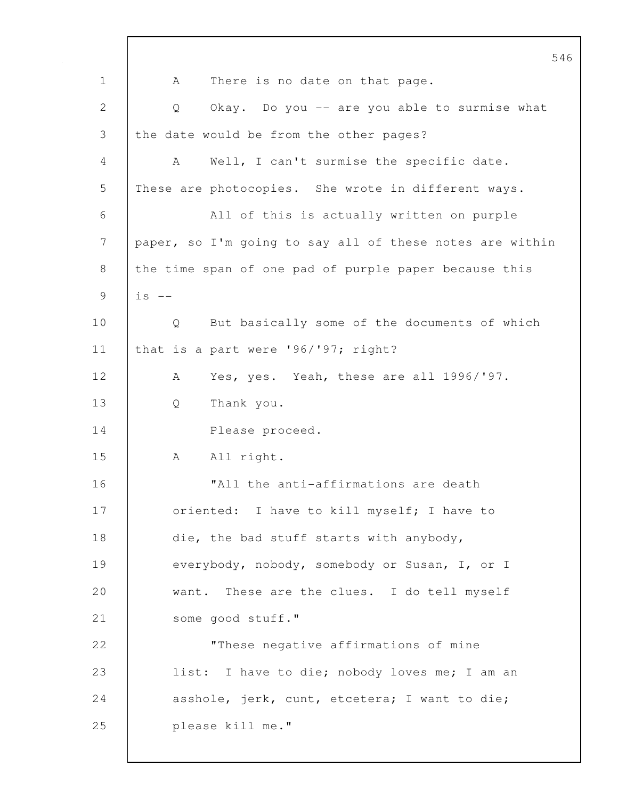546 1 | A There is no date on that page. 2 Q Okay. Do you -- are you able to surmise what 3 the date would be from the other pages? 4 A Well, I can't surmise the specific date. 5 These are photocopies. She wrote in different ways. 6 All of this is actually written on purple 7 paper, so I'm going to say all of these notes are within 8 the time span of one pad of purple paper because this  $9$   $\vert$  is  $-$ 10 | Q But basically some of the documents of which 11 | that is a part were '96/'97; right? 12 | A Yes, yes. Yeah, these are all 1996/'97. 13 Q Thank you. 14 Please proceed. 15 | A All right. 16 "All the anti-affirmations are death 17 | oriented: I have to kill myself; I have to 18 die, the bad stuff starts with anybody, 19 everybody, nobody, somebody or Susan, I, or I 20 want. These are the clues. I do tell myself 21 | some good stuff." 22 **These negative affirmations of mine** 23 | list: I have to die; nobody loves me; I am an 24 asshole, jerk, cunt, etcetera; I want to die; 25 please kill me."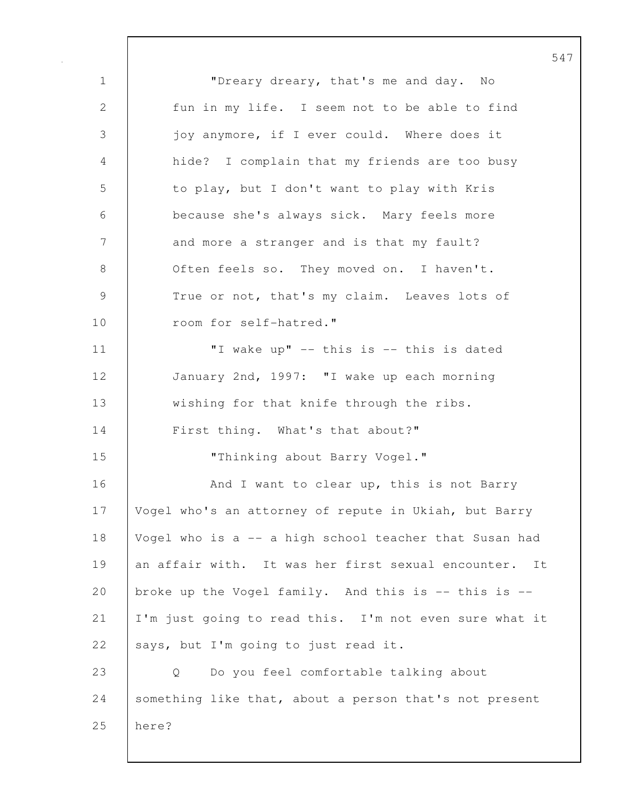547 1 | "Dreary dreary, that's me and day. No 2 fun in my life. I seem not to be able to find 3 joy anymore, if I ever could. Where does it 4 hide? I complain that my friends are too busy 5 to play, but I don't want to play with Kris 6 because she's always sick. Mary feels more 7 and more a stranger and is that my fault? 8 | Often feels so. They moved on. I haven't. 9 True or not, that's my claim. Leaves lots of 10 | room for self-hatred." 11 | Twake up" -- this is -- this is dated 12 January 2nd, 1997: "I wake up each morning 13 wishing for that knife through the ribs. 14 First thing. What's that about?" 15 Thinking about Barry Vogel." 16 | And I want to clear up, this is not Barry 17 | Vogel who's an attorney of repute in Ukiah, but Barry 18 Vogel who is a -- a high school teacher that Susan had 19 an affair with. It was her first sexual encounter. It 20 broke up the Vogel family. And this is -- this is --21 I'm just going to read this. I'm not even sure what it 22 says, but I'm going to just read it. 23 Q Do you feel comfortable talking about 24 Something like that, about a person that's not present 25 here?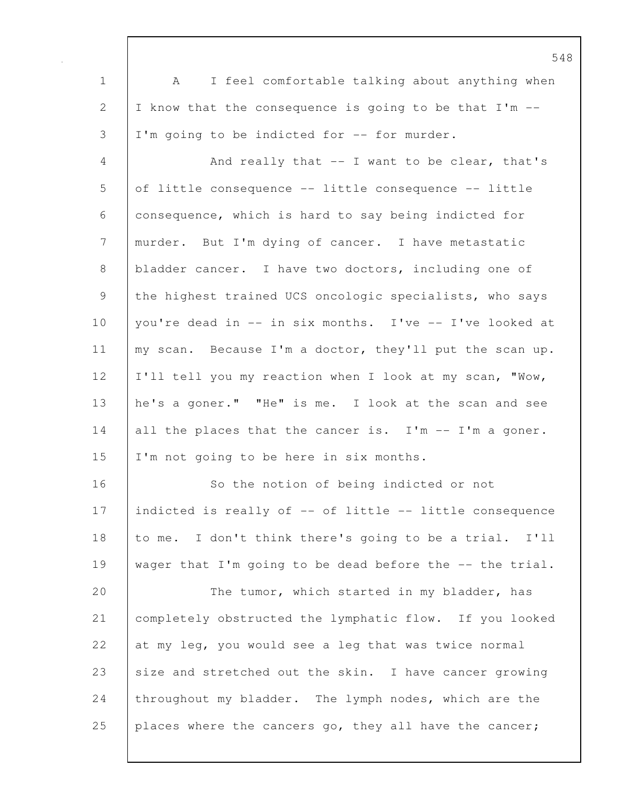| $\mathbf 1$  | I feel comfortable talking about anything when<br>A      |
|--------------|----------------------------------------------------------|
| $\mathbf{2}$ | I know that the consequence is going to be that I'm --   |
| 3            | I'm going to be indicted for -- for murder.              |
| 4            | And really that $--$ I want to be clear, that's          |
| 5            | of little consequence -- little consequence -- little    |
| 6            | consequence, which is hard to say being indicted for     |
| 7            | murder. But I'm dying of cancer. I have metastatic       |
| 8            | bladder cancer. I have two doctors, including one of     |
| 9            | the highest trained UCS oncologic specialists, who says  |
| 10           | you're dead in -- in six months. I've -- I've looked at  |
| 11           | my scan. Because I'm a doctor, they'll put the scan up.  |
| 12           | I'll tell you my reaction when I look at my scan, "Wow,  |
| 13           | he's a goner." "He" is me. I look at the scan and see    |
| 14           | all the places that the cancer is. I'm -- I'm a goner.   |
| 15           | I'm not going to be here in six months.                  |
| 16           | So the notion of being indicted or not                   |
| 17           | indicted is really of -- of little -- little consequence |
| 18           | to me. I don't think there's going to be a trial. I'll   |
| 19           | wager that I'm going to be dead before the -- the trial. |
| 20           | The tumor, which started in my bladder, has              |
| 21           | completely obstructed the lymphatic flow. If you looked  |
| 22           | at my leg, you would see a leg that was twice normal     |
| 23           | size and stretched out the skin. I have cancer growing   |
| 24           | throughout my bladder. The lymph nodes, which are the    |
| 25           | places where the cancers go, they all have the cancer;   |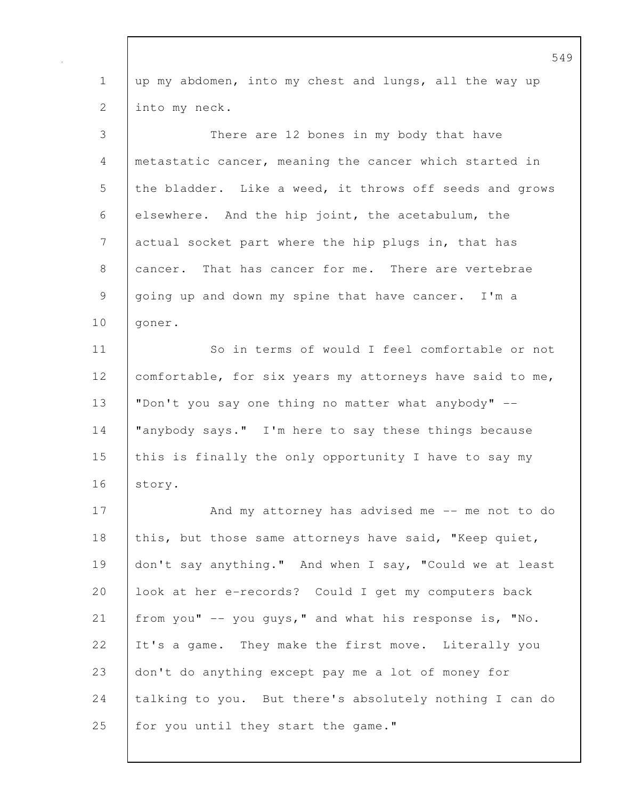1 up my abdomen, into my chest and lungs, all the way up 2 into my neck. 3 There are 12 bones in my body that have 4 | metastatic cancer, meaning the cancer which started in 5 the bladder. Like a weed, it throws off seeds and grows 6 elsewhere. And the hip joint, the acetabulum, the 7 actual socket part where the hip plugs in, that has 8 cancer. That has cancer for me. There are vertebrae 9 going up and down my spine that have cancer. I'm a 10 | goner. 11 | So in terms of would I feel comfortable or not 12 comfortable, for six years my attorneys have said to me, 13 "Don't you say one thing no matter what anybody" -- 14 "anybody says." I'm here to say these things because 15 this is finally the only opportunity I have to say my 16 | story. 17 And my attorney has advised me -- me not to do 18 this, but those same attorneys have said, "Keep quiet, 19 don't say anything." And when I say, "Could we at least 20 look at her e-records? Could I get my computers back 21 from you" -- you guys," and what his response is, "No. 22 It's a game. They make the first move. Literally you 23 don't do anything except pay me a lot of money for 24 talking to you. But there's absolutely nothing I can do 25 for you until they start the game."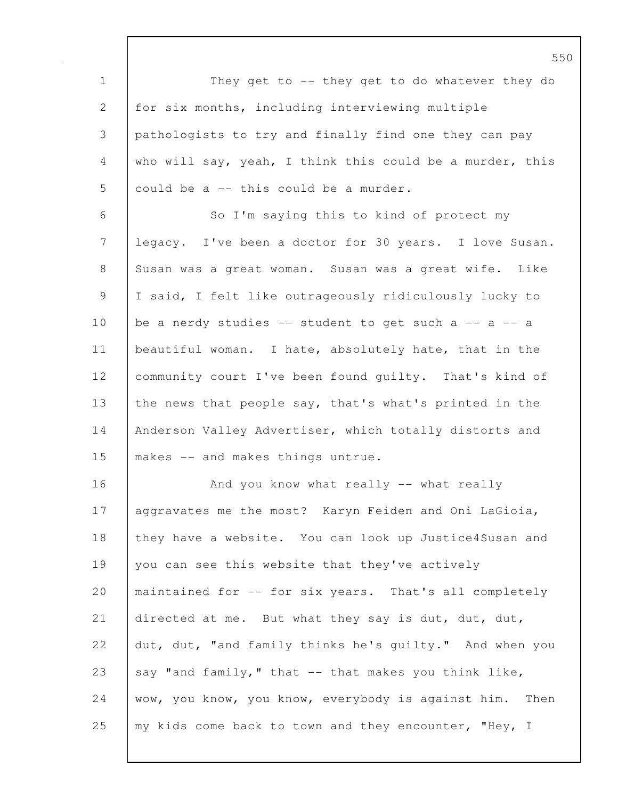1 They get to -- they get to do whatever they do 2 for six months, including interviewing multiple 3 pathologists to try and finally find one they can pay 4 who will say, yeah, I think this could be a murder, this  $5$  could be a  $-$  this could be a murder. 6 So I'm saying this to kind of protect my 7 legacy. I've been a doctor for 30 years. I love Susan. 8 Susan was a great woman. Susan was a great wife. Like 9 I said, I felt like outrageously ridiculously lucky to 10 be a nerdy studies  $-$  student to get such a  $-$  a  $-$  a 11 | beautiful woman. I hate, absolutely hate, that in the 12 | community court I've been found quilty. That's kind of 13 the news that people say, that's what's printed in the 14 | Anderson Valley Advertiser, which totally distorts and 15 makes -- and makes things untrue. 16 | And you know what really -- what really 17 | aggravates me the most? Karyn Feiden and Oni LaGioia, 18 they have a website. You can look up Justice4Susan and 19 you can see this website that they've actively 20 | maintained for -- for six years. That's all completely 21 directed at me. But what they say is dut, dut, dut, 22 dut, dut, "and family thinks he's quilty." And when you 23 say "and family," that  $-$  that makes you think like, 24 wow, you know, you know, everybody is against him. Then 25 | my kids come back to town and they encounter, "Hey, I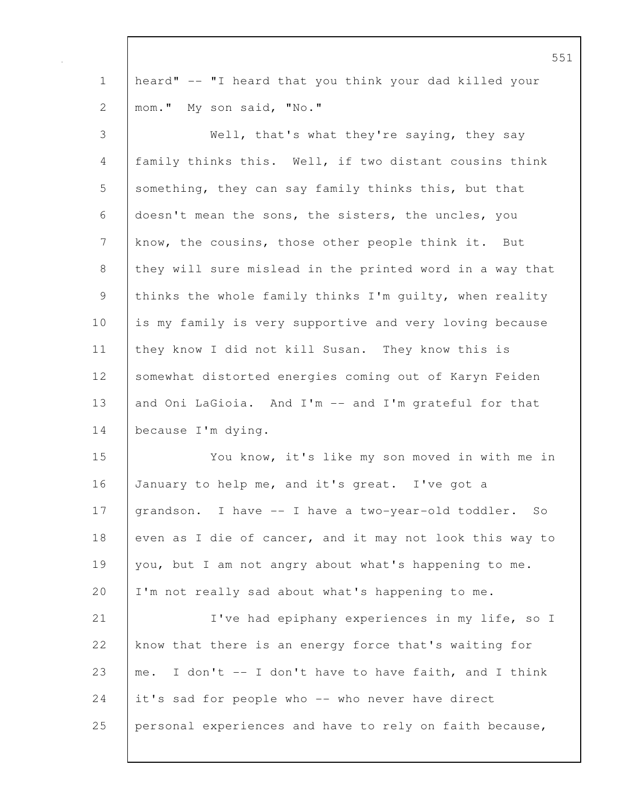|             | 5 <sup>5</sup>                                            |
|-------------|-----------------------------------------------------------|
| $\mathbf 1$ | heard" -- "I heard that you think your dad killed your    |
| 2           | mom." My son said, "No."                                  |
| 3           | Well, that's what they're saying, they say                |
| 4           | family thinks this. Well, if two distant cousins think    |
| 5           | something, they can say family thinks this, but that      |
| 6           | doesn't mean the sons, the sisters, the uncles, you       |
| 7           | know, the cousins, those other people think it. But       |
| 8           | they will sure mislead in the printed word in a way that  |
| 9           | thinks the whole family thinks I'm quilty, when reality   |
| 10          | is my family is very supportive and very loving because   |
| 11          | they know I did not kill Susan. They know this is         |
| 12          | somewhat distorted energies coming out of Karyn Feiden    |
| 13          | and Oni LaGioia. And I'm -- and I'm grateful for that     |
| 14          | because I'm dying.                                        |
| 15          | You know, it's like my son moved in with me in            |
| 16          | January to help me, and it's great. I've got a            |
| 17          | grandson. I have -- I have a two-year-old toddler.<br>SO. |
| 18          | even as I die of cancer, and it may not look this way to  |
| 19          | you, but I am not angry about what's happening to me.     |
| 20          | I'm not really sad about what's happening to me.          |
| 21          | I've had epiphany experiences in my life, so I            |
| 22          | know that there is an energy force that's waiting for     |
| 23          | me. I don't -- I don't have to have faith, and I think    |
| 24          | it's sad for people who -- who never have direct          |
| 25          | personal experiences and have to rely on faith because,   |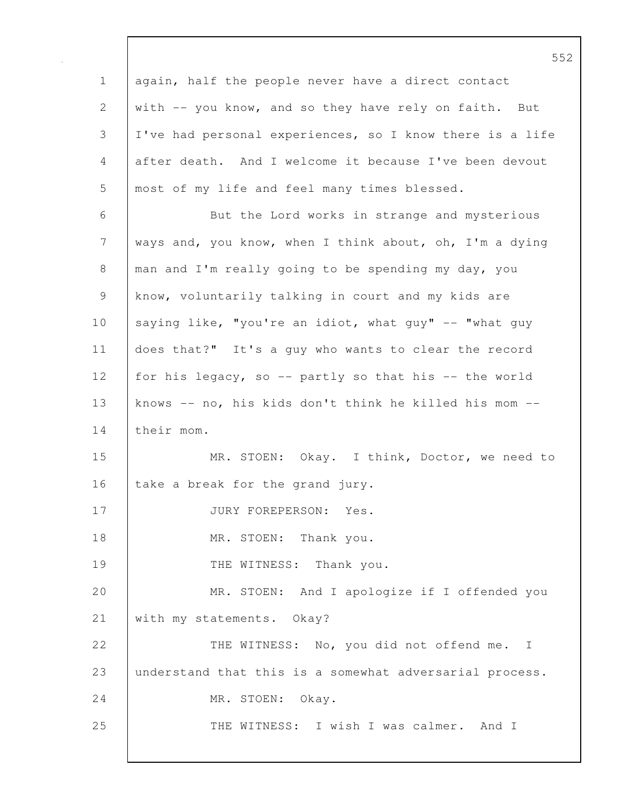1 | again, half the people never have a direct contact 2 with -- you know, and so they have rely on faith. But 3 I've had personal experiences, so I know there is a life 4 after death. And I welcome it because I've been devout 5 most of my life and feel many times blessed. 6 But the Lord works in strange and mysterious 7 ways and, you know, when I think about, oh, I'm a dying 8 man and I'm really going to be spending my day, you 9 know, voluntarily talking in court and my kids are 10 saying like, "you're an idiot, what guy" -- "what guy" 11 does that?" It's a guy who wants to clear the record 12 for his legacy, so -- partly so that his -- the world 13 knows -- no, his kids don't think he killed his mom --14 their mom. 15 MR. STOEN: Okay. I think, Doctor, we need to 16 take a break for the grand jury. 17 | JURY FOREPERSON: Yes. 18 | MR. STOEN: Thank you. 19 | THE WITNESS: Thank you. 20 MR. STOEN: And I apologize if I offended you 21 | with my statements. Okay? 22 | THE WITNESS: No, you did not offend me. I 23 understand that this is a somewhat adversarial process. 24 MR. STOEN: Okay. 25 | THE WITNESS: I wish I was calmer. And I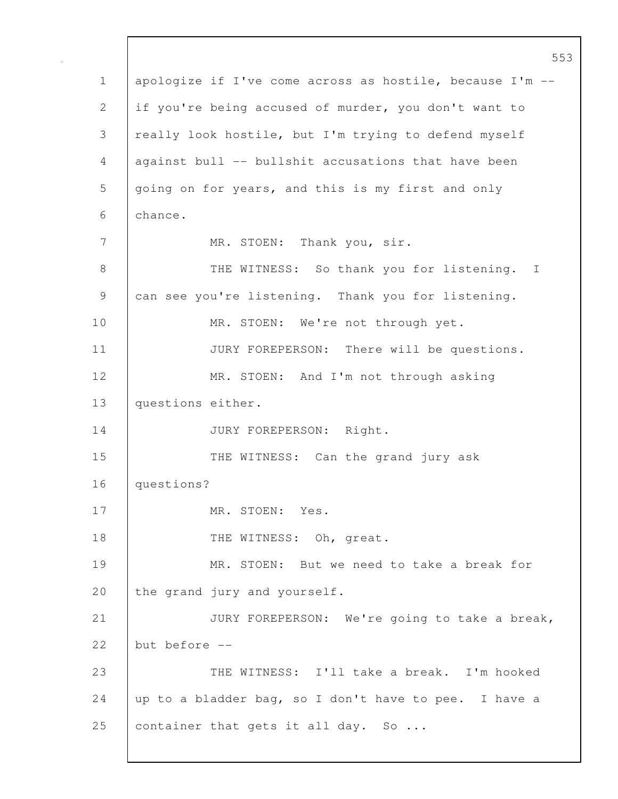553 1 apologize if I've come across as hostile, because I'm -- 2 if you're being accused of murder, you don't want to 3 really look hostile, but I'm trying to defend myself 4 against bull -- bullshit accusations that have been 5 going on for years, and this is my first and only 6 chance. 7 MR. STOEN: Thank you, sir. 8 | THE WITNESS: So thank you for listening. I 9 can see you're listening. Thank you for listening. 10 MR. STOEN: We're not through yet. 11 | JURY FOREPERSON: There will be questions. 12 MR. STOEN: And I'm not through asking 13 | questions either. 14 | JURY FOREPERSON: Right. 15 THE WITNESS: Can the grand jury ask 16 questions? 17 | MR. STOEN: Yes. 18 THE WITNESS: Oh, great. 19 MR. STOEN: But we need to take a break for 20 the grand jury and yourself. 21 JURY FOREPERSON: We're going to take a break, 22 but before -- 23 THE WITNESS: I'll take a break. I'm hooked 24  $\vert$  up to a bladder bag, so I don't have to pee. I have a 25 container that gets it all day. So ...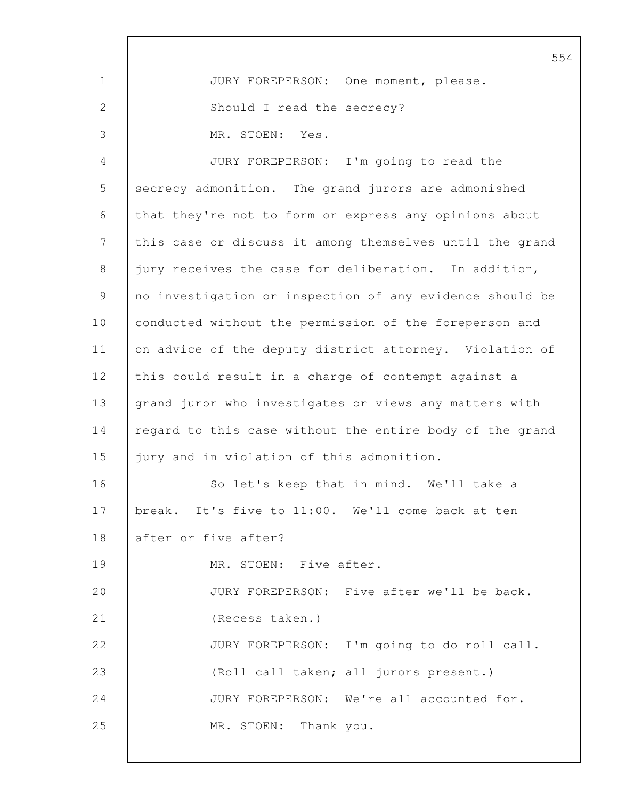|               | 55                                                       |
|---------------|----------------------------------------------------------|
| $\mathbf 1$   | JURY FOREPERSON: One moment, please.                     |
| $\mathbf{2}$  | Should I read the secrecy?                               |
| $\mathcal{S}$ | MR. STOEN: Yes.                                          |
| 4             | JURY FOREPERSON: I'm going to read the                   |
| 5             | secrecy admonition. The grand jurors are admonished      |
| 6             | that they're not to form or express any opinions about   |
| 7             | this case or discuss it among themselves until the grand |
| $8\,$         | jury receives the case for deliberation. In addition,    |
| 9             | no investigation or inspection of any evidence should be |
| 10            | conducted without the permission of the foreperson and   |
| 11            | on advice of the deputy district attorney. Violation of  |
| 12            | this could result in a charge of contempt against a      |
| 13            | grand juror who investigates or views any matters with   |
| 14            | regard to this case without the entire body of the grand |
| 15            | jury and in violation of this admonition.                |
| 16            | So let's keep that in mind. We'll take a                 |
| 17            | break. It's five to 11:00. We'll come back at ten        |
| 18            | after or five after?                                     |
| 19            | MR. STOEN: Five after.                                   |
| 20            | JURY FOREPERSON: Five after we'll be back.               |
| 21            | (Recess taken.)                                          |
| 22            | JURY FOREPERSON: I'm going to do roll call.              |
| 23            | (Roll call taken; all jurors present.)                   |
| 24            | JURY FOREPERSON: We're all accounted for.                |
| 25            | Thank you.<br>MR. STOEN:                                 |
|               |                                                          |

 $\mathbf{I}$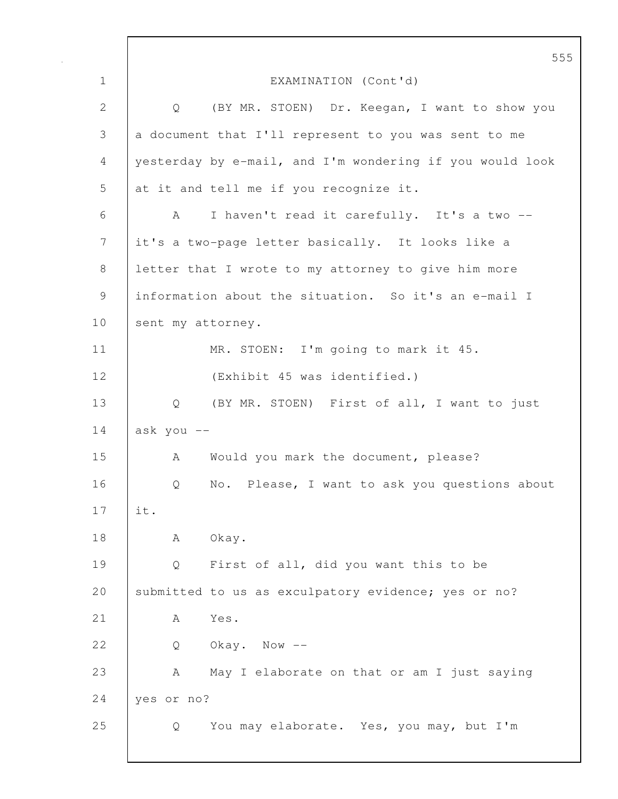555 1 EXAMINATION (Cont'd) 2 Q (BY MR. STOEN) Dr. Keegan, I want to show you 3 a document that I'll represent to you was sent to me 4 yesterday by e-mail, and I'm wondering if you would look 5 at it and tell me if you recognize it. 6 A I haven't read it carefully. It's a two -- 7 it's a two-page letter basically. It looks like a 8 letter that I wrote to my attorney to give him more 9 information about the situation. So it's an e-mail I 10 sent my attorney. 11 | MR. STOEN: I'm going to mark it 45. 12 | (Exhibit 45 was identified.) 13 | Q (BY MR. STOEN) First of all, I want to just  $14$  ask you  $-$ 15 A Would you mark the document, please? 16 | O No. Please, I want to ask you questions about 17 it. 18 | A Okay. 19 | Q First of all, did you want this to be 20 Submitted to us as exculpatory evidence; yes or no? 21 A Yes.  $22$  0 Okay. Now  $-$ 23 A May I elaborate on that or am I just saying 24 yes or no? 25 Q You may elaborate. Yes, you may, but I'm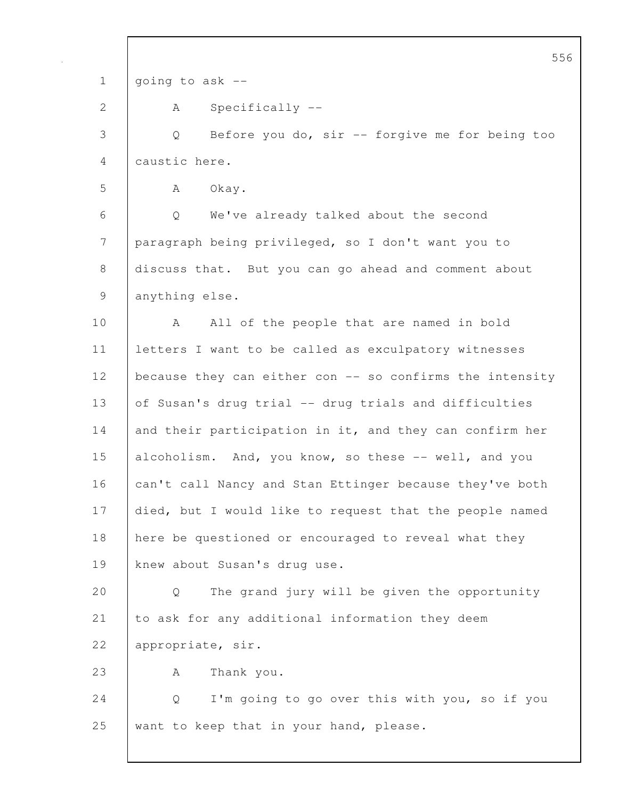556 1 going to ask --2 A Specifically --3 Q Before you do, sir -- forgive me for being too 4 caustic here. 5 | A Okay. 6 Q We've already talked about the second 7 paragraph being privileged, so I don't want you to 8 discuss that. But you can go ahead and comment about 9 anything else. 10 | A All of the people that are named in bold 11 letters I want to be called as exculpatory witnesses 12 | because they can either con -- so confirms the intensity 13 of Susan's drug trial -- drug trials and difficulties 14 and their participation in it, and they can confirm her 15 alcoholism. And, you know, so these -- well, and you 16 can't call Nancy and Stan Ettinger because they've both 17 died, but I would like to request that the people named 18 here be questioned or encouraged to reveal what they 19 knew about Susan's drug use. 20 Q The grand jury will be given the opportunity 21 to ask for any additional information they deem 22 appropriate, sir. 23 | A Thank you. 24 Q I'm going to go over this with you, so if you 25 want to keep that in your hand, please.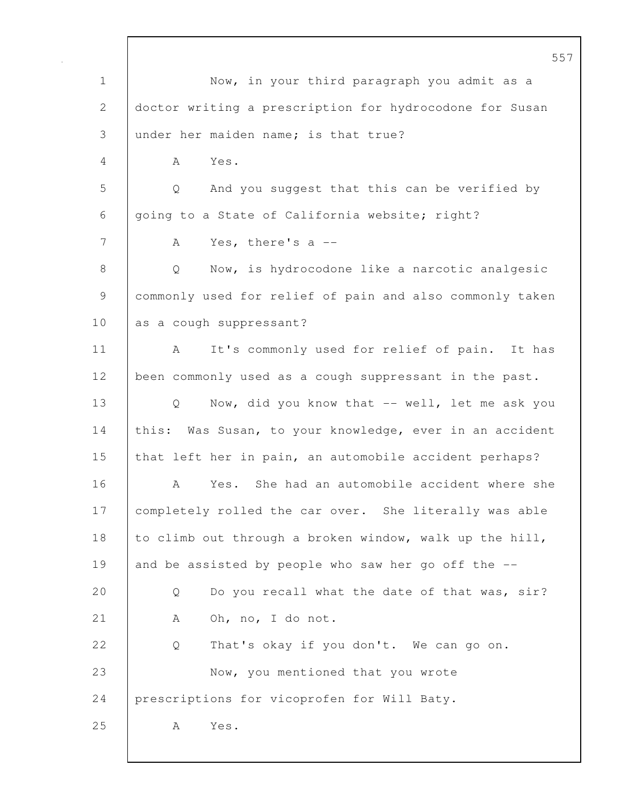557 1 Now, in your third paragraph you admit as a 2 doctor writing a prescription for hydrocodone for Susan 3 under her maiden name; is that true? 4 A Yes. 5 Q And you suggest that this can be verified by 6 | going to a State of California website; right? 7 A Yes, there's a --8 | Q Now, is hydrocodone like a narcotic analgesic 9 commonly used for relief of pain and also commonly taken 10 as a cough suppressant? 11 | A It's commonly used for relief of pain. It has 12 been commonly used as a cough suppressant in the past. 13 | Q Now, did you know that -- well, let me ask you 14 this: Was Susan, to your knowledge, ever in an accident 15 that left her in pain, an automobile accident perhaps? 16 A Yes. She had an automobile accident where she 17 | completely rolled the car over. She literally was able 18 to climb out through a broken window, walk up the hill, 19 and be assisted by people who saw her go off the --20 Q Do you recall what the date of that was, sir? 21 | A Oh, no, I do not. 22 Q That's okay if you don't. We can go on. 23 Now, you mentioned that you wrote 24 prescriptions for vicoprofen for Will Baty. 25 A Yes.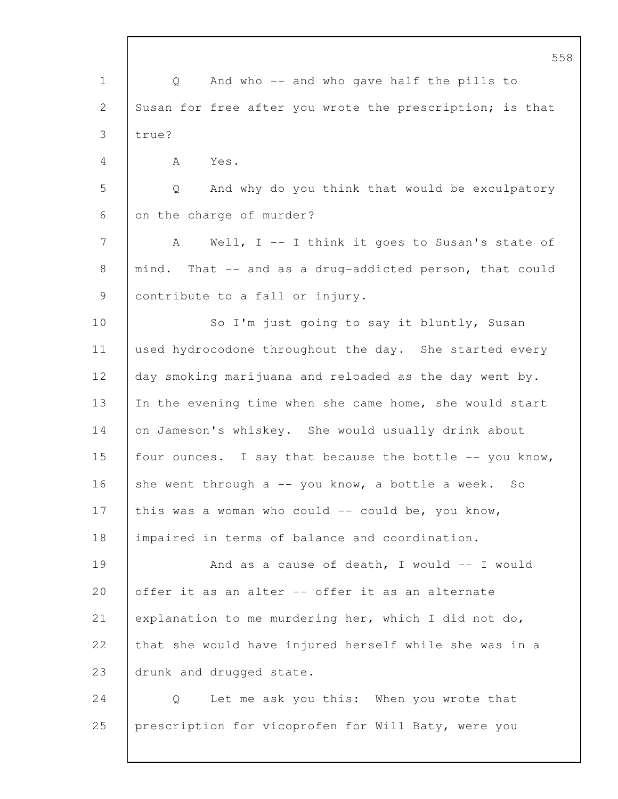558 1 | Q And who -- and who gave half the pills to 2 Susan for free after you wrote the prescription; is that 3 true? 4 A Yes. 5 Q And why do you think that would be exculpatory 6 on the charge of murder? 7 A Well, I -- I think it goes to Susan's state of 8 | mind. That -- and as a drug-addicted person, that could 9 contribute to a fall or injury. 10 So I'm just going to say it bluntly, Susan 11 used hydrocodone throughout the day. She started every 12 day smoking marijuana and reloaded as the day went by. 13 In the evening time when she came home, she would start 14 on Jameson's whiskey. She would usually drink about 15 | four ounces. I say that because the bottle  $-$  you know, 16 she went through a  $-$ - you know, a bottle a week. So 17 this was a woman who could -- could be, you know, 18 impaired in terms of balance and coordination. 19 | And as a cause of death, I would -- I would 20 offer it as an alter -- offer it as an alternate 21 explanation to me murdering her, which I did not do, 22 that she would have injured herself while she was in a 23 drunk and drugged state. 24 | Q Let me ask you this: When you wrote that 25 prescription for vicoprofen for Will Baty, were you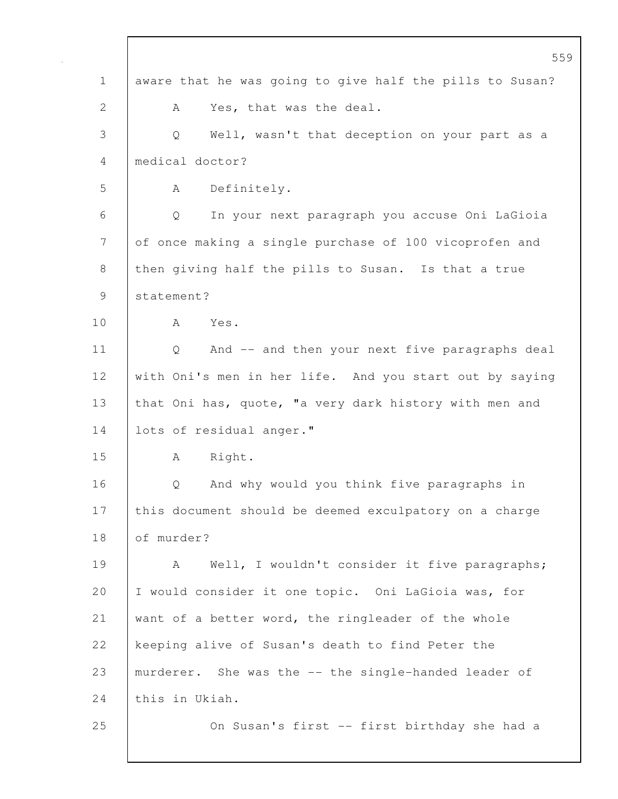|              | 559                                                      |
|--------------|----------------------------------------------------------|
| $\mathbf 1$  | aware that he was going to give half the pills to Susan? |
| $\mathbf{2}$ | Yes, that was the deal.<br>А                             |
| 3            | Well, wasn't that deception on your part as a<br>Q       |
| 4            | medical doctor?                                          |
| 5            | Definitely.<br>A                                         |
| 6            | In your next paragraph you accuse Oni LaGioia<br>Q       |
| 7            | of once making a single purchase of 100 vicoprofen and   |
| 8            | then giving half the pills to Susan. Is that a true      |
| 9            | statement?                                               |
| 10           | Yes.<br>A                                                |
| 11           | And -- and then your next five paragraphs deal<br>Q      |
| 12           | with Oni's men in her life. And you start out by saying  |
| 13           | that Oni has, quote, "a very dark history with men and   |
| 14           | lots of residual anger."                                 |
| 15           | Right.<br>A                                              |
| 16           | And why would you think five paragraphs in<br>Q          |
| 17           | this document should be deemed exculpatory on a charge   |
| 18           | of murder?                                               |
| 19           | Well, I wouldn't consider it five paragraphs;<br>A       |
| 20           | I would consider it one topic. Oni LaGioia was, for      |
| 21           | want of a better word, the ringleader of the whole       |
| 22           | keeping alive of Susan's death to find Peter the         |
| 23           | murderer. She was the -- the single-handed leader of     |
| 24           | this in Ukiah.                                           |
| 25           | On Susan's first -- first birthday she had a             |
|              |                                                          |

 $\mathbf{I}$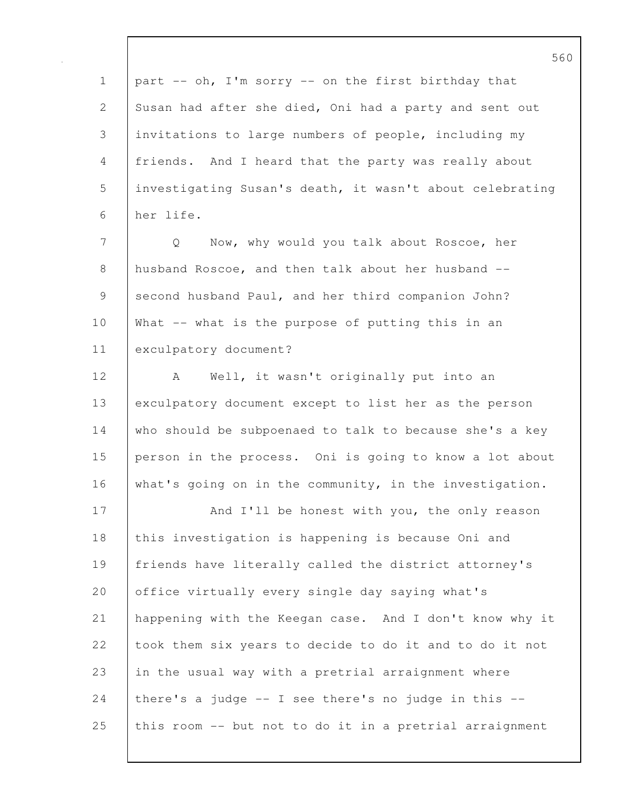|                | りと                                                         |
|----------------|------------------------------------------------------------|
| $\mathbf 1$    | part -- oh, I'm sorry -- on the first birthday that        |
| 2              | Susan had after she died, Oni had a party and sent out     |
| 3              | invitations to large numbers of people, including my       |
| $\overline{4}$ | friends. And I heard that the party was really about       |
| 5              | investigating Susan's death, it wasn't about celebrating   |
| 6              | her life.                                                  |
| 7              | Now, why would you talk about Roscoe, her<br>Q             |
| 8              | husband Roscoe, and then talk about her husband --         |
| 9              | second husband Paul, and her third companion John?         |
| 10             | What -- what is the purpose of putting this in an          |
| 11             | exculpatory document?                                      |
| 12             | Well, it wasn't originally put into an<br>A                |
| 13             | exculpatory document except to list her as the person      |
| 14             | who should be subpoenaed to talk to because she's a key    |
| 15             | person in the process. Oni is going to know a lot about    |
| 16             | what's going on in the community, in the investigation.    |
| 17             | And I'll be honest with you, the only reason               |
| 18             | this investigation is happening is because Oni and         |
| 19             | friends have literally called the district attorney's      |
| 20             | office virtually every single day saying what's            |
| 21             | happening with the Keegan case. And I don't know why it    |
| 22             | took them six years to decide to do it and to do it not    |
| 23             | in the usual way with a pretrial arraignment where         |
| 24             | there's a judge $-$ - I see there's no judge in this $-$ - |
| 25             | this room -- but not to do it in a pretrial arraignment    |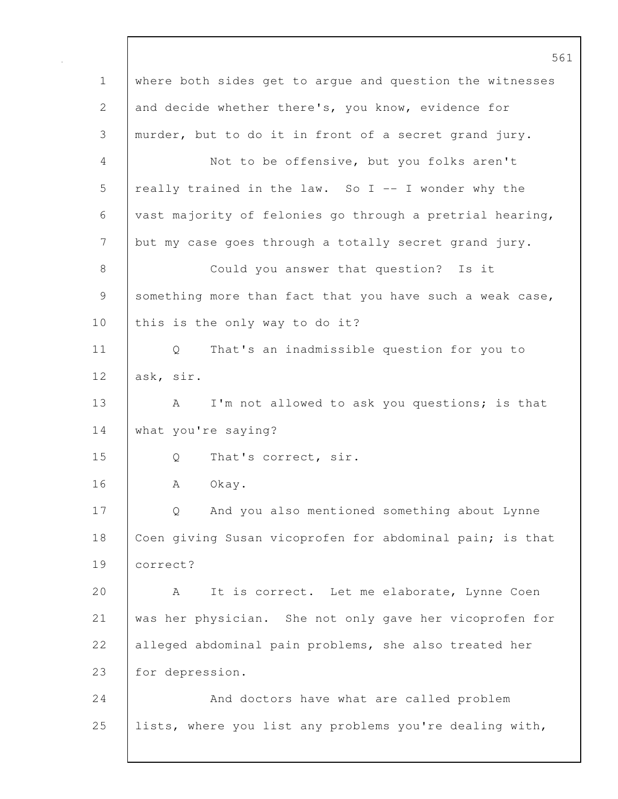561 1 where both sides get to argue and question the witnesses 2 and decide whether there's, you know, evidence for 3 murder, but to do it in front of a secret grand jury. 4 Not to be offensive, but you folks aren't 5 really trained in the law. So I -- I wonder why the 6 vast majority of felonies go through a pretrial hearing, 7 but my case goes through a totally secret grand jury. 8 Could you answer that question? Is it 9 something more than fact that you have such a weak case, 10 | this is the only way to do it? 11 Q That's an inadmissible question for you to 12 ask, sir. 13 A I'm not allowed to ask you questions; is that 14 What you're saying? 15 | Q That's correct, sir. 16 | A Okay. 17 | Q And you also mentioned something about Lynne 18 Coen giving Susan vicoprofen for abdominal pain; is that 19 correct? 20 A It is correct. Let me elaborate, Lynne Coen 21 was her physician. She not only gave her vicoprofen for 22 alleged abdominal pain problems, she also treated her 23 for depression. 24 | And doctors have what are called problem 25 lists, where you list any problems you're dealing with,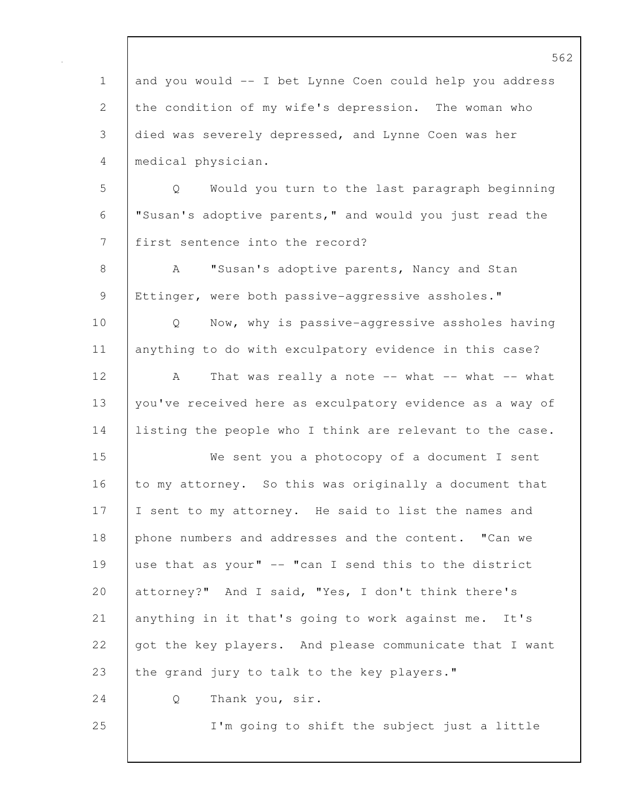562 1 and you would -- I bet Lynne Coen could help you address 2 the condition of my wife's depression. The woman who 3 died was severely depressed, and Lynne Coen was her 4 medical physician. 5 Q Would you turn to the last paragraph beginning 6 "Susan's adoptive parents," and would you just read the 7 | first sentence into the record? 8 A "Susan's adoptive parents, Nancy and Stan 9 Ettinger, were both passive-aggressive assholes." 10 Q Now, why is passive-aggressive assholes having 11 anything to do with exculpatory evidence in this case? 12 | A That was really a note -- what -- what -- what 13 you've received here as exculpatory evidence as a way of 14 listing the people who I think are relevant to the case. 15 We sent you a photocopy of a document I sent 16 to my attorney. So this was originally a document that 17 I sent to my attorney. He said to list the names and 18 | phone numbers and addresses and the content. "Can we 19 use that as your" -- "can I send this to the district 20 attorney?" And I said, "Yes, I don't think there's 21 anything in it that's going to work against me. It's 22 got the key players. And please communicate that I want 23 the grand jury to talk to the key players." 24 | Q Thank you, sir. 25 I'm going to shift the subject just a little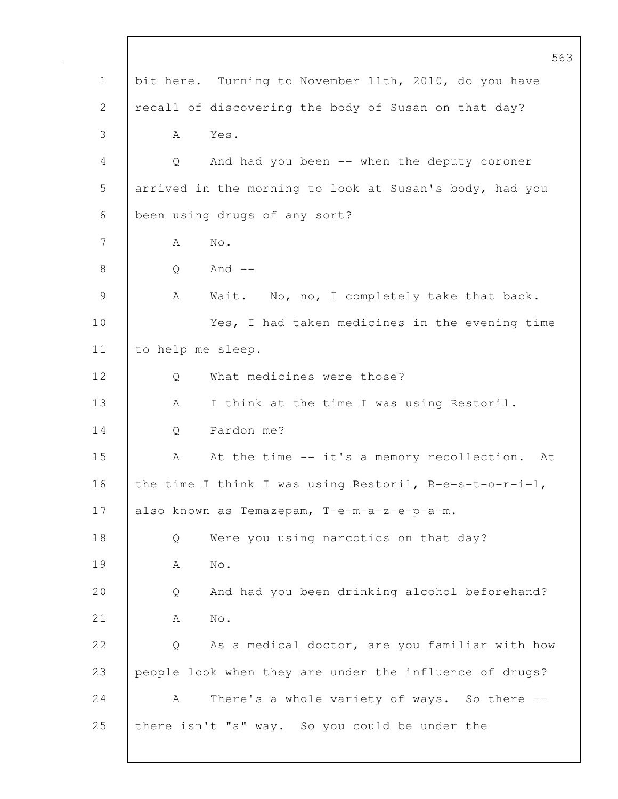|             | 563                                                        |
|-------------|------------------------------------------------------------|
| $\mathbf 1$ | bit here. Turning to November 11th, 2010, do you have      |
| 2           | recall of discovering the body of Susan on that day?       |
| 3           | Yes.<br>A                                                  |
| 4           | And had you been -- when the deputy coroner<br>Q           |
| 5           | arrived in the morning to look at Susan's body, had you    |
| 6           | been using drugs of any sort?                              |
| 7           | $\mbox{No}$ .<br>А                                         |
| $8\,$       | And $--$<br>Q                                              |
| 9           | Wait. No, no, I completely take that back.<br>Α            |
| 10          | Yes, I had taken medicines in the evening time             |
| 11          | to help me sleep.                                          |
| 12          | What medicines were those?<br>Q                            |
| 13          | I think at the time I was using Restoril.<br>A             |
| 14          | Pardon me?<br>Q                                            |
| 15          | At the time -- it's a memory recollection. At<br>A         |
| 16          | the time I think I was using Restoril, $R-e-s-t-o-r-i-l$ , |
| 17          | also known as Temazepam, T-e-m-a-z-e-p-a-m.                |
| 18          | Were you using narcotics on that day?<br>Q                 |
| 19          | $\mbox{No}$ .<br>А                                         |
| 20          | And had you been drinking alcohol beforehand?<br>Q         |
| 21          | $\mbox{No}$ .<br>A                                         |
| 22          | As a medical doctor, are you familiar with how<br>Q        |
| 23          | people look when they are under the influence of drugs?    |
| 24          | There's a whole variety of ways. So there --<br>A          |
| 25          | there isn't "a" way. So you could be under the             |
|             |                                                            |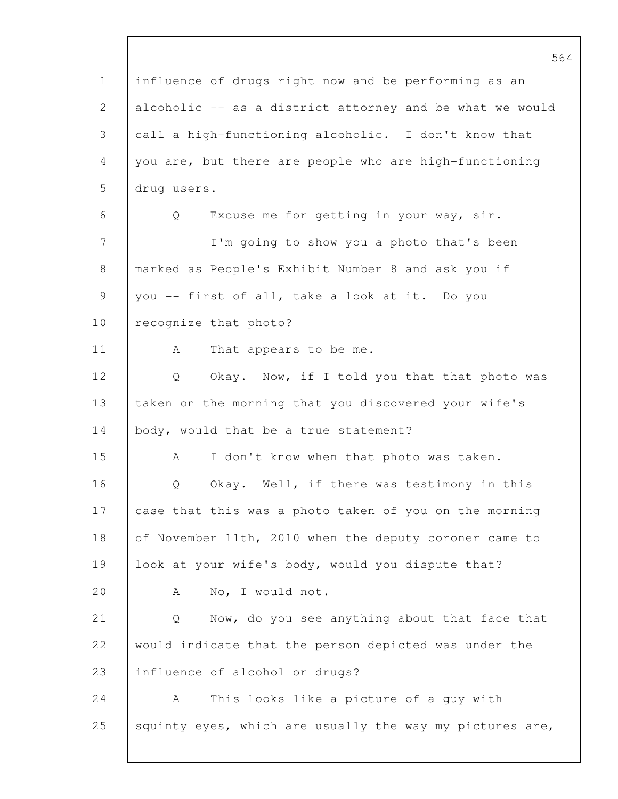|                | 564                                                      |
|----------------|----------------------------------------------------------|
| $\mathbf 1$    | influence of drugs right now and be performing as an     |
| $\overline{2}$ | alcoholic -- as a district attorney and be what we would |
| 3              | call a high-functioning alcoholic. I don't know that     |
| 4              | you are, but there are people who are high-functioning   |
| 5              | drug users.                                              |
| 6              | Excuse me for getting in your way, sir.<br>Q             |
| 7              | I'm going to show you a photo that's been                |
| 8              | marked as People's Exhibit Number 8 and ask you if       |
| $\mathcal{G}$  | you -- first of all, take a look at it. Do you           |
| 10             | recognize that photo?                                    |
| 11             | А<br>That appears to be me.                              |
| 12             | Okay. Now, if I told you that that photo was<br>Q        |
| 13             | taken on the morning that you discovered your wife's     |
| 14             | body, would that be a true statement?                    |
| 15             | I don't know when that photo was taken.<br>А             |
| 16             | Okay. Well, if there was testimony in this<br>Q          |
| 17             | case that this was a photo taken of you on the morning   |
| 18             | of November 11th, 2010 when the deputy coroner came to   |
| 19             | look at your wife's body, would you dispute that?        |
| 20             | No, I would not.<br>А                                    |
| 21             | Now, do you see anything about that face that<br>Q       |
| 22             | would indicate that the person depicted was under the    |
| 23             | influence of alcohol or drugs?                           |
| 24             | This looks like a picture of a guy with<br>A             |
| 25             | squinty eyes, which are usually the way my pictures are, |
|                |                                                          |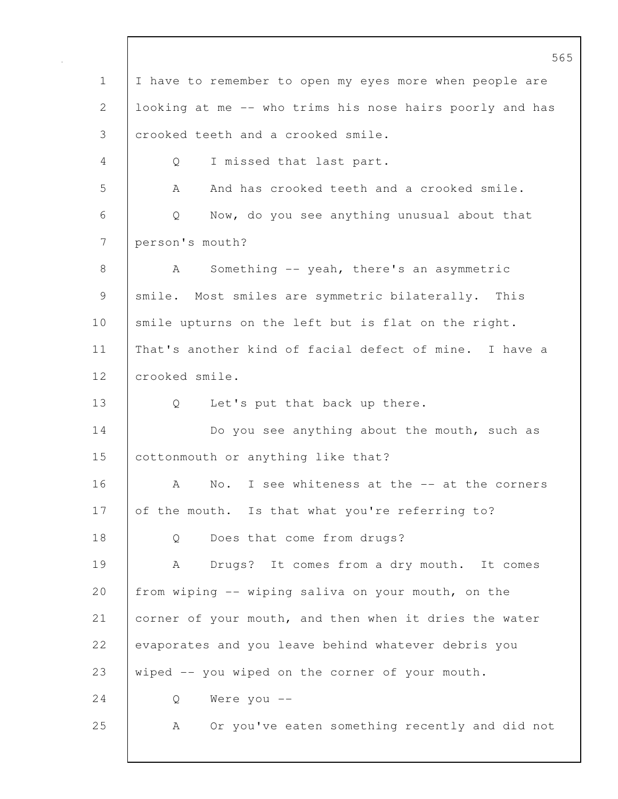565 1 I have to remember to open my eyes more when people are 2 looking at me -- who trims his nose hairs poorly and has 3 crooked teeth and a crooked smile. 4 Q I missed that last part. 5 A And has crooked teeth and a crooked smile. 6 Q Now, do you see anything unusual about that 7 person's mouth? 8 | A Something -- yeah, there's an asymmetric 9 | smile. Most smiles are symmetric bilaterally. This 10 smile upturns on the left but is flat on the right. 11 That's another kind of facial defect of mine. I have a 12 crooked smile. 13 Q Let's put that back up there. 14 Do you see anything about the mouth, such as 15 **cottonmouth or anything like that?** 16 A No. I see whiteness at the -- at the corners 17 of the mouth. Is that what you're referring to? 18 | Q Does that come from drugs? 19 | A Drugs? It comes from a dry mouth. It comes 20 from wiping -- wiping saliva on your mouth, on the 21 corner of your mouth, and then when it dries the water 22 evaporates and you leave behind whatever debris you 23 wiped -- you wiped on the corner of your mouth. 24 Q Were you -- 25 | A Or you've eaten something recently and did not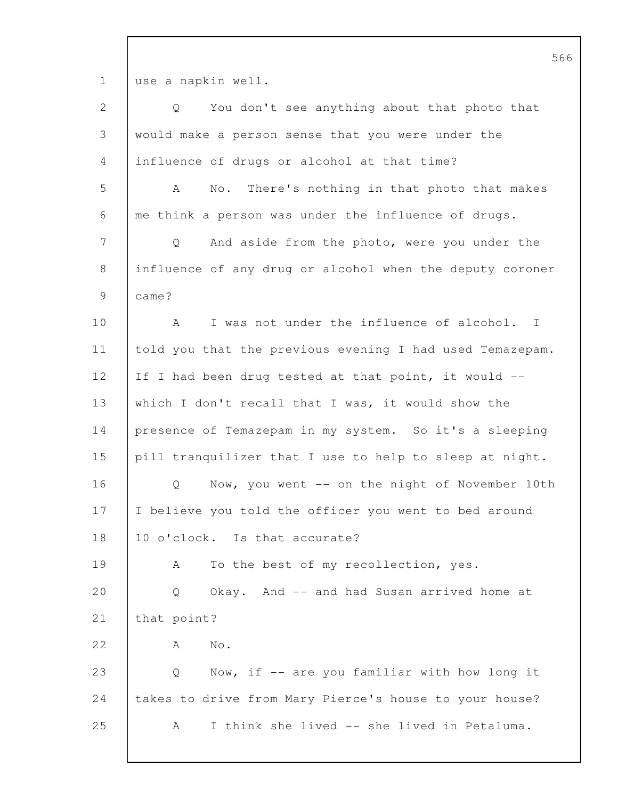1 use a napkin well.

| $\mathbf{2}$ | $Q \qquad \qquad$<br>You don't see anything about that photo that |
|--------------|-------------------------------------------------------------------|
| 3            | would make a person sense that you were under the                 |
| 4            | influence of drugs or alcohol at that time?                       |
| 5            | No. There's nothing in that photo that makes<br>A                 |
| 6            | me think a person was under the influence of drugs.               |
| 7            | And aside from the photo, were you under the<br>Q                 |
| 8            | influence of any drug or alcohol when the deputy coroner          |
| $\mathsf 9$  | came?                                                             |
| 10           | I was not under the influence of alcohol. I<br>A                  |
| 11           | told you that the previous evening I had used Temazepam.          |
| 12           | If I had been drug tested at that point, it would --              |
| 13           | which I don't recall that I was, it would show the                |
| 14           | presence of Temazepam in my system. So it's a sleeping            |
| 15           | pill tranquilizer that I use to help to sleep at night.           |
| 16           | Now, you went -- on the night of November 10th<br>Q               |
| 17           | I believe you told the officer you went to bed around             |
| 18           | 10 o'clock. Is that accurate?                                     |
| 19           | To the best of my recollection, yes.<br>A                         |
| 20           | Okay. And -- and had Susan arrived home at<br>Q                   |
| 21           | that point?                                                       |
| 22           | No.<br>A                                                          |
| 23           | Now, if -- are you familiar with how long it<br>Q                 |
| 24           | takes to drive from Mary Pierce's house to your house?            |
| 25           | I think she lived -- she lived in Petaluma.<br>A                  |
|              |                                                                   |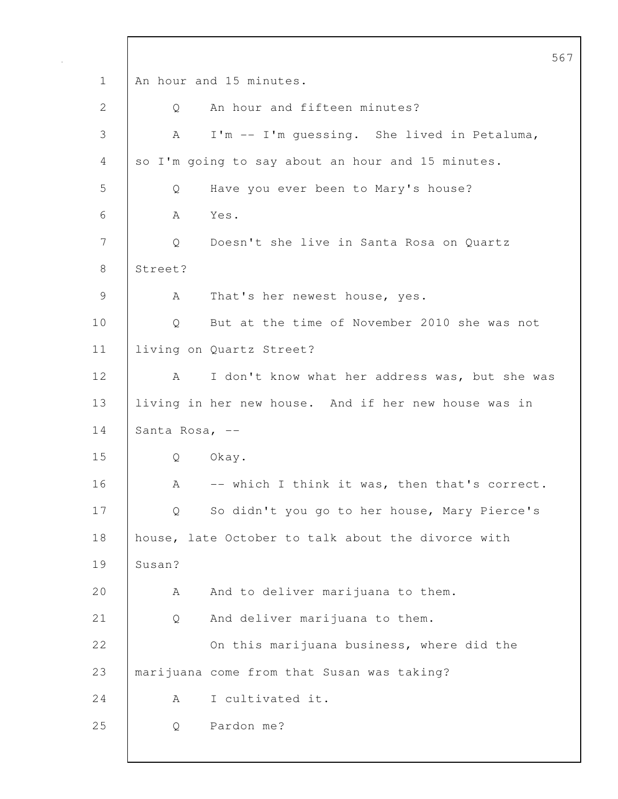|                |                |                                                      | 567 |
|----------------|----------------|------------------------------------------------------|-----|
| $\mathbf 1$    |                | An hour and 15 minutes.                              |     |
| 2              | Q              | An hour and fifteen minutes?                         |     |
| 3              | A              | I'm -- I'm quessing. She lived in Petaluma,          |     |
| 4              |                | so I'm going to say about an hour and 15 minutes.    |     |
| 5              | Q              | Have you ever been to Mary's house?                  |     |
| 6              | A              | Yes.                                                 |     |
| 7              | Q              | Doesn't she live in Santa Rosa on Quartz             |     |
| 8              | Street?        |                                                      |     |
| $\overline{9}$ | A              | That's her newest house, yes.                        |     |
| 10             | Q              | But at the time of November 2010 she was not         |     |
| 11             |                | living on Quartz Street?                             |     |
| 12             | A              | I don't know what her address was, but she was       |     |
| 13             |                | living in her new house. And if her new house was in |     |
| 14             | Santa Rosa, -- |                                                      |     |
| 15             | Q              | Okay.                                                |     |
| 16             | A              | -- which I think it was, then that's correct.        |     |
| 17             | Q              | So didn't you go to her house, Mary Pierce's         |     |
| 18             |                | house, late October to talk about the divorce with   |     |
| 19             | Susan?         |                                                      |     |
| 20             | Α              | And to deliver marijuana to them.                    |     |
| 21             | Q              | And deliver marijuana to them.                       |     |
| 22             |                | On this marijuana business, where did the            |     |
| 23             |                | marijuana come from that Susan was taking?           |     |
| 24             | A              | I cultivated it.                                     |     |
| 25             | Q              | Pardon me?                                           |     |
|                |                |                                                      |     |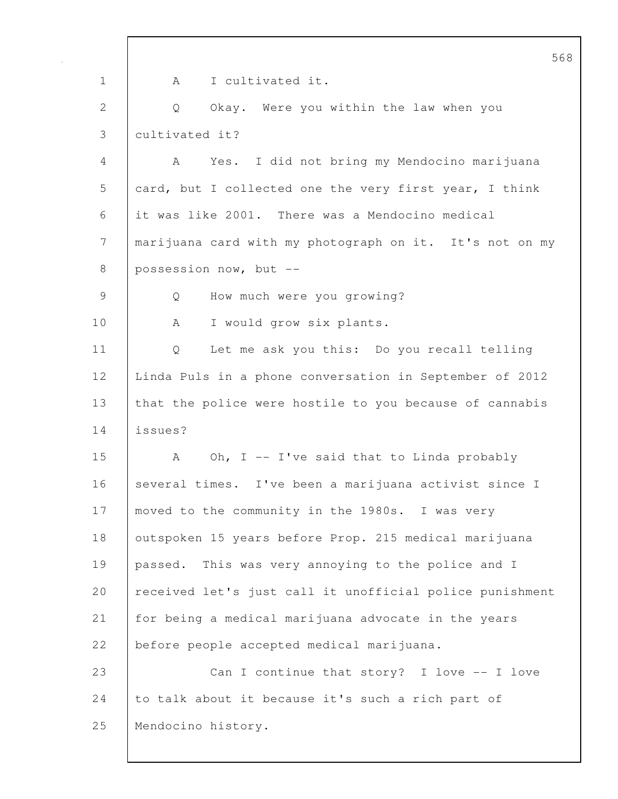568 1 | A I cultivated it. 2 Q Okay. Were you within the law when you 3 cultivated it? 4 A Yes. I did not bring my Mendocino marijuana 5 card, but I collected one the very first year, I think 6 it was like 2001. There was a Mendocino medical 7 marijuana card with my photograph on it. It's not on my 8 possession now, but --9 | Q How much were you growing? 10 A I would grow six plants. 11 Q Let me ask you this: Do you recall telling 12 Linda Puls in a phone conversation in September of 2012 13 that the police were hostile to you because of cannabis 14 issues? 15 A Oh, I -- I've said that to Linda probably 16 several times. I've been a marijuana activist since I 17 moved to the community in the 1980s. I was very 18 | outspoken 15 years before Prop. 215 medical marijuana 19 passed. This was very annoying to the police and I 20 received let's just call it unofficial police punishment 21 for being a medical marijuana advocate in the years 22 | before people accepted medical marijuana. 23 Can I continue that story? I love -- I love 24 to talk about it because it's such a rich part of 25 Mendocino history.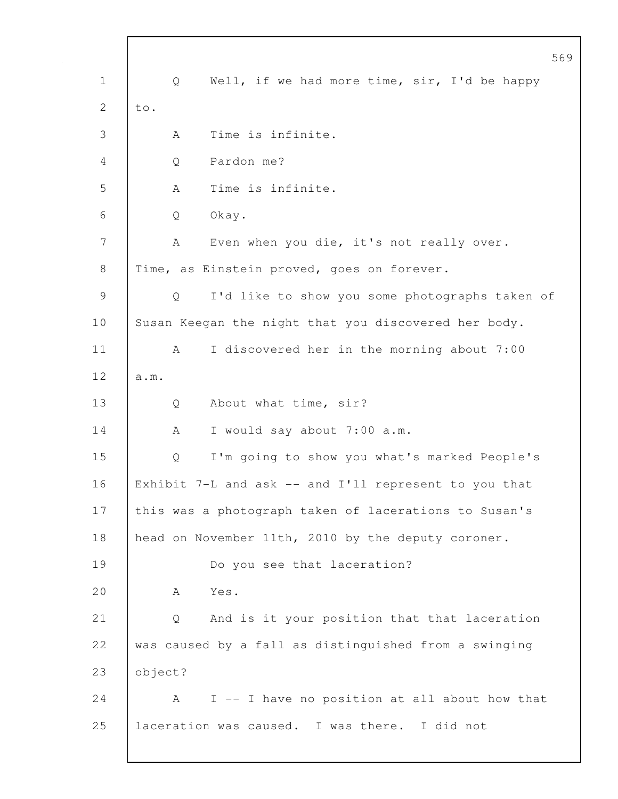|                |                                                       | 569 |
|----------------|-------------------------------------------------------|-----|
| $\mathbf 1$    | Well, if we had more time, sir, I'd be happy<br>Q     |     |
| $\overline{2}$ | to.                                                   |     |
| 3              | Time is infinite.<br>А                                |     |
| 4              | Pardon me?<br>Q                                       |     |
| 5              | Time is infinite.<br>A                                |     |
| 6              | Okay.<br>Q                                            |     |
| 7              | Even when you die, it's not really over.<br>А         |     |
| 8              | Time, as Einstein proved, goes on forever.            |     |
| 9              | I'd like to show you some photographs taken of<br>Q   |     |
| 10             | Susan Keegan the night that you discovered her body.  |     |
| 11             | I discovered her in the morning about 7:00<br>A       |     |
| 12             | a.m.                                                  |     |
| 13             | About what time, sir?<br>Q                            |     |
| 14             | I would say about 7:00 a.m.<br>A                      |     |
| 15             | I'm going to show you what's marked People's<br>Q     |     |
| 16             | Exhibit 7-L and ask -- and I'll represent to you that |     |
| 17             | this was a photograph taken of lacerations to Susan's |     |
| 18             | head on November 11th, 2010 by the deputy coroner.    |     |
| 19             | Do you see that laceration?                           |     |
| 20             | Yes.<br>A                                             |     |
| 21             | And is it your position that that laceration<br>Q     |     |
| 22             | was caused by a fall as distinguished from a swinging |     |
| 23             | object?                                               |     |
| 24             | I -- I have no position at all about how that<br>A    |     |
| 25             | laceration was caused. I was there. I did not         |     |
|                |                                                       |     |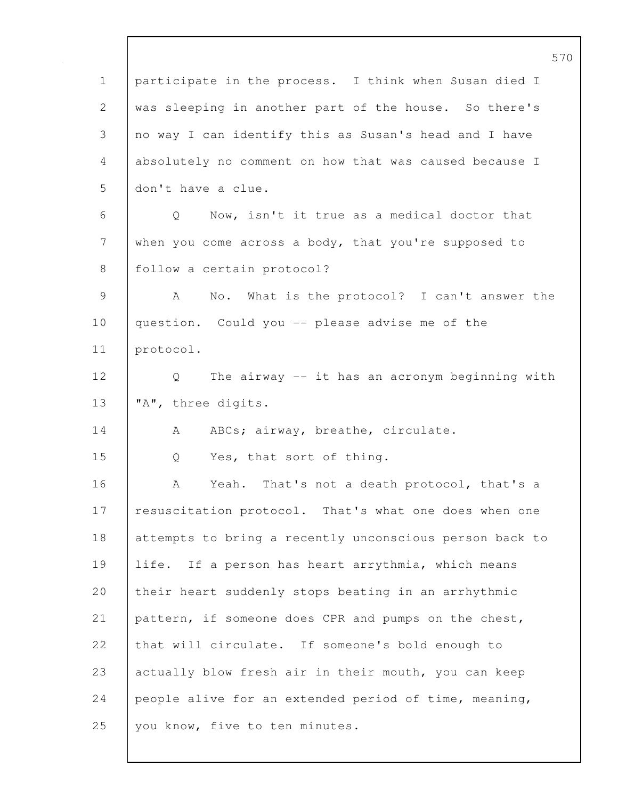|              | 570                                                     |
|--------------|---------------------------------------------------------|
| $\mathbf 1$  | participate in the process. I think when Susan died I   |
| $\mathbf{2}$ | was sleeping in another part of the house. So there's   |
| 3            | no way I can identify this as Susan's head and I have   |
| 4            | absolutely no comment on how that was caused because I  |
| 5            | don't have a clue.                                      |
| 6            | Now, isn't it true as a medical doctor that<br>Q        |
| 7            | when you come across a body, that you're supposed to    |
| $8\,$        | follow a certain protocol?                              |
| 9            | No. What is the protocol? I can't answer the<br>A       |
| 10           | question. Could you -- please advise me of the          |
| 11           | protocol.                                               |
| 12           | The airway -- it has an acronym beginning with<br>Q     |
| 13           | "A", three digits.                                      |
| 14           | ABCs; airway, breathe, circulate.<br>A                  |
| 15           | Yes, that sort of thing.<br>Q                           |
| 16           | Yeah. That's not a death protocol, that's a<br>A        |
| 17           | resuscitation protocol. That's what one does when one   |
| 18           | attempts to bring a recently unconscious person back to |
| 19           | life. If a person has heart arrythmia, which means      |
| 20           | their heart suddenly stops beating in an arrhythmic     |
| 21           | pattern, if someone does CPR and pumps on the chest,    |
| 22           | that will circulate. If someone's bold enough to        |
| 23           | actually blow fresh air in their mouth, you can keep    |
| 24           | people alive for an extended period of time, meaning,   |
| 25           | you know, five to ten minutes.                          |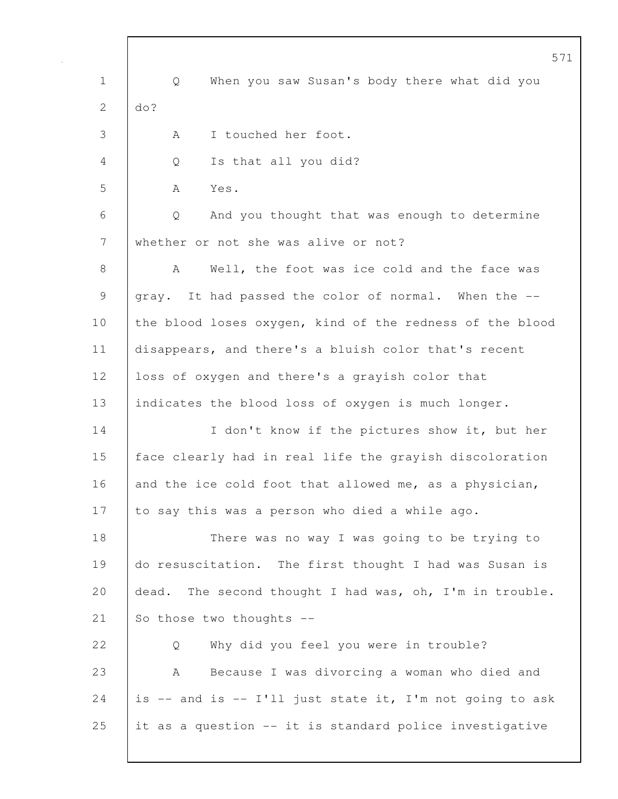|                | 571                                                      |
|----------------|----------------------------------------------------------|
| $\mathbf 1$    | Q<br>When you saw Susan's body there what did you        |
| $\overline{2}$ | do?                                                      |
| 3              | I touched her foot.<br>A                                 |
| 4              | Is that all you did?<br>Q                                |
| 5              | Yes.<br>A                                                |
| 6              | And you thought that was enough to determine<br>Q        |
| 7              | whether or not she was alive or not?                     |
| 8              | Well, the foot was ice cold and the face was<br>A        |
| 9              | gray. It had passed the color of normal. When the --     |
| 10             | the blood loses oxygen, kind of the redness of the blood |
| 11             | disappears, and there's a bluish color that's recent     |
| 12             | loss of oxygen and there's a grayish color that          |
| 13             | indicates the blood loss of oxygen is much longer.       |
| 14             | I don't know if the pictures show it, but her            |
| 15             | face clearly had in real life the grayish discoloration  |
| 16             | and the ice cold foot that allowed me, as a physician,   |
| 17             | to say this was a person who died a while ago.           |
| 18             | There was no way I was going to be trying to             |
| 19             | do resuscitation. The first thought I had was Susan is   |
| 20             | dead. The second thought I had was, oh, I'm in trouble.  |
| 21             | So those two thoughts --                                 |
| 22             | Why did you feel you were in trouble?<br>Q               |
| 23             | Because I was divorcing a woman who died and<br>А        |
| 24             | is -- and is -- I'll just state it, I'm not going to ask |
| 25             | it as a question -- it is standard police investigative  |
|                |                                                          |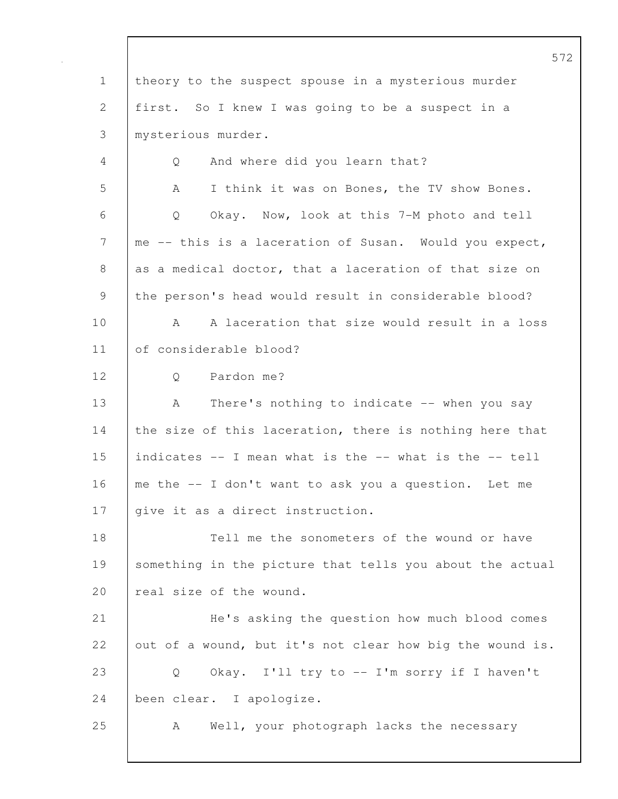572 1 theory to the suspect spouse in a mysterious murder 2 first. So I knew I was going to be a suspect in a 3 mysterious murder. 4 Q And where did you learn that? 5 | A I think it was on Bones, the TV show Bones. 6 Q Okay. Now, look at this 7-M photo and tell 7 me -- this is a laceration of Susan. Would you expect, 8 as a medical doctor, that a laceration of that size on 9 the person's head would result in considerable blood? 10 A A laceration that size would result in a loss 11 of considerable blood? 12 | O Pardon me? 13 | A There's nothing to indicate -- when you say 14 the size of this laceration, there is nothing here that 15 | indicates  $-$  I mean what is the  $-$ - what is the  $-$ - tell 16 me the -- I don't want to ask you a question. Let me 17 | give it as a direct instruction. 18 Tell me the sonometers of the wound or have 19 Something in the picture that tells you about the actual 20 real size of the wound. 21 He's asking the question how much blood comes 22 out of a wound, but it's not clear how big the wound is. 23 | Q Okay. I'll try to -- I'm sorry if I haven't 24 been clear. I apologize. 25 A Well, your photograph lacks the necessary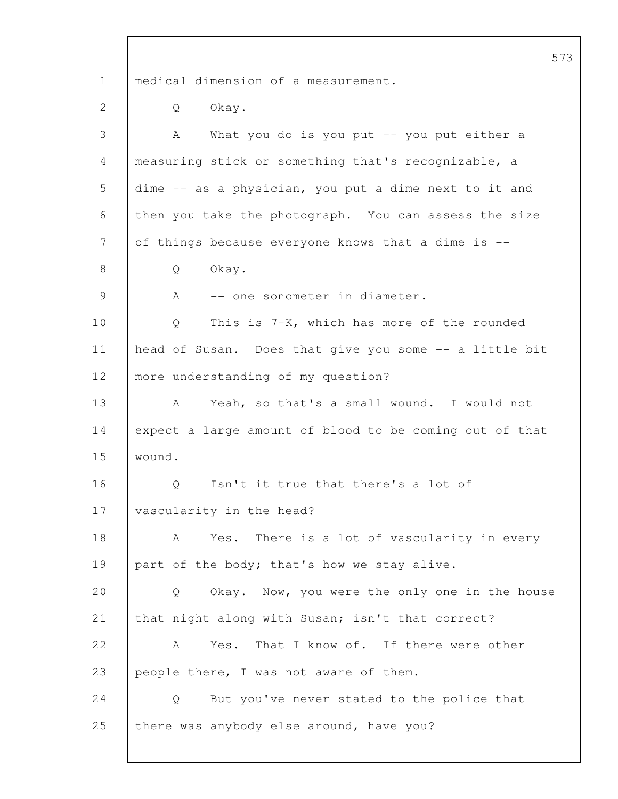573 1 | medical dimension of a measurement. 2 | Q Okay. 3 A What you do is you put -- you put either a 4 measuring stick or something that's recognizable, a 5 dime -- as a physician, you put a dime next to it and 6 then you take the photograph. You can assess the size 7 of things because everyone knows that a dime is --8 | Q Okay. 9 | A -- one sonometer in diameter. 10 Q This is 7-K, which has more of the rounded 11 | head of Susan. Does that give you some -- a little bit 12 | more understanding of my question? 13 A Yeah, so that's a small wound. I would not 14 expect a large amount of blood to be coming out of that 15 wound. 16 | O Isn't it true that there's a lot of 17 | vascularity in the head? 18 | A Yes. There is a lot of vascularity in every 19 | part of the body; that's how we stay alive. 20 Q Okay. Now, you were the only one in the house 21 that night along with Susan; isn't that correct? 22 A Yes. That I know of. If there were other 23 people there, I was not aware of them. 24 | Q But you've never stated to the police that 25 there was anybody else around, have you?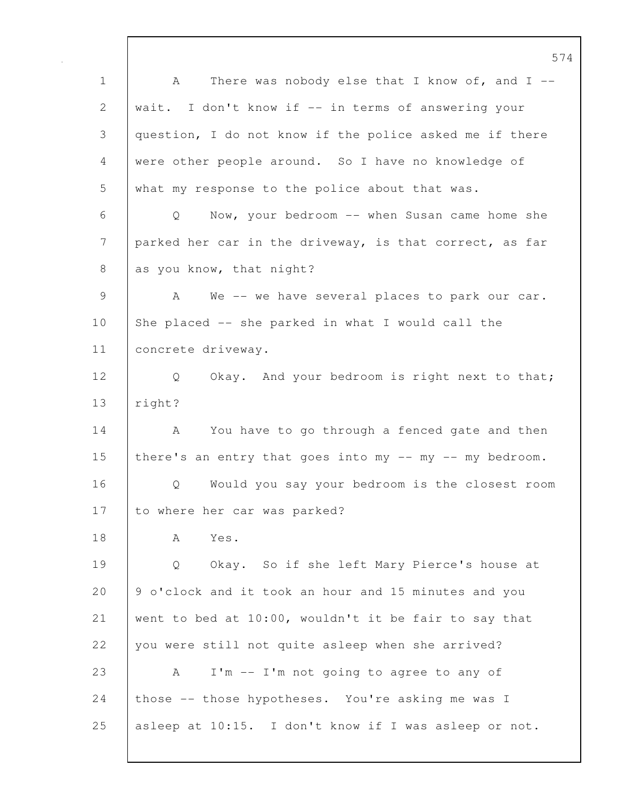574 1 A There was nobody else that I know of, and I --2 wait. I don't know if -- in terms of answering your 3 question, I do not know if the police asked me if there 4 were other people around. So I have no knowledge of 5 what my response to the police about that was. 6 Q Now, your bedroom -- when Susan came home she 7 parked her car in the driveway, is that correct, as far 8 as you know, that night? 9 A We -- we have several places to park our car. 10 She placed -- she parked in what I would call the 11 concrete driveway. 12 | Q Okay. And your bedroom is right next to that; 13 right? 14 A You have to go through a fenced gate and then 15 there's an entry that goes into my -- my -- my bedroom. 16 Q Would you say your bedroom is the closest room 17 to where her car was parked? 18 A Yes. 19 Q Okay. So if she left Mary Pierce's house at 20 9 o'clock and it took an hour and 15 minutes and you 21 went to bed at 10:00, wouldn't it be fair to say that 22 vou were still not quite asleep when she arrived? 23 A I'm -- I'm not going to agree to any of 24 those -- those hypotheses. You're asking me was I 25 asleep at 10:15. I don't know if I was asleep or not.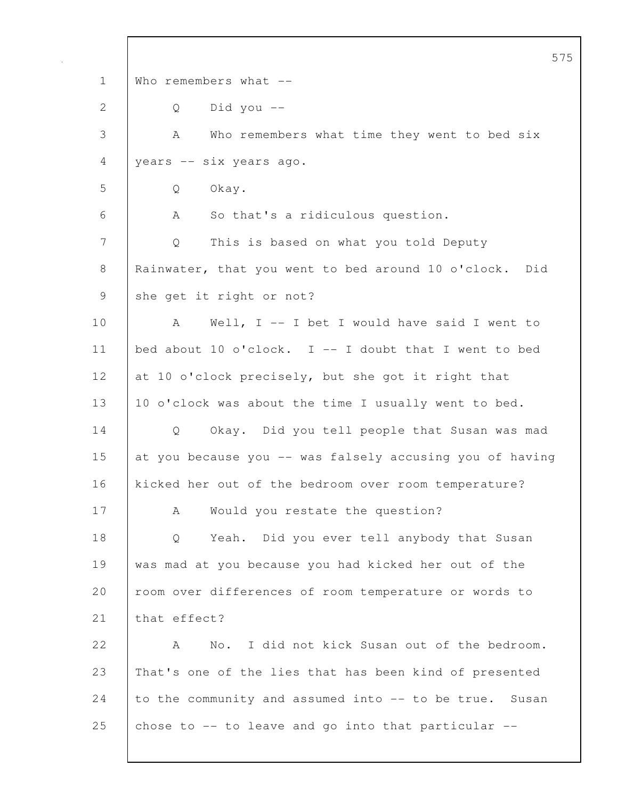|              | 575                                                       |
|--------------|-----------------------------------------------------------|
| $\mathbf 1$  | Who remembers what $--$                                   |
| $\mathbf{2}$ | Did you $-$<br>Q                                          |
| 3            | Who remembers what time they went to bed six<br>A         |
| 4            | years -- six years ago.                                   |
| 5            | Okay.<br>Q                                                |
| 6            | So that's a ridiculous question.<br>A                     |
| 7            | This is based on what you told Deputy<br>Q                |
| 8            | Rainwater, that you went to bed around 10 o'clock.<br>Did |
| 9            | she get it right or not?                                  |
| 10           | Well, $I$ -- I bet I would have said I went to<br>A       |
| 11           | bed about 10 o'clock. I -- I doubt that I went to bed     |
| 12           | at 10 o'clock precisely, but she got it right that        |
| 13           | 10 o'clock was about the time I usually went to bed.      |
| 14           | Okay. Did you tell people that Susan was mad<br>Q         |
| 15           | at you because you -- was falsely accusing you of having  |
| 16           | kicked her out of the bedroom over room temperature?      |
| 17           | Would you restate the question?<br>Α                      |
| 18           | Yeah. Did you ever tell anybody that Susan<br>Q           |
| 19           | was mad at you because you had kicked her out of the      |
| 20           | room over differences of room temperature or words to     |
| 21           | that effect?                                              |
| 22           | No. I did not kick Susan out of the bedroom.<br>A         |
| 23           | That's one of the lies that has been kind of presented    |
| 24           | to the community and assumed into -- to be true. Susan    |
| 25           | chose to $--$ to leave and go into that particular $--$   |
|              |                                                           |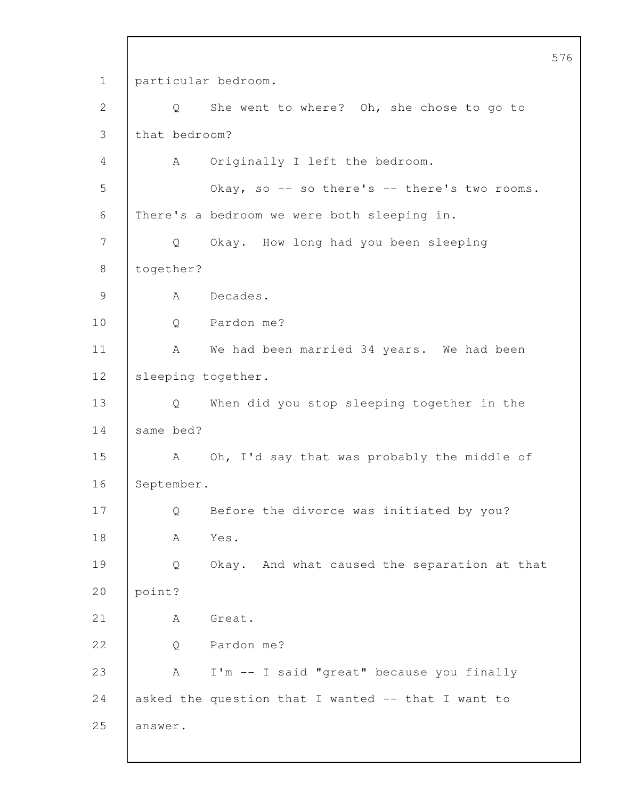576 1 particular bedroom. 2 Q She went to where? Oh, she chose to go to 3 that bedroom? 4 A Originally I left the bedroom. 5 Okay, so -- so there's -- there's two rooms. 6 There's a bedroom we were both sleeping in. 7 Q Okay. How long had you been sleeping 8 together? 9 | A Decades. 10 Q Pardon me? 11 | A We had been married 34 years. We had been 12 | sleeping together. 13 Q When did you stop sleeping together in the 14 same bed? 15 | A Oh, I'd say that was probably the middle of 16 September. 17 Q Before the divorce was initiated by you? 18 | A Yes. 19 Q Okay. And what caused the separation at that 20 point? 21 | A Great. 22 | O Pardon me? 23 A I'm -- I said "great" because you finally 24 asked the question that I wanted  $-$  that I want to 25 answer.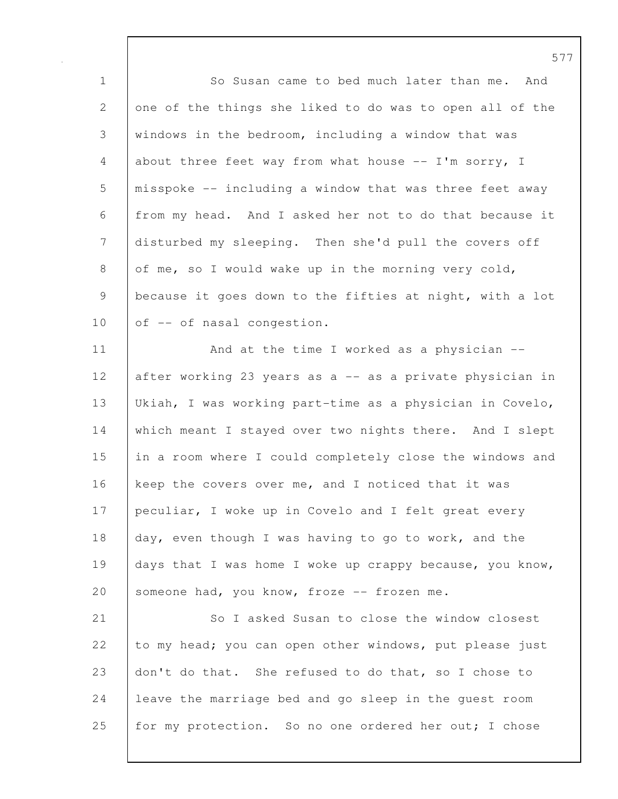1 So Susan came to bed much later than me. And 2 one of the things she liked to do was to open all of the 3 windows in the bedroom, including a window that was 4 about three feet way from what house -- I'm sorry, I 5 misspoke -- including a window that was three feet away 6 from my head. And I asked her not to do that because it 7 disturbed my sleeping. Then she'd pull the covers off 8 of me, so I would wake up in the morning very cold, 9 | because it goes down to the fifties at night, with a lot  $10$  of  $-$  of nasal congestion. 11 | And at the time I worked as a physician --12 | after working 23 years as a -- as a private physician in 13 Ukiah, I was working part-time as a physician in Covelo, 14 which meant I stayed over two nights there. And I slept 15 in a room where I could completely close the windows and 16 keep the covers over me, and I noticed that it was 17 peculiar, I woke up in Covelo and I felt great every

18 day, even though I was having to go to work, and the 19 days that I was home I woke up crappy because, you know, 20 someone had, you know, froze -- frozen me.

21 So I asked Susan to close the window closest 22 to my head; you can open other windows, put please just 23 don't do that. She refused to do that, so I chose to 24 leave the marriage bed and go sleep in the quest room 25 for my protection. So no one ordered her out; I chose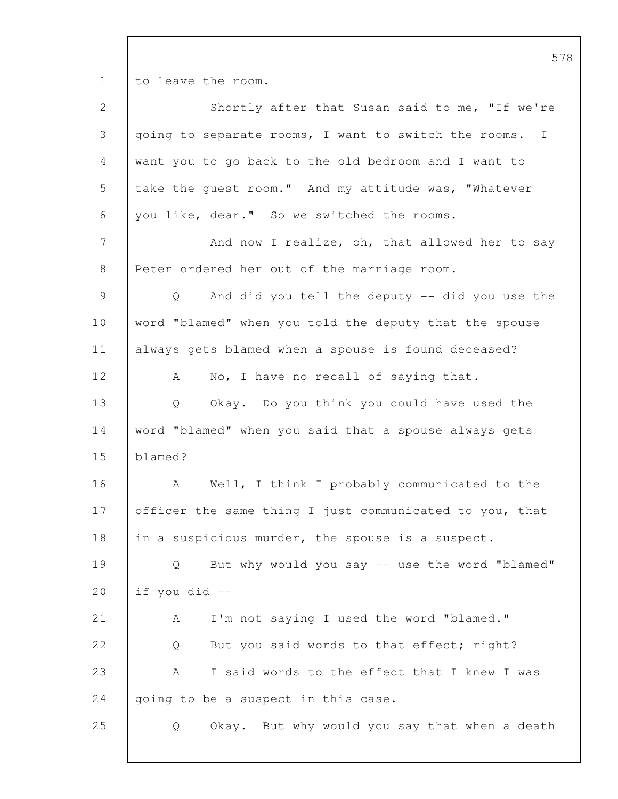1 to leave the room.

| $\mathbf{2}$                                              | Shortly after that Susan said to me, "If we're                       |
|-----------------------------------------------------------|----------------------------------------------------------------------|
| 3                                                         | going to separate rooms, I want to switch the rooms.<br>$\mathbb{I}$ |
| 4                                                         | want you to go back to the old bedroom and I want to                 |
| $\mathsf S$                                               | take the guest room." And my attitude was, "Whatever                 |
| 6                                                         | you like, dear." So we switched the rooms.                           |
| $7\phantom{.0}$                                           | And now I realize, oh, that allowed her to say                       |
| 8                                                         | Peter ordered her out of the marriage room.                          |
| $\mathcal{G}% _{M_{1},M_{2}}^{\alpha,\beta}(\mathcal{A})$ | And did you tell the deputy -- did you use the<br>Q                  |
| 10                                                        | word "blamed" when you told the deputy that the spouse               |
| 11                                                        | always gets blamed when a spouse is found deceased?                  |
| 12                                                        | No, I have no recall of saying that.<br>A                            |
| 13                                                        | Okay. Do you think you could have used the<br>Q                      |
| 14                                                        | word "blamed" when you said that a spouse always gets                |
| 15                                                        | blamed?                                                              |
| 16                                                        | Well, I think I probably communicated to the<br>A                    |
| 17                                                        | officer the same thing I just communicated to you, that              |
| 18                                                        | in a suspicious murder, the spouse is a suspect.                     |
| 19                                                        | But why would you say -- use the word "blamed"<br>Q                  |
| 20                                                        | if you did --                                                        |
| 21                                                        | I'm not saying I used the word "blamed."<br>А                        |
| 22                                                        | But you said words to that effect; right?<br>Q                       |
| 23                                                        | I said words to the effect that I knew I was<br>А                    |
| 24                                                        | going to be a suspect in this case.                                  |
| 25                                                        | Okay. But why would you say that when a death<br>Q                   |
|                                                           |                                                                      |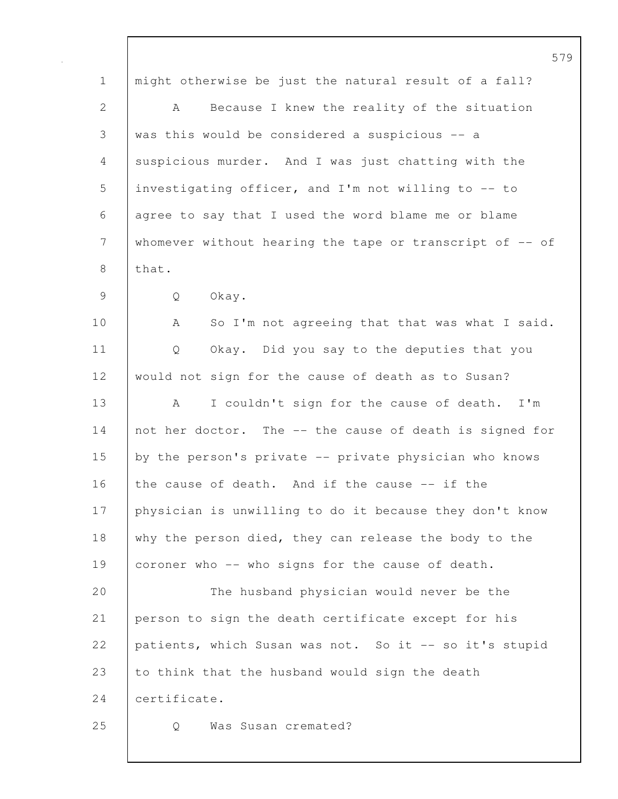|              | $5^{\circ}$                                                 |
|--------------|-------------------------------------------------------------|
| $\mathbf 1$  | might otherwise be just the natural result of a fall?       |
| $\mathbf{2}$ | Because I knew the reality of the situation<br>A            |
| 3            | was this would be considered a suspicious -- a              |
| 4            | suspicious murder. And I was just chatting with the         |
| 5            | investigating officer, and I'm not willing to -- to         |
| 6            | agree to say that I used the word blame me or blame         |
| 7            | whomever without hearing the tape or transcript of $-$ - of |
| 8            | that.                                                       |
| $\mathsf 9$  | Q<br>Okay.                                                  |
| 10           | So I'm not agreeing that that was what I said.<br>A         |
| 11           | Q<br>Okay. Did you say to the deputies that you             |
| 12           | would not sign for the cause of death as to Susan?          |
| 13           | I couldn't sign for the cause of death.<br>$I'$ m<br>A      |
| 14           | not her doctor. The -- the cause of death is signed for     |
| 15           | by the person's private -- private physician who knows      |
| 16           | the cause of death. And if the cause -- if the              |
| 17           | physician is unwilling to do it because they don't know     |
| 18           | why the person died, they can release the body to the       |
| 19           | coroner who -- who signs for the cause of death.            |
| 20           | The husband physician would never be the                    |
| 21           | person to sign the death certificate except for his         |
| 22           | patients, which Susan was not. So it -- so it's stupid      |
| 23           | to think that the husband would sign the death              |
| 24           | certificate.                                                |
| 25           | Was Susan cremated?<br>Q                                    |
|              |                                                             |

 $\mathbf I$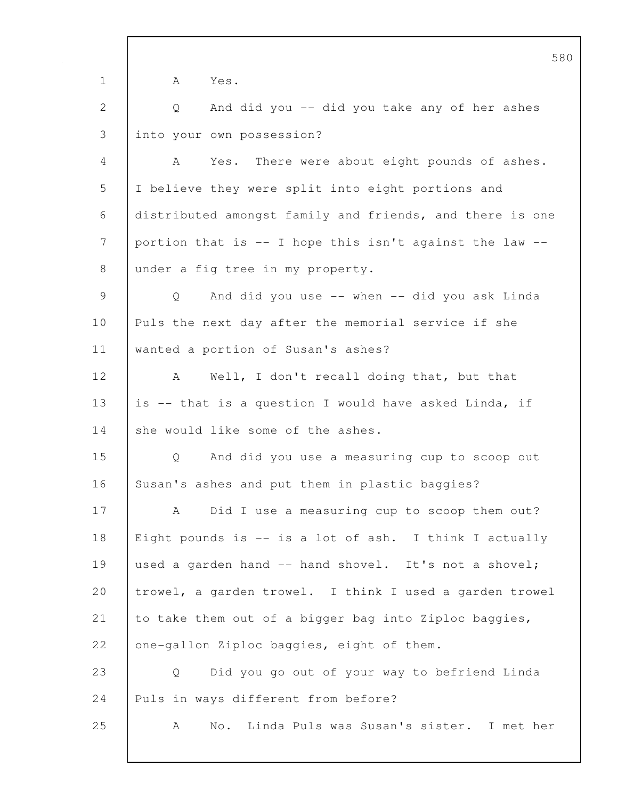580 1 A Yes. 2 Q And did you -- did you take any of her ashes 3 into your own possession? 4 A Yes. There were about eight pounds of ashes. 5 I believe they were split into eight portions and 6 distributed amongst family and friends, and there is one 7 portion that is -- I hope this isn't against the law --8 under a fig tree in my property. 9 Q And did you use -- when -- did you ask Linda 10 Puls the next day after the memorial service if she 11 wanted a portion of Susan's ashes? 12 | A Well, I don't recall doing that, but that 13 | is -- that is a question I would have asked Linda, if 14 she would like some of the ashes. 15 Q And did you use a measuring cup to scoop out 16 Susan's ashes and put them in plastic baggies? 17 A Did I use a measuring cup to scoop them out? 18 Eight pounds is -- is a lot of ash. I think I actually 19 used a garden hand -- hand shovel. It's not a shovel; 20 trowel, a garden trowel. I think I used a garden trowel 21 to take them out of a bigger bag into Ziploc baggies, 22 one-gallon Ziploc baggies, eight of them. 23 Q Did you go out of your way to befriend Linda 24 Puls in ways different from before? 25 A No. Linda Puls was Susan's sister. I met her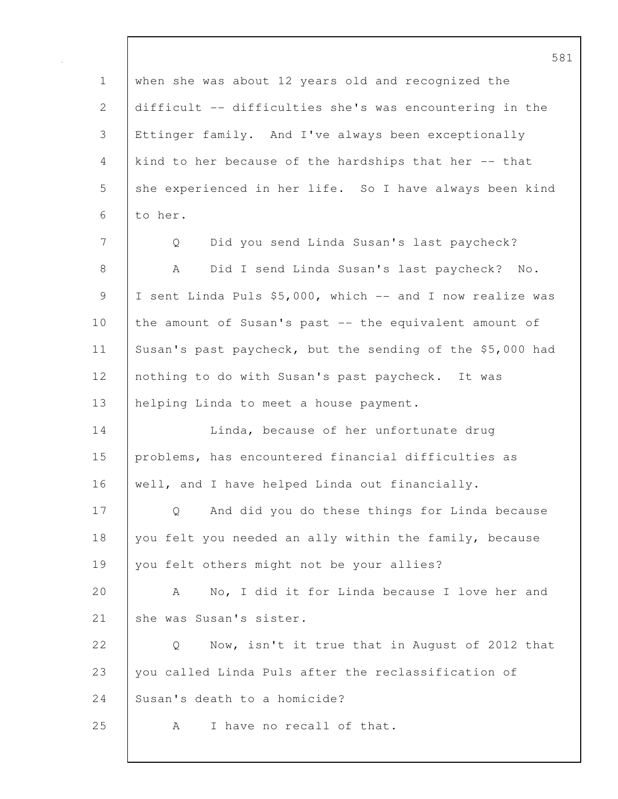1 when she was about 12 years old and recognized the 2 difficult -- difficulties she's was encountering in the 3 Ettinger family. And I've always been exceptionally 4 kind to her because of the hardships that her -- that 5 she experienced in her life. So I have always been kind 6 to her. 7 Q Did you send Linda Susan's last paycheck? 8 | A Did I send Linda Susan's last paycheck? No. 9 I sent Linda Puls \$5,000, which -- and I now realize was 10 | the amount of Susan's past -- the equivalent amount of 11 Susan's past paycheck, but the sending of the \$5,000 had 12 | nothing to do with Susan's past paycheck. It was 13 | helping Linda to meet a house payment. 14 **Linda, because of her unfortunate drug** 15 problems, has encountered financial difficulties as 16 well, and I have helped Linda out financially. 17 | Q And did you do these things for Linda because 18 you felt you needed an ally within the family, because 19 you felt others might not be your allies? 20 A No, I did it for Linda because I love her and 21 She was Susan's sister. 22 | O Now, isn't it true that in August of 2012 that 23 you called Linda Puls after the reclassification of 24 Susan's death to a homicide? 25 A I have no recall of that.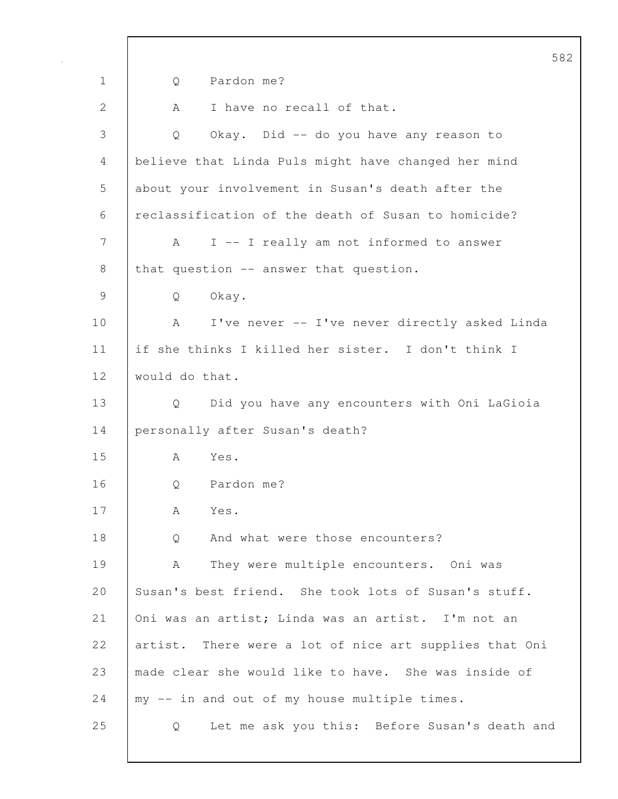582 1 Q Pardon me? 2 A I have no recall of that. 3 Q Okay. Did -- do you have any reason to 4 believe that Linda Puls might have changed her mind 5 about your involvement in Susan's death after the 6 reclassification of the death of Susan to homicide? 7 | A I -- I really am not informed to answer 8 | that question  $-$  answer that question. 9 Q Okay. 10 | A I've never -- I've never directly asked Linda 11 if she thinks I killed her sister. I don't think I 12 would do that. 13 Q Did you have any encounters with Oni LaGioia 14 personally after Susan's death? 15 A Yes. 16 | O Pardon me? 17 A Yes. 18 | O And what were those encounters? 19 | A They were multiple encounters. Oni was 20 Susan's best friend. She took lots of Susan's stuff. 21 Oni was an artist; Linda was an artist. I'm not an 22 artist. There were a lot of nice art supplies that Oni 23 made clear she would like to have. She was inside of 24 my -- in and out of my house multiple times. 25 Q Let me ask you this: Before Susan's death and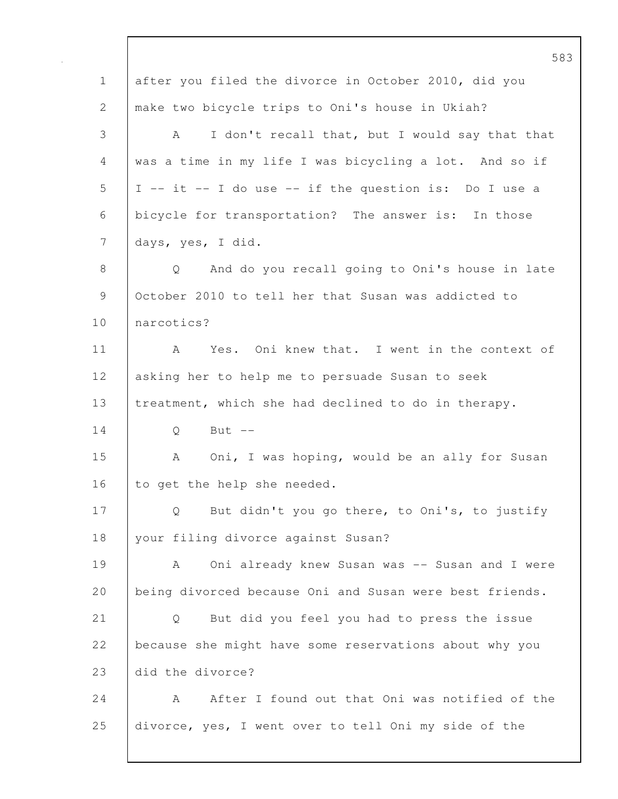583 1 after you filed the divorce in October 2010, did you 2 make two bicycle trips to Oni's house in Ukiah? 3 A I don't recall that, but I would say that that 4 was a time in my life I was bicycling a lot. And so if  $5$  | I -- it -- I do use -- if the question is: Do I use a 6 bicycle for transportation? The answer is: In those 7 days, yes, I did. 8 | O And do you recall going to Oni's house in late 9 | October 2010 to tell her that Susan was addicted to 10 narcotics? 11 | A Yes. Oni knew that. I went in the context of 12 asking her to help me to persuade Susan to seek 13 treatment, which she had declined to do in therapy. 14 | 0 But --15 | A Oni, I was hoping, would be an ally for Susan 16 to get the help she needed. 17 | Q But didn't you go there, to Oni's, to justify 18 | your filing divorce against Susan? 19 | A Oni already knew Susan was -- Susan and I were 20 being divorced because Oni and Susan were best friends. 21 Q But did you feel you had to press the issue 22 because she might have some reservations about why you 23 did the divorce? 24 A After I found out that Oni was notified of the 25 divorce, yes, I went over to tell Oni my side of the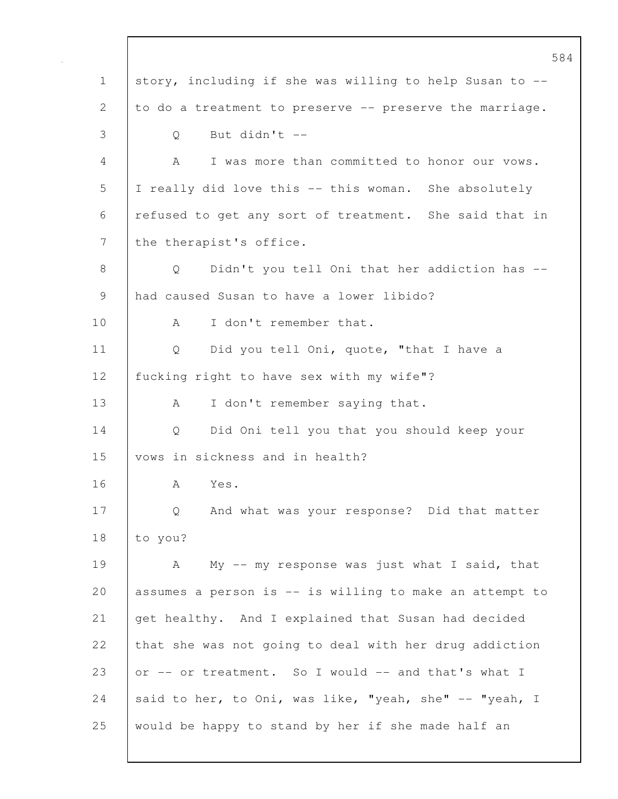584 1 story, including if she was willing to help Susan to -- 2 to do a treatment to preserve -- preserve the marriage. 3 Q But didn't -- 4 A I was more than committed to honor our vows. 5 I really did love this -- this woman. She absolutely 6 refused to get any sort of treatment. She said that in 7 | the therapist's office. 8 | O Didn't you tell Oni that her addiction has --9 had caused Susan to have a lower libido? 10 | A I don't remember that. 11 | Q Did you tell Oni, quote, "that I have a 12 | fucking right to have sex with my wife"? 13 | A I don't remember saying that. 14 Q Did Oni tell you that you should keep your 15 vows in sickness and in health? 16 A Yes. 17 | Q And what was your response? Did that matter 18 to you? 19 A My -- my response was just what I said, that 20 assumes a person is -- is willing to make an attempt to 21 get healthy. And I explained that Susan had decided 22 that she was not going to deal with her drug addiction 23 or -- or treatment. So I would -- and that's what I 24 said to her, to Oni, was like, "yeah, she"  $-$  "yeah, I 25 would be happy to stand by her if she made half an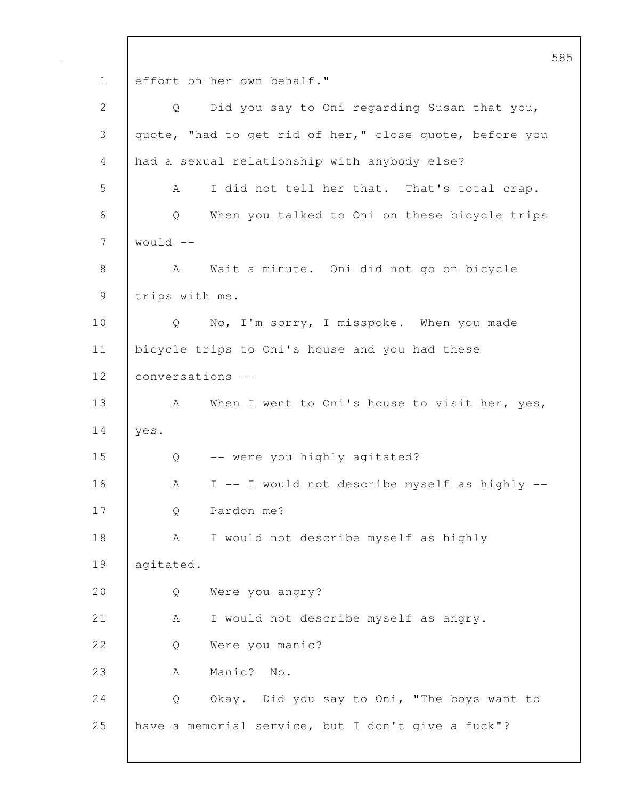585 1 effort on her own behalf." 2 Q Did you say to Oni regarding Susan that you, 3 | quote, "had to get rid of her," close quote, before you 4 had a sexual relationship with anybody else? 5 A I did not tell her that. That's total crap. 6 Q When you talked to Oni on these bicycle trips 7 would -- 8 | A Wait a minute. Oni did not go on bicycle 9 trips with me. 10 | Q No, I'm sorry, I misspoke. When you made 11 bicycle trips to Oni's house and you had these 12 conversations -- 13 A When I went to Oni's house to visit her, yes, 14 yes. 15 Q -- were you highly agitated? 16 A I -- I would not describe myself as highly -- 17 Q Pardon me? 18 | A I would not describe myself as highly 19 agitated. 20 Q Were you angry? 21 | A I would not describe myself as angry. 22 | O Were you manic? 23 | A Manic? No. 24 | Q Okay. Did you say to Oni, "The boys want to 25 have a memorial service, but I don't give a fuck"?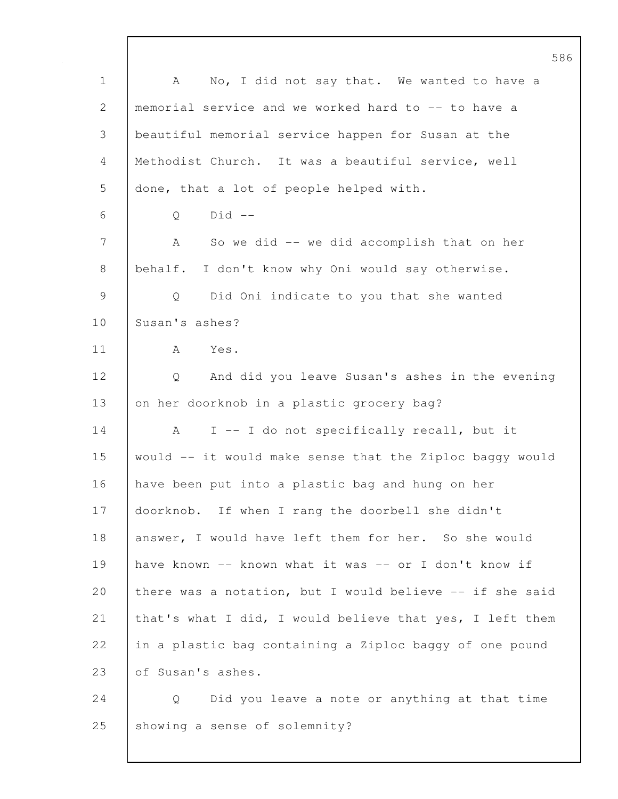586 1 | A No, I did not say that. We wanted to have a 2 memorial service and we worked hard to -- to have a 3 beautiful memorial service happen for Susan at the 4 Methodist Church. It was a beautiful service, well 5 done, that a lot of people helped with. 6 Q Did -- 7 | A So we did -- we did accomplish that on her 8 behalf. I don't know why Oni would say otherwise. 9 Q Did Oni indicate to you that she wanted 10 Susan's ashes? 11 A Yes. 12 Q And did you leave Susan's ashes in the evening 13 on her doorknob in a plastic grocery bag? 14 | A I -- I do not specifically recall, but it  $15$  would  $-$  it would make sense that the Ziploc baggy would 16 have been put into a plastic bag and hung on her 17 doorknob. If when I rang the doorbell she didn't 18 answer, I would have left them for her. So she would 19 have known -- known what it was -- or I don't know if 20 | there was a notation, but I would believe  $-$ - if she said 21 | that's what I did, I would believe that yes, I left them 22 in a plastic bag containing a Ziploc baggy of one pound 23 of Susan's ashes. 24 Q Did you leave a note or anything at that time

25 Showing a sense of solemnity?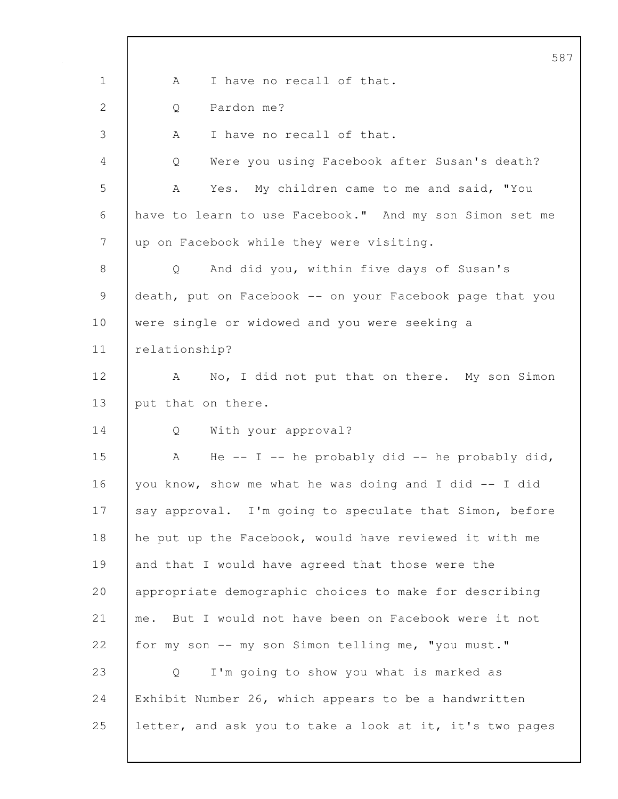|             | 58                                                            |
|-------------|---------------------------------------------------------------|
| $\mathbf 1$ | I have no recall of that.<br>A                                |
| 2           | Pardon me?<br>Q                                               |
| 3           | I have no recall of that.<br>A                                |
| 4           | Were you using Facebook after Susan's death?<br>Q             |
| 5           | Yes. My children came to me and said, "You<br>A               |
| 6           | have to learn to use Facebook." And my son Simon set me       |
| 7           | up on Facebook while they were visiting.                      |
| 8           | And did you, within five days of Susan's<br>$Q \qquad \qquad$ |
| $\mathsf 9$ | death, put on Facebook -- on your Facebook page that you      |
| 10          | were single or widowed and you were seeking a                 |
| 11          | relationship?                                                 |
| 12          | No, I did not put that on there. My son Simon<br>A            |
| 13          | put that on there.                                            |
| 14          | With your approval?<br>Q                                      |
| 15          | He -- I -- he probably did -- he probably did,<br>A           |
| 16          | you know, show me what he was doing and I did -- I did        |
| 17          | say approval. I'm going to speculate that Simon, before       |
| 18          | he put up the Facebook, would have reviewed it with me        |
| 19          | and that I would have agreed that those were the              |
| 20          | appropriate demographic choices to make for describing        |
| 21          | But I would not have been on Facebook were it not<br>me.      |
| 22          | for my son -- my son Simon telling me, "you must."            |
| 23          | I'm going to show you what is marked as<br>Q                  |
| 24          | Exhibit Number 26, which appears to be a handwritten          |
| 25          | letter, and ask you to take a look at it, it's two pages      |
|             |                                                               |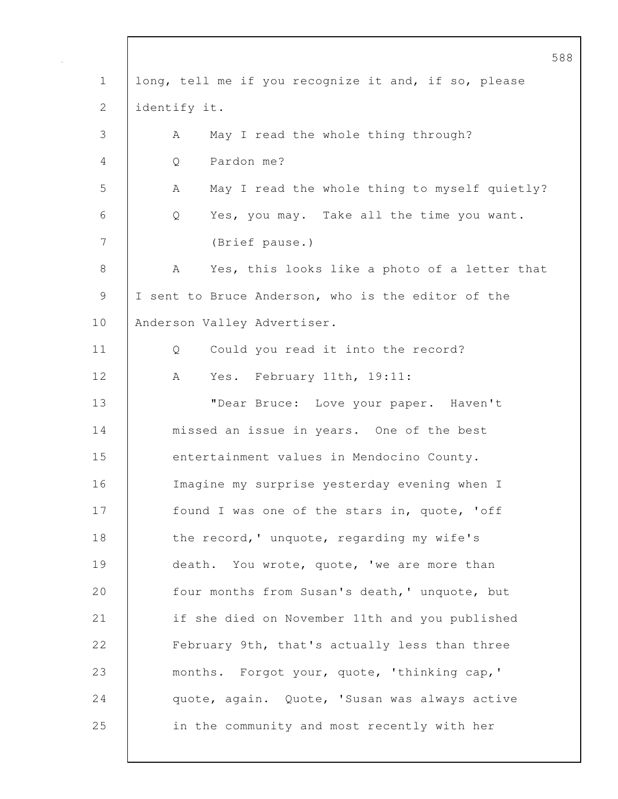|             | 5                                                    |
|-------------|------------------------------------------------------|
| $\mathbf 1$ | long, tell me if you recognize it and, if so, please |
| 2           | identify it.                                         |
| 3           | May I read the whole thing through?<br>А             |
| 4           | Pardon me?<br>Q                                      |
| 5           | May I read the whole thing to myself quietly?<br>A   |
| 6           | Yes, you may. Take all the time you want.<br>Q       |
| 7           | (Brief pause.)                                       |
| 8           | Yes, this looks like a photo of a letter that<br>A   |
| 9           | I sent to Bruce Anderson, who is the editor of the   |
| 10          | Anderson Valley Advertiser.                          |
| 11          | Could you read it into the record?<br>Q              |
| 12          | A<br>Yes. February 11th, 19:11:                      |
| 13          | "Dear Bruce: Love your paper. Haven't                |
| 14          | missed an issue in years. One of the best            |
| 15          | entertainment values in Mendocino County.            |
| 16          | Imagine my surprise yesterday evening when I         |
| 17          | found I was one of the stars in, quote, 'off         |
| 18          | the record,' unquote, regarding my wife's            |
| 19          | death. You wrote, quote, 'we are more than           |
| 20          | four months from Susan's death, ' unquote, but       |
| 21          | if she died on November 11th and you published       |
| 22          | February 9th, that's actually less than three        |
| 23          | months. Forgot your, quote, 'thinking cap,'          |
| 24          | quote, again. Quote, 'Susan was always active        |
| 25          | in the community and most recently with her          |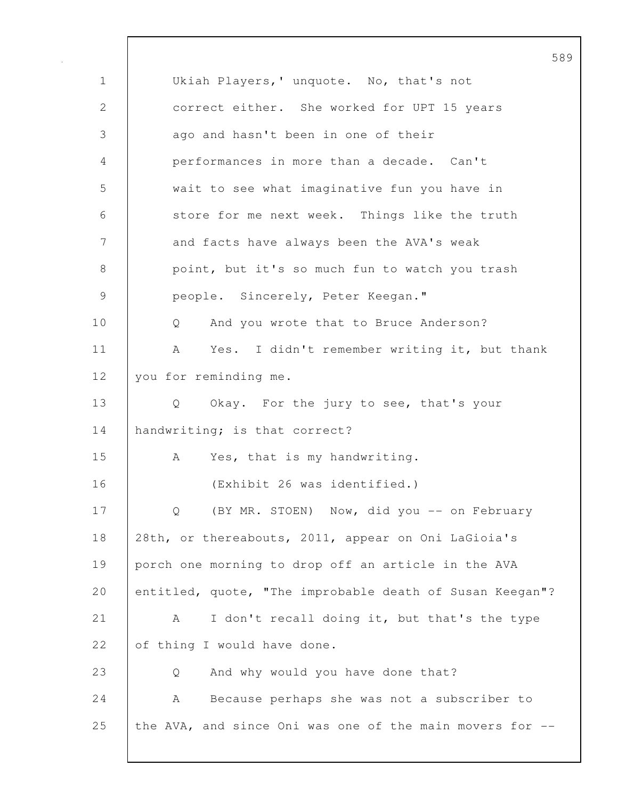589 1 | Ukiah Players,' unquote. No, that's not 2 correct either. She worked for UPT 15 years 3 ago and hasn't been in one of their 4 performances in more than a decade. Can't 5 wait to see what imaginative fun you have in 6 store for me next week. Things like the truth 7 and facts have always been the AVA's weak 8 point, but it's so much fun to watch you trash 9 | people. Sincerely, Peter Keegan." 10 | Q And you wrote that to Bruce Anderson? 11 | A Yes. I didn't remember writing it, but thank 12 | you for reminding me. 13 | Q Okay. For the jury to see, that's your 14 handwriting; is that correct? 15 | A Yes, that is my handwriting. 16 (Exhibit 26 was identified.) 17 | Q (BY MR. STOEN) Now, did you -- on February 18 28th, or thereabouts, 2011, appear on Oni LaGioia's 19 porch one morning to drop off an article in the AVA 20 entitled, quote, "The improbable death of Susan Keegan"? 21 | A I don't recall doing it, but that's the type 22 of thing I would have done. 23 Q And why would you have done that? 24 A Because perhaps she was not a subscriber to 25 the AVA, and since Oni was one of the main movers for --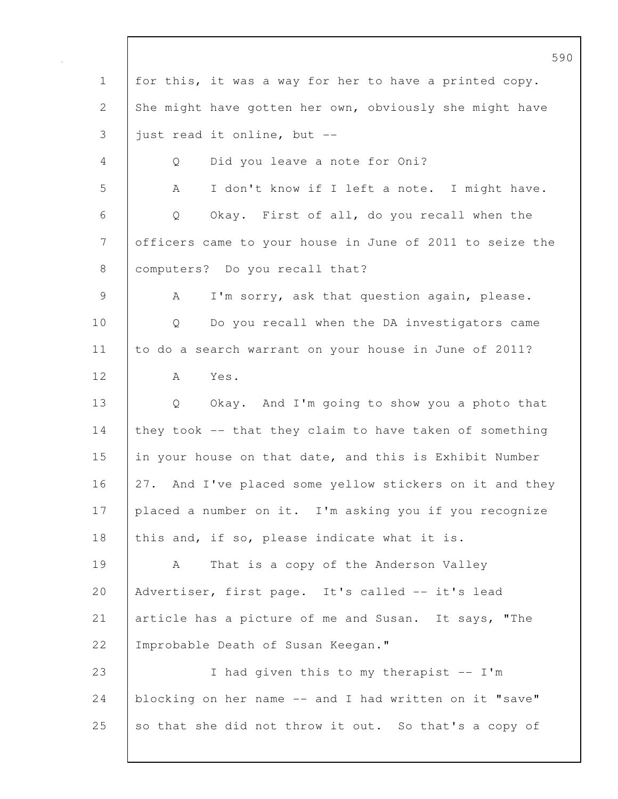590 1 | for this, it was a way for her to have a printed copy. 2 She might have gotten her own, obviously she might have  $3$  just read it online, but  $-$ 4 Q Did you leave a note for Oni? 5 A I don't know if I left a note. I might have. 6 Q Okay. First of all, do you recall when the 7 officers came to your house in June of 2011 to seize the 8 | computers? Do you recall that? 9 | A I'm sorry, ask that question again, please. 10 Q Do you recall when the DA investigators came 11 to do a search warrant on your house in June of 2011? 12 A Yes. 13 Q Okay. And I'm going to show you a photo that 14 they took -- that they claim to have taken of something 15 in your house on that date, and this is Exhibit Number 16 27. And I've placed some yellow stickers on it and they 17 placed a number on it. I'm asking you if you recognize 18 this and, if so, please indicate what it is. 19 | A That is a copy of the Anderson Valley 20 Advertiser, first page. It's called -- it's lead 21 article has a picture of me and Susan. It says, "The 22 | Improbable Death of Susan Keegan." 23 I had given this to my therapist -- I'm 24 blocking on her name -- and I had written on it "save" 25 so that she did not throw it out. So that's a copy of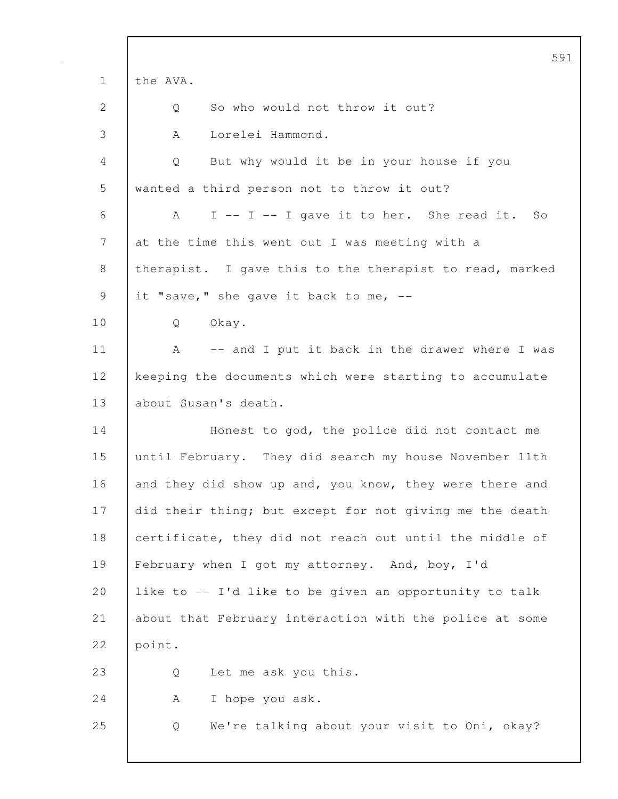|             | 5 <sup>c</sup>                                          |
|-------------|---------------------------------------------------------|
| $\mathbf 1$ | the AVA.                                                |
| 2           | So who would not throw it out?<br>Q                     |
| 3           | Lorelei Hammond.<br>A                                   |
| 4           | But why would it be in your house if you<br>Q           |
| 5           | wanted a third person not to throw it out?              |
| 6           | A<br>I -- I -- I gave it to her. She read it.<br>So     |
| 7           | at the time this went out I was meeting with a          |
| 8           | therapist. I gave this to the therapist to read, marked |
| 9           | it "save," she gave it back to me, --                   |
| 10          | Okay.<br>Q                                              |
| 11          | -- and I put it back in the drawer where I was<br>A     |
| 12          | keeping the documents which were starting to accumulate |
| 13          | about Susan's death.                                    |
| 14          | Honest to god, the police did not contact me            |
| 15          | until February. They did search my house November 11th  |
| 16          | and they did show up and, you know, they were there and |
| 17          | did their thing; but except for not giving me the death |
| 18          | certificate, they did not reach out until the middle of |
| 19          | February when I got my attorney. And, boy, I'd          |
| 20          | like to -- I'd like to be given an opportunity to talk  |
| 21          | about that February interaction with the police at some |
| 22          | point.                                                  |
| 23          | Let me ask you this.<br>Q                               |
| 24          | I hope you ask.<br>A                                    |
| 25          | We're talking about your visit to Oni, okay?<br>Q       |
|             |                                                         |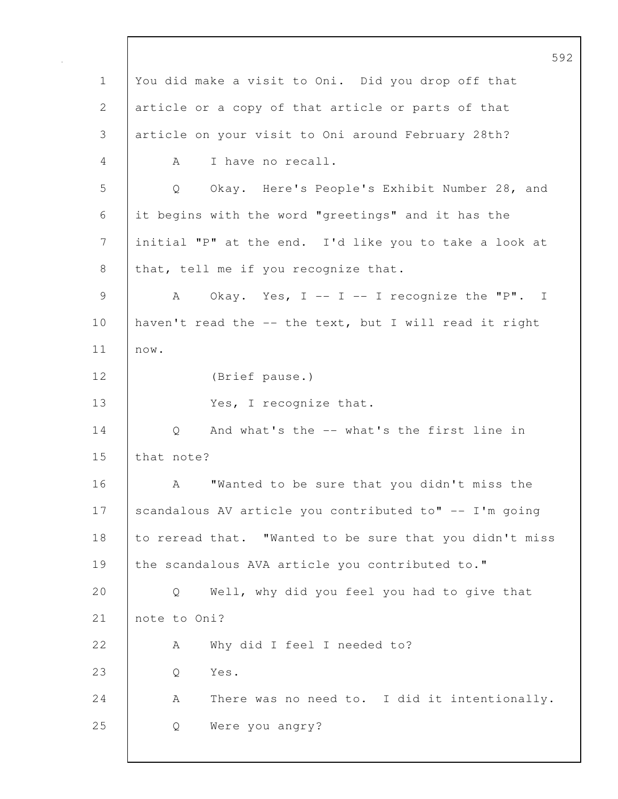592 1 You did make a visit to Oni. Did you drop off that 2 article or a copy of that article or parts of that 3 article on your visit to Oni around February 28th? 4 A I have no recall. 5 Q Okay. Here's People's Exhibit Number 28, and 6 it begins with the word "greetings" and it has the 7 initial "P" at the end. I'd like you to take a look at 8 that, tell me if you recognize that. 9 | A Okay. Yes, I -- I -- I recognize the "P". I 10 haven't read the -- the text, but I will read it right 11 now. 12 (Brief pause.) 13 | Yes, I recognize that. 14 |  $\qquad$  Q And what's the -- what's the first line in 15 that note? 16 A "Wanted to be sure that you didn't miss the 17 | scandalous AV article you contributed to" -- I'm going 18 to reread that. "Wanted to be sure that you didn't miss 19 the scandalous AVA article you contributed to." 20 Q Well, why did you feel you had to give that 21 note to Oni? 22 A Why did I feel I needed to? 23 Q Yes. 24 A There was no need to. I did it intentionally. 25 Q Were you angry?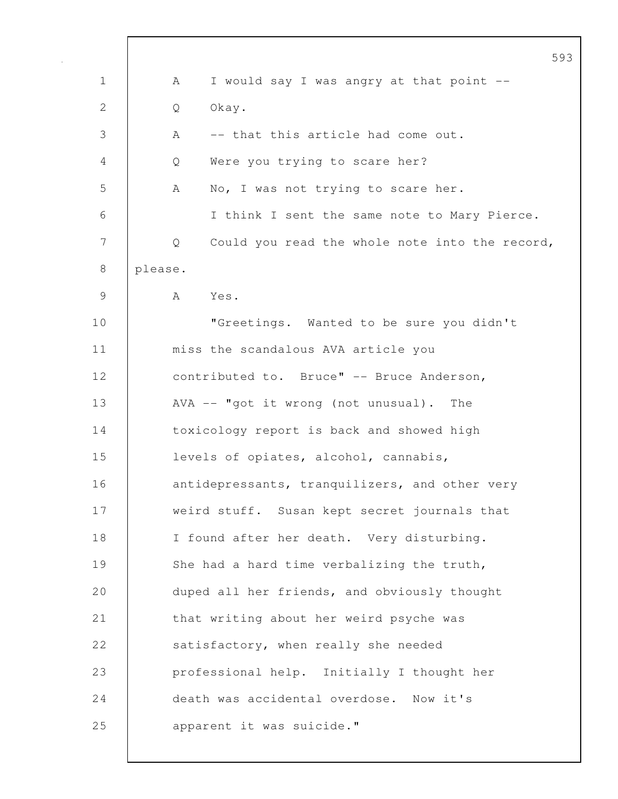|              | 593                                                 |
|--------------|-----------------------------------------------------|
| 1            | I would say I was angry at that point --<br>А       |
| $\mathbf{2}$ | Okay.<br>Q                                          |
| 3            | -- that this article had come out.<br>А             |
| 4            | Were you trying to scare her?<br>Q                  |
| 5            | No, I was not trying to scare her.<br>A             |
| 6            | I think I sent the same note to Mary Pierce.        |
| 7            | Could you read the whole note into the record,<br>Q |
| 8            | please.                                             |
| 9            | Yes.<br>A                                           |
| 10           | "Greetings. Wanted to be sure you didn't            |
| 11           | miss the scandalous AVA article you                 |
| 12           | contributed to. Bruce" -- Bruce Anderson,           |
| 13           | AVA -- "got it wrong (not unusual). The             |
| 14           | toxicology report is back and showed high           |
| 15           | levels of opiates, alcohol, cannabis,               |
| 16           | antidepressants, tranquilizers, and other very      |
| 17           | weird stuff. Susan kept secret journals that        |
| 18           | I found after her death. Very disturbing.           |
| 19           | She had a hard time verbalizing the truth,          |
| 20           | duped all her friends, and obviously thought        |
| 21           | that writing about her weird psyche was             |
| 22           | satisfactory, when really she needed                |
| 23           | professional help. Initially I thought her          |
| 24           | death was accidental overdose. Now it's             |
| 25           | apparent it was suicide."                           |
|              |                                                     |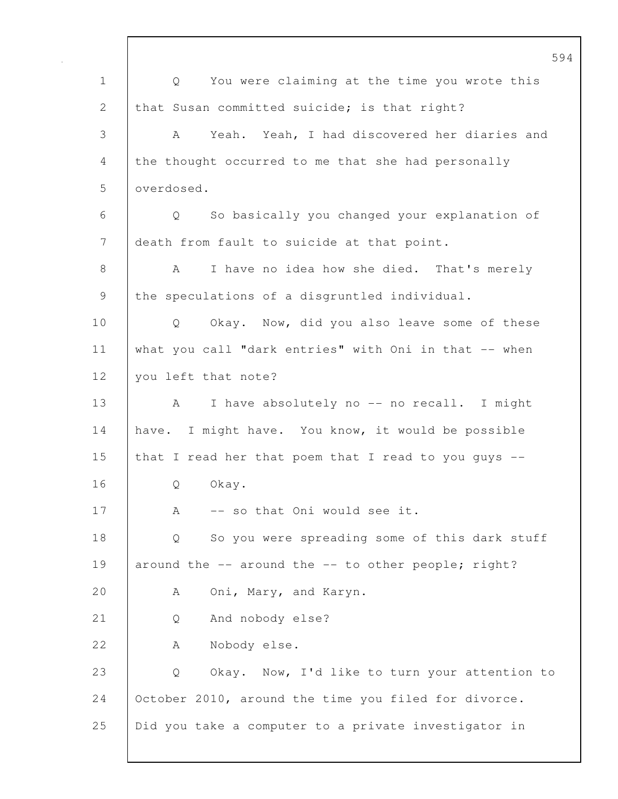594 1 Q You were claiming at the time you wrote this 2 that Susan committed suicide; is that right? 3 A Yeah. Yeah, I had discovered her diaries and 4 the thought occurred to me that she had personally 5 overdosed. 6 Q So basically you changed your explanation of 7 death from fault to suicide at that point. 8 A I have no idea how she died. That's merely 9 the speculations of a disgruntled individual. 10 | Q Okay. Now, did you also leave some of these 11 what you call "dark entries" with Oni in that -- when 12 | you left that note? 13 | A I have absolutely no -- no recall. I might 14 have. I might have. You know, it would be possible 15 that I read her that poem that I read to you guys --16 | O Okay. 17 | A -- so that Oni would see it. 18 | Q So you were spreading some of this dark stuff 19 around the -- around the -- to other people; right? 20 | A Oni, Mary, and Karyn. 21 | Q And nobody else? 22 | A Nobody else. 23 Q Okay. Now, I'd like to turn your attention to 24 October 2010, around the time you filed for divorce. 25 Did you take a computer to a private investigator in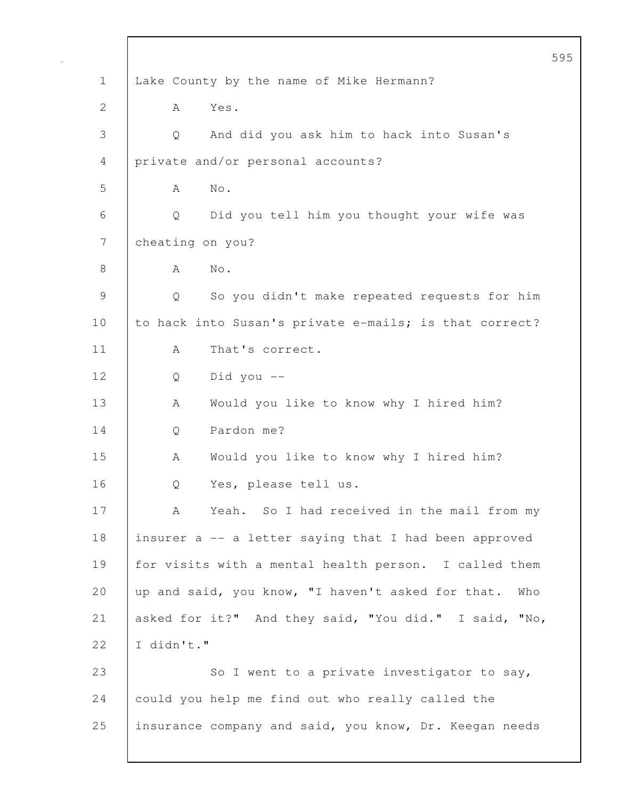595 1 | Lake County by the name of Mike Hermann? 2 A Yes. 3 Q And did you ask him to hack into Susan's 4 private and/or personal accounts? 5 A No. 6 Q Did you tell him you thought your wife was 7 | cheating on you? 8 | A No. 9 Q So you didn't make repeated requests for him 10 to hack into Susan's private e-mails; is that correct? 11 | A That's correct. 12 Q Did you -- 13 | A Would you like to know why I hired him? 14 | O Pardon me? 15 | A Would you like to know why I hired him? 16 | O Yes, please tell us. 17 | A Yeah. So I had received in the mail from my 18 insurer a -- a letter saying that I had been approved 19 for visits with a mental health person. I called them 20 | up and said, you know, "I haven't asked for that. Who 21 asked for it?" And they said, "You did." I said, "No, 22  $I$  I didn't." 23 | So I went to a private investigator to say, 24 could you help me find out who really called the 25 insurance company and said, you know, Dr. Keegan needs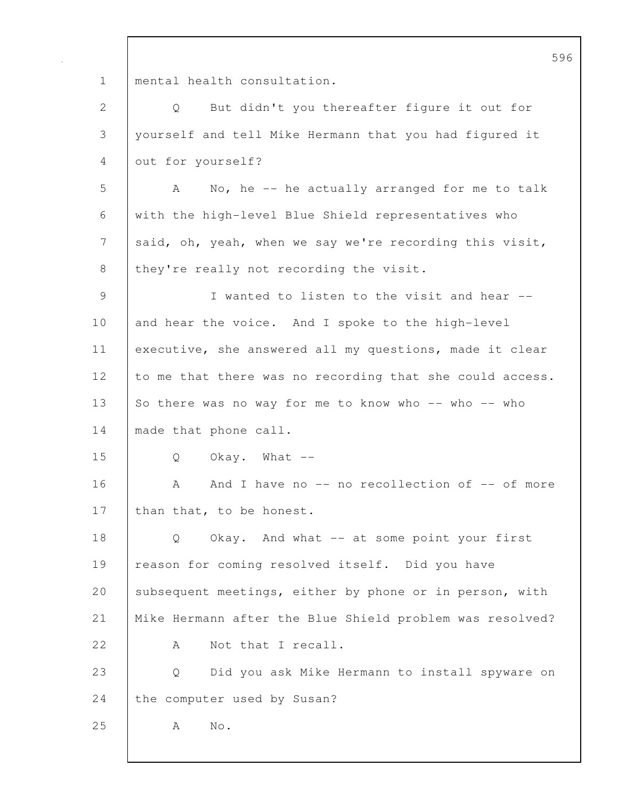1 | mental health consultation.

2 Q But didn't you thereafter figure it out for 3 yourself and tell Mike Hermann that you had figured it 4 out for yourself?

5 A No, he -- he actually arranged for me to talk 6 with the high-level Blue Shield representatives who 7 said, oh, yeah, when we say we're recording this visit, 8 they're really not recording the visit.

9 I wanted to listen to the visit and hear -- 10 and hear the voice. And I spoke to the high-level 11 executive, she answered all my questions, made it clear 12 to me that there was no recording that she could access. 13 So there was no way for me to know who -- who -- who 14 | made that phone call.

15 Q Okay. What --

16 A And I have no -- no recollection of -- of more 17 | than that, to be honest.

18 | Q Okay. And what -- at some point your first 19 | reason for coming resolved itself. Did you have 20 Subsequent meetings, either by phone or in person, with 21 Mike Hermann after the Blue Shield problem was resolved? 22 A Not that I recall.

23 Q Did you ask Mike Hermann to install spyware on 24 the computer used by Susan?

25 A No.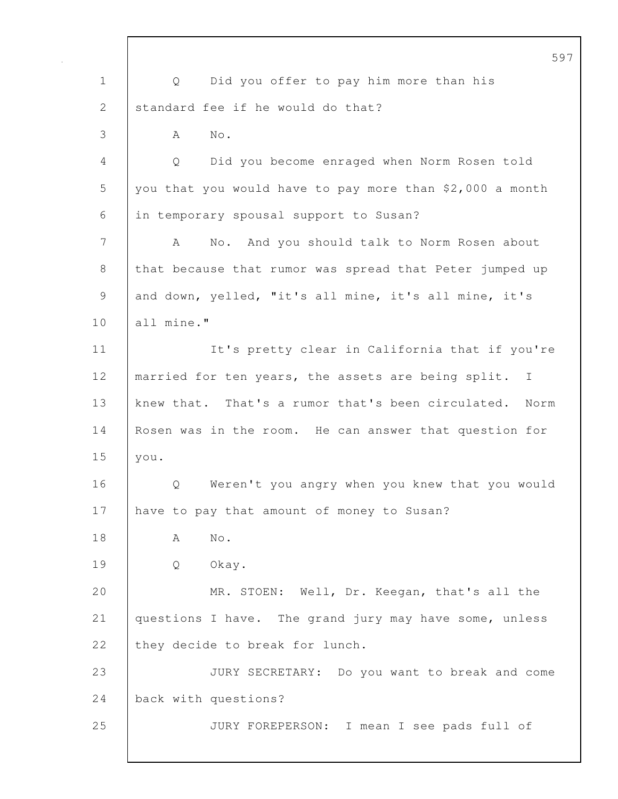|                | 59                                                        |
|----------------|-----------------------------------------------------------|
| $\mathbf 1$    | Did you offer to pay him more than his<br>Q               |
| 2              | standard fee if he would do that?                         |
| 3              | No.<br>A                                                  |
| 4              | Did you become enraged when Norm Rosen told<br>Q          |
| 5              | you that you would have to pay more than \$2,000 a month  |
| 6              | in temporary spousal support to Susan?                    |
| $7\phantom{.}$ | No. And you should talk to Norm Rosen about<br>A          |
| 8              | that because that rumor was spread that Peter jumped up   |
| 9              | and down, yelled, "it's all mine, it's all mine, it's     |
| 10             | all mine."                                                |
| 11             | It's pretty clear in California that if you're            |
| 12             | married for ten years, the assets are being split. I      |
| 13             | knew that. That's a rumor that's been circulated.<br>Norm |
| 14             | Rosen was in the room. He can answer that question for    |
| 15             | you.                                                      |
| 16             | Weren't you angry when you knew that you would<br>Q.      |
| 17             | have to pay that amount of money to Susan?                |
| 18             | No.<br>А                                                  |
| 19             | Okay.<br>Q                                                |
| 20             | MR. STOEN: Well, Dr. Keegan, that's all the               |
| 21             | questions I have. The grand jury may have some, unless    |
| 22             | they decide to break for lunch.                           |
| 23             | JURY SECRETARY: Do you want to break and come             |
| 24             | back with questions?                                      |
| 25             | JURY FOREPERSON: I mean I see pads full of                |
|                |                                                           |

 $\mathbf I$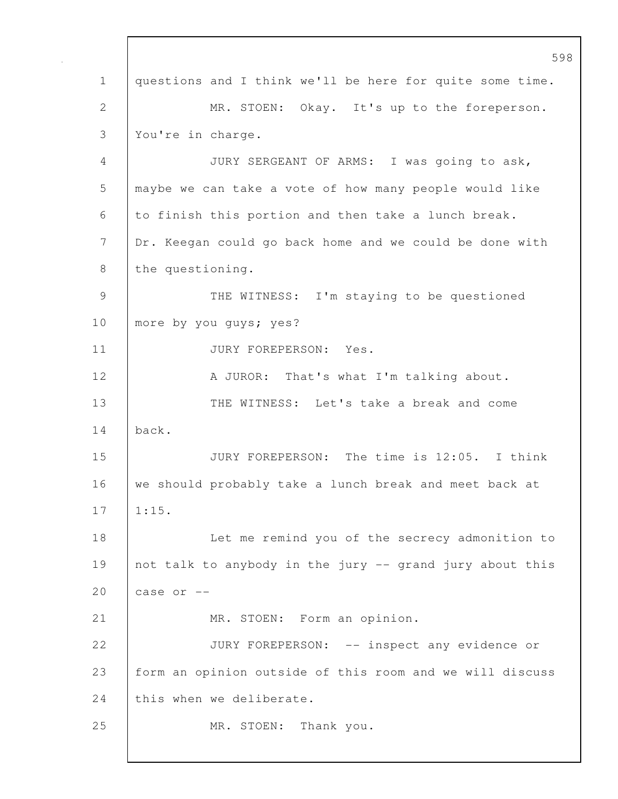598 1 questions and I think we'll be here for quite some time. 2 MR. STOEN: Okay. It's up to the foreperson. 3 You're in charge. 4 JURY SERGEANT OF ARMS: I was going to ask, 5 maybe we can take a vote of how many people would like 6 to finish this portion and then take a lunch break. 7 Dr. Keegan could go back home and we could be done with 8 the questioning. 9 | THE WITNESS: I'm staying to be questioned 10 | more by you guys; yes? 11 | JURY FOREPERSON: Yes. 12 | A JUROR: That's what I'm talking about. 13 | THE WITNESS: Let's take a break and come 14 back. 15 JURY FOREPERSON: The time is 12:05. I think 16 we should probably take a lunch break and meet back at 17 | 1:15. 18 **Let me remind you of the secrecy admonition to** 19 not talk to anybody in the jury -- grand jury about this 20  $\vert$  case or  $-$ 21 MR. STOEN: Form an opinion. 22 | JURY FOREPERSON: -- inspect any evidence or 23 form an opinion outside of this room and we will discuss 24 this when we deliberate. 25 | MR. STOEN: Thank you.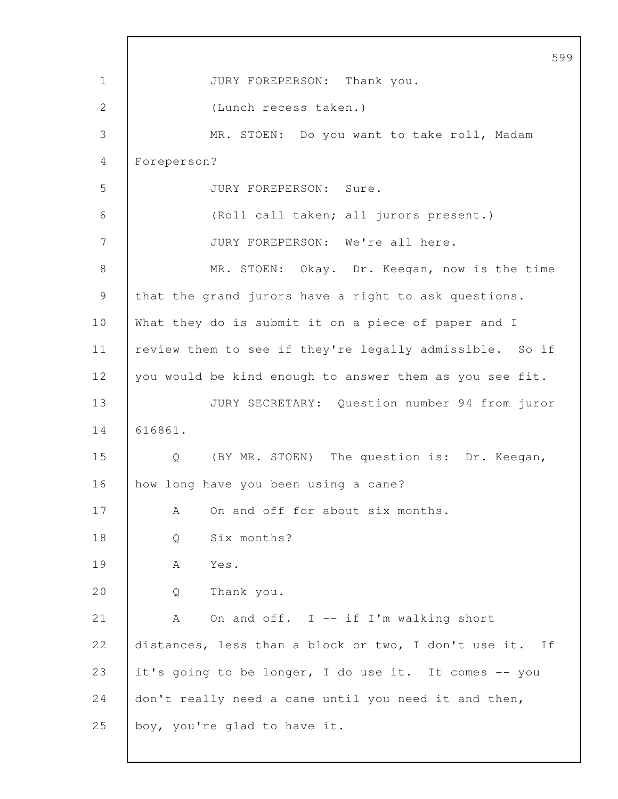|             | 599                                                        |
|-------------|------------------------------------------------------------|
| $\mathbf 1$ | JURY FOREPERSON: Thank you.                                |
| 2           | (Lunch recess taken.)                                      |
| 3           | MR. STOEN: Do you want to take roll, Madam                 |
| 4           | Foreperson?                                                |
| 5           | JURY FOREPERSON: Sure.                                     |
| 6           | (Roll call taken; all jurors present.)                     |
| 7           | JURY FOREPERSON: We're all here.                           |
| 8           | MR. STOEN: Okay. Dr. Keegan, now is the time               |
| 9           | that the grand jurors have a right to ask questions.       |
| 10          | What they do is submit it on a piece of paper and I        |
| 11          | review them to see if they're legally admissible. So if    |
| 12          | you would be kind enough to answer them as you see fit.    |
| 13          | JURY SECRETARY: Question number 94 from juror              |
| 14          | 616861.                                                    |
| 15          | (BY MR. STOEN) The question is: Dr. Keegan,<br>Q           |
| 16          | how long have you been using a cane?                       |
| 17          | On and off for about six months.<br>А                      |
| 18          | Six months?<br>Q                                           |
| 19          | Yes.<br>A                                                  |
| 20          | Thank you.<br>Q                                            |
| 21          | On and off. I -- if I'm walking short<br>A                 |
| 22          | distances, less than a block or two, I don't use it.<br>Ιf |
| 23          | it's going to be longer, I do use it. It comes -- you      |
| 24          | don't really need a cane until you need it and then,       |
| 25          | boy, you're glad to have it.                               |
|             |                                                            |

 $\Gamma$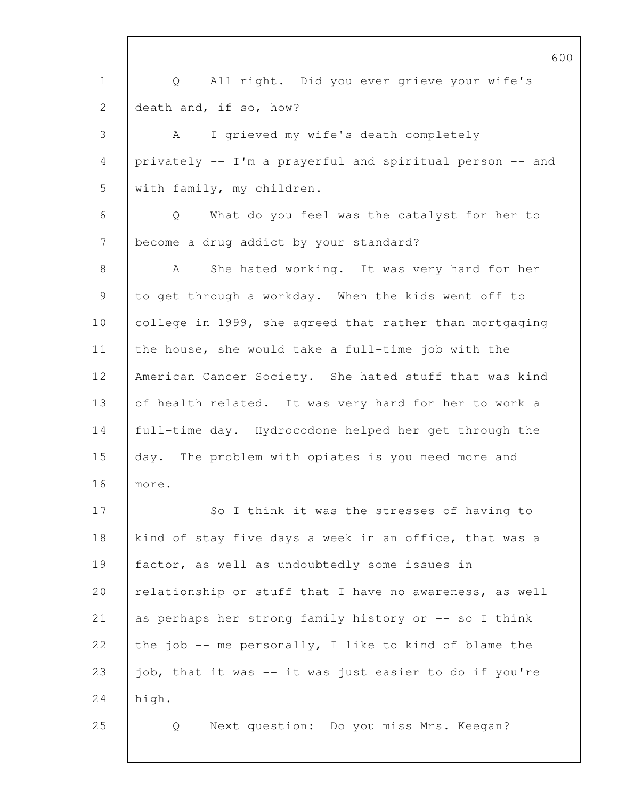1 Q All right. Did you ever grieve your wife's 2 death and, if so, how? 3 A I grieved my wife's death completely 4 privately -- I'm a prayerful and spiritual person -- and 5 with family, my children. 6 Q What do you feel was the catalyst for her to 7 | become a drug addict by your standard? 8 | A She hated working. It was very hard for her 9 to get through a workday. When the kids went off to 10 college in 1999, she agreed that rather than mortgaging 11 the house, she would take a full-time job with the 12 | American Cancer Society. She hated stuff that was kind 13 of health related. It was very hard for her to work a 14 full-time day. Hydrocodone helped her get through the 15 day. The problem with opiates is you need more and 16 more. 17 | So I think it was the stresses of having to 18 kind of stay five days a week in an office, that was a 19 factor, as well as undoubtedly some issues in 20 relationship or stuff that I have no awareness, as well 21 as perhaps her strong family history or -- so I think 22 the job  $-$ - me personally, I like to kind of blame the 23  $\vert$  job, that it was -- it was just easier to do if you're  $24$  high. 25 Q Next question: Do you miss Mrs. Keegan?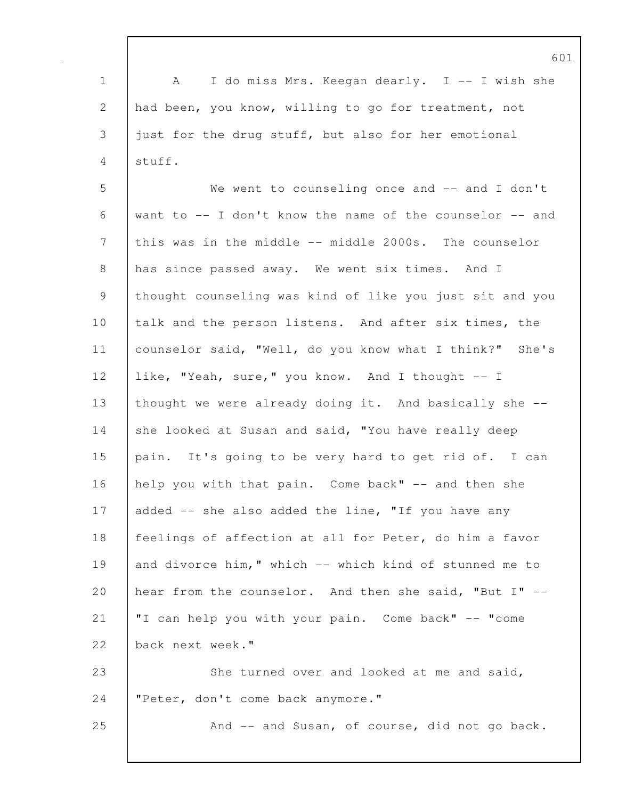601 1 A I do miss Mrs. Keegan dearly. I -- I wish she 2 had been, you know, willing to go for treatment, not 3 just for the drug stuff, but also for her emotional 4 stuff. 5 We went to counseling once and -- and I don't 6 want to -- I don't know the name of the counselor -- and 7 this was in the middle -- middle 2000s. The counselor 8 has since passed away. We went six times. And I 9 thought counseling was kind of like you just sit and you 10 talk and the person listens. And after six times, the 11 counselor said, "Well, do you know what I think?" She's 12 like, "Yeah, sure," you know. And I thought -- I 13 | thought we were already doing it. And basically she --14 she looked at Susan and said, "You have really deep 15 pain. It's going to be very hard to get rid of. I can 16 | help you with that pain. Come back" -- and then she 17 added -- she also added the line, "If you have any 18 feelings of affection at all for Peter, do him a favor 19 and divorce him," which -- which kind of stunned me to 20 hear from the counselor. And then she said, "But I" -- 21 "I can help you with your pain. Come back" -- "come 22 back next week." 23 She turned over and looked at me and said, 24 "Peter, don't come back anymore." 25 **And -- and Susan, of course, did not go back.**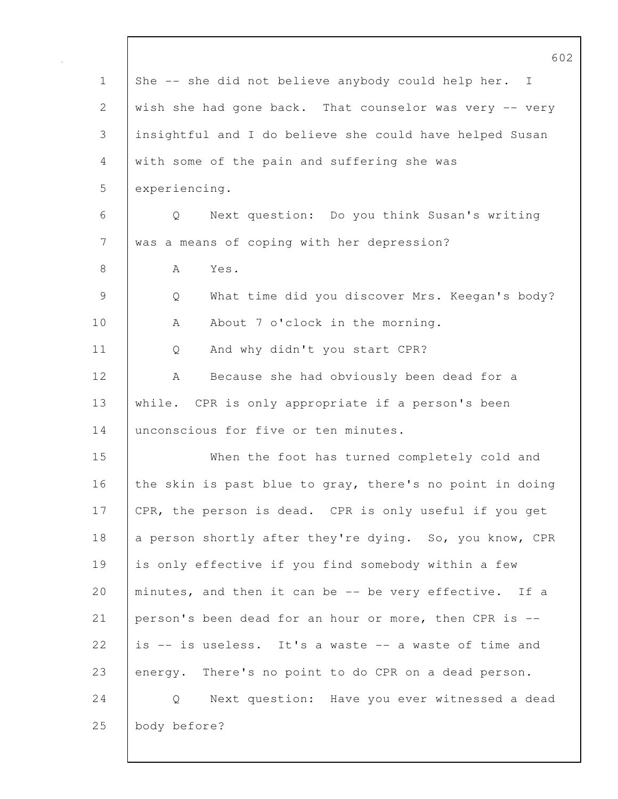|                | 602                                                      |
|----------------|----------------------------------------------------------|
| $\mathbf 1$    | She -- she did not believe anybody could help her. I     |
| $\overline{2}$ | wish she had gone back. That counselor was very -- very  |
| 3              | insightful and I do believe she could have helped Susan  |
| 4              | with some of the pain and suffering she was              |
| 5              | experiencing.                                            |
| 6              | Next question: Do you think Susan's writing<br>Q         |
| $7\phantom{.}$ | was a means of coping with her depression?               |
| 8              | Yes.<br>A                                                |
| $\overline{9}$ | What time did you discover Mrs. Keegan's body?<br>Q      |
| 10             | About 7 o'clock in the morning.<br>A                     |
| 11             | And why didn't you start CPR?<br>Q                       |
| 12             | Because she had obviously been dead for a<br>А           |
| 13             | while. CPR is only appropriate if a person's been        |
| 14             | unconscious for five or ten minutes.                     |
| 15             | When the foot has turned completely cold and             |
| 16             | the skin is past blue to gray, there's no point in doing |
| 17             | CPR, the person is dead. CPR is only useful if you get   |
| 18             | a person shortly after they're dying. So, you know, CPR  |
| 19             | is only effective if you find somebody within a few      |
| 20             | minutes, and then it can be -- be very effective. If a   |
| 21             | person's been dead for an hour or more, then CPR is --   |
| 22             | is -- is useless. It's a waste -- a waste of time and    |
| 23             | energy. There's no point to do CPR on a dead person.     |
| 24             | Next question: Have you ever witnessed a dead<br>Q       |
| 25             | body before?                                             |
|                |                                                          |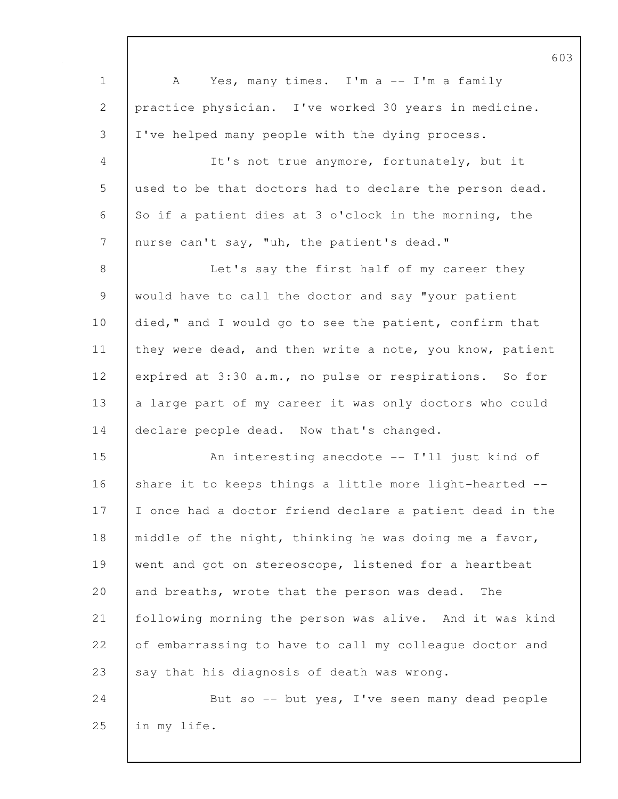| $\mathbf 1$    | Yes, many times. I'm a -- I'm a family<br>A              |
|----------------|----------------------------------------------------------|
| 2              | practice physician. I've worked 30 years in medicine.    |
| 3              | I've helped many people with the dying process.          |
| 4              | It's not true anymore, fortunately, but it               |
| 5              | used to be that doctors had to declare the person dead.  |
| 6              | So if a patient dies at 3 o'clock in the morning, the    |
| $7\phantom{.}$ | nurse can't say, "uh, the patient's dead."               |
| 8              | Let's say the first half of my career they               |
| $\mathcal{G}$  | would have to call the doctor and say "your patient      |
| 10             | died," and I would go to see the patient, confirm that   |
| 11             | they were dead, and then write a note, you know, patient |
| 12             | expired at 3:30 a.m., no pulse or respirations. So for   |
| 13             | a large part of my career it was only doctors who could  |
| 14             | declare people dead. Now that's changed.                 |
| 15             | An interesting anecdote -- I'll just kind of             |
| 16             | share it to keeps things a little more light-hearted --  |
| 17             | I once had a doctor friend declare a patient dead in the |
| 18             | middle of the night, thinking he was doing me a favor,   |
| 19             | went and got on stereoscope, listened for a heartbeat    |
| 20             | and breaths, wrote that the person was dead.<br>The      |
| 21             | following morning the person was alive. And it was kind  |
| 22             | of embarrassing to have to call my colleague doctor and  |
| 23             | say that his diagnosis of death was wrong.               |
| 24             | But so -- but yes, I've seen many dead people            |
| 25             | in my life.                                              |
|                |                                                          |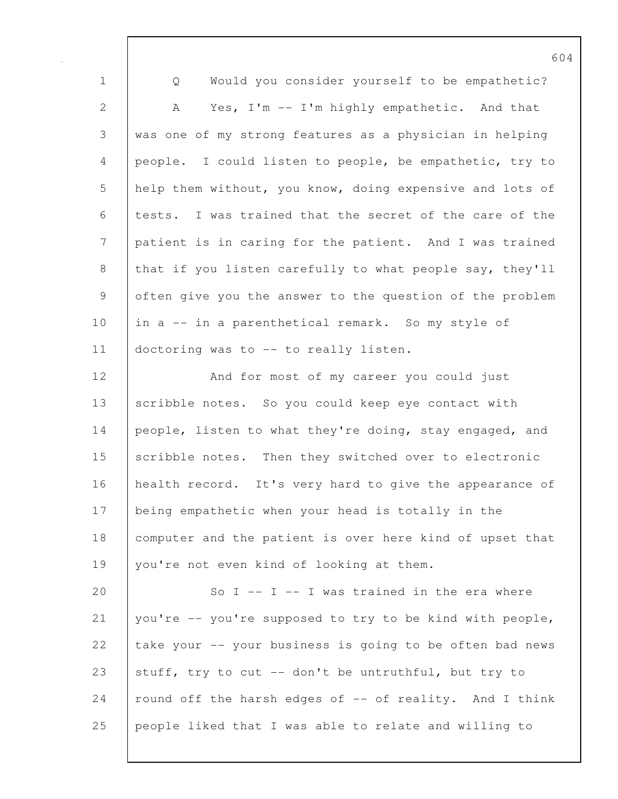|                | O (                                                      |
|----------------|----------------------------------------------------------|
| $\mathbf 1$    | Would you consider yourself to be empathetic?<br>Q       |
| $\mathbf{2}$   | Yes, I'm -- I'm highly empathetic. And that<br>A         |
| 3              | was one of my strong features as a physician in helping  |
| $\overline{4}$ | people. I could listen to people, be empathetic, try to  |
| 5              | help them without, you know, doing expensive and lots of |
| 6              | tests. I was trained that the secret of the care of the  |
| $\overline{7}$ | patient is in caring for the patient. And I was trained  |
| $8\,$          | that if you listen carefully to what people say, they'll |
| 9              | often give you the answer to the question of the problem |
| 10             | in a -- in a parenthetical remark. So my style of        |
| 11             | doctoring was to -- to really listen.                    |
| 12             | And for most of my career you could just                 |
| 13             | scribble notes. So you could keep eye contact with       |
| 14             | people, listen to what they're doing, stay engaged, and  |
| 15             | scribble notes. Then they switched over to electronic    |
| 16             | health record. It's very hard to give the appearance of  |
| 17             | being empathetic when your head is totally in the        |
| 18             | computer and the patient is over here kind of upset that |
| 19             | you're not even kind of looking at them.                 |
| 20             | So $I$ -- $I$ -- I was trained in the era where          |
| 21             | you're -- you're supposed to try to be kind with people, |
| 22             | take your -- your business is going to be often bad news |
| 23             | stuff, try to cut -- don't be untruthful, but try to     |
| 24             | round off the harsh edges of -- of reality. And I think  |
| 25             | people liked that I was able to relate and willing to    |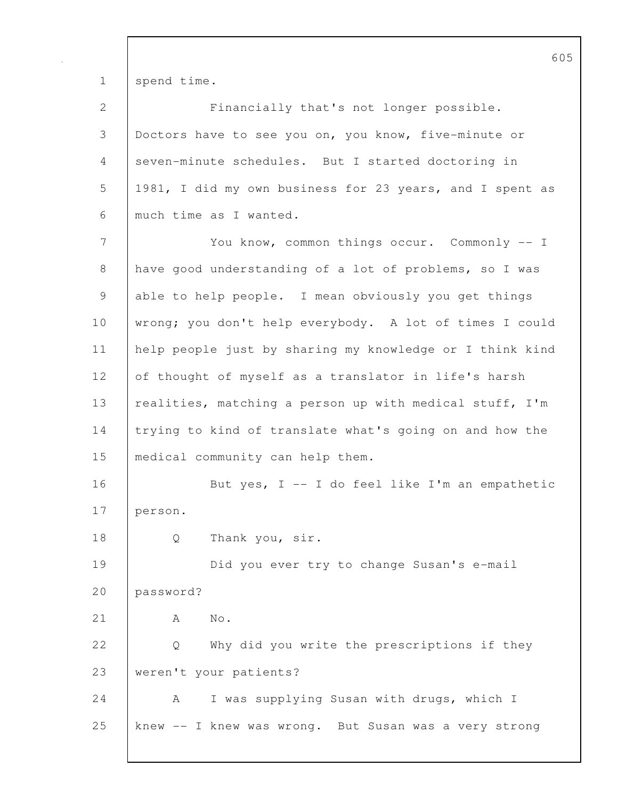1 spend time.

| $\mathbf{2}$    | Financially that's not longer possible.                  |
|-----------------|----------------------------------------------------------|
| 3               | Doctors have to see you on, you know, five-minute or     |
| $\overline{4}$  | seven-minute schedules. But I started doctoring in       |
| 5               | 1981, I did my own business for 23 years, and I spent as |
| $6\,$           | much time as I wanted.                                   |
| $7\phantom{.0}$ | You know, common things occur. Commonly -- I             |
| $\,8\,$         | have good understanding of a lot of problems, so I was   |
| $\mathsf 9$     | able to help people. I mean obviously you get things     |
| 10              | wrong; you don't help everybody. A lot of times I could  |
| 11              | help people just by sharing my knowledge or I think kind |
| 12              | of thought of myself as a translator in life's harsh     |
| 13              | realities, matching a person up with medical stuff, I'm  |
| 14              | trying to kind of translate what's going on and how the  |
| 15              | medical community can help them.                         |
| 16              | But yes, I -- I do feel like I'm an empathetic           |
| 17              | person.                                                  |
| 18              | Thank you, sir.<br>Q                                     |
| 19              | Did you ever try to change Susan's e-mail                |
| 20              | password?                                                |
| 21              | No.<br>A                                                 |
| 22              | Why did you write the prescriptions if they<br>Q         |
| 23              | weren't your patients?                                   |
| 24              | I was supplying Susan with drugs, which I<br>A           |
| 25              | knew -- I knew was wrong. But Susan was a very strong    |
|                 |                                                          |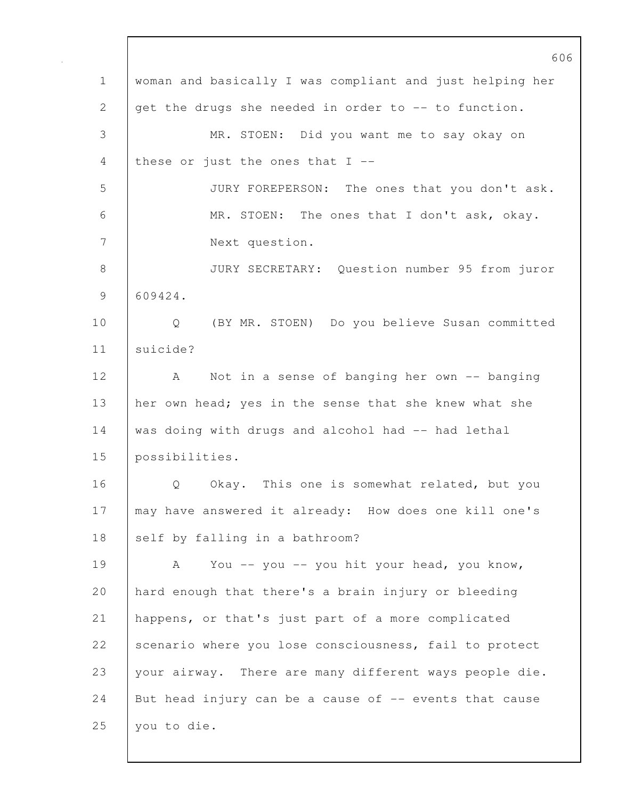|              | 606                                                      |
|--------------|----------------------------------------------------------|
| $\mathbf 1$  | woman and basically I was compliant and just helping her |
| $\mathbf{2}$ | get the drugs she needed in order to -- to function.     |
| 3            | MR. STOEN: Did you want me to say okay on                |
| 4            | these or just the ones that $I$ --                       |
| 5            | JURY FOREPERSON: The ones that you don't ask.            |
| 6            | MR. STOEN: The ones that I don't ask, okay.              |
| 7            | Next question.                                           |
| 8            | JURY SECRETARY: Question number 95 from juror            |
| 9            | 609424.                                                  |
| 10           | Q<br>(BY MR. STOEN) Do you believe Susan committed       |
| 11           | suicide?                                                 |
| 12           | Not in a sense of banging her own -- banging<br>A        |
| 13           | her own head; yes in the sense that she knew what she    |
| 14           | was doing with drugs and alcohol had -- had lethal       |
| 15           | possibilities.                                           |
| 16           | Okay. This one is somewhat related, but you<br>Q         |
| 17           | may have answered it already: How does one kill one's    |
| 18           | self by falling in a bathroom?                           |
| 19           | You -- you -- you hit your head, you know,<br>A          |
| 20           | hard enough that there's a brain injury or bleeding      |
| 21           | happens, or that's just part of a more complicated       |
| 22           | scenario where you lose consciousness, fail to protect   |
| 23           | your airway. There are many different ways people die.   |
| 24           | But head injury can be a cause of -- events that cause   |
| 25           | you to die.                                              |
|              |                                                          |

 $\mathbf{I}$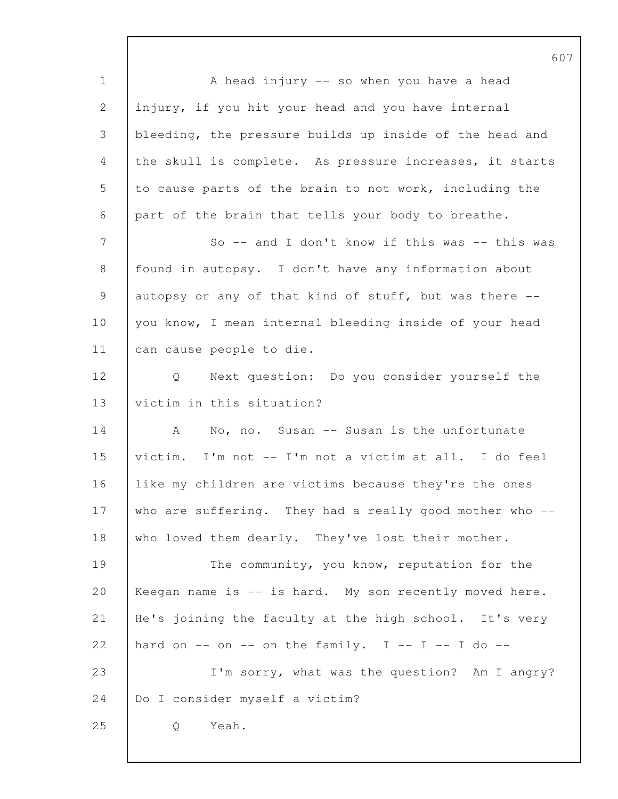1 | A head injury -- so when you have a head 2 injury, if you hit your head and you have internal 3 bleeding, the pressure builds up inside of the head and 4 the skull is complete. As pressure increases, it starts 5 to cause parts of the brain to not work, including the 6 part of the brain that tells your body to breathe. 7 So -- and I don't know if this was -- this was 8 found in autopsy. I don't have any information about 9 autopsy or any of that kind of stuff, but was there --10 you know, I mean internal bleeding inside of your head 11 | can cause people to die. 12 Q Next question: Do you consider yourself the 13 victim in this situation? 14 A No, no. Susan -- Susan is the unfortunate 15 victim. I'm not -- I'm not a victim at all. I do feel 16 like my children are victims because they're the ones 17 who are suffering. They had a really good mother who --18 who loved them dearly. They've lost their mother. 19 The community, you know, reputation for the 20 Keegan name is -- is hard. My son recently moved here. 21 He's joining the faculty at the high school. It's very 22 hard on  $--$  on  $--$  on the family. I  $--$  I  $--$  I do  $--$ 23 I'm sorry, what was the question? Am I angry? 24 | Do I consider myself a victim? 25 Q Yeah.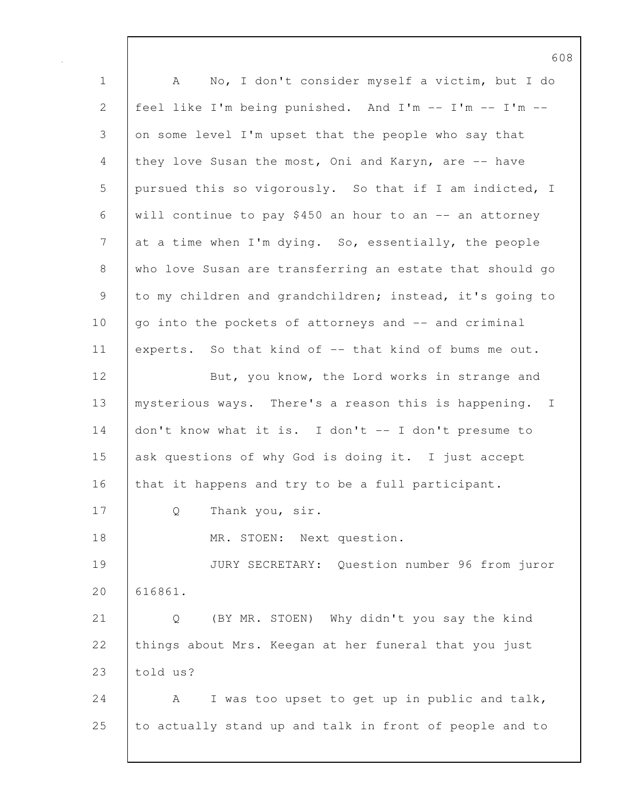1 A No, I don't consider myself a victim, but I do 2 feel like I'm being punished. And I'm -- I'm -- I'm -- 3 on some level I'm upset that the people who say that 4 they love Susan the most, Oni and Karyn, are -- have 5 pursued this so vigorously. So that if I am indicted, I 6 will continue to pay \$450 an hour to an -- an attorney 7 at a time when I'm dying. So, essentially, the people 8 who love Susan are transferring an estate that should go 9 to my children and grandchildren; instead, it's going to  $10$  go into the pockets of attorneys and  $-$  and criminal 11 experts. So that kind of -- that kind of bums me out. 12 | But, you know, the Lord works in strange and 13 | mysterious ways. There's a reason this is happening. I 14 don't know what it is. I don't -- I don't presume to 15 ask questions of why God is doing it. I just accept 16 that it happens and try to be a full participant. 17 | Q Thank you, sir. 18 MR. STOEN: Next question. 19 JURY SECRETARY: Question number 96 from juror 20 616861. 21 Q (BY MR. STOEN) Why didn't you say the kind 22 things about Mrs. Keegan at her funeral that you just 23 told us? 24  $\vert$  A I was too upset to get up in public and talk, 25 to actually stand up and talk in front of people and to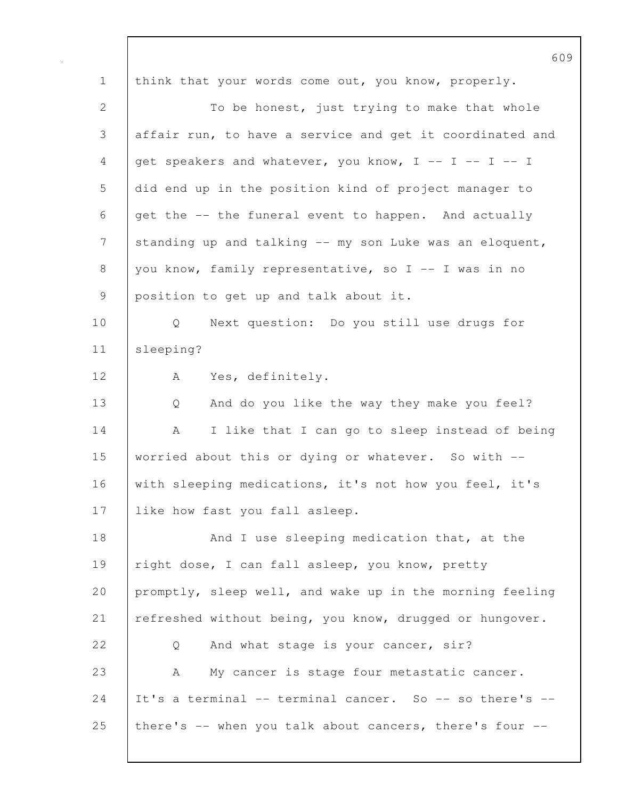609 1 think that your words come out, you know, properly. 2 To be honest, just trying to make that whole 3 affair run, to have a service and get it coordinated and 4 get speakers and whatever, you know,  $I - - I - - I$ 5 did end up in the position kind of project manager to 6 get the -- the funeral event to happen. And actually 7 standing up and talking -- my son Luke was an eloquent, 8 you know, family representative, so  $I - - I$  was in no 9 position to get up and talk about it. 10 Q Next question: Do you still use drugs for 11 sleeping? 12 | A Yes, definitely. 13 Q And do you like the way they make you feel? 14 | A I like that I can go to sleep instead of being 15 worried about this or dying or whatever. So with --16 with sleeping medications, it's not how you feel, it's 17 like how fast you fall asleep. 18 And I use sleeping medication that, at the 19 | right dose, I can fall asleep, you know, pretty 20 promptly, sleep well, and wake up in the morning feeling 21 refreshed without being, you know, drugged or hungover. 22 |  $\circ$  And what stage is your cancer, sir? 23 A My cancer is stage four metastatic cancer. 24 It's a terminal  $-$  terminal cancer. So  $-$  so there's  $-$ 25 | there's  $-$ - when you talk about cancers, there's four  $-$ -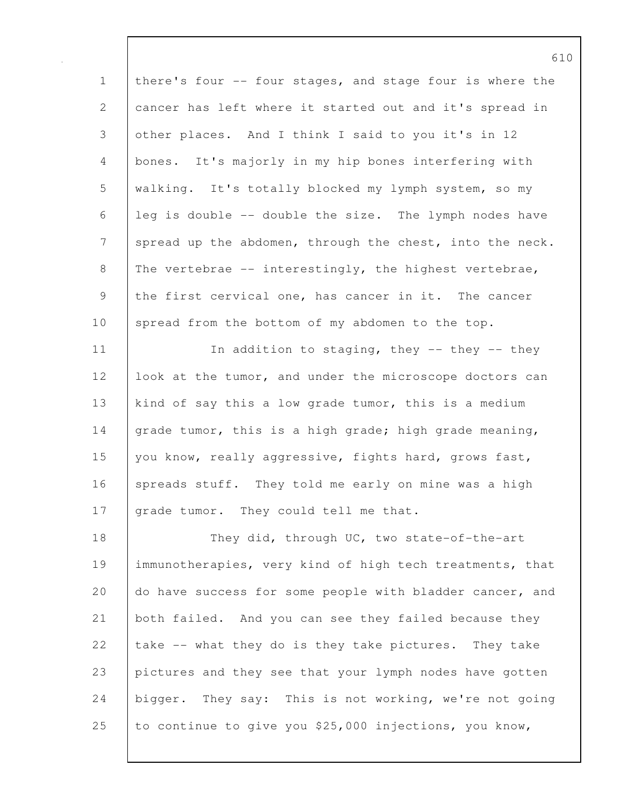| $\mathbf 1$                                                                                                                                | there's four -- four stages, and stage four is where the |
|--------------------------------------------------------------------------------------------------------------------------------------------|----------------------------------------------------------|
| $\mathbf{2}$                                                                                                                               | cancer has left where it started out and it's spread in  |
| 3                                                                                                                                          | other places. And I think I said to you it's in 12       |
| 4                                                                                                                                          | bones. It's majorly in my hip bones interfering with     |
| $\mathsf S$                                                                                                                                | walking. It's totally blocked my lymph system, so my     |
| 6                                                                                                                                          | leg is double -- double the size. The lymph nodes have   |
| $\mathcal{L}_{\mathcal{A}}^{(n)}(\mathcal{A}) = \mathcal{A}_{\mathcal{A}}^{(n)}(\mathcal{A}) \mathcal{A}_{\mathcal{A}}^{(n)}(\mathcal{A})$ | spread up the abdomen, through the chest, into the neck. |
| $\,8\,$                                                                                                                                    | The vertebrae -- interestingly, the highest vertebrae,   |
| $\mathsf 9$                                                                                                                                | the first cervical one, has cancer in it. The cancer     |
| 10                                                                                                                                         | spread from the bottom of my abdomen to the top.         |
| 11                                                                                                                                         | In addition to staging, they -- they -- they             |
| 12                                                                                                                                         | look at the tumor, and under the microscope doctors can  |
| 13                                                                                                                                         | kind of say this a low grade tumor, this is a medium     |
| 14                                                                                                                                         | grade tumor, this is a high grade; high grade meaning,   |
| 15                                                                                                                                         | you know, really aggressive, fights hard, grows fast,    |
| 16                                                                                                                                         | spreads stuff. They told me early on mine was a high     |
| 17                                                                                                                                         | grade tumor. They could tell me that.                    |
| 18                                                                                                                                         | They did, through UC, two state-of-the-art               |
| 19                                                                                                                                         | immunotherapies, very kind of high tech treatments, that |
| 20                                                                                                                                         | do have success for some people with bladder cancer, and |
| 21                                                                                                                                         | both failed. And you can see they failed because they    |
| 22                                                                                                                                         | take -- what they do is they take pictures. They take    |
| 23                                                                                                                                         | pictures and they see that your lymph nodes have gotten  |
| 24                                                                                                                                         | bigger. They say: This is not working, we're not going   |
| 25                                                                                                                                         | to continue to give you \$25,000 injections, you know,   |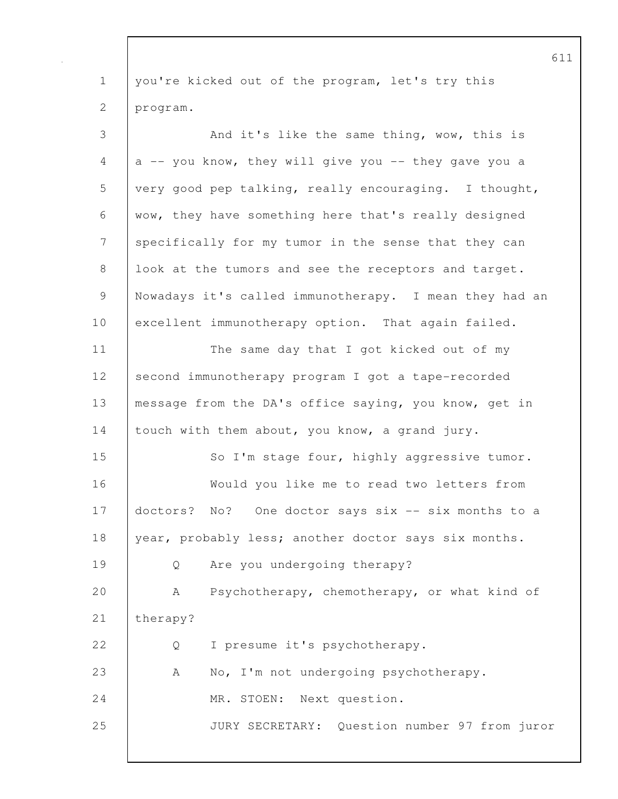1 you're kicked out of the program, let's try this 2 program. 3 And it's like the same thing, wow, this is  $4$  a -- you know, they will give you -- they gave you a 5 very good pep talking, really encouraging. I thought, 6 wow, they have something here that's really designed 7 specifically for my tumor in the sense that they can 8 | look at the tumors and see the receptors and target. 9 Nowadays it's called immunotherapy. I mean they had an 10 excellent immunotherapy option. That again failed. 11 | The same day that I got kicked out of my 12 second immunotherapy program I got a tape-recorded 13 | message from the DA's office saying, you know, get in 14 touch with them about, you know, a grand jury. 15 So I'm stage four, highly aggressive tumor. 16 Would you like me to read two letters from 17 doctors? No? One doctor says six -- six months to a 18 year, probably less; another doctor says six months. 19 Q Are you undergoing therapy? 20 | A Psychotherapy, chemotherapy, or what kind of 21 | therapy? 22 Q I presume it's psychotherapy. 23 A No, I'm not undergoing psychotherapy. 24 MR. STOEN: Next question. 25 JURY SECRETARY: Question number 97 from juror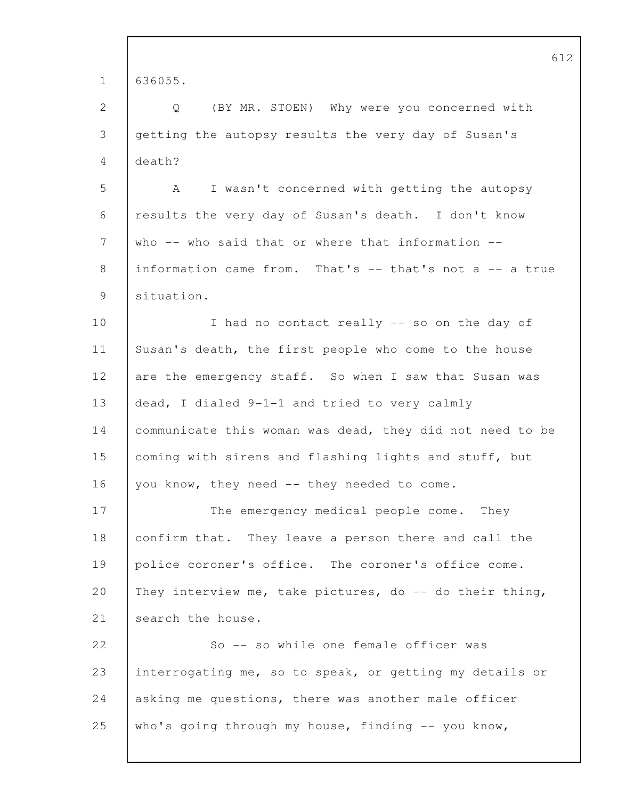|             | 612                                                      |
|-------------|----------------------------------------------------------|
| $\mathbf 1$ | 636055.                                                  |
| 2           | (BY MR. STOEN) Why were you concerned with<br>Q          |
| 3           | getting the autopsy results the very day of Susan's      |
| 4           | death?                                                   |
| 5           | I wasn't concerned with getting the autopsy<br>A         |
| 6           | results the very day of Susan's death. I don't know      |
| 7           | who $--$ who said that or where that information $--$    |
| 8           | information came from. That's -- that's not a -- a true  |
| 9           | situation.                                               |
| 10          | I had no contact really -- so on the day of              |
| 11          | Susan's death, the first people who come to the house    |
| 12          | are the emergency staff. So when I saw that Susan was    |
| 13          | dead, I dialed 9-1-1 and tried to very calmly            |
| 14          | communicate this woman was dead, they did not need to be |
| 15          | coming with sirens and flashing lights and stuff, but    |
| 16          | you know, they need -- they needed to come.              |
| 17          | The emergency medical people come. They                  |
| 18          | confirm that. They leave a person there and call the     |
| 19          | police coroner's office. The coroner's office come.      |
| 20          | They interview me, take pictures, do -- do their thing,  |
| 21          | search the house.                                        |
| 22          | So -- so while one female officer was                    |
| 23          | interrogating me, so to speak, or getting my details or  |
| 24          | asking me questions, there was another male officer      |
| 25          | who's going through my house, finding -- you know,       |
|             |                                                          |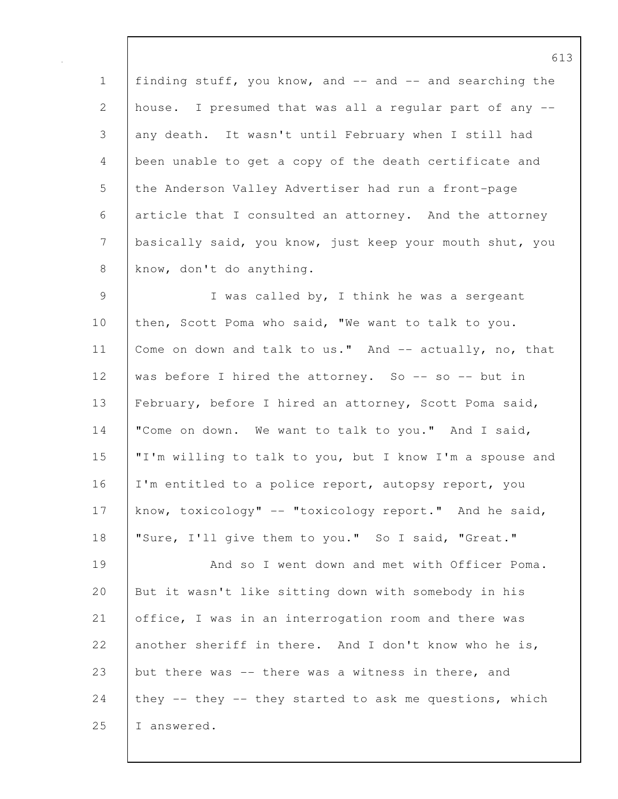1 | finding stuff, you know, and -- and -- and searching the 2 house. I presumed that was all a regular part of any -- 3 any death. It wasn't until February when I still had 4 been unable to get a copy of the death certificate and 5 the Anderson Valley Advertiser had run a front-page 6 article that I consulted an attorney. And the attorney 7 basically said, you know, just keep your mouth shut, you 8 know, don't do anything.

9 | I was called by, I think he was a sergeant 10 then, Scott Poma who said, "We want to talk to you. 11 | Come on down and talk to us." And -- actually, no, that 12 was before I hired the attorney. So -- so -- but in 13 February, before I hired an attorney, Scott Poma said, 14 | "Come on down. We want to talk to you." And I said, 15 "I'm willing to talk to you, but I know I'm a spouse and 16 | I'm entitled to a police report, autopsy report, you 17 know, toxicology" -- "toxicology report." And he said, 18 | "Sure, I'll give them to you." So I said, "Great."

19 | And so I went down and met with Officer Poma. 20 But it wasn't like sitting down with somebody in his 21 office, I was in an interrogation room and there was 22 another sheriff in there. And I don't know who he is, 23 but there was -- there was a witness in there, and 24 they  $-$  they  $-$  they started to ask me questions, which 25 I answered.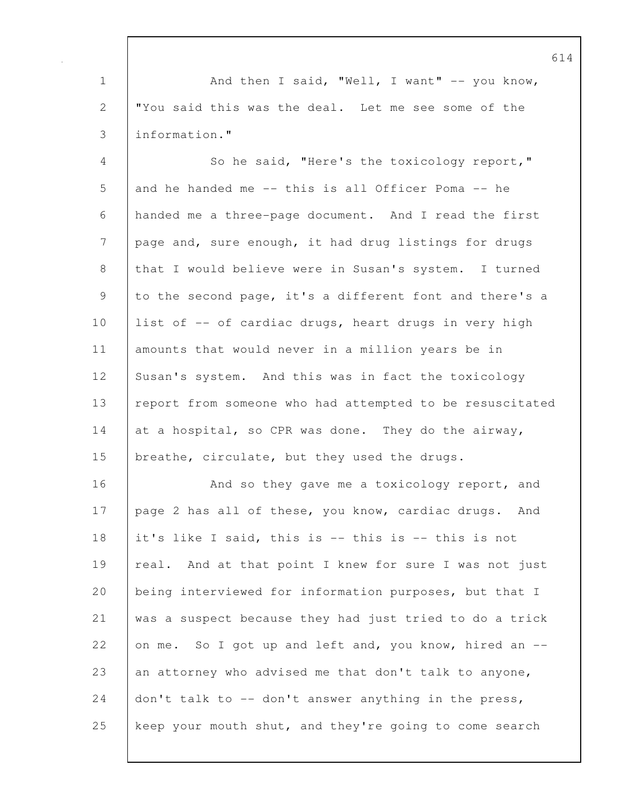1 And then I said, "Well, I want" -- you know, 2 "You said this was the deal. Let me see some of the 3 information."

4 So he said, "Here's the toxicology report," 5 and he handed me -- this is all Officer Poma -- he 6 handed me a three-page document. And I read the first 7 page and, sure enough, it had drug listings for drugs 8 that I would believe were in Susan's system. I turned 9 to the second page, it's a different font and there's a 10 | list of -- of cardiac drugs, heart drugs in very high 11 amounts that would never in a million years be in 12 Susan's system. And this was in fact the toxicology 13 | report from someone who had attempted to be resuscitated 14 at a hospital, so CPR was done. They do the airway, 15 | breathe, circulate, but they used the drugs.

16 | And so they gave me a toxicology report, and 17 page 2 has all of these, you know, cardiac drugs. And 18 it's like I said, this is -- this is -- this is not 19 | real. And at that point I knew for sure I was not just 20 being interviewed for information purposes, but that I 21 was a suspect because they had just tried to do a trick 22 on me. So I got up and left and, you know, hired an  $-$ 23 an attorney who advised me that don't talk to anyone, 24  $\vert$  don't talk to  $-$  don't answer anything in the press, 25 keep your mouth shut, and they're going to come search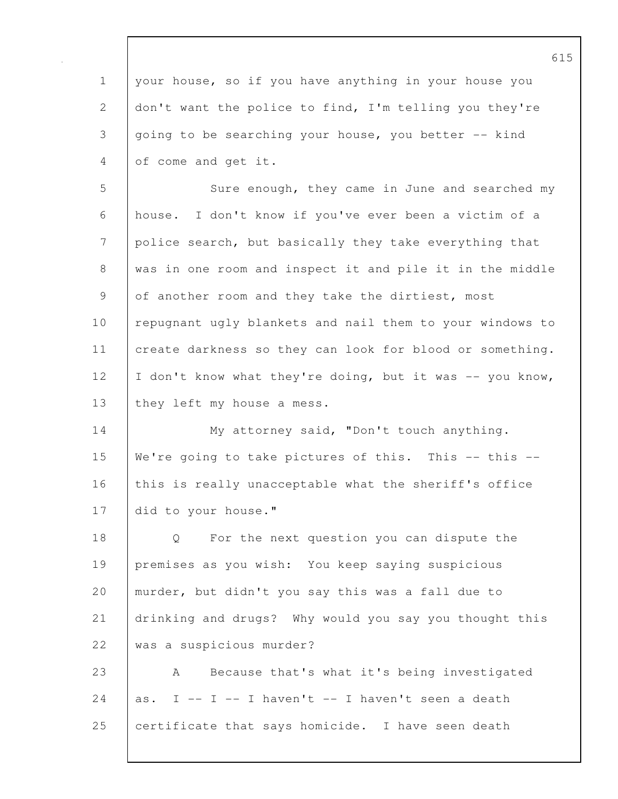615 1 your house, so if you have anything in your house you 2 don't want the police to find, I'm telling you they're 3 going to be searching your house, you better -- kind 4 of come and get it. 5 Sure enough, they came in June and searched my 6 house. I don't know if you've ever been a victim of a 7 police search, but basically they take everything that 8 was in one room and inspect it and pile it in the middle 9 of another room and they take the dirtiest, most 10 | repugnant ugly blankets and nail them to your windows to 11 create darkness so they can look for blood or something. 12 | I don't know what they're doing, but it was -- you know, 13 | they left my house a mess. 14 | My attorney said, "Don't touch anything. 15 We're going to take pictures of this. This -- this --16 this is really unacceptable what the sheriff's office 17 did to your house." 18 Q For the next question you can dispute the 19 premises as you wish: You keep saying suspicious 20 murder, but didn't you say this was a fall due to 21 drinking and drugs? Why would you say you thought this 22 was a suspicious murder? 23 A Because that's what it's being investigated 24 as. I -- I -- I haven't -- I haven't seen a death 25 certificate that says homicide. I have seen death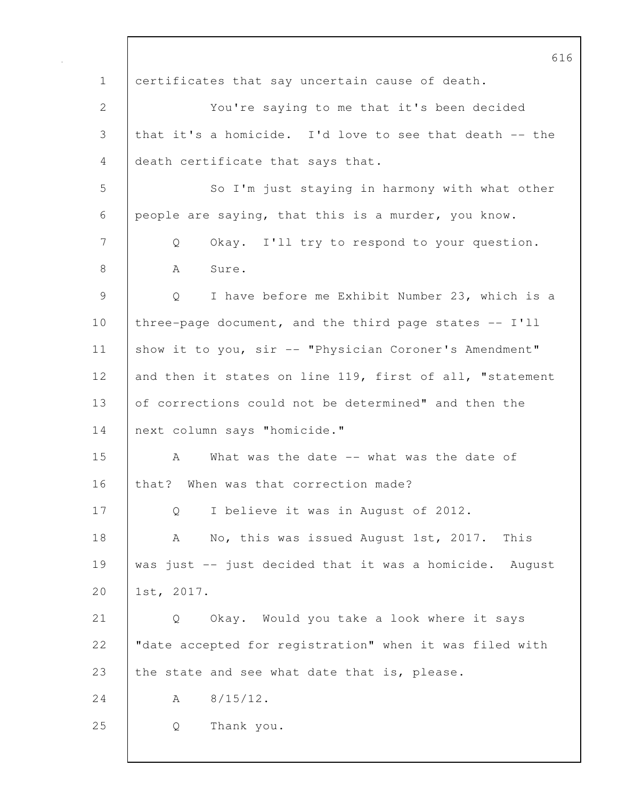616 1 certificates that say uncertain cause of death. 2 You're saying to me that it's been decided 3 that it's a homicide. I'd love to see that death -- the 4 death certificate that says that. 5 So I'm just staying in harmony with what other 6 people are saying, that this is a murder, you know. 7 Q Okay. I'll try to respond to your question. 8 | A Sure. 9 Q I have before me Exhibit Number 23, which is a 10 | three-page document, and the third page states -- I'll 11 | show it to you, sir -- "Physician Coroner's Amendment" 12 and then it states on line 119, first of all, "statement 13 of corrections could not be determined" and then the 14 next column says "homicide." 15 A What was the date -- what was the date of 16 that? When was that correction made? 17 | Q I believe it was in August of 2012. 18 A No, this was issued August 1st, 2017. This 19 was just -- just decided that it was a homicide. August 20 1st, 2017. 21 Q Okay. Would you take a look where it says 22 | "date accepted for registration" when it was filed with 23 the state and see what date that is, please. 24 A 8/15/12. 25 Q Thank you.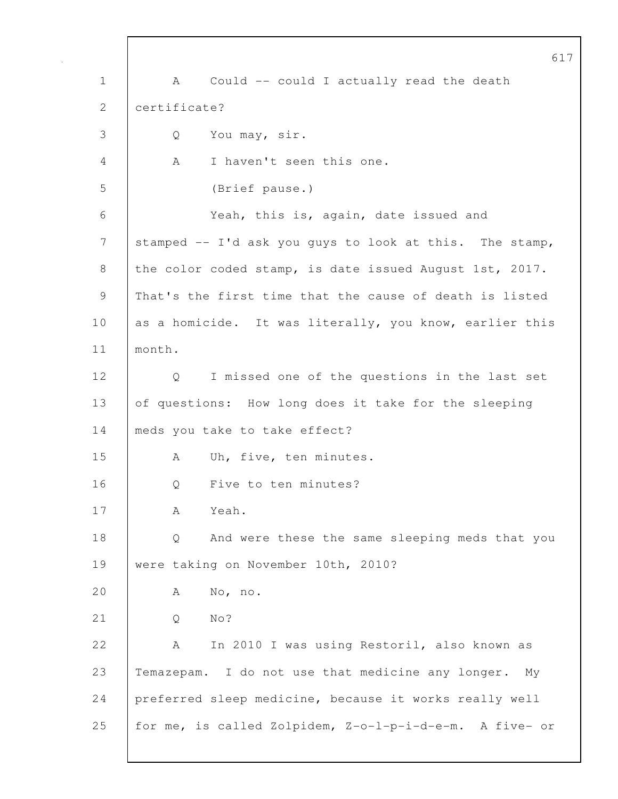617 1 | A Could -- could I actually read the death 2 certificate? 3 Q You may, sir. 4 A I haven't seen this one. 5 (Brief pause.) 6 Yeah, this is, again, date issued and 7 stamped -- I'd ask you guys to look at this. The stamp, 8 the color coded stamp, is date issued August 1st, 2017. 9 That's the first time that the cause of death is listed 10 as a homicide. It was literally, you know, earlier this 11 month. 12 Q I missed one of the questions in the last set 13 of questions: How long does it take for the sleeping 14 meds you take to take effect? 15 | A Uh, five, ten minutes. 16 | O Five to ten minutes? 17 A Yeah. 18 Q And were these the same sleeping meds that you 19 | were taking on November 10th, 2010? 20 A No, no. 21 | 0 No? 22 A In 2010 I was using Restoril, also known as 23 Temazepam. I do not use that medicine any longer. My 24 preferred sleep medicine, because it works really well 25 for me, is called Zolpidem, Z-o-l-p-i-d-e-m. A five- or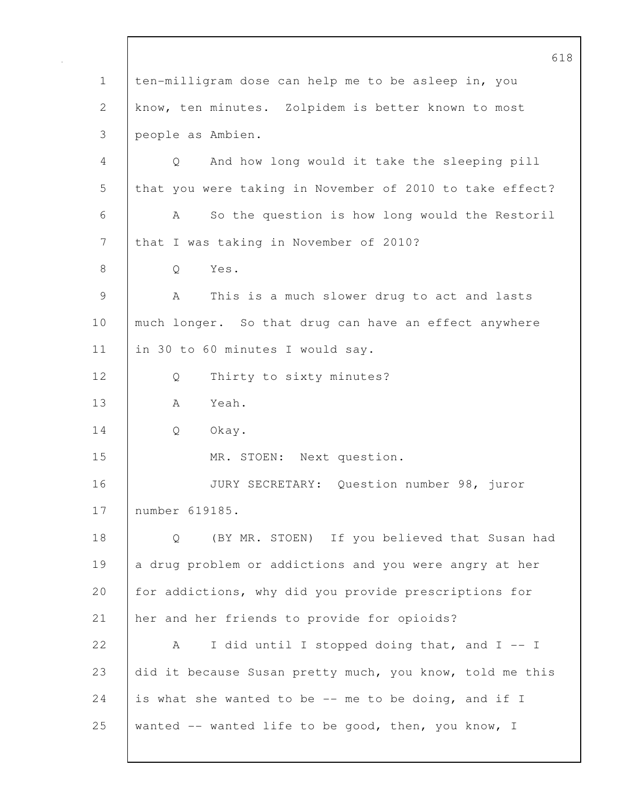618 1 ten-milligram dose can help me to be asleep in, you 2 know, ten minutes. Zolpidem is better known to most 3 people as Ambien. 4 Q And how long would it take the sleeping pill 5 | that you were taking in November of 2010 to take effect? 6 A So the question is how long would the Restoril 7 that I was taking in November of 2010? 8 | O Yes. 9 A This is a much slower drug to act and lasts 10 | much longer. So that drug can have an effect anywhere 11 | in 30 to 60 minutes I would say. 12 | Q Thirty to sixty minutes? 13 | A Yeah. 14 Q Okay. 15 MR. STOEN: Next question. 16 JURY SECRETARY: Question number 98, juror 17 number 619185. 18 Q (BY MR. STOEN) If you believed that Susan had 19 a drug problem or addictions and you were angry at her 20 for addictions, why did you provide prescriptions for 21 her and her friends to provide for opioids? 22  $|$  A I did until I stopped doing that, and I -- I 23 did it because Susan pretty much, you know, told me this 24 is what she wanted to be  $-$ - me to be doing, and if I 25 wanted -- wanted life to be good, then, you know, I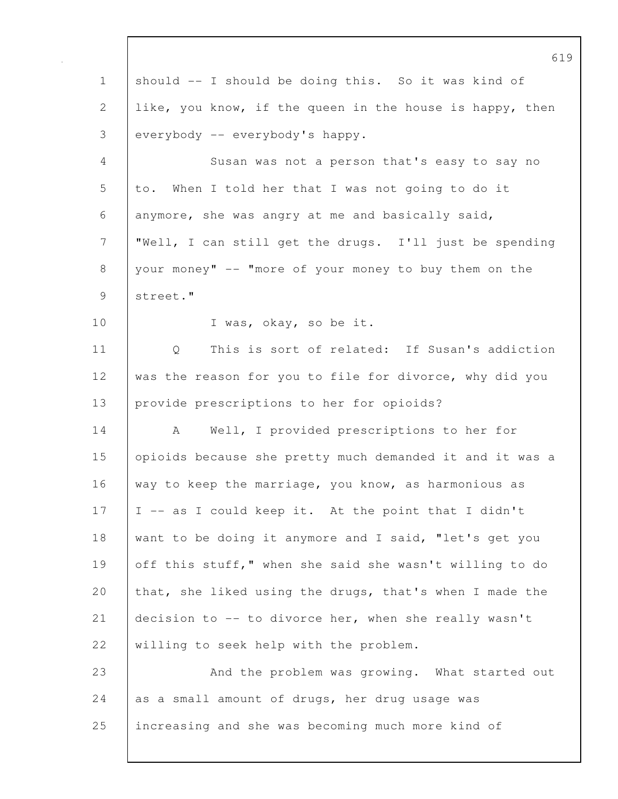|              | ρT                                                       |
|--------------|----------------------------------------------------------|
| $\mathbf 1$  | should -- I should be doing this. So it was kind of      |
| $\mathbf{2}$ | like, you know, if the queen in the house is happy, then |
| 3            | everybody -- everybody's happy.                          |
| 4            | Susan was not a person that's easy to say no             |
| 5            | When I told her that I was not going to do it<br>to.     |
| 6            | anymore, she was angry at me and basically said,         |
| 7            | "Well, I can still get the drugs. I'll just be spending  |
| $8\,$        | your money" -- "more of your money to buy them on the    |
| 9            | street."                                                 |
| 10           | I was, okay, so be it.                                   |
| 11           | This is sort of related: If Susan's addiction<br>Q       |
| 12           | was the reason for you to file for divorce, why did you  |
| 13           | provide prescriptions to her for opioids?                |
| 14           | Well, I provided prescriptions to her for<br>A           |
| 15           | opioids because she pretty much demanded it and it was a |
| 16           | way to keep the marriage, you know, as harmonious as     |
| 17           | I -- as I could keep it. At the point that I didn't      |
| 18           | want to be doing it anymore and I said, "let's get you   |
| 19           | off this stuff," when she said she wasn't willing to do  |
| 20           | that, she liked using the drugs, that's when I made the  |
| 21           | decision to -- to divorce her, when she really wasn't    |
| 22           | willing to seek help with the problem.                   |
| 23           | And the problem was growing. What started out            |
| 24           | as a small amount of drugs, her drug usage was           |
| 25           | increasing and she was becoming much more kind of        |
|              |                                                          |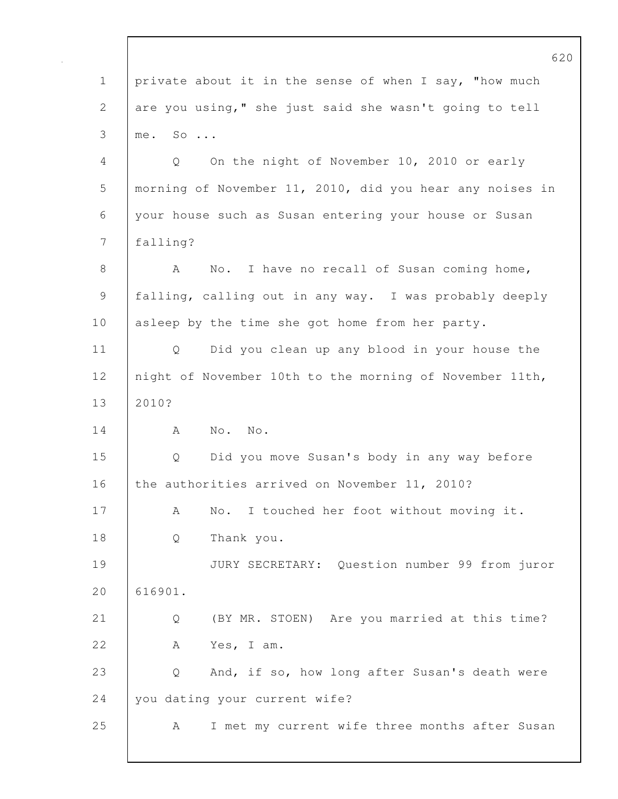|                | 62                                                       |
|----------------|----------------------------------------------------------|
| $\mathbf 1$    | private about it in the sense of when I say, "how much   |
| $\mathbf{2}$   | are you using," she just said she wasn't going to tell   |
| 3              | me. So                                                   |
| $\overline{4}$ | On the night of November 10, 2010 or early<br>Q          |
| 5              | morning of November 11, 2010, did you hear any noises in |
| 6              | your house such as Susan entering your house or Susan    |
| 7              | falling?                                                 |
| $8\,$          | No. I have no recall of Susan coming home,<br>A          |
| $\mathsf 9$    | falling, calling out in any way. I was probably deeply   |
| 10             | asleep by the time she got home from her party.          |
| 11             | Did you clean up any blood in your house the<br>Q        |
| 12             | night of November 10th to the morning of November 11th,  |
| 13             | 2010?                                                    |
| 14             | No. No.<br>A                                             |
| 15             | Did you move Susan's body in any way before<br>Q         |
| 16             | the authorities arrived on November 11, 2010?            |
| 17             | No. I touched her foot without moving it.<br>А           |
| 18             | Thank you.<br>Q                                          |
| 19             | JURY SECRETARY: Question number 99 from juror            |
| 20             | 616901.                                                  |
| 21             | (BY MR. STOEN) Are you married at this time?<br>Q        |
| 22             | Yes, I am.<br>A                                          |
| 23             | And, if so, how long after Susan's death were<br>Q       |
| 24             | you dating your current wife?                            |
| 25             | I met my current wife three months after Susan<br>A      |
|                |                                                          |

 $\overline{0}$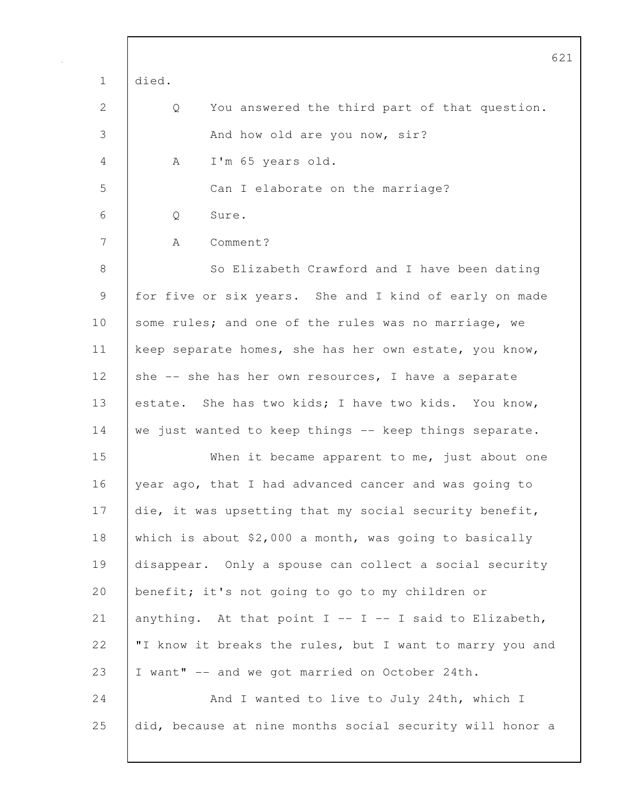|              | 621                                                        |
|--------------|------------------------------------------------------------|
| $\mathbf 1$  | died.                                                      |
| $\mathbf{2}$ | Q<br>You answered the third part of that question.         |
| 3            | And how old are you now, sir?                              |
| 4            | I'm 65 years old.<br>A                                     |
| 5            | Can I elaborate on the marriage?                           |
| 6            | Sure.<br>Q                                                 |
| 7            | Comment?<br>A                                              |
| 8            | So Elizabeth Crawford and I have been dating               |
| 9            | for five or six years. She and I kind of early on made     |
| 10           | some rules; and one of the rules was no marriage, we       |
| 11           | keep separate homes, she has her own estate, you know,     |
| 12           | she -- she has her own resources, I have a separate        |
| 13           | estate. She has two kids; I have two kids. You know,       |
| 14           | we just wanted to keep things -- keep things separate.     |
| 15           | When it became apparent to me, just about one              |
| 16           | year ago, that I had advanced cancer and was going to      |
| 17           | die, it was upsetting that my social security benefit,     |
| 18           | which is about $$2,000$ a month, was going to basically    |
| 19           | disappear. Only a spouse can collect a social security     |
| 20           | benefit; it's not going to go to my children or            |
| 21           | anything. At that point $I$ -- $I$ -- I said to Elizabeth, |
| 22           | "I know it breaks the rules, but I want to marry you and   |
| 23           | I want" -- and we got married on October 24th.             |
| 24           | And I wanted to live to July 24th, which I                 |
| 25           | did, because at nine months social security will honor a   |
|              |                                                            |

 $\mathbf l$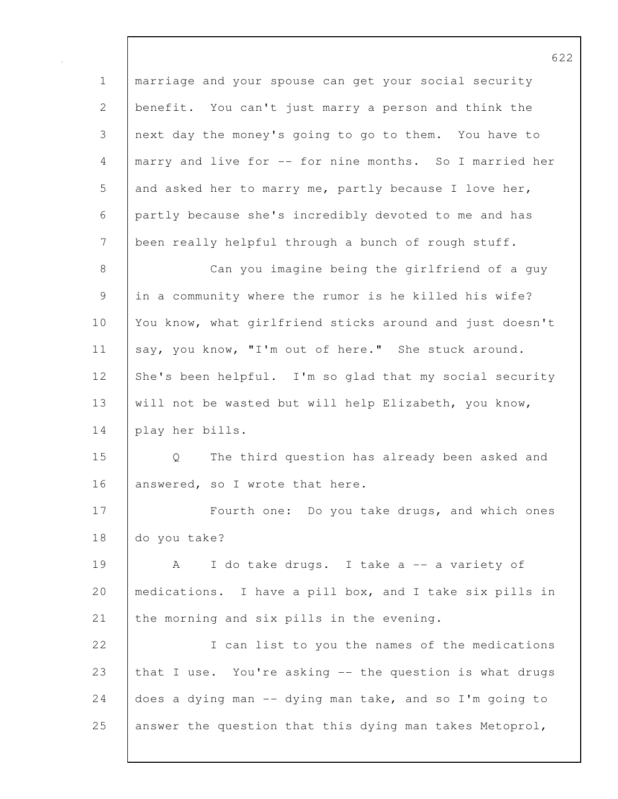1 marriage and your spouse can get your social security 2 benefit. You can't just marry a person and think the 3 next day the money's going to go to them. You have to 4 marry and live for -- for nine months. So I married her 5 and asked her to marry me, partly because I love her, 6 partly because she's incredibly devoted to me and has 7 been really helpful through a bunch of rough stuff. 8 Can you imagine being the girlfriend of a guy 9 in a community where the rumor is he killed his wife? 10 You know, what girlfriend sticks around and just doesn't 11 say, you know, "I'm out of here." She stuck around. 12 She's been helpful. I'm so glad that my social security 13 will not be wasted but will help Elizabeth, you know, 14 play her bills. 15 Q The third question has already been asked and 16 answered, so I wrote that here. 17 | Fourth one: Do you take drugs, and which ones 18 do you take? 19 A I do take drugs. I take a -- a variety of 20 medications. I have a pill box, and I take six pills in 21 the morning and six pills in the evening. 22 I can list to you the names of the medications 23 that I use. You're asking -- the question is what drugs 24 does a dying man -- dying man take, and so I'm going to 25 answer the question that this dying man takes Metoprol,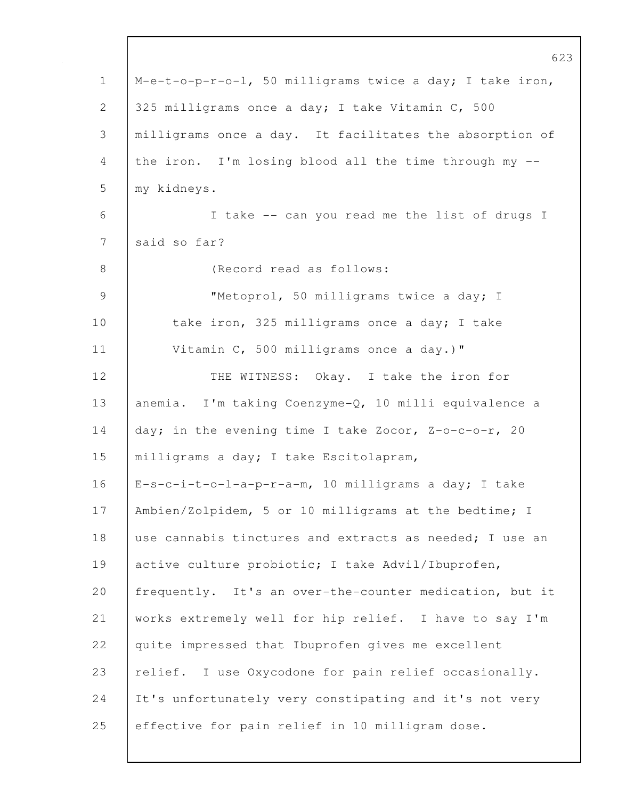|             | 623                                                      |
|-------------|----------------------------------------------------------|
| $\mathbf 1$ | M-e-t-o-p-r-o-l, 50 milligrams twice a day; I take iron, |
| 2           | 325 milligrams once a day; I take Vitamin C, 500         |
| 3           | milligrams once a day. It facilitates the absorption of  |
| 4           | the iron. I'm losing blood all the time through my --    |
| 5           | my kidneys.                                              |
| 6           | I take -- can you read me the list of drugs I            |
| 7           | said so far?                                             |
| $8\,$       | (Record read as follows:                                 |
| 9           | "Metoprol, 50 milligrams twice a day; I                  |
| 10          | take iron, 325 milligrams once a day; I take             |
| 11          | Vitamin C, 500 milligrams once a day.)"                  |
| 12          | THE WITNESS: Okay. I take the iron for                   |
| 13          | anemia. I'm taking Coenzyme-Q, 10 milli equivalence a    |
| 14          | day; in the evening time I take Zocor, Z-o-c-o-r, 20     |
| 15          | milligrams a day; I take Escitolapram,                   |
| 16          | E-s-c-i-t-o-l-a-p-r-a-m, 10 milligrams a day; I take     |
| 17          | Ambien/Zolpidem, 5 or 10 milligrams at the bedtime; I    |
| 18          | use cannabis tinctures and extracts as needed; I use an  |
| 19          | active culture probiotic; I take Advil/Ibuprofen,        |
| 20          | frequently. It's an over-the-counter medication, but it  |
| 21          | works extremely well for hip relief. I have to say I'm   |
| 22          | quite impressed that Ibuprofen gives me excellent        |
| 23          | relief. I use Oxycodone for pain relief occasionally.    |
| 24          | It's unfortunately very constipating and it's not very   |
| 25          | effective for pain relief in 10 milligram dose.          |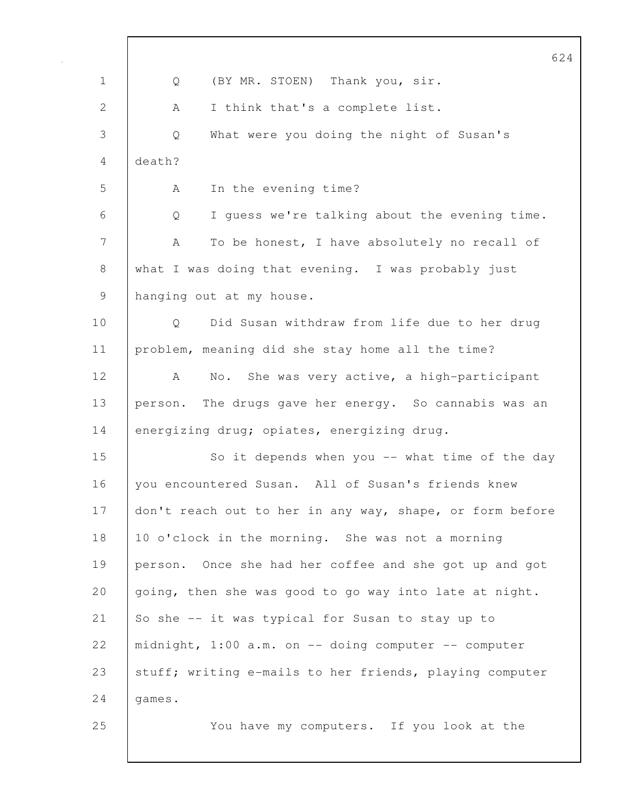|                | 624                                                      |
|----------------|----------------------------------------------------------|
| $\mathbf 1$    | (BY MR. STOEN) Thank you, sir.<br>Q                      |
| $\overline{2}$ | I think that's a complete list.<br>А                     |
| 3              | What were you doing the night of Susan's<br>Q            |
| 4              | death?                                                   |
| 5              | In the evening time?<br>A                                |
| 6              | I guess we're talking about the evening time.<br>Q       |
| 7              | To be honest, I have absolutely no recall of<br>A        |
| $8\,$          | what I was doing that evening. I was probably just       |
| 9              | hanging out at my house.                                 |
| 10             | Did Susan withdraw from life due to her drug<br>Q        |
| 11             | problem, meaning did she stay home all the time?         |
| 12             | No. She was very active, a high-participant<br>A         |
| 13             | person. The drugs gave her energy. So cannabis was an    |
| 14             | energizing drug; opiates, energizing drug.               |
| 15             | So it depends when you -- what time of the day           |
| 16             | you encountered Susan. All of Susan's friends knew       |
| 17             | don't reach out to her in any way, shape, or form before |
| 18             | 10 o'clock in the morning. She was not a morning         |
| 19             | person. Once she had her coffee and she got up and got   |
| 20             | going, then she was good to go way into late at night.   |
| 21             | So she -- it was typical for Susan to stay up to         |
| 22             | midnight, 1:00 a.m. on -- doing computer -- computer     |
| 23             | stuff; writing e-mails to her friends, playing computer  |
| 24             | games.                                                   |
| 25             | You have my computers. If you look at the                |
|                |                                                          |

 $\mathbf l$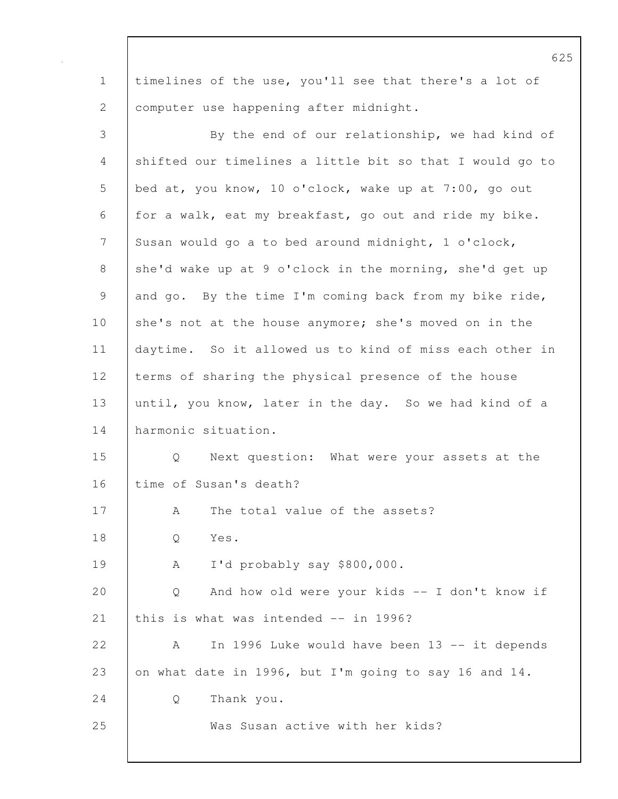1 timelines of the use, you'll see that there's a lot of 2 computer use happening after midnight.

| $\mathfrak{Z}$                                            | By the end of our relationship, we had kind of           |
|-----------------------------------------------------------|----------------------------------------------------------|
| $\overline{4}$                                            | shifted our timelines a little bit so that I would go to |
| 5                                                         | bed at, you know, 10 o'clock, wake up at 7:00, go out    |
| 6                                                         | for a walk, eat my breakfast, go out and ride my bike.   |
| 7                                                         | Susan would go a to bed around midnight, 1 o'clock,      |
| $8\,$                                                     | she'd wake up at 9 o'clock in the morning, she'd get up  |
| $\mathcal{G}% _{M_{1},M_{2}}^{\alpha,\beta}(\mathcal{A})$ | and go. By the time I'm coming back from my bike ride,   |
| 10                                                        | she's not at the house anymore; she's moved on in the    |
| 11                                                        | daytime. So it allowed us to kind of miss each other in  |
| 12                                                        | terms of sharing the physical presence of the house      |
| 13                                                        | until, you know, later in the day. So we had kind of a   |
| 14                                                        | harmonic situation.                                      |
| 15                                                        | Next question: What were your assets at the<br>Q         |
| 16                                                        | time of Susan's death?                                   |
| 17                                                        | The total value of the assets?<br>А                      |
| 18                                                        | Yes.<br>Q                                                |
| 19                                                        | I'd probably say \$800,000.<br>A                         |
| 20                                                        | And how old were your kids -- I don't know if<br>Q       |
| 21                                                        | this is what was intended -- in 1996?                    |
| 22                                                        | In 1996 Luke would have been 13 -- it depends<br>A       |
| 23                                                        | on what date in 1996, but I'm going to say 16 and 14.    |
| 24                                                        | Thank you.<br>Q                                          |
| 25                                                        | Was Susan active with her kids?                          |
|                                                           |                                                          |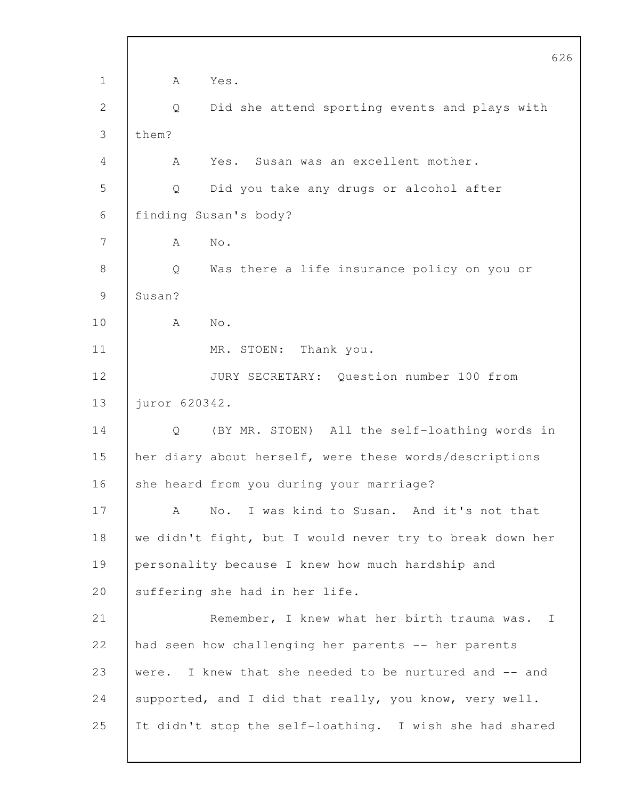|              | 626                                                         |
|--------------|-------------------------------------------------------------|
| $\mathbf 1$  | Yes.<br>A                                                   |
| $\mathbf{2}$ | Did she attend sporting events and plays with<br>Q          |
| 3            | them?                                                       |
| 4            | Yes. Susan was an excellent mother.<br>A                    |
| 5            | Q<br>Did you take any drugs or alcohol after                |
| 6            | finding Susan's body?                                       |
| 7            | $\mbox{No}$ .<br>A                                          |
| $\,8\,$      | Q<br>Was there a life insurance policy on you or            |
| 9            | Susan?                                                      |
| 10           | Α<br>No.                                                    |
| 11           | MR. STOEN: Thank you.                                       |
| 12           | JURY SECRETARY: Question number 100 from                    |
| 13           | juror 620342.                                               |
| 14           | (BY MR. STOEN) All the self-loathing words in<br>Q          |
| 15           | her diary about herself, were these words/descriptions      |
| 16           | she heard from you during your marriage?                    |
| 17           | No. I was kind to Susan. And it's not that<br>A             |
| 18           | we didn't fight, but I would never try to break down her    |
| 19           | personality because I knew how much hardship and            |
| 20           | suffering she had in her life.                              |
| 21           | Remember, I knew what her birth trauma was.<br>$\mathbf{I}$ |
| 22           | had seen how challenging her parents -- her parents         |
| 23           | I knew that she needed to be nurtured and -- and<br>were.   |
| 24           | supported, and I did that really, you know, very well.      |
| 25           | It didn't stop the self-loathing. I wish she had shared     |
|              |                                                             |

 $\mathbf l$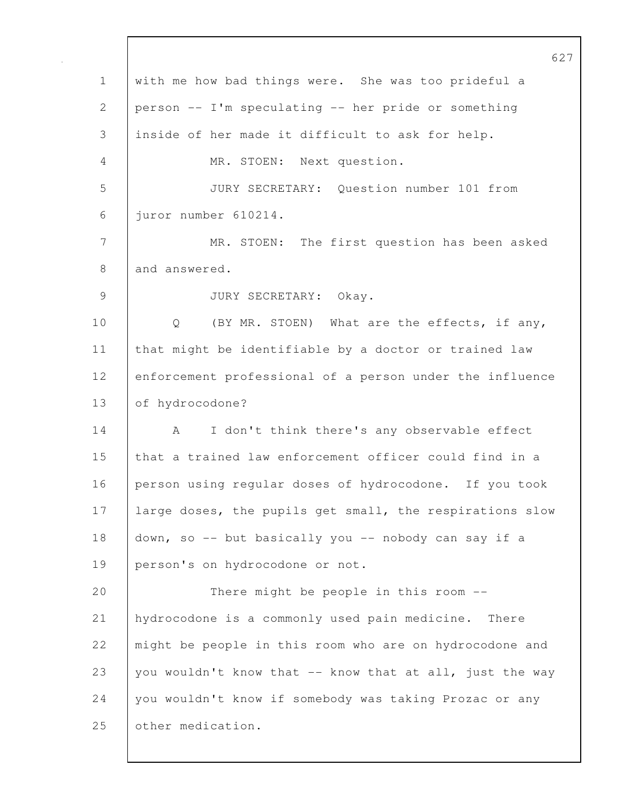627 1 with me how bad things were. She was too prideful a 2 person -- I'm speculating -- her pride or something 3 inside of her made it difficult to ask for help. 4 MR. STOEN: Next question. 5 JURY SECRETARY: Question number 101 from 6 juror number 610214. 7 MR. STOEN: The first question has been asked 8 and answered. 9 | JURY SECRETARY: Okay. 10 | Q (BY MR. STOEN) What are the effects, if any, 11 | that might be identifiable by a doctor or trained law 12 enforcement professional of a person under the influence 13 of hydrocodone? 14 | A I don't think there's any observable effect 15 that a trained law enforcement officer could find in a 16 person using regular doses of hydrocodone. If you took 17 | large doses, the pupils get small, the respirations slow 18 down, so -- but basically you -- nobody can say if a 19 person's on hydrocodone or not. 20 There might be people in this room --21 hydrocodone is a commonly used pain medicine. There 22 | might be people in this room who are on hydrocodone and 23 you wouldn't know that  $-$  know that at all, just the way 24 you wouldn't know if somebody was taking Prozac or any 25 other medication.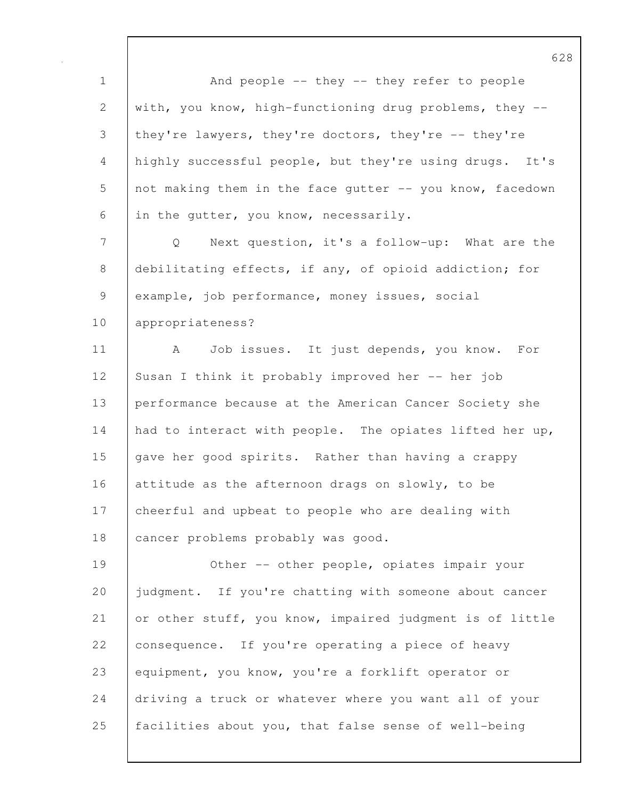1 And people -- they -- they refer to people 2 with, you know, high-functioning drug problems, they --3 they're lawyers, they're doctors, they're -- they're 4 highly successful people, but they're using drugs. It's 5 not making them in the face qutter -- you know, facedown 6 in the gutter, you know, necessarily. 7 Q Next question, it's a follow-up: What are the 8 debilitating effects, if any, of opioid addiction; for 9 example, job performance, money issues, social 10 appropriateness? 11 | A Job issues. It just depends, you know. For 12 Susan I think it probably improved her -- her job 13 performance because at the American Cancer Society she 14 had to interact with people. The opiates lifted her up, 15 | gave her good spirits. Rather than having a crappy 16 attitude as the afternoon drags on slowly, to be 17 cheerful and upbeat to people who are dealing with 18 | cancer problems probably was good. 19 Other -- other people, opiates impair your 20 judgment. If you're chatting with someone about cancer 21 or other stuff, you know, impaired judgment is of little 22 consequence. If you're operating a piece of heavy 23 equipment, you know, you're a forklift operator or 24 driving a truck or whatever where you want all of your 25 facilities about you, that false sense of well-being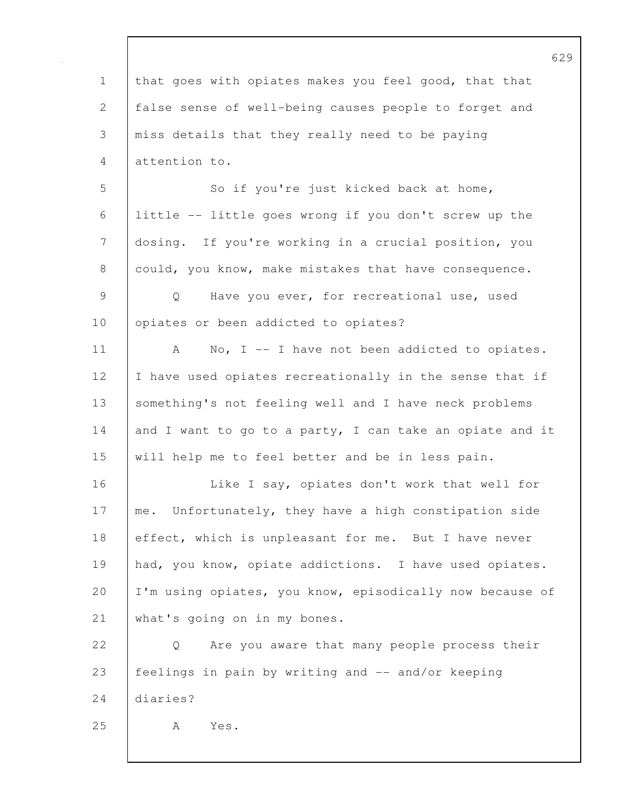629 1 that goes with opiates makes you feel good, that that 2 false sense of well-being causes people to forget and 3 miss details that they really need to be paying 4 attention to. 5 So if you're just kicked back at home, 6 little -- little goes wrong if you don't screw up the 7 dosing. If you're working in a crucial position, you 8 could, you know, make mistakes that have consequence. 9 Q Have you ever, for recreational use, used 10 | opiates or been addicted to opiates? 11 | A No, I -- I have not been addicted to opiates. 12 | I have used opiates recreationally in the sense that if 13 | something's not feeling well and I have neck problems 14 and I want to go to a party, I can take an opiate and it 15 will help me to feel better and be in less pain. 16 | Like I say, opiates don't work that well for 17 | me. Unfortunately, they have a high constipation side 18 effect, which is unpleasant for me. But I have never 19 had, you know, opiate addictions. I have used opiates. 20 | I'm using opiates, you know, episodically now because of 21 what's going on in my bones. 22 | Q Are you aware that many people process their 23 feelings in pain by writing and -- and/or keeping 24 diaries? 25 | A Yes.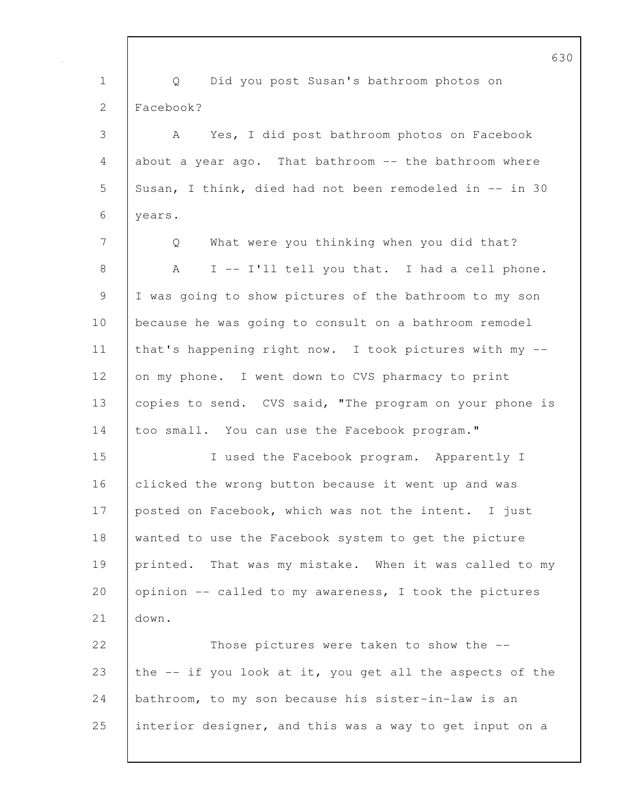1 Q Did you post Susan's bathroom photos on 2 Facebook? 3 A Yes, I did post bathroom photos on Facebook 4 about a year ago. That bathroom -- the bathroom where 5 Susan, I think, died had not been remodeled in -- in 30 6 years. 7 Q What were you thinking when you did that? 8 | A I -- I'll tell you that. I had a cell phone. 9 I was going to show pictures of the bathroom to my son 10 because he was going to consult on a bathroom remodel 11 | that's happening right now. I took pictures with my --12 on my phone. I went down to CVS pharmacy to print 13 copies to send. CVS said, "The program on your phone is 14 too small. You can use the Facebook program." 15 I used the Facebook program. Apparently I 16 clicked the wrong button because it went up and was 17 posted on Facebook, which was not the intent. I just 18 wanted to use the Facebook system to get the picture 19 printed. That was my mistake. When it was called to my 20 opinion -- called to my awareness, I took the pictures 21 down. 22 Those pictures were taken to show the  $-$ 23 the  $-$  if you look at it, you get all the aspects of the 24 bathroom, to my son because his sister-in-law is an 25 interior designer, and this was a way to get input on a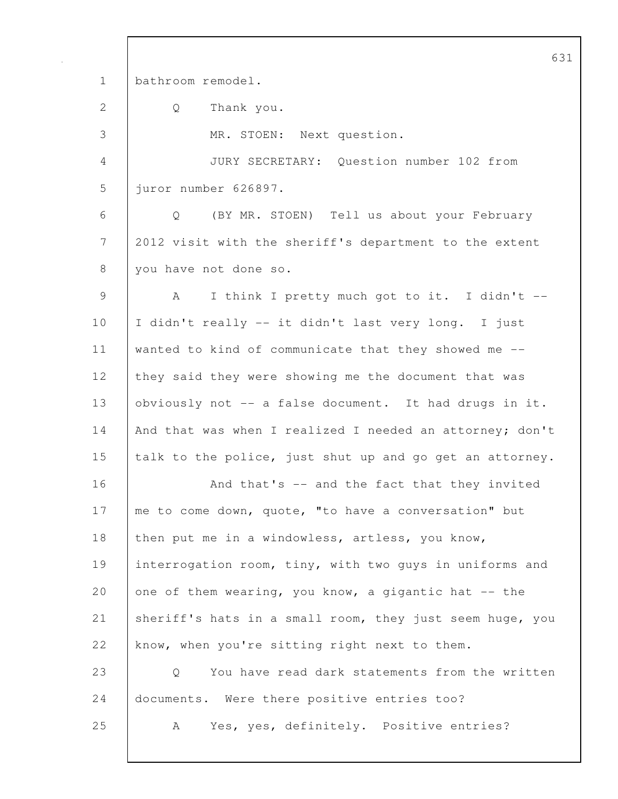631 1 bathroom remodel. 2 Q Thank you. 3 MR. STOEN: Next question. 4 JURY SECRETARY: Question number 102 from 5 juror number 626897. 6 Q (BY MR. STOEN) Tell us about your February 7 2012 visit with the sheriff's department to the extent 8 you have not done so. 9 A I think I pretty much got to it. I didn't -- 10 I didn't really -- it didn't last very long. I just 11 wanted to kind of communicate that they showed me -- 12 they said they were showing me the document that was 13 obviously not -- a false document. It had drugs in it. 14 And that was when I realized I needed an attorney; don't 15 talk to the police, just shut up and go get an attorney. 16 **And that's -- and the fact that they invited** 17 | me to come down, quote, "to have a conversation" but 18 then put me in a windowless, artless, you know, 19 interrogation room, tiny, with two guys in uniforms and 20 one of them wearing, you know, a gigantic hat  $-$  the 21 sheriff's hats in a small room, they just seem huge, you 22 know, when you're sitting right next to them. 23 Q You have read dark statements from the written 24 documents. Were there positive entries too? 25 A Yes, yes, definitely. Positive entries?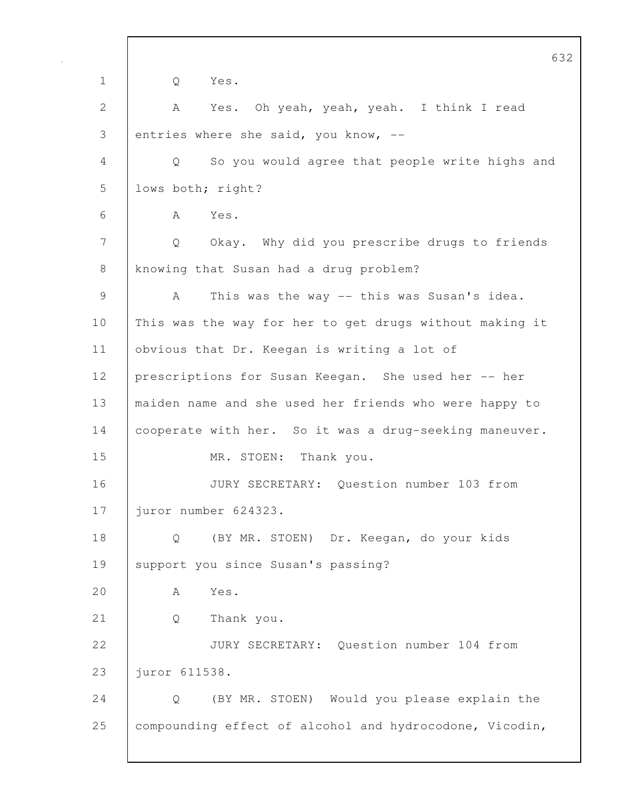632 1 Q Yes. 2 A Yes. Oh yeah, yeah, yeah. I think I read 3 entries where she said, you know,  $-$ 4 Q So you would agree that people write highs and 5 lows both; right? 6 A Yes. 7 Q Okay. Why did you prescribe drugs to friends 8 knowing that Susan had a drug problem? 9 A This was the way -- this was Susan's idea. 10 | This was the way for her to get drugs without making it 11 | obvious that Dr. Keegan is writing a lot of 12 prescriptions for Susan Keegan. She used her -- her 13 maiden name and she used her friends who were happy to 14 | cooperate with her. So it was a drug-seeking maneuver. 15 | MR. STOEN: Thank you. 16 JURY SECRETARY: Question number 103 from 17 juror number 624323. 18 Q (BY MR. STOEN) Dr. Keegan, do your kids 19 | support you since Susan's passing? 20 A Yes. 21 Q Thank you. 22 JURY SECRETARY: Question number 104 from 23 | juror 611538. 24 Q (BY MR. STOEN) Would you please explain the 25 compounding effect of alcohol and hydrocodone, Vicodin,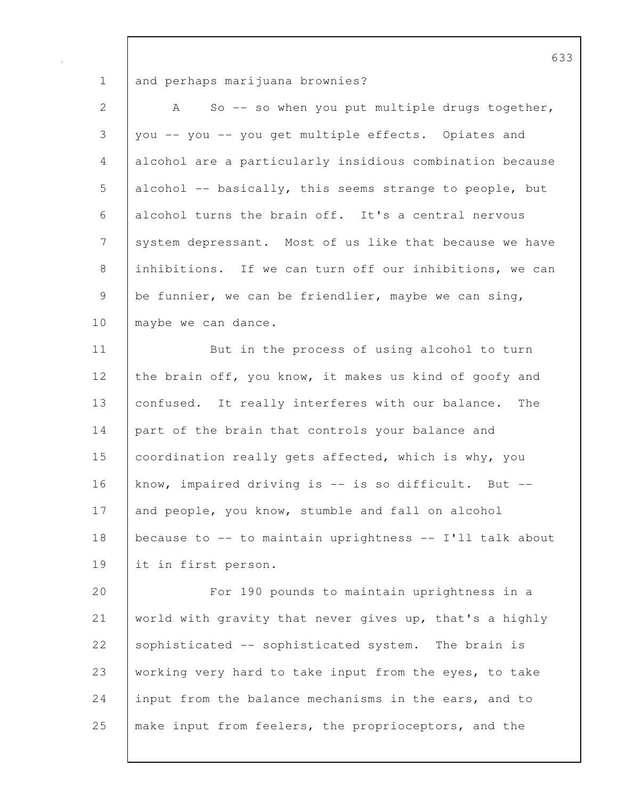1 and perhaps marijuana brownies?

| $\overline{2}$ | So -- so when you put multiple drugs together,<br>A      |
|----------------|----------------------------------------------------------|
| 3              | you -- you -- you get multiple effects. Opiates and      |
| 4              | alcohol are a particularly insidious combination because |
| 5              | alcohol -- basically, this seems strange to people, but  |
| 6              | alcohol turns the brain off. It's a central nervous      |
| 7              | system depressant. Most of us like that because we have  |
| 8              | inhibitions. If we can turn off our inhibitions, we can  |
| $\mathcal{G}$  | be funnier, we can be friendlier, maybe we can sing,     |
| 10             | maybe we can dance.                                      |
| 11             | But in the process of using alcohol to turn              |
| 12             | the brain off, you know, it makes us kind of goofy and   |
| 13             | confused. It really interferes with our balance.<br>The  |
| 14             | part of the brain that controls your balance and         |
| 15             | coordination really gets affected, which is why, you     |
| 16             | know, impaired driving is -- is so difficult. But --     |
| 17             | and people, you know, stumble and fall on alcohol        |
| 18             | because to -- to maintain uprightness -- I'll talk about |
| 19             | it in first person.                                      |
| 20             | For 190 pounds to maintain uprightness in a              |
| 21             | world with gravity that never gives up, that's a highly  |
| 22             | sophisticated -- sophisticated system. The brain is      |
| 23             | working very hard to take input from the eyes, to take   |
| 24             | input from the balance mechanisms in the ears, and to    |
| 25             | make input from feelers, the proprioceptors, and the     |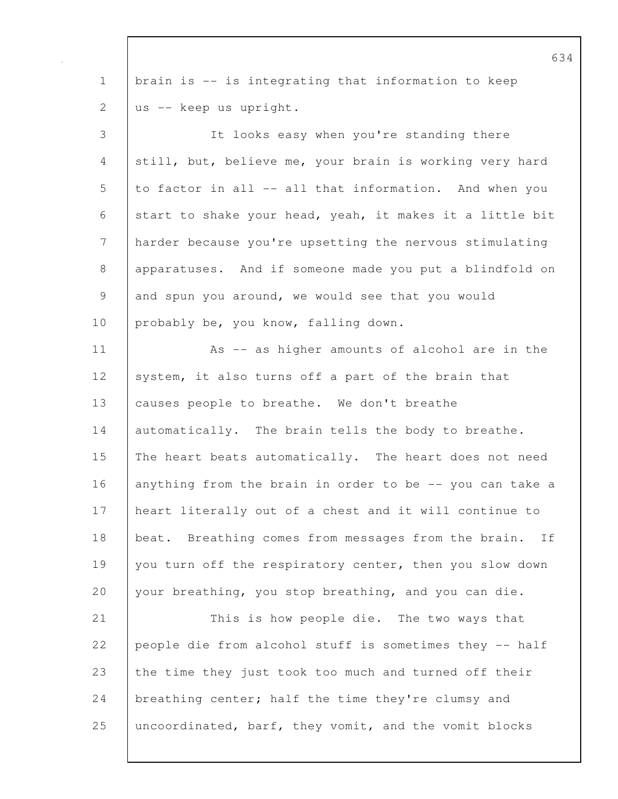1 brain is -- is integrating that information to keep 2 us -- keep us upright. 3 It looks easy when you're standing there 4 still, but, believe me, your brain is working very hard 5 to factor in all -- all that information. And when you 6 start to shake your head, yeah, it makes it a little bit 7 harder because you're upsetting the nervous stimulating 8 apparatuses. And if someone made you put a blindfold on 9 and spun you around, we would see that you would 10 | probably be, you know, falling down. 11 | As -- as higher amounts of alcohol are in the 12 system, it also turns off a part of the brain that 13 | causes people to breathe. We don't breathe 14 automatically. The brain tells the body to breathe. 15 The heart beats automatically. The heart does not need 16 anything from the brain in order to be -- you can take a 17 heart literally out of a chest and it will continue to 18 | beat. Breathing comes from messages from the brain. If 19 you turn off the respiratory center, then you slow down 20 your breathing, you stop breathing, and you can die. 21 This is how people die. The two ways that 22 people die from alcohol stuff is sometimes they -- half 23 the time they just took too much and turned off their 24 breathing center; half the time they're clumsy and 25 uncoordinated, barf, they vomit, and the vomit blocks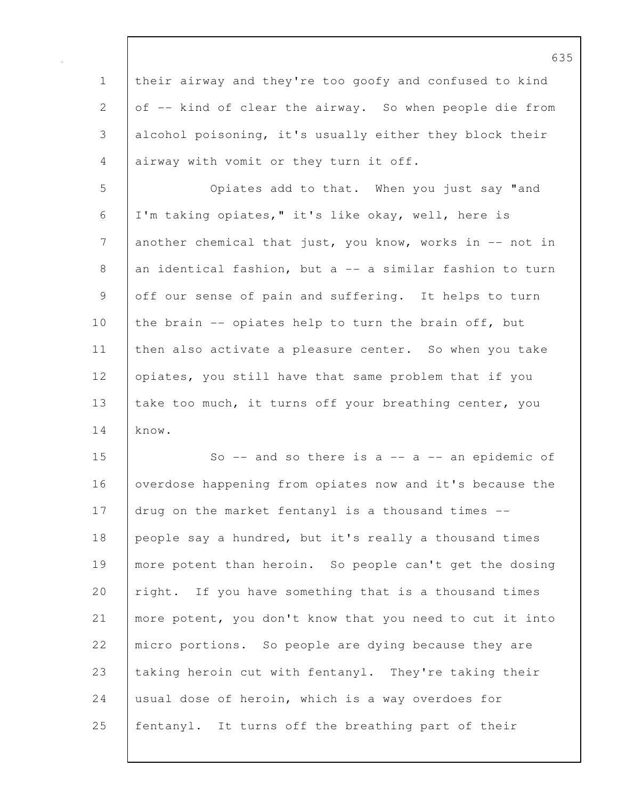1 their airway and they're too goofy and confused to kind 2 of -- kind of clear the airway. So when people die from 3 alcohol poisoning, it's usually either they block their 4 airway with vomit or they turn it off.

5 Opiates add to that. When you just say "and 6 I'm taking opiates," it's like okay, well, here is 7 another chemical that just, you know, works in -- not in 8 an identical fashion, but a -- a similar fashion to turn 9 off our sense of pain and suffering. It helps to turn 10 the brain -- opiates help to turn the brain off, but 11 | then also activate a pleasure center. So when you take 12 opiates, you still have that same problem that if you 13 take too much, it turns off your breathing center, you 14 know.

15 So -- and so there is a -- a -- an epidemic of 16 overdose happening from opiates now and it's because the 17 drug on the market fentanyl is a thousand times --18 people say a hundred, but it's really a thousand times 19 more potent than heroin. So people can't get the dosing 20 right. If you have something that is a thousand times 21 more potent, you don't know that you need to cut it into 22 micro portions. So people are dying because they are 23 taking heroin cut with fentanyl. They're taking their 24 usual dose of heroin, which is a way overdoes for 25 fentanyl. It turns off the breathing part of their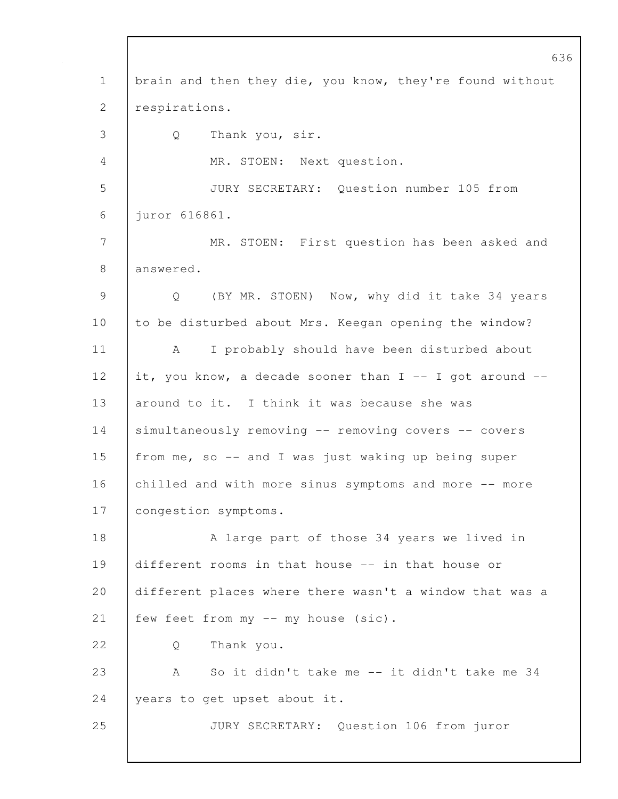636 1 | brain and then they die, you know, they're found without 2 respirations. 3 Q Thank you, sir. 4 MR. STOEN: Next question. 5 JURY SECRETARY: Question number 105 from 6 juror 616861. 7 MR. STOEN: First question has been asked and 8 answered. 9 Q (BY MR. STOEN) Now, why did it take 34 years 10 to be disturbed about Mrs. Keegan opening the window? 11 | A I probably should have been disturbed about 12 it, you know, a decade sooner than  $I$  -- I got around --13 around to it. I think it was because she was 14 simultaneously removing -- removing covers -- covers 15 from me, so -- and I was just waking up being super 16 chilled and with more sinus symptoms and more -- more 17 | congestion symptoms. 18 A large part of those 34 years we lived in 19 different rooms in that house -- in that house or 20 different places where there wasn't a window that was a 21 | few feet from my -- my house (sic). 22 | O Thank you. 23 A So it didn't take me -- it didn't take me 34 24 vears to get upset about it. 25 JURY SECRETARY: Question 106 from juror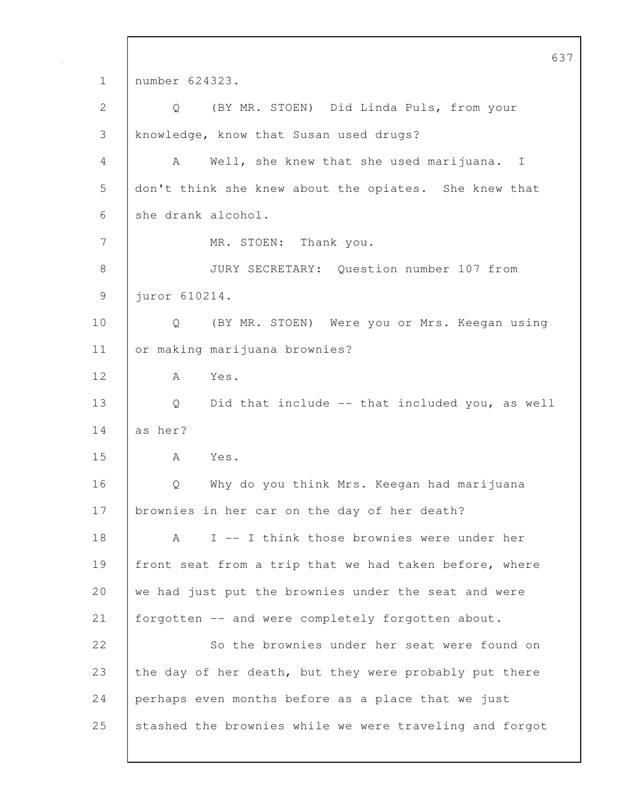637 1 number 624323. 2 Q (BY MR. STOEN) Did Linda Puls, from your 3 knowledge, know that Susan used drugs? 4 A Well, she knew that she used marijuana. I 5 don't think she knew about the opiates. She knew that 6 she drank alcohol. 7 MR. STOEN: Thank you. 8 JURY SECRETARY: Question number 107 from 9 juror 610214. 10 Q (BY MR. STOEN) Were you or Mrs. Keegan using 11 or making marijuana brownies? 12 A Yes. 13 Q Did that include -- that included you, as well  $14$  as her? 15 A Yes. 16 Q Why do you think Mrs. Keegan had marijuana 17 | brownies in her car on the day of her death? 18 A I -- I think those brownies were under her 19 front seat from a trip that we had taken before, where 20 we had just put the brownies under the seat and were 21 forgotten -- and were completely forgotten about. 22 So the brownies under her seat were found on 23 the day of her death, but they were probably put there 24 perhaps even months before as a place that we just 25 stashed the brownies while we were traveling and forgot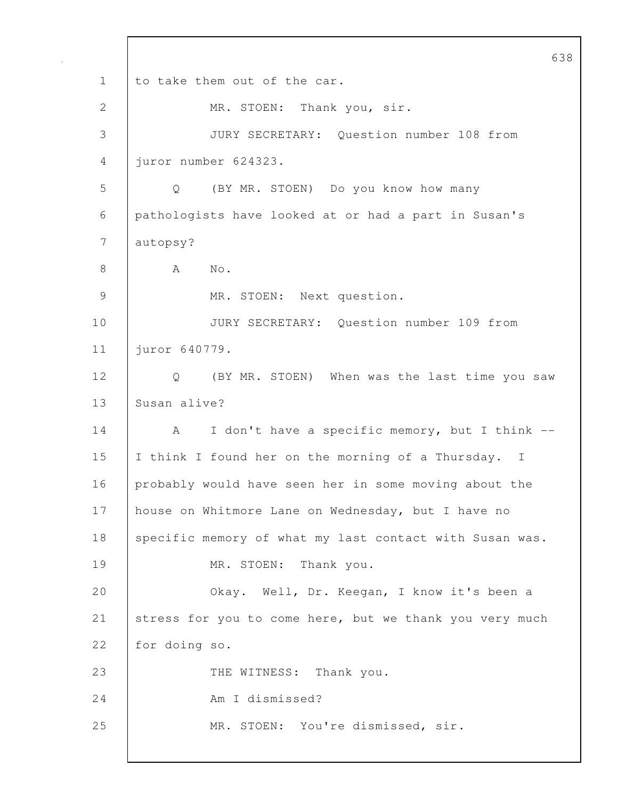638 1 to take them out of the car. 2 | MR. STOEN: Thank you, sir. 3 JURY SECRETARY: Question number 108 from 4 juror number 624323. 5 Q (BY MR. STOEN) Do you know how many 6 pathologists have looked at or had a part in Susan's 7 autopsy? 8 | A No. 9 MR. STOEN: Next question. 10 JURY SECRETARY: Question number 109 from 11 juror 640779. 12 | Q (BY MR. STOEN) When was the last time you saw 13 Susan alive? 14 A I don't have a specific memory, but I think --15 | I think I found her on the morning of a Thursday. I 16 probably would have seen her in some moving about the 17 | house on Whitmore Lane on Wednesday, but I have no 18 specific memory of what my last contact with Susan was. 19 | MR. STOEN: Thank you. 20 **Okay.** Well, Dr. Keegan, I know it's been a 21 stress for you to come here, but we thank you very much 22 for doing so. 23 THE WITNESS: Thank you. 24 Am I dismissed? 25 | MR. STOEN: You're dismissed, sir.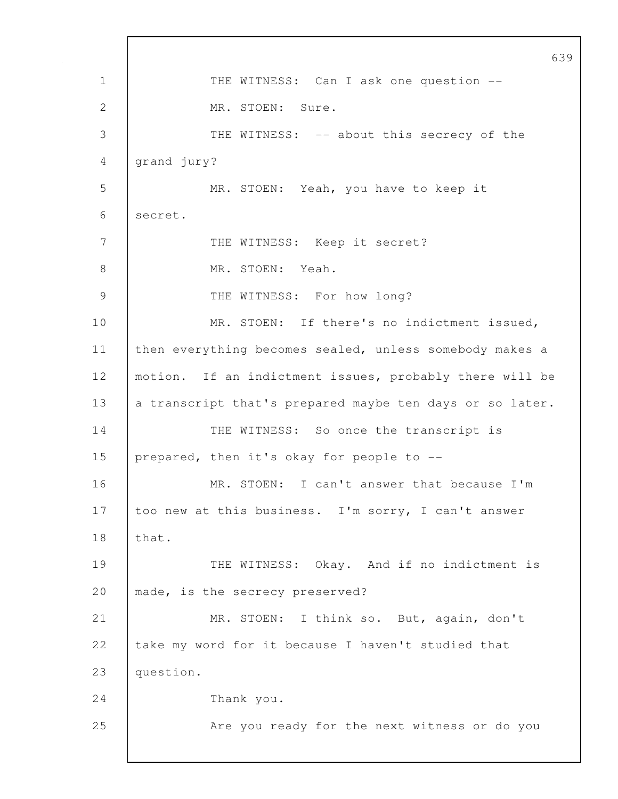639 1 | THE WITNESS: Can I ask one question --2 MR. STOEN: Sure. 3 THE WITNESS: -- about this secrecy of the 4 grand jury? 5 MR. STOEN: Yeah, you have to keep it 6 secret. 7 | THE WITNESS: Keep it secret? 8 MR. STOEN: Yeah. 9 THE WITNESS: For how long? 10 MR. STOEN: If there's no indictment issued, 11 | then everything becomes sealed, unless somebody makes a 12 | motion. If an indictment issues, probably there will be 13 a transcript that's prepared maybe ten days or so later. 14 THE WITNESS: So once the transcript is 15 prepared, then it's okay for people to --16 MR. STOEN: I can't answer that because I'm 17 too new at this business. I'm sorry, I can't answer 18 that. 19 THE WITNESS: Okay. And if no indictment is 20 | made, is the secrecy preserved? 21 MR. STOEN: I think so. But, again, don't 22 take my word for it because I haven't studied that 23 | question. 24 Thank you. 25 | Are you ready for the next witness or do you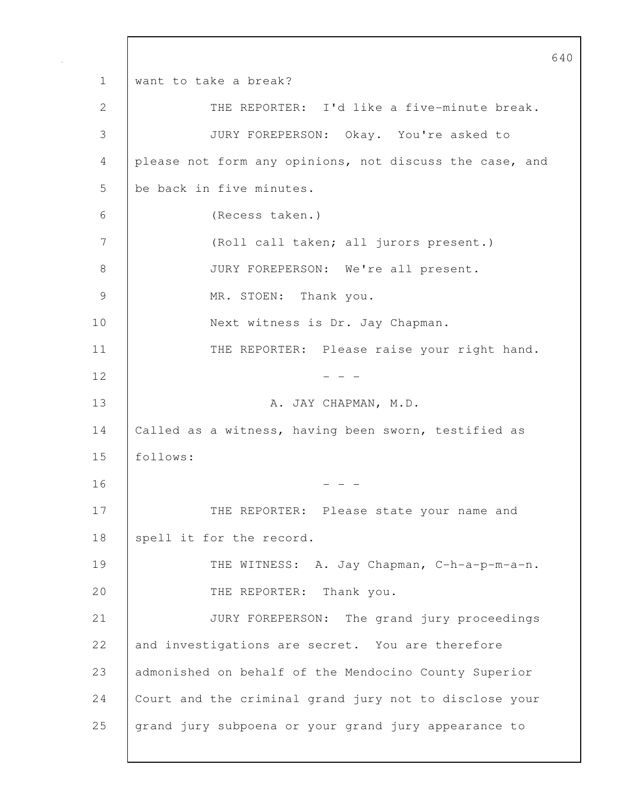640 1 want to take a break? 2 | THE REPORTER: I'd like a five-minute break. 3 JURY FOREPERSON: Okay. You're asked to 4 please not form any opinions, not discuss the case, and 5 be back in five minutes. 6 (Recess taken.) 7 (Roll call taken; all jurors present.) 8 JURY FOREPERSON: We're all present. 9 MR. STOEN: Thank you. 10 | Next witness is Dr. Jay Chapman. 11 | THE REPORTER: Please raise your right hand.  $12$  - - -13 | A. JAY CHAPMAN, M.D. 14 | Called as a witness, having been sworn, testified as 15 follows:  $16$  - - -17 | THE REPORTER: Please state your name and 18 spell it for the record. 19 | THE WITNESS: A. Jay Chapman, C-h-a-p-m-a-n. 20 THE REPORTER: Thank you. 21 JURY FOREPERSON: The grand jury proceedings 22 and investigations are secret. You are therefore 23 admonished on behalf of the Mendocino County Superior 24 Court and the criminal grand jury not to disclose your 25 grand jury subpoena or your grand jury appearance to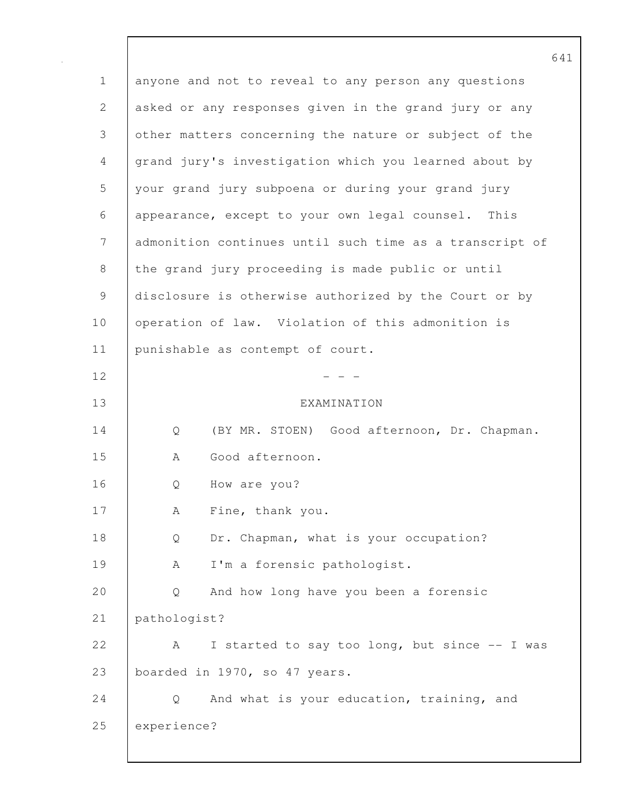641 1 anyone and not to reveal to any person any questions 2 asked or any responses given in the grand jury or any 3 other matters concerning the nature or subject of the 4 grand jury's investigation which you learned about by 5 your grand jury subpoena or during your grand jury 6 appearance, except to your own legal counsel. This 7 admonition continues until such time as a transcript of 8 the grand jury proceeding is made public or until 9 disclosure is otherwise authorized by the Court or by 10 operation of law. Violation of this admonition is 11 | punishable as contempt of court.  $12$  - - -13 EXAMINATION 14 Q (BY MR. STOEN) Good afternoon, Dr. Chapman. 15 A Good afternoon. 16 | O How are you? 17 | A Fine, thank you. 18 Q Dr. Chapman, what is your occupation? 19 | A I'm a forensic pathologist. 20 Q And how long have you been a forensic 21 pathologist? 22 A I started to say too long, but since -- I was 23 boarded in 1970, so 47 years. 24 Q And what is your education, training, and 25 experience?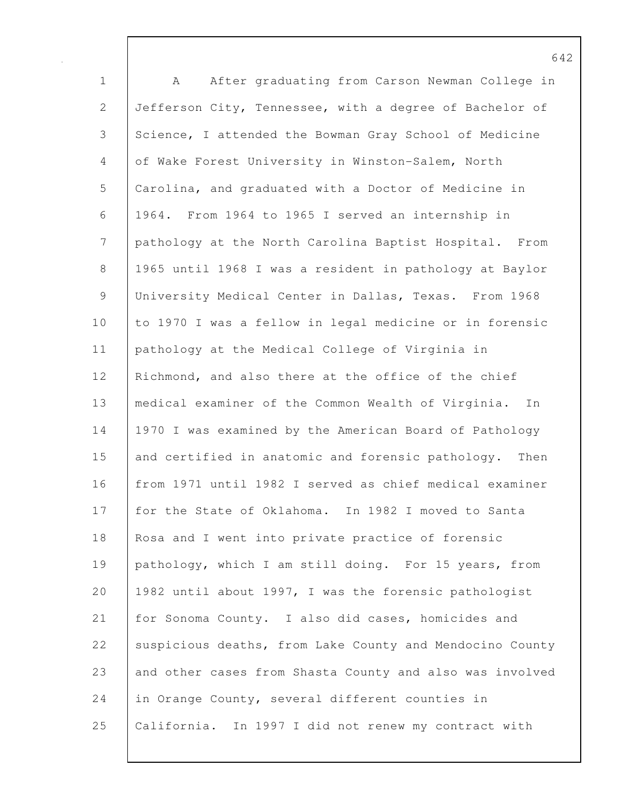1 A After graduating from Carson Newman College in 2 Jefferson City, Tennessee, with a degree of Bachelor of 3 Science, I attended the Bowman Gray School of Medicine 4 of Wake Forest University in Winston-Salem, North 5 Carolina, and graduated with a Doctor of Medicine in 6 1964. From 1964 to 1965 I served an internship in 7 pathology at the North Carolina Baptist Hospital. From 8 1965 until 1968 I was a resident in pathology at Baylor 9 | University Medical Center in Dallas, Texas. From 1968 10 to 1970 I was a fellow in legal medicine or in forensic 11 pathology at the Medical College of Virginia in 12 Richmond, and also there at the office of the chief 13 medical examiner of the Common Wealth of Virginia. In 14 1970 I was examined by the American Board of Pathology 15 and certified in anatomic and forensic pathology. Then 16 from 1971 until 1982 I served as chief medical examiner 17 for the State of Oklahoma. In 1982 I moved to Santa 18 Rosa and I went into private practice of forensic 19 pathology, which I am still doing. For 15 years, from 20 1982 until about 1997, I was the forensic pathologist 21 for Sonoma County. I also did cases, homicides and 22 suspicious deaths, from Lake County and Mendocino County 23 and other cases from Shasta County and also was involved 24 in Orange County, several different counties in 25 California. In 1997 I did not renew my contract with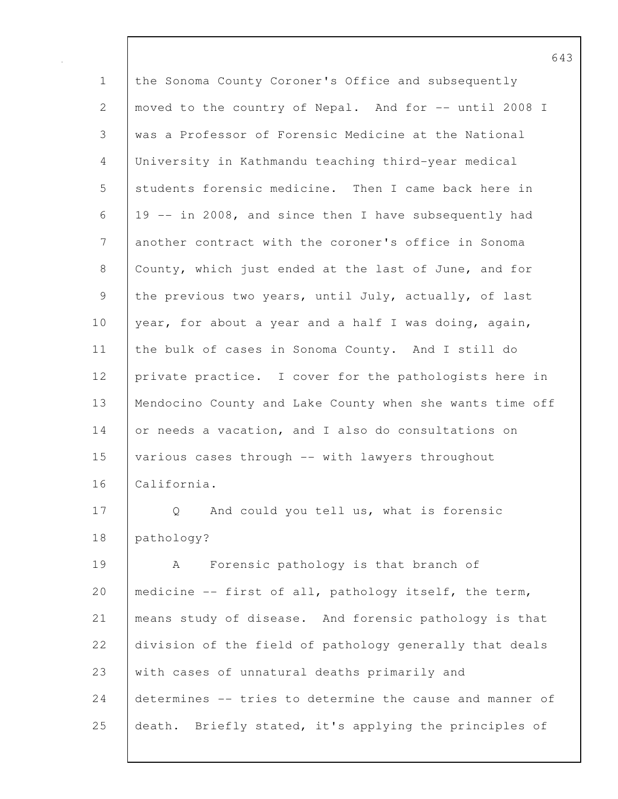1 the Sonoma County Coroner's Office and subsequently 2 | moved to the country of Nepal. And for -- until 2008 I 3 was a Professor of Forensic Medicine at the National 4 University in Kathmandu teaching third-year medical 5 students forensic medicine. Then I came back here in 6 19 -- in 2008, and since then I have subsequently had 7 another contract with the coroner's office in Sonoma 8 County, which just ended at the last of June, and for 9 the previous two years, until July, actually, of last 10 | year, for about a year and a half I was doing, again, 11 the bulk of cases in Sonoma County. And I still do 12 private practice. I cover for the pathologists here in 13 | Mendocino County and Lake County when she wants time off 14 or needs a vacation, and I also do consultations on 15 various cases through -- with lawyers throughout 16 California. 17 Q And could you tell us, what is forensic 18 pathology? 19 | A Forensic pathology is that branch of 20 | medicine -- first of all, pathology itself, the term, 21 means study of disease. And forensic pathology is that 22 division of the field of pathology generally that deals 23 with cases of unnatural deaths primarily and

24 determines -- tries to determine the cause and manner of 25 death. Briefly stated, it's applying the principles of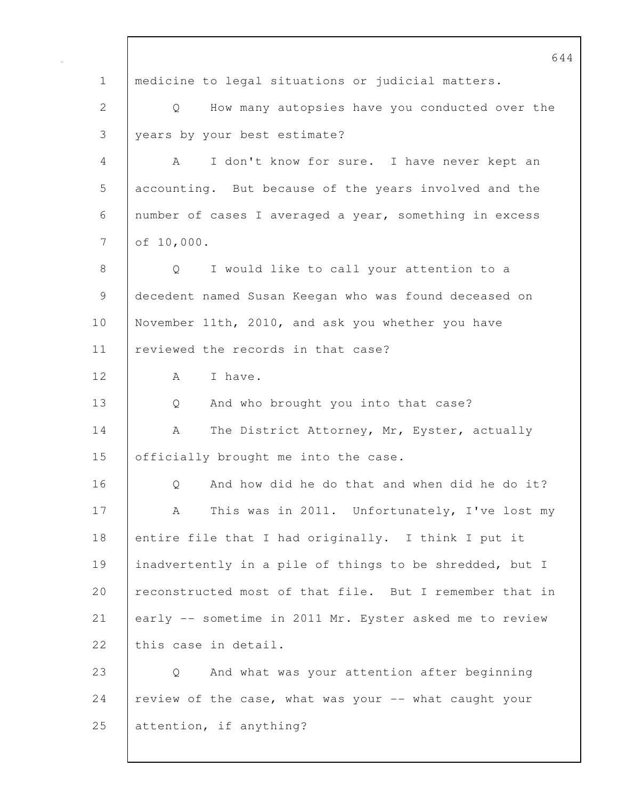644 1 medicine to legal situations or judicial matters. 2 Q How many autopsies have you conducted over the 3 years by your best estimate? 4 A I don't know for sure. I have never kept an 5 accounting. But because of the years involved and the 6 number of cases I averaged a year, something in excess 7 of 10,000. 8 | O I would like to call your attention to a 9 decedent named Susan Keegan who was found deceased on 10 November 11th, 2010, and ask you whether you have 11 | reviewed the records in that case? 12 A Thave. 13 Q And who brought you into that case? 14 | A The District Attorney, Mr, Eyster, actually 15 **officially brought me into the case.** 16 | O And how did he do that and when did he do it? 17 | A This was in 2011. Unfortunately, I've lost my 18 entire file that I had originally. I think I put it 19 inadvertently in a pile of things to be shredded, but I 20 reconstructed most of that file. But I remember that in 21 early -- sometime in 2011 Mr. Eyster asked me to review 22 this case in detail. 23 Q And what was your attention after beginning 24 | review of the case, what was your  $-$  what caught your 25 attention, if anything?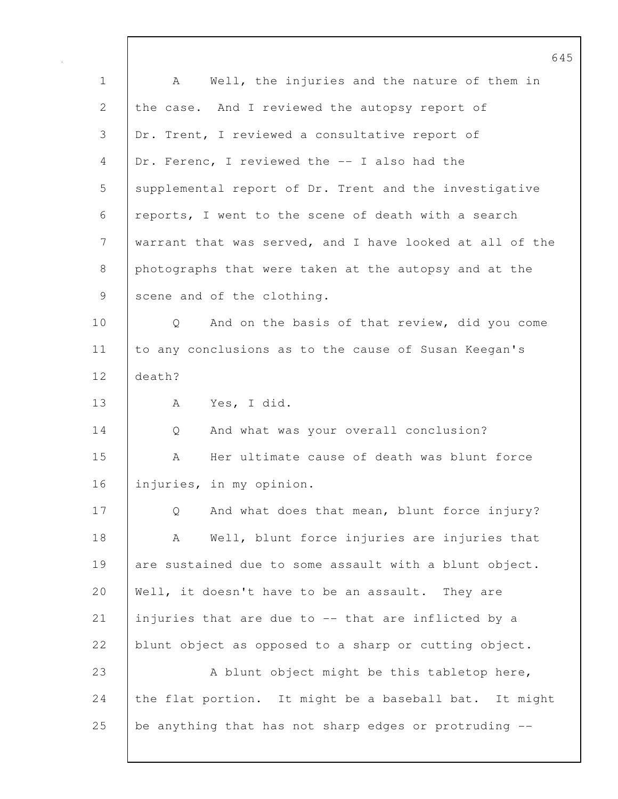1 A Well, the injuries and the nature of them in 2 the case. And I reviewed the autopsy report of 3 Dr. Trent, I reviewed a consultative report of 4 Dr. Ferenc, I reviewed the -- I also had the 5 supplemental report of Dr. Trent and the investigative 6 reports, I went to the scene of death with a search 7 warrant that was served, and I have looked at all of the 8 photographs that were taken at the autopsy and at the 9 scene and of the clothing. 10 | Q And on the basis of that review, did you come 11 to any conclusions as to the cause of Susan Keegan's 12 death? 13 | A Yes, I did. 14 Q And what was your overall conclusion? 15 A Her ultimate cause of death was blunt force 16 injuries, in my opinion. 17 Q And what does that mean, blunt force injury? 18 | A Well, blunt force injuries are injuries that 19 are sustained due to some assault with a blunt object. 20 | Well, it doesn't have to be an assault. They are 21 injuries that are due to -- that are inflicted by a 22 blunt object as opposed to a sharp or cutting object. 23 A blunt object might be this tabletop here, 24 the flat portion. It might be a baseball bat. It might 25 be anything that has not sharp edges or protruding --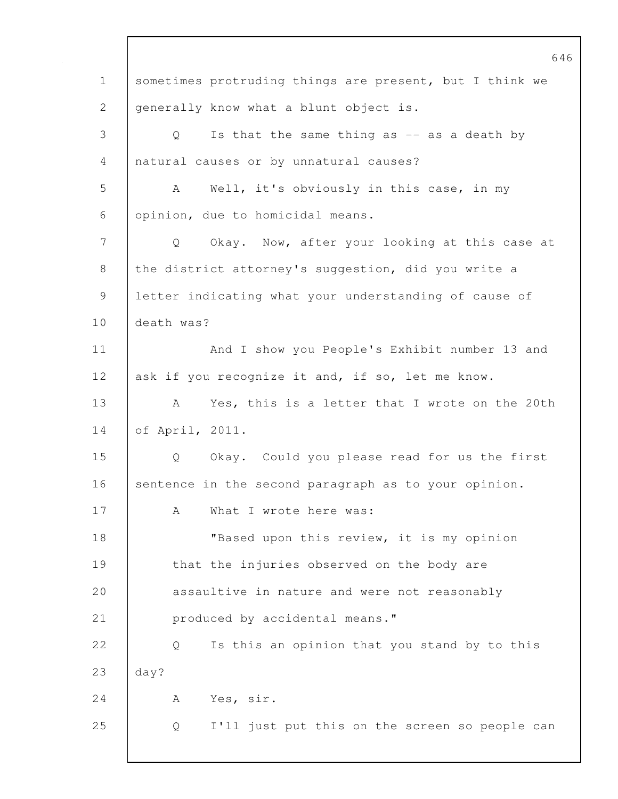|              | 646                                                                |
|--------------|--------------------------------------------------------------------|
| $\mathbf 1$  | sometimes protruding things are present, but I think we            |
| $\mathbf{2}$ | generally know what a blunt object is.                             |
| 3            | Is that the same thing as $-$ as a death by<br>Q                   |
| 4            | natural causes or by unnatural causes?                             |
| 5            | A<br>Well, it's obviously in this case, in my                      |
| 6            | opinion, due to homicidal means.                                   |
| 7            | Okay. Now, after your looking at this case at<br>$Q \qquad \qquad$ |
| 8            | the district attorney's suggestion, did you write a                |
| 9            | letter indicating what your understanding of cause of              |
| 10           | death was?                                                         |
| 11           | And I show you People's Exhibit number 13 and                      |
| 12           | ask if you recognize it and, if so, let me know.                   |
| 13           | Yes, this is a letter that I wrote on the 20th<br>A                |
| 14           | of April, 2011.                                                    |
| 15           | Okay. Could you please read for us the first<br>Q                  |
| 16           | sentence in the second paragraph as to your opinion.               |
| 17           | What I wrote here was:<br>А                                        |
| 18           | "Based upon this review, it is my opinion                          |
| 19           | that the injuries observed on the body are                         |
| 20           | assaultive in nature and were not reasonably                       |
| 21           | produced by accidental means."                                     |
| 22           | Is this an opinion that you stand by to this<br>Q                  |
| 23           | day?                                                               |
| 24           | Yes, sir.<br>A                                                     |
| 25           | I'll just put this on the screen so people can<br>Q                |
|              |                                                                    |

 $\mathbf l$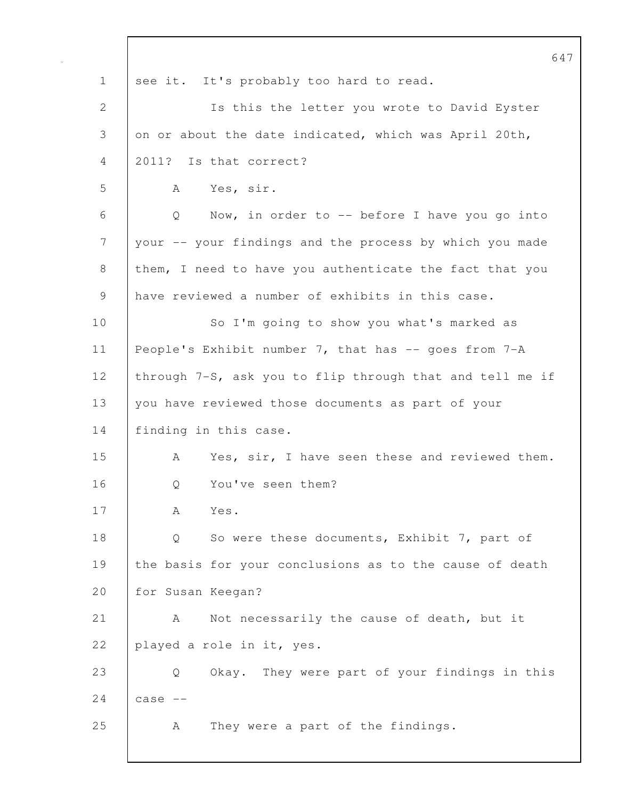|                | 647                                                      |
|----------------|----------------------------------------------------------|
| $\mathbf 1$    | see it. It's probably too hard to read.                  |
| $\overline{2}$ | Is this the letter you wrote to David Eyster             |
| 3              | on or about the date indicated, which was April 20th,    |
| 4              | 2011? Is that correct?                                   |
| 5              | Yes, sir.<br>A                                           |
| 6              | Now, in order to -- before I have you go into<br>Q       |
| 7              | your -- your findings and the process by which you made  |
| 8              | them, I need to have you authenticate the fact that you  |
| 9              | have reviewed a number of exhibits in this case.         |
| 10             | So I'm going to show you what's marked as                |
| 11             | People's Exhibit number 7, that has -- goes from 7-A     |
| 12             | through 7-S, ask you to flip through that and tell me if |
| 13             | you have reviewed those documents as part of your        |
| 14             | finding in this case.                                    |
| 15             | Yes, sir, I have seen these and reviewed them.<br>A      |
| 16             | You've seen them?<br>Q                                   |
| 17             | А<br>Yes.                                                |
| 18             | So were these documents, Exhibit 7, part of<br>Q         |
| 19             | the basis for your conclusions as to the cause of death  |
| 20             | for Susan Keegan?                                        |
| 21             | Not necessarily the cause of death, but it<br>A          |
| 22             | played a role in it, yes.                                |
| 23             | Okay. They were part of your findings in this<br>Q       |
| 24             | case                                                     |
| 25             | They were a part of the findings.<br>Α                   |
|                |                                                          |

 $\mathbf l$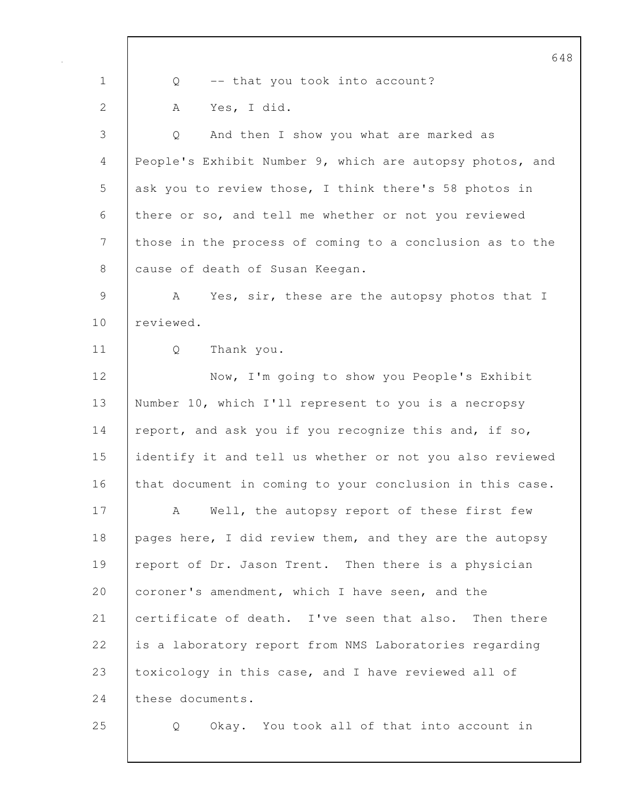|                | 648                                                      |
|----------------|----------------------------------------------------------|
| $\mathbf 1$    | -- that you took into account?<br>Q                      |
| $\overline{2}$ | Yes, I did.<br>A                                         |
| 3              | And then I show you what are marked as<br>Q              |
| 4              | People's Exhibit Number 9, which are autopsy photos, and |
| 5              | ask you to review those, I think there's 58 photos in    |
| 6              | there or so, and tell me whether or not you reviewed     |
| 7              | those in the process of coming to a conclusion as to the |
| 8              | cause of death of Susan Keegan.                          |
| 9              | Yes, sir, these are the autopsy photos that I<br>A       |
| 10             | reviewed.                                                |
| 11             | Thank you.<br>Q                                          |
| 12             | Now, I'm going to show you People's Exhibit              |
| 13             | Number 10, which I'll represent to you is a necropsy     |
| 14             | report, and ask you if you recognize this and, if so,    |
| 15             | identify it and tell us whether or not you also reviewed |
| 16             | that document in coming to your conclusion in this case. |
| 17             | Well, the autopsy report of these first few<br>A         |
| 18             | pages here, I did review them, and they are the autopsy  |
| 19             | report of Dr. Jason Trent. Then there is a physician     |
| 20             | coroner's amendment, which I have seen, and the          |
| 21             | certificate of death. I've seen that also. Then there    |
| 22             | is a laboratory report from NMS Laboratories regarding   |
| 23             | toxicology in this case, and I have reviewed all of      |
| 24             | these documents.                                         |
| 25             | Okay. You took all of that into account in<br>Q          |

 $\mathsf{l}$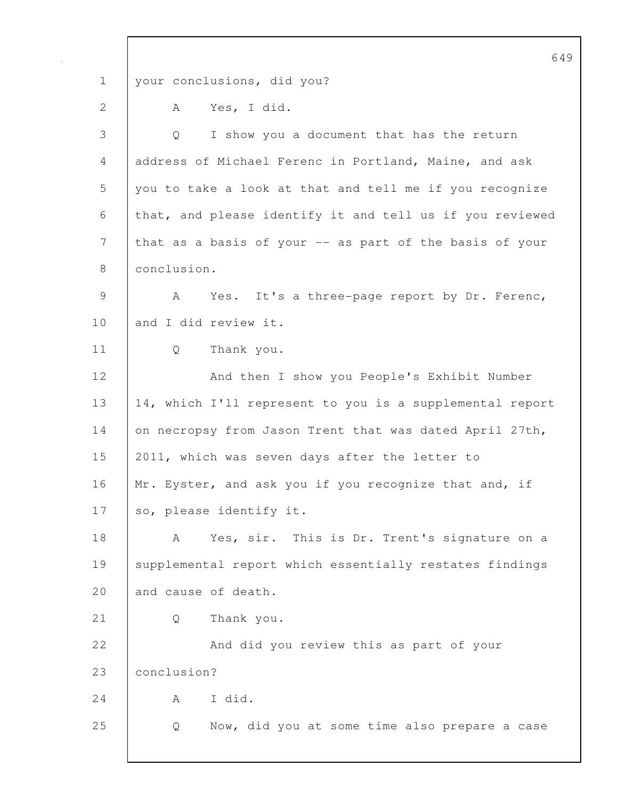649 1 your conclusions, did you? 2 A Yes, I did. 3 Q I show you a document that has the return 4 address of Michael Ferenc in Portland, Maine, and ask 5 you to take a look at that and tell me if you recognize 6 that, and please identify it and tell us if you reviewed 7 that as a basis of your -- as part of the basis of your 8 | conclusion. 9 | A Yes. It's a three-page report by Dr. Ferenc, 10 and I did review it. 11 Q Thank you. 12 | And then I show you People's Exhibit Number 13 14, which I'll represent to you is a supplemental report 14 on necropsy from Jason Trent that was dated April 27th, 15 2011, which was seven days after the letter to 16 | Mr. Eyster, and ask you if you recognize that and, if 17 so, please identify it. 18 A Yes, sir. This is Dr. Trent's signature on a 19 | supplemental report which essentially restates findings 20 and cause of death. 21 Q Thank you. 22 | And did you review this as part of your 23 conclusion?  $24$   $A$   $I$  did. 25 Q Now, did you at some time also prepare a case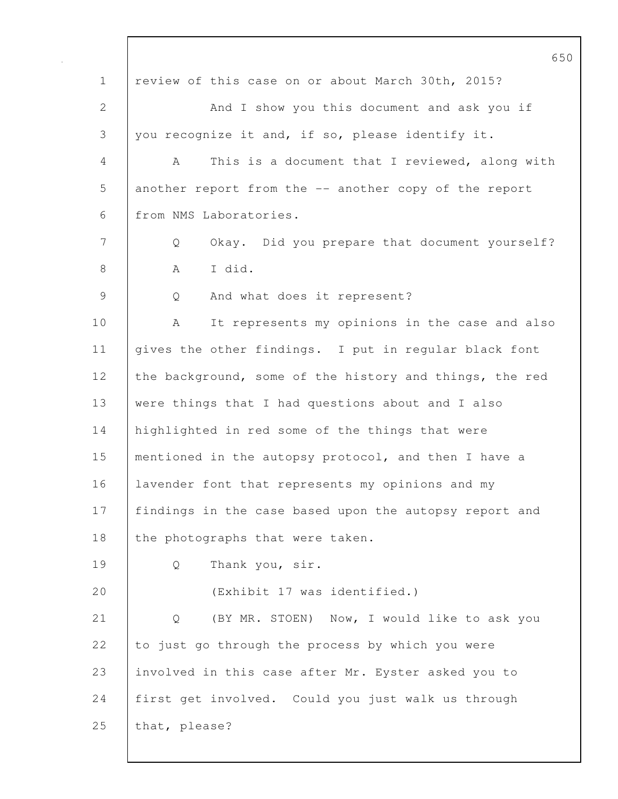650 1 review of this case on or about March 30th, 2015? 2 And I show you this document and ask you if 3 you recognize it and, if so, please identify it. 4 A This is a document that I reviewed, along with 5 another report from the -- another copy of the report 6 from NMS Laboratories. 7 Q Okay. Did you prepare that document yourself? 8 | A I did. 9 Q And what does it represent? 10 A It represents my opinions in the case and also 11 | gives the other findings. I put in regular black font 12 the background, some of the history and things, the red 13 were things that I had questions about and I also 14 | highlighted in red some of the things that were 15 mentioned in the autopsy protocol, and then I have a 16 | lavender font that represents my opinions and my 17 findings in the case based upon the autopsy report and 18 the photographs that were taken. 19 Q Thank you, sir. 20 (Exhibit 17 was identified.) 21 | Q (BY MR. STOEN) Now, I would like to ask you 22 to just go through the process by which you were 23 involved in this case after Mr. Eyster asked you to 24 first get involved. Could you just walk us through 25 that, please?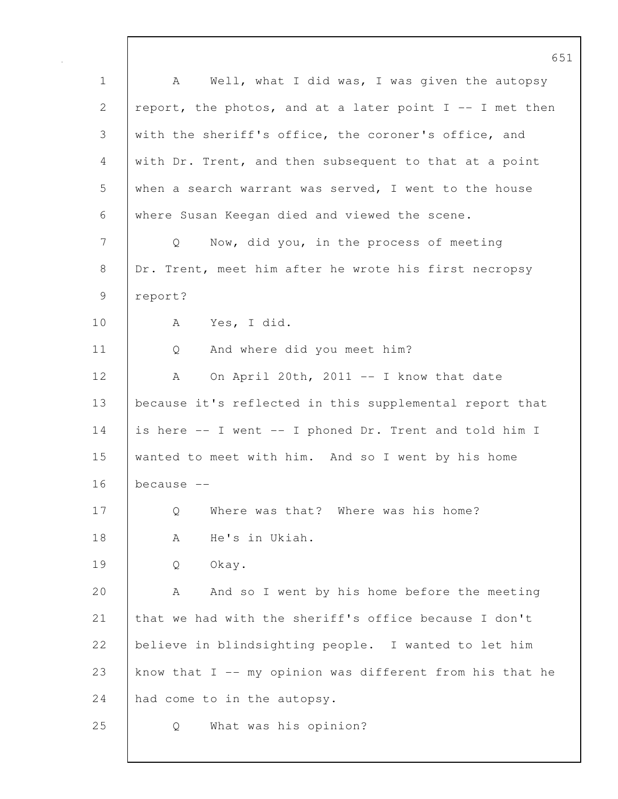1 | A Well, what I did was, I was given the autopsy 2 | report, the photos, and at a later point  $I$  -- I met then 3 with the sheriff's office, the coroner's office, and 4 with Dr. Trent, and then subsequent to that at a point 5 when a search warrant was served, I went to the house 6 where Susan Keegan died and viewed the scene. 7 Q Now, did you, in the process of meeting 8 | Dr. Trent, meet him after he wrote his first necropsy 9 report? 10 A Yes, I did. 11 Q And where did you meet him? 12 | A On April 20th, 2011 -- I know that date 13 because it's reflected in this supplemental report that 14 is here -- I went -- I phoned Dr. Trent and told him I 15 wanted to meet with him. And so I went by his home  $16$  because  $-$ 17 Q Where was that? Where was his home? 18 | A He's in Ukiah. 19 Q Okay. 20 A And so I went by his home before the meeting 21 that we had with the sheriff's office because I don't 22 | believe in blindsighting people. I wanted to let him 23 know that  $I$  -- my opinion was different from his that he 24 had come to in the autopsy. 25 Q What was his opinion?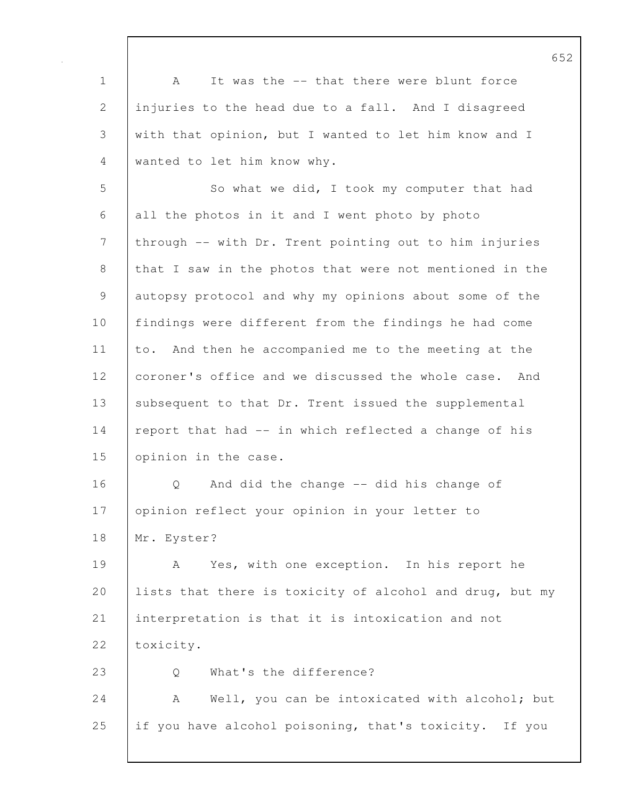1 | A It was the -- that there were blunt force 2 injuries to the head due to a fall. And I disagreed 3 with that opinion, but I wanted to let him know and I 4 wanted to let him know why. 5 So what we did, I took my computer that had 6 all the photos in it and I went photo by photo 7 through -- with Dr. Trent pointing out to him injuries 8 that I saw in the photos that were not mentioned in the 9 autopsy protocol and why my opinions about some of the 10 findings were different from the findings he had come 11 to. And then he accompanied me to the meeting at the 12 coroner's office and we discussed the whole case. And 13 subsequent to that Dr. Trent issued the supplemental 14 report that had -- in which reflected a change of his 15 opinion in the case. 16 | O And did the change -- did his change of 17 | opinion reflect your opinion in your letter to 18 Mr. Eyster? 19 A Yes, with one exception. In his report he 20 lists that there is toxicity of alcohol and drug, but my 21 interpretation is that it is intoxication and not 22 | toxicity. 23 | Q What's the difference? 24 | A Well, you can be intoxicated with alcohol; but 25 if you have alcohol poisoning, that's toxicity. If you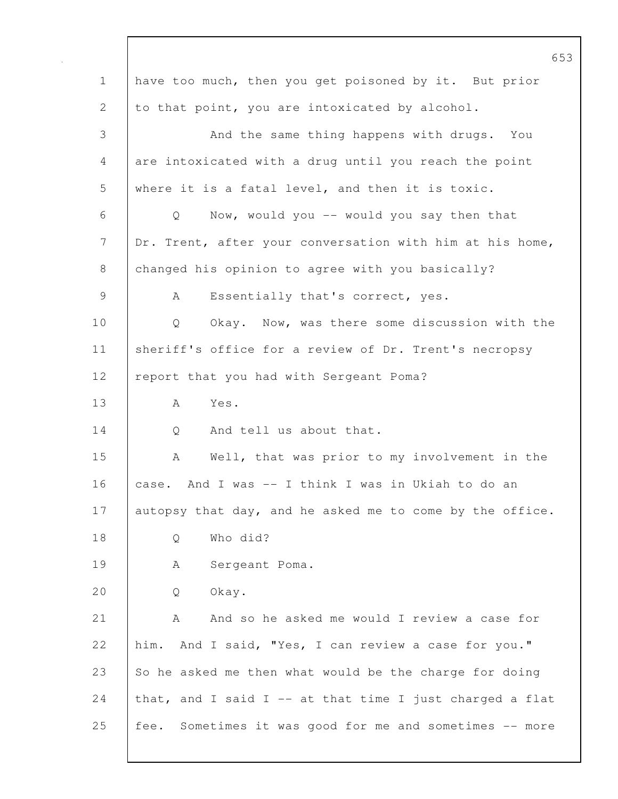653 1 have too much, then you get poisoned by it. But prior 2 to that point, you are intoxicated by alcohol. 3 And the same thing happens with drugs. You 4 are intoxicated with a drug until you reach the point 5 where it is a fatal level, and then it is toxic. 6 Q Now, would you -- would you say then that 7 | Dr. Trent, after your conversation with him at his home, 8 changed his opinion to agree with you basically? 9 | A Essentially that's correct, yes. 10 Q Okay. Now, was there some discussion with the 11 | sheriff's office for a review of Dr. Trent's necropsy 12 | report that you had with Sergeant Poma? 13 A Yes. 14 0 And tell us about that. 15 | A Well, that was prior to my involvement in the 16 case. And I was -- I think I was in Ukiah to do an 17 autopsy that day, and he asked me to come by the office. 18 | O Who did? 19 | A Sergeant Poma. 20 | O Okay. 21 A And so he asked me would I review a case for 22 him. And I said, "Yes, I can review a case for you." 23  $\vert$  So he asked me then what would be the charge for doing 24 that, and I said I -- at that time I just charged a flat 25 fee. Sometimes it was good for me and sometimes -- more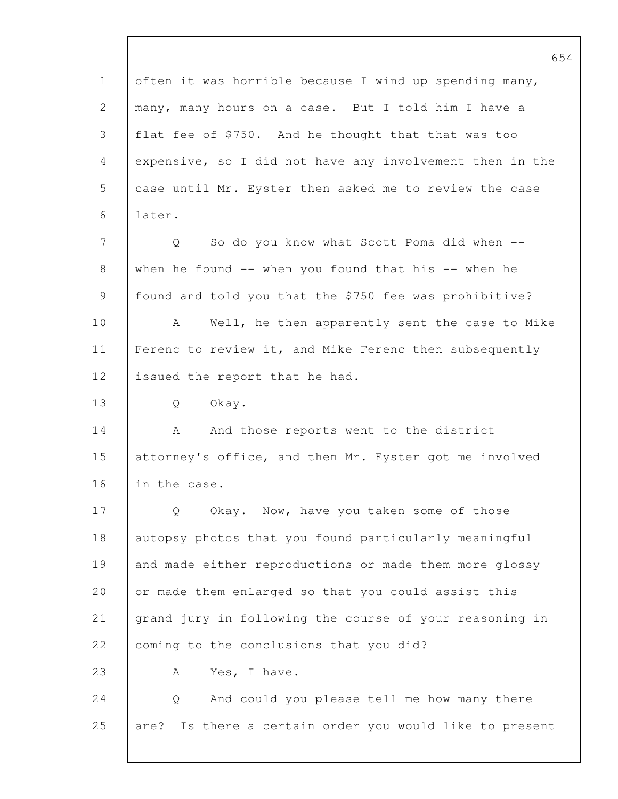654 1 often it was horrible because I wind up spending many, 2 many, many hours on a case. But I told him I have a 3 flat fee of \$750. And he thought that that was too 4 expensive, so I did not have any involvement then in the 5 case until Mr. Eyster then asked me to review the case 6 later. 7 Q So do you know what Scott Poma did when -- 8 when he found -- when you found that his -- when he 9 found and told you that the \$750 fee was prohibitive? 10 A Well, he then apparently sent the case to Mike 11 | Ferenc to review it, and Mike Ferenc then subsequently 12 issued the report that he had. 13 Q Okay. 14 A And those reports went to the district 15 | attorney's office, and then Mr. Eyster got me involved 16 in the case. 17 | Q Okay. Now, have you taken some of those 18 autopsy photos that you found particularly meaningful 19 and made either reproductions or made them more glossy 20 or made them enlarged so that you could assist this 21 grand jury in following the course of your reasoning in 22 coming to the conclusions that you did? 23 | A Yes, I have. 24 | Q And could you please tell me how many there 25 are? Is there a certain order you would like to present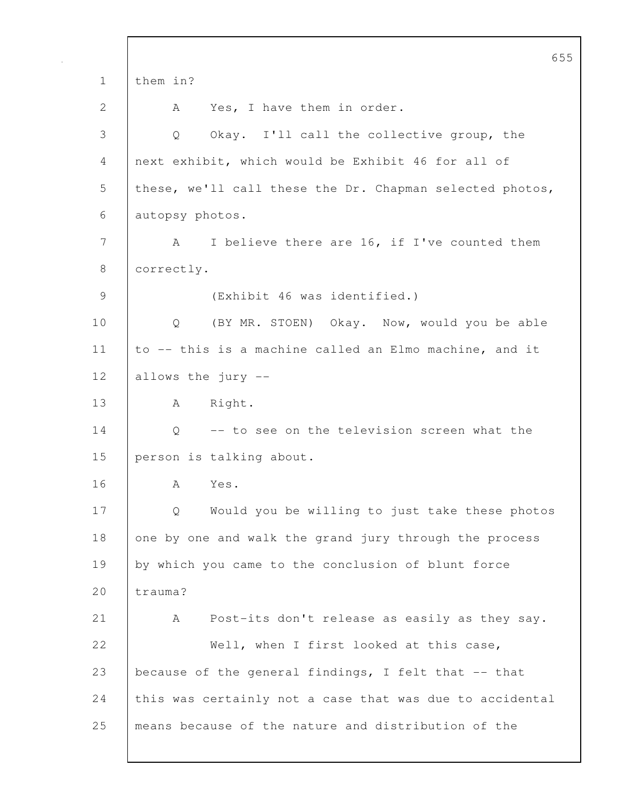655 1 them in? 2 A Yes, I have them in order. 3 Q Okay. I'll call the collective group, the 4 next exhibit, which would be Exhibit 46 for all of 5 | these, we'll call these the Dr. Chapman selected photos, 6 autopsy photos. 7 A I believe there are 16, if I've counted them 8 correctly. 9 (Exhibit 46 was identified.) 10 | Q (BY MR. STOEN) Okay. Now, would you be able 11  $\vert$  to -- this is a machine called an Elmo machine, and it 12 allows the jury -- 13 | A Right. 14 |  $\circ$  -- to see on the television screen what the 15 person is talking about. 16 A Yes. 17 | Q Would you be willing to just take these photos 18 one by one and walk the grand jury through the process 19 by which you came to the conclusion of blunt force 20 trauma? 21 A Post-its don't release as easily as they say. 22 Well, when I first looked at this case, 23 because of the general findings, I felt that -- that 24 this was certainly not a case that was due to accidental 25 means because of the nature and distribution of the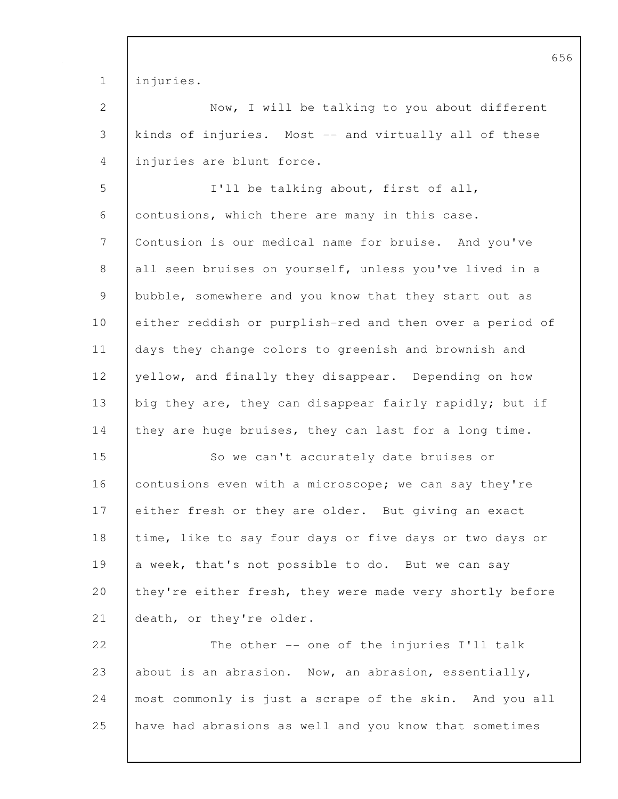1 injuries.

2 Now, I will be talking to you about different 3 kinds of injuries. Most -- and virtually all of these 4 injuries are blunt force.

5 I'll be talking about, first of all, 6 contusions, which there are many in this case. 7 Contusion is our medical name for bruise. And you've 8 all seen bruises on yourself, unless you've lived in a 9 bubble, somewhere and you know that they start out as 10 either reddish or purplish-red and then over a period of 11 days they change colors to greenish and brownish and 12 yellow, and finally they disappear. Depending on how 13 big they are, they can disappear fairly rapidly; but if 14 they are huge bruises, they can last for a long time.

15 So we can't accurately date bruises or 16 contusions even with a microscope; we can say they're 17 either fresh or they are older. But giving an exact 18 time, like to say four days or five days or two days or 19 a week, that's not possible to do. But we can say 20 they're either fresh, they were made very shortly before 21 death, or they're older.

22 The other -- one of the injuries I'll talk 23 about is an abrasion. Now, an abrasion, essentially, 24 most commonly is just a scrape of the skin. And you all 25 have had abrasions as well and you know that sometimes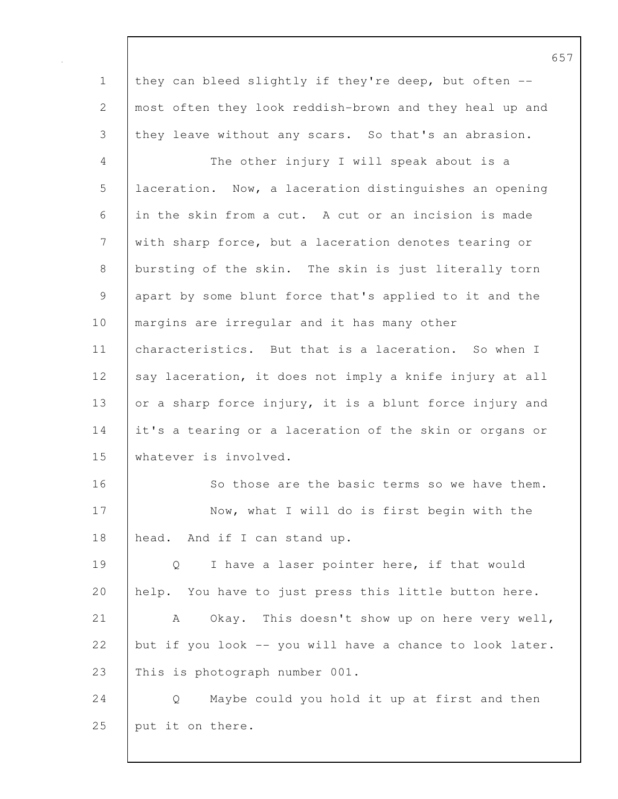1 they can bleed slightly if they're deep, but often --2 most often they look reddish-brown and they heal up and 3 they leave without any scars. So that's an abrasion. 4 The other injury I will speak about is a 5 laceration. Now, a laceration distinguishes an opening 6 in the skin from a cut. A cut or an incision is made 7 with sharp force, but a laceration denotes tearing or 8 bursting of the skin. The skin is just literally torn 9 apart by some blunt force that's applied to it and the 10 | margins are irregular and it has many other 11 characteristics. But that is a laceration. So when I 12 say laceration, it does not imply a knife injury at all 13 or a sharp force injury, it is a blunt force injury and 14 it's a tearing or a laceration of the skin or organs or 15 whatever is involved. 16 So those are the basic terms so we have them. 17 | Now, what I will do is first begin with the 18 head. And if I can stand up. 19 | Q I have a laser pointer here, if that would 20 help. You have to just press this little button here. 21 | A Okay. This doesn't show up on here very well, 22 but if you look  $-$  you will have a chance to look later. 23 This is photograph number 001. 24 Q Maybe could you hold it up at first and then 25 put it on there.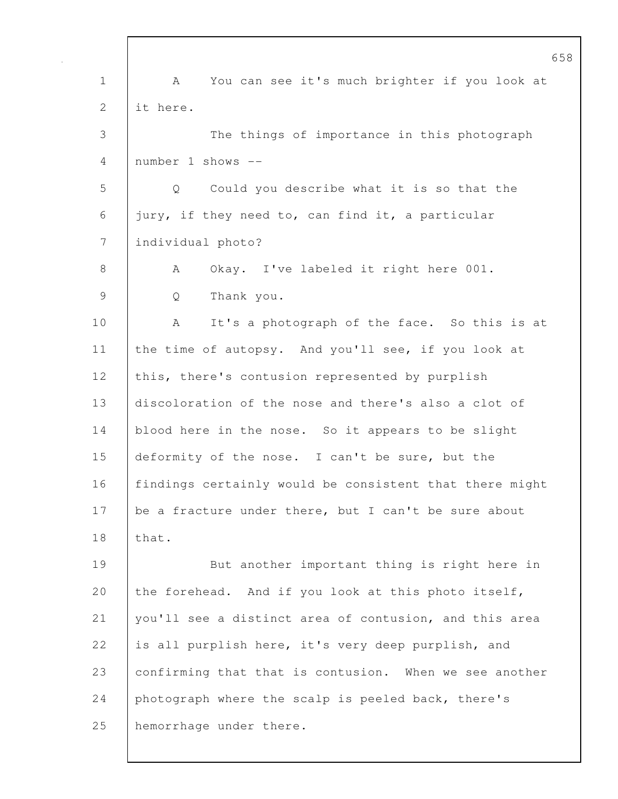1 | A You can see it's much brighter if you look at 2 it here. 3 The things of importance in this photograph 4 number 1 shows -- 5 Q Could you describe what it is so that the 6 jury, if they need to, can find it, a particular 7 individual photo? 8 | A Okay. I've labeled it right here 001. 9 Q Thank you. 10 A It's a photograph of the face. So this is at 11 the time of autopsy. And you'll see, if you look at 12 this, there's contusion represented by purplish 13 discoloration of the nose and there's also a clot of 14 blood here in the nose. So it appears to be slight 15 deformity of the nose. I can't be sure, but the 16 findings certainly would be consistent that there might 17 be a fracture under there, but I can't be sure about 18 that. 19 But another important thing is right here in 20 the forehead. And if you look at this photo itself, 21 | you'll see a distinct area of contusion, and this area 22 is all purplish here, it's very deep purplish, and 23 confirming that that is contusion. When we see another 24 photograph where the scalp is peeled back, there's 25 hemorrhage under there.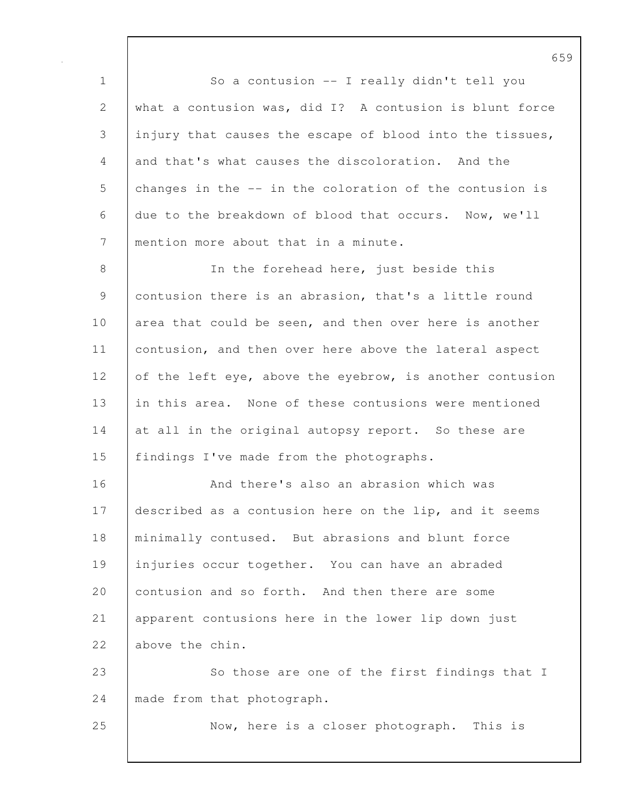1 | So a contusion -- I really didn't tell you 2 what a contusion was, did I? A contusion is blunt force 3 injury that causes the escape of blood into the tissues, 4 and that's what causes the discoloration. And the 5 changes in the -- in the coloration of the contusion is 6 due to the breakdown of blood that occurs. Now, we'll 7 mention more about that in a minute.

8 | In the forehead here, just beside this 9 contusion there is an abrasion, that's a little round 10 area that could be seen, and then over here is another 11 contusion, and then over here above the lateral aspect 12 of the left eye, above the eyebrow, is another contusion 13 in this area. None of these contusions were mentioned 14 at all in the original autopsy report. So these are 15 | findings I've made from the photographs.

16 **And there's also an abrasion which was** 17 described as a contusion here on the lip, and it seems 18 minimally contused. But abrasions and blunt force 19 injuries occur together. You can have an abraded 20 contusion and so forth. And then there are some 21 apparent contusions here in the lower lip down just 22 above the chin.

23 So those are one of the first findings that I 24 | made from that photograph.

25 Now, here is a closer photograph. This is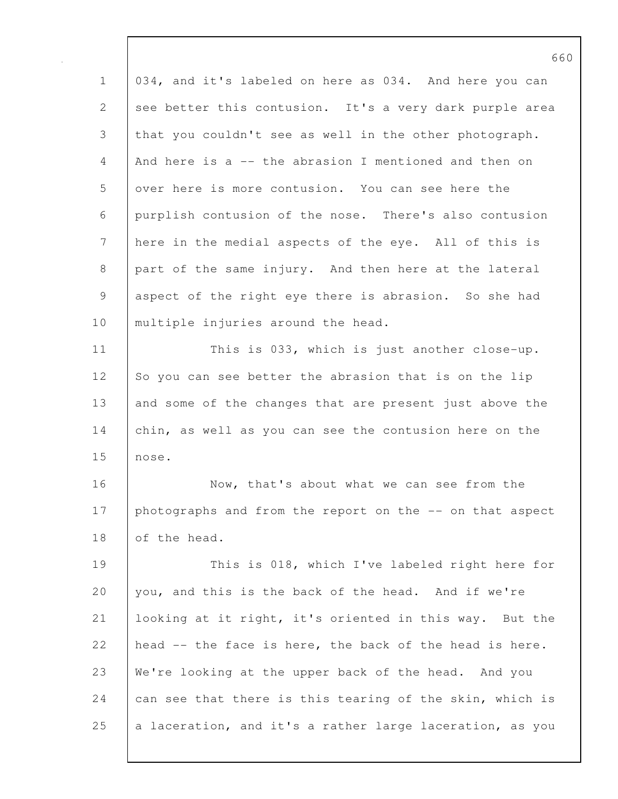| $\mathbf 1$                                               | 034, and it's labeled on here as 034. And here you can   |
|-----------------------------------------------------------|----------------------------------------------------------|
| 2                                                         | see better this contusion. It's a very dark purple area  |
| 3                                                         | that you couldn't see as well in the other photograph.   |
| 4                                                         | And here is a -- the abrasion I mentioned and then on    |
| 5                                                         | over here is more contusion. You can see here the        |
| 6                                                         | purplish contusion of the nose. There's also contusion   |
| $\boldsymbol{7}$                                          | here in the medial aspects of the eye. All of this is    |
| 8                                                         | part of the same injury. And then here at the lateral    |
| $\mathcal{G}% _{M_{1},M_{2}}^{\alpha,\beta}(\mathcal{A})$ | aspect of the right eye there is abrasion. So she had    |
| 10                                                        | multiple injuries around the head.                       |
| 11                                                        | This is 033, which is just another close-up.             |
| 12                                                        | So you can see better the abrasion that is on the lip    |
| 13                                                        | and some of the changes that are present just above the  |
| 14                                                        | chin, as well as you can see the contusion here on the   |
| 15                                                        | nose.                                                    |
| 16                                                        | Now, that's about what we can see from the               |
| 17                                                        | photographs and from the report on the -- on that aspect |
| 18                                                        | of the head.                                             |
| 19                                                        | This is 018, which I've labeled right here for           |
| 20                                                        | you, and this is the back of the head. And if we're      |
| 21                                                        | looking at it right, it's oriented in this way. But the  |
| 22                                                        | head -- the face is here, the back of the head is here.  |
| 23                                                        | We're looking at the upper back of the head. And you     |
| 24                                                        | can see that there is this tearing of the skin, which is |
| 25                                                        | a laceration, and it's a rather large laceration, as you |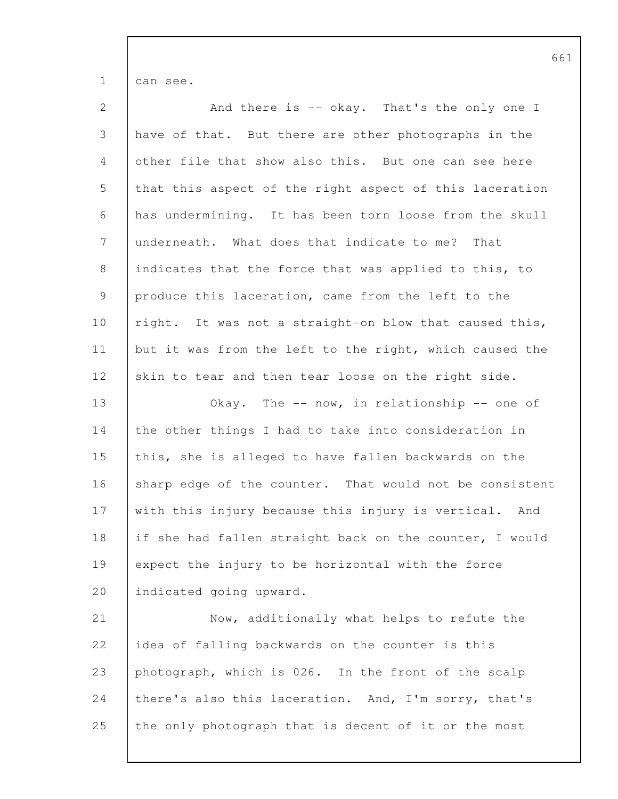1 can see.

| $\mathbf{2}$   | And there is -- okay. That's the only one I             |
|----------------|---------------------------------------------------------|
| $\mathfrak{Z}$ | have of that. But there are other photographs in the    |
| 4              | other file that show also this. But one can see here    |
| 5              | that this aspect of the right aspect of this laceration |
| 6              | has undermining. It has been torn loose from the skull  |
| 7              | underneath. What does that indicate to me? That         |
| $\,8\,$        | indicates that the force that was applied to this, to   |
| 9              | produce this laceration, came from the left to the      |
| 10             | right. It was not a straight-on blow that caused this,  |
| 11             | but it was from the left to the right, which caused the |
| 12             | skin to tear and then tear loose on the right side.     |
| 13             | Okay. The $--$ now, in relationship $--$ one of         |
| 14             | the other things I had to take into consideration in    |
| 15             | this, she is alleged to have fallen backwards on the    |
| 16             | sharp edge of the counter. That would not be consistent |
| 17             | with this injury because this injury is vertical. And   |
| 18             | if she had fallen straight back on the counter, I would |
| 19             | expect the injury to be horizontal with the force       |
| 20             | indicated going upward.                                 |
| 21             | Now, additionally what helps to refute the              |
| 22             | idea of falling backwards on the counter is this        |
| 23             | photograph, which is 026. In the front of the scalp     |
| 24             | there's also this laceration. And, I'm sorry, that's    |
| 25             | the only photograph that is decent of it or the most    |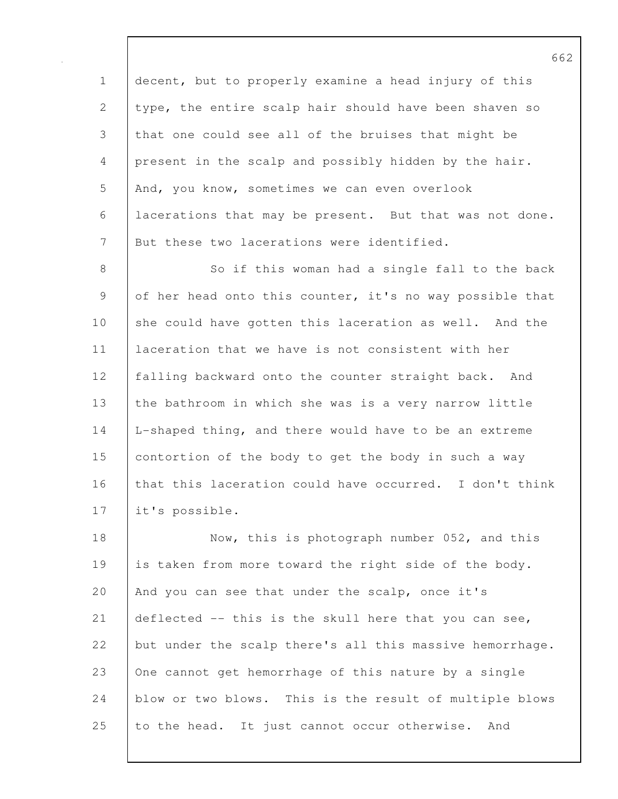1 decent, but to properly examine a head injury of this 2 type, the entire scalp hair should have been shaven so 3 that one could see all of the bruises that might be 4 present in the scalp and possibly hidden by the hair. 5 And, you know, sometimes we can even overlook 6 lacerations that may be present. But that was not done. 7 But these two lacerations were identified.

8 So if this woman had a single fall to the back 9 of her head onto this counter, it's no way possible that 10 she could have gotten this laceration as well. And the 11 laceration that we have is not consistent with her 12 falling backward onto the counter straight back. And 13 the bathroom in which she was is a very narrow little 14 L-shaped thing, and there would have to be an extreme 15 contortion of the body to get the body in such a way 16 that this laceration could have occurred. I don't think 17 it's possible.

18 Now, this is photograph number 052, and this 19 is taken from more toward the right side of the body. 20 And you can see that under the scalp, once it's 21 deflected -- this is the skull here that you can see, 22 but under the scalp there's all this massive hemorrhage. 23 One cannot get hemorrhage of this nature by a single 24 blow or two blows. This is the result of multiple blows 25 to the head. It just cannot occur otherwise. And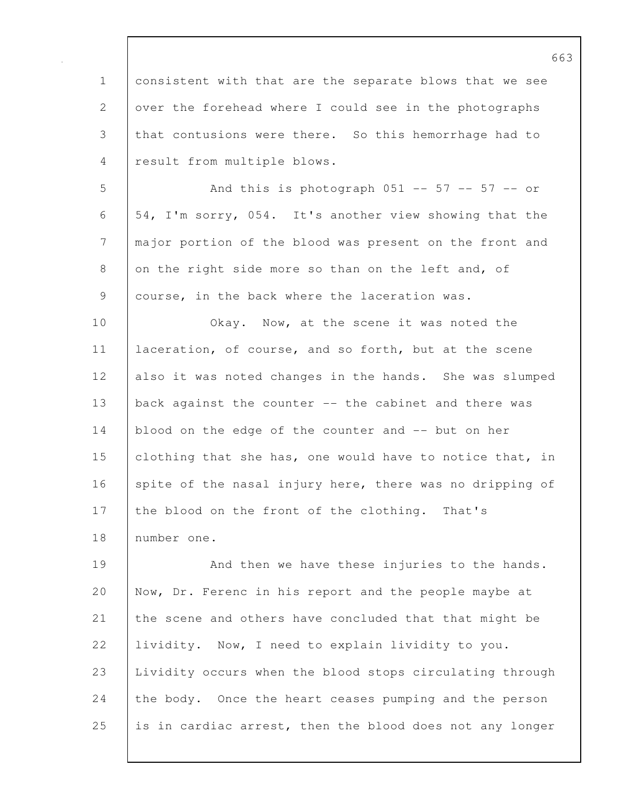1 consistent with that are the separate blows that we see 2 over the forehead where I could see in the photographs 3 that contusions were there. So this hemorrhage had to 4 result from multiple blows. 5 And this is photograph 051 -- 57 -- 57 -- or 6 54, I'm sorry, 054. It's another view showing that the 7 major portion of the blood was present on the front and 8 on the right side more so than on the left and, of 9 | course, in the back where the laceration was. 10 **Okay.** Now, at the scene it was noted the 11 | laceration, of course, and so forth, but at the scene 12 also it was noted changes in the hands. She was slumped 13 back against the counter -- the cabinet and there was 14 blood on the edge of the counter and -- but on her 15 clothing that she has, one would have to notice that, in 16 spite of the nasal injury here, there was no dripping of 17 the blood on the front of the clothing. That's 18 number one. 19 And then we have these injuries to the hands.

20 Now, Dr. Ferenc in his report and the people maybe at 21 the scene and others have concluded that that might be 22 | lividity. Now, I need to explain lividity to you. 23 Lividity occurs when the blood stops circulating through 24 the body. Once the heart ceases pumping and the person 25 is in cardiac arrest, then the blood does not any longer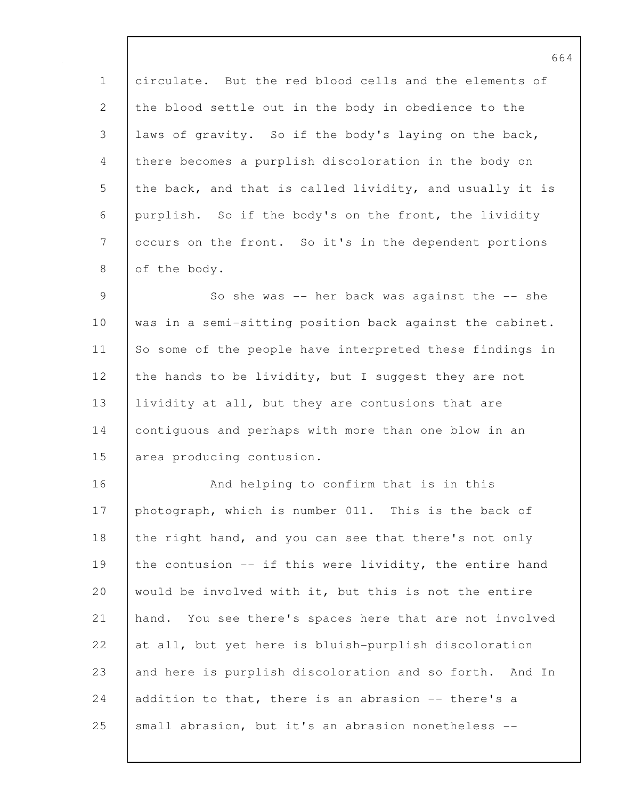1 circulate. But the red blood cells and the elements of 2 the blood settle out in the body in obedience to the 3 laws of gravity. So if the body's laying on the back, 4 there becomes a purplish discoloration in the body on 5 the back, and that is called lividity, and usually it is 6 purplish. So if the body's on the front, the lividity 7 occurs on the front. So it's in the dependent portions 8 of the body.

9 So she was -- her back was against the -- she 10 was in a semi-sitting position back against the cabinet. 11 So some of the people have interpreted these findings in 12 the hands to be lividity, but I suggest they are not 13 | lividity at all, but they are contusions that are 14 contiguous and perhaps with more than one blow in an 15 area producing contusion.

16 **And helping to confirm that is in this** 17 photograph, which is number 011. This is the back of 18 the right hand, and you can see that there's not only 19 the contusion -- if this were lividity, the entire hand 20 would be involved with it, but this is not the entire 21 hand. You see there's spaces here that are not involved 22  $\vert$  at all, but yet here is bluish-purplish discoloration 23 and here is purplish discoloration and so forth. And In 24 addition to that, there is an abrasion -- there's a 25 | small abrasion, but it's an abrasion nonetheless --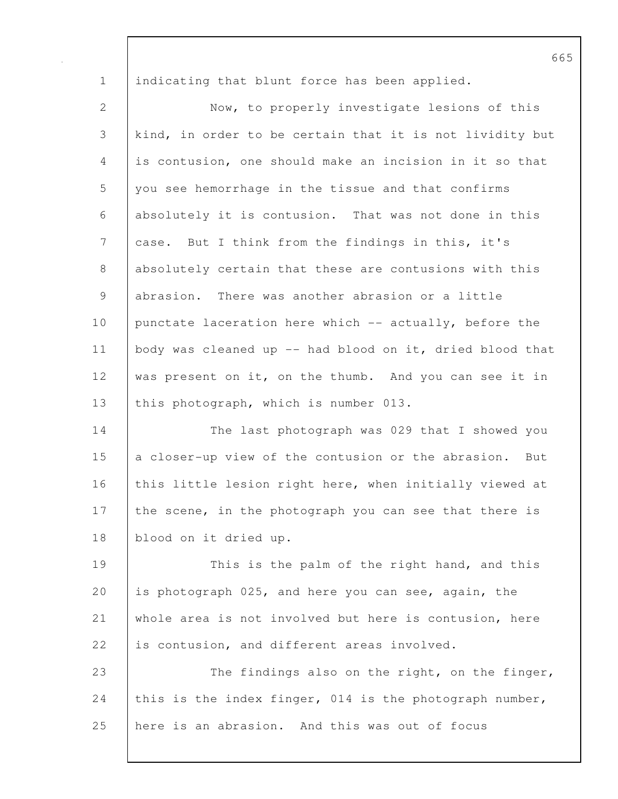1 | indicating that blunt force has been applied.

2 Now, to properly investigate lesions of this 3 kind, in order to be certain that it is not lividity but 4 is contusion, one should make an incision in it so that 5 you see hemorrhage in the tissue and that confirms 6 absolutely it is contusion. That was not done in this 7 case. But I think from the findings in this, it's 8 absolutely certain that these are contusions with this 9 abrasion. There was another abrasion or a little 10 punctate laceration here which -- actually, before the 11 body was cleaned up -- had blood on it, dried blood that 12 was present on it, on the thumb. And you can see it in 13 this photograph, which is number 013.

14 The last photograph was 029 that I showed you 15 a closer-up view of the contusion or the abrasion. But 16 this little lesion right here, when initially viewed at 17 the scene, in the photograph you can see that there is 18 blood on it dried up.

19 This is the palm of the right hand, and this 20 is photograph 025, and here you can see, again, the 21 whole area is not involved but here is contusion, here 22 is contusion, and different areas involved.

23 The findings also on the right, on the finger, 24 this is the index finger, 014 is the photograph number, 25 here is an abrasion. And this was out of focus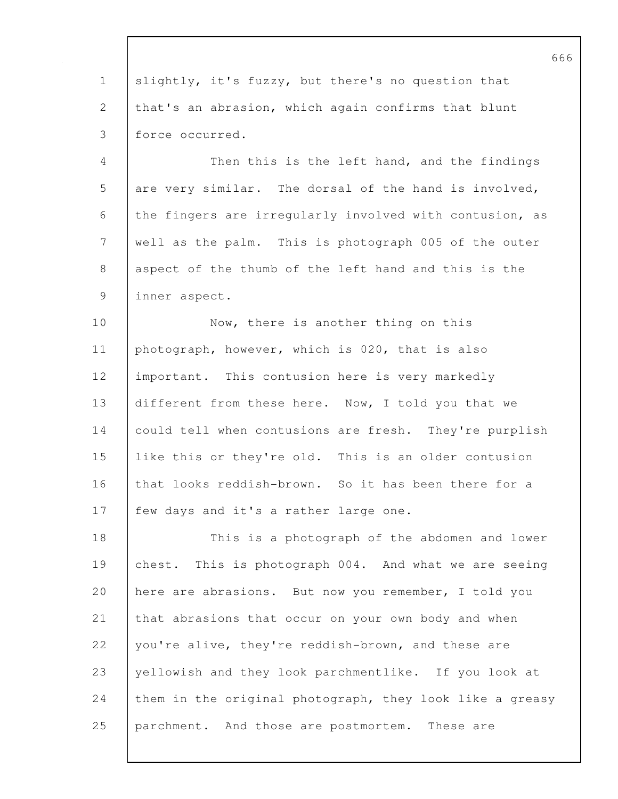1 slightly, it's fuzzy, but there's no question that 2 that's an abrasion, which again confirms that blunt 3 force occurred.

4 Then this is the left hand, and the findings 5 are very similar. The dorsal of the hand is involved, 6 the fingers are irregularly involved with contusion, as 7 well as the palm. This is photograph 005 of the outer 8 aspect of the thumb of the left hand and this is the 9 inner aspect.

10 Now, there is another thing on this 11 | photograph, however, which is 020, that is also 12 important. This contusion here is very markedly 13 different from these here. Now, I told you that we 14 could tell when contusions are fresh. They're purplish 15 like this or they're old. This is an older contusion 16 that looks reddish-brown. So it has been there for a 17 | few days and it's a rather large one.

18 This is a photograph of the abdomen and lower 19 chest. This is photograph 004. And what we are seeing 20 here are abrasions. But now you remember, I told you 21 that abrasions that occur on your own body and when 22 | you're alive, they're reddish-brown, and these are 23 vellowish and they look parchmentlike. If you look at 24 them in the original photograph, they look like a greasy 25 parchment. And those are postmortem. These are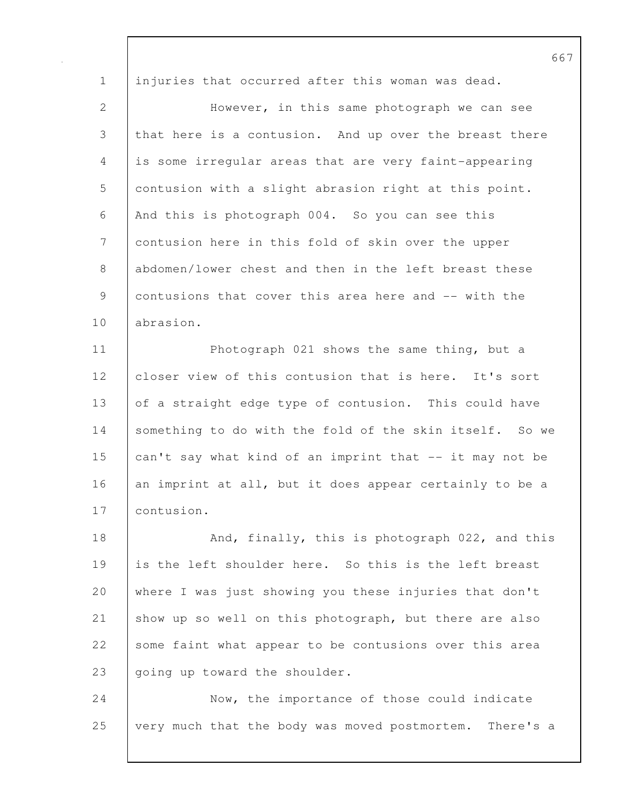1 injuries that occurred after this woman was dead.

2 However, in this same photograph we can see 3 that here is a contusion. And up over the breast there 4 is some irregular areas that are very faint-appearing 5 contusion with a slight abrasion right at this point. 6 And this is photograph 004. So you can see this 7 contusion here in this fold of skin over the upper 8 abdomen/lower chest and then in the left breast these 9 contusions that cover this area here and -- with the 10 abrasion.

11 | Photograph 021 shows the same thing, but a 12 closer view of this contusion that is here. It's sort 13 of a straight edge type of contusion. This could have 14 Something to do with the fold of the skin itself. So we 15 can't say what kind of an imprint that -- it may not be 16 an imprint at all, but it does appear certainly to be a 17 contusion.

18 And, finally, this is photograph 022, and this 19 is the left shoulder here. So this is the left breast 20 where I was just showing you these injuries that don't 21 Show up so well on this photograph, but there are also 22 some faint what appear to be contusions over this area 23 going up toward the shoulder.

24 Now, the importance of those could indicate 25 very much that the body was moved postmortem. There's a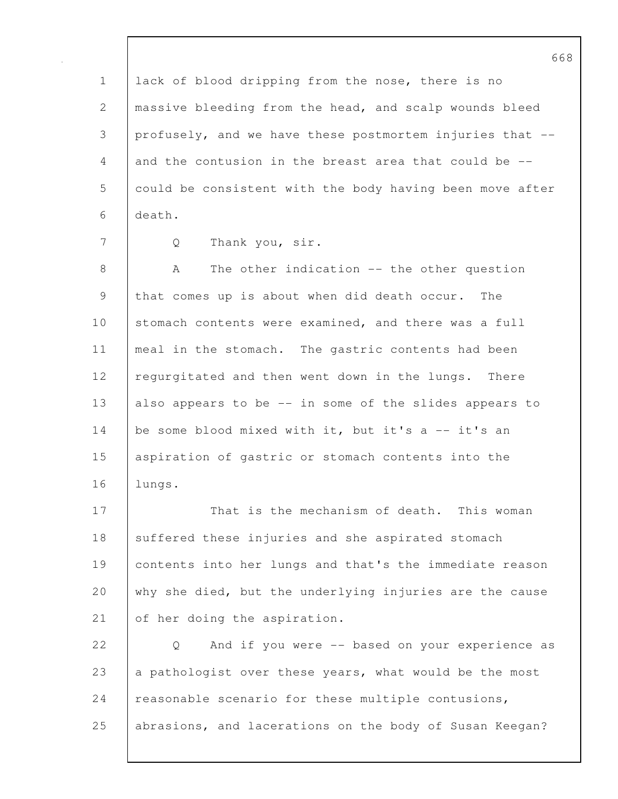1 lack of blood dripping from the nose, there is no 2 | massive bleeding from the head, and scalp wounds bleed 3 profusely, and we have these postmortem injuries that -- 4 and the contusion in the breast area that could be -- 5 could be consistent with the body having been move after 6 death.

7 Q Thank you, sir.

8 A The other indication -- the other question 9 that comes up is about when did death occur. The 10 stomach contents were examined, and there was a full 11 | meal in the stomach. The gastric contents had been 12 regurgitated and then went down in the lungs. There 13 also appears to be -- in some of the slides appears to 14 | be some blood mixed with it, but it's a -- it's an 15 aspiration of gastric or stomach contents into the 16 lungs.

17 | That is the mechanism of death. This woman 18 suffered these injuries and she aspirated stomach 19 contents into her lungs and that's the immediate reason 20 why she died, but the underlying injuries are the cause 21 of her doing the aspiration.

22 | Q And if you were -- based on your experience as 23 a pathologist over these years, what would be the most 24 reasonable scenario for these multiple contusions, 25 abrasions, and lacerations on the body of Susan Keegan?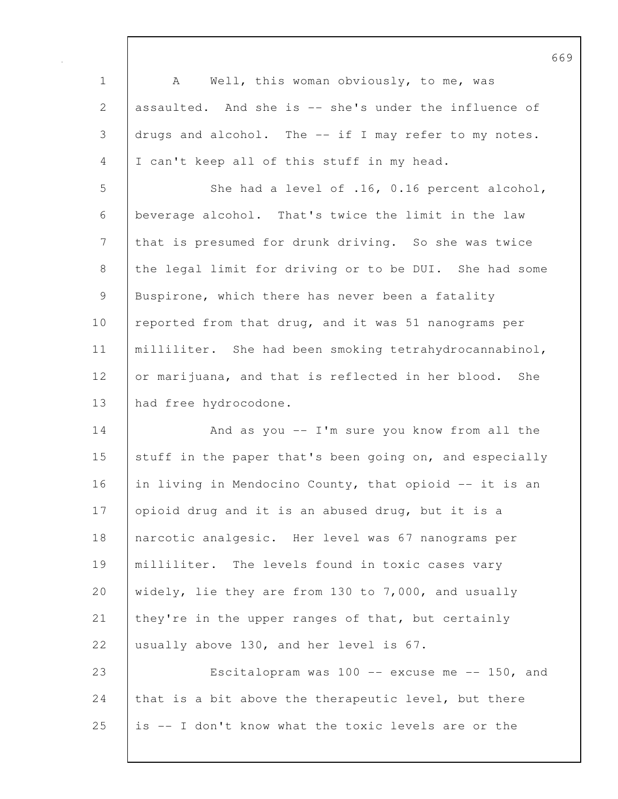1 | A Well, this woman obviously, to me, was 2 assaulted. And she is -- she's under the influence of 3 drugs and alcohol. The -- if I may refer to my notes. 4 I can't keep all of this stuff in my head. 5 She had a level of .16, 0.16 percent alcohol, 6 beverage alcohol. That's twice the limit in the law 7 that is presumed for drunk driving. So she was twice 8 the legal limit for driving or to be DUI. She had some 9 Buspirone, which there has never been a fatality 10 | reported from that drug, and it was 51 nanograms per 11 milliliter. She had been smoking tetrahydrocannabinol, 12 or marijuana, and that is reflected in her blood. She 13 had free hydrocodone. 14 | And as you -- I'm sure you know from all the 15 stuff in the paper that's been going on, and especially 16 in living in Mendocino County, that opioid -- it is an 17 opioid drug and it is an abused drug, but it is a 18 narcotic analgesic. Her level was 67 nanograms per 19 milliliter. The levels found in toxic cases vary 20 widely, lie they are from 130 to 7,000, and usually 21 they're in the upper ranges of that, but certainly 22 usually above 130, and her level is 67. 23 Escitalopram was 100 -- excuse me -- 150, and 24 that is a bit above the therapeutic level, but there 25 is -- I don't know what the toxic levels are or the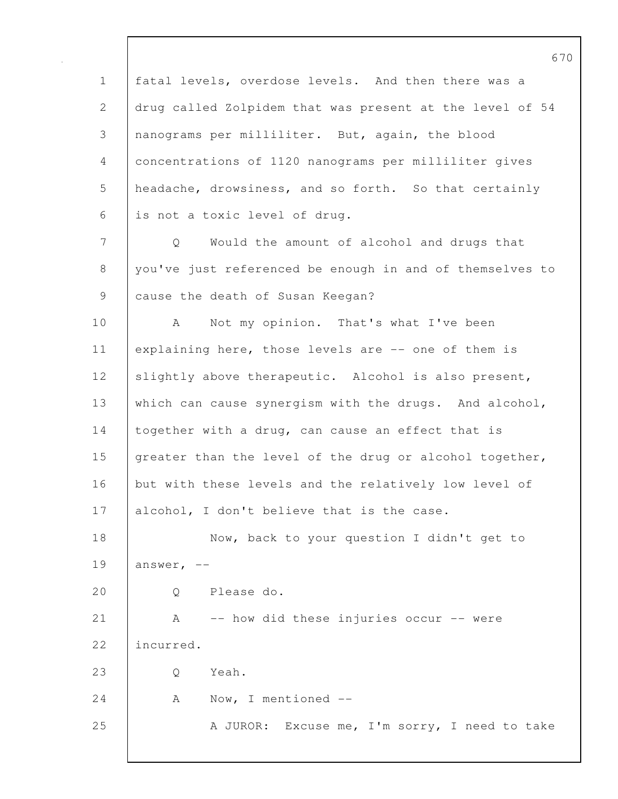670 1 fatal levels, overdose levels. And then there was a 2 drug called Zolpidem that was present at the level of 54 3 nanograms per milliliter. But, again, the blood 4 concentrations of 1120 nanograms per milliliter gives 5 headache, drowsiness, and so forth. So that certainly 6 is not a toxic level of drug. 7 Q Would the amount of alcohol and drugs that 8 you've just referenced be enough in and of themselves to 9 cause the death of Susan Keegan? 10 | A Not my opinion. That's what I've been 11 explaining here, those levels are -- one of them is 12 slightly above therapeutic. Alcohol is also present, 13 which can cause synergism with the drugs. And alcohol, 14 together with a drug, can cause an effect that is 15 greater than the level of the drug or alcohol together, 16 but with these levels and the relatively low level of 17 | alcohol, I don't believe that is the case. 18 Now, back to your question I didn't get to 19 | answer,  $-$ 20 | O Please do. 21 | A -- how did these injuries occur -- were 22 incurred. 23 Q Yeah. 24 A Now, I mentioned --25 A JUROR: Excuse me, I'm sorry, I need to take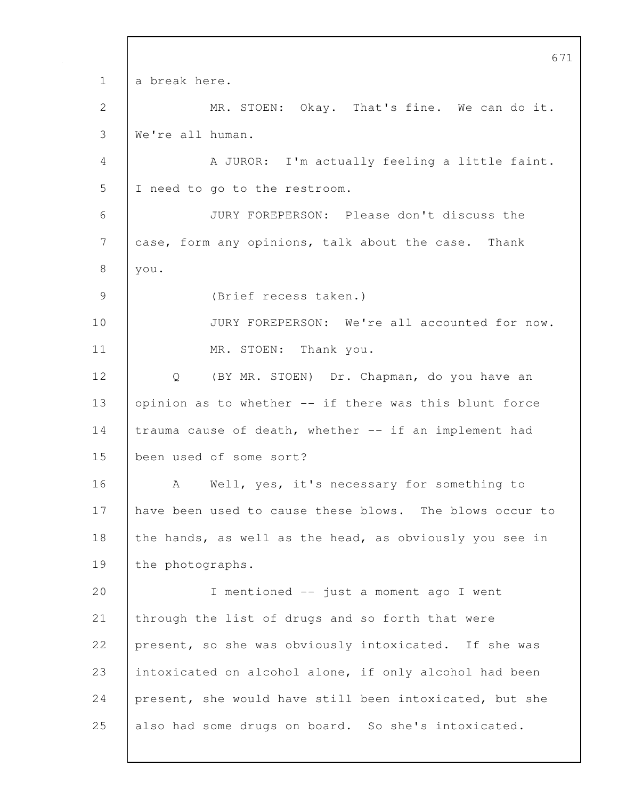671 1 a break here. 2 MR. STOEN: Okay. That's fine. We can do it. 3 We're all human. 4 A JUROR: I'm actually feeling a little faint. 5 I need to go to the restroom. 6 JURY FOREPERSON: Please don't discuss the 7 case, form any opinions, talk about the case. Thank 8 you. 9 (Brief recess taken.) 10 JURY FOREPERSON: We're all accounted for now. 11 MR. STOEN: Thank you. 12 Q (BY MR. STOEN) Dr. Chapman, do you have an 13 | opinion as to whether -- if there was this blunt force 14 trauma cause of death, whether -- if an implement had 15 been used of some sort? 16 A Well, yes, it's necessary for something to 17 have been used to cause these blows. The blows occur to 18 the hands, as well as the head, as obviously you see in 19 | the photographs. 20 I mentioned -- just a moment ago I went 21 through the list of drugs and so forth that were 22 present, so she was obviously intoxicated. If she was 23 intoxicated on alcohol alone, if only alcohol had been 24 present, she would have still been intoxicated, but she 25 also had some drugs on board. So she's intoxicated.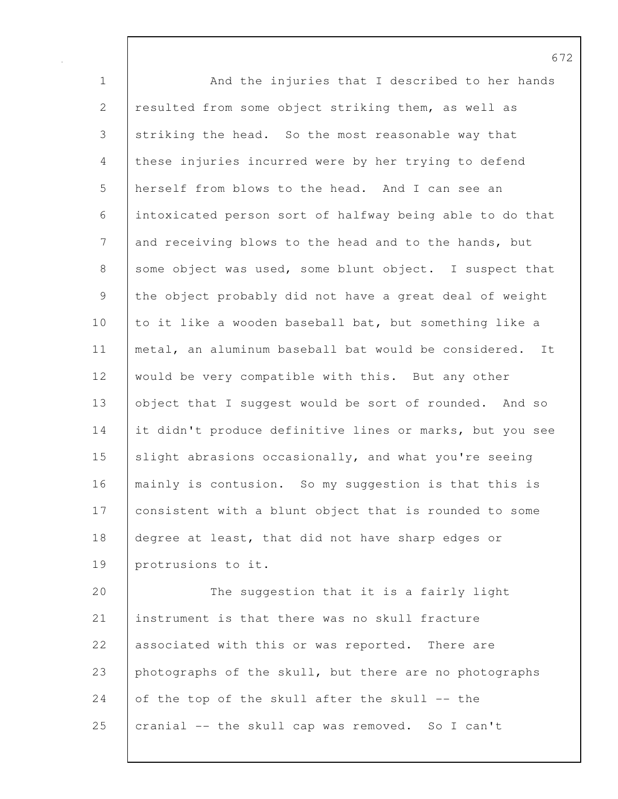1 And the injuries that I described to her hands 2 resulted from some object striking them, as well as 3 striking the head. So the most reasonable way that 4 these injuries incurred were by her trying to defend 5 herself from blows to the head. And I can see an 6 intoxicated person sort of halfway being able to do that 7 and receiving blows to the head and to the hands, but 8 some object was used, some blunt object. I suspect that 9 the object probably did not have a great deal of weight 10 to it like a wooden baseball bat, but something like a 11 metal, an aluminum baseball bat would be considered. It 12 would be very compatible with this. But any other 13 object that I suggest would be sort of rounded. And so 14 it didn't produce definitive lines or marks, but you see 15 Slight abrasions occasionally, and what you're seeing 16 mainly is contusion. So my suggestion is that this is 17 | consistent with a blunt object that is rounded to some 18 degree at least, that did not have sharp edges or 19 protrusions to it.

20 The suggestion that it is a fairly light 21 instrument is that there was no skull fracture 22 associated with this or was reported. There are 23 photographs of the skull, but there are no photographs 24 of the top of the skull after the skull  $-$ - the 25 cranial -- the skull cap was removed. So I can't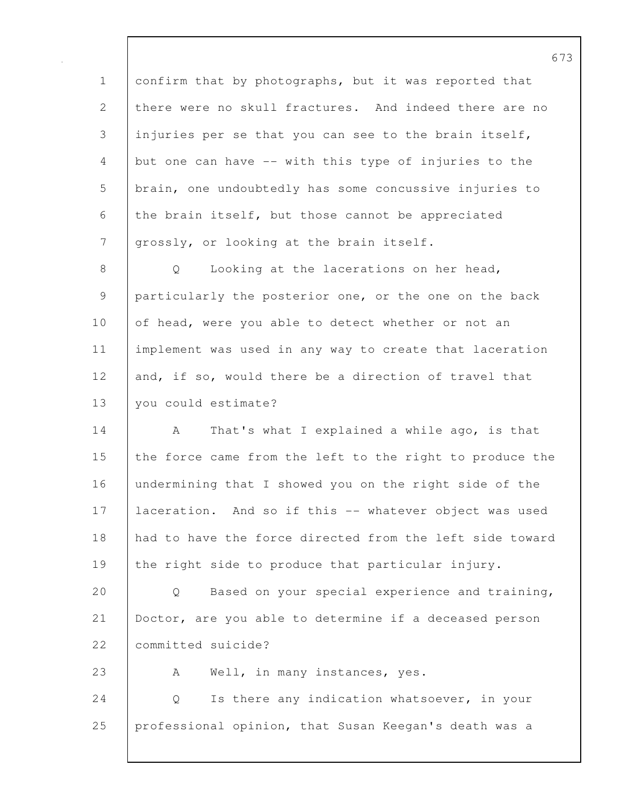1 confirm that by photographs, but it was reported that 2 there were no skull fractures. And indeed there are no 3 injuries per se that you can see to the brain itself, 4 but one can have -- with this type of injuries to the 5 | brain, one undoubtedly has some concussive injuries to 6 the brain itself, but those cannot be appreciated 7 grossly, or looking at the brain itself.

8 | Q Looking at the lacerations on her head, 9 particularly the posterior one, or the one on the back 10 of head, were you able to detect whether or not an 11 implement was used in any way to create that laceration 12 and, if so, would there be a direction of travel that 13 you could estimate?

14 A That's what I explained a while ago, is that 15 the force came from the left to the right to produce the 16 undermining that I showed you on the right side of the 17 | laceration. And so if this -- whatever object was used 18 had to have the force directed from the left side toward 19 the right side to produce that particular injury.

20 Q Based on your special experience and training, 21 Doctor, are you able to determine if a deceased person 22 | committed suicide?

23 | A Well, in many instances, yes.

24 Q Is there any indication whatsoever, in your 25 professional opinion, that Susan Keegan's death was a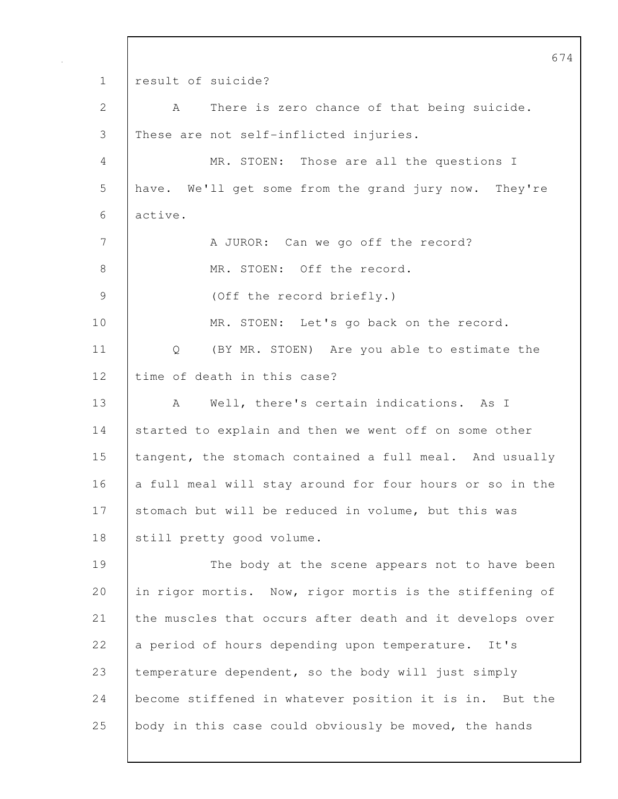674 1 | result of suicide? 2 | A There is zero chance of that being suicide. 3 These are not self-inflicted injuries. 4 MR. STOEN: Those are all the questions I 5 have. We'll get some from the grand jury now. They're 6 active. 7 A JUROR: Can we go off the record? 8 MR. STOEN: Off the record. 9 (Off the record briefly.) 10 MR. STOEN: Let's go back on the record. 11 Q (BY MR. STOEN) Are you able to estimate the 12 I time of death in this case? 13 | A Well, there's certain indications. As I 14 started to explain and then we went off on some other 15 tangent, the stomach contained a full meal. And usually 16 a full meal will stay around for four hours or so in the 17 Stomach but will be reduced in volume, but this was 18 still pretty good volume. 19 The body at the scene appears not to have been 20 in rigor mortis. Now, rigor mortis is the stiffening of 21 the muscles that occurs after death and it develops over 22 a period of hours depending upon temperature. It's 23 temperature dependent, so the body will just simply 24 become stiffened in whatever position it is in. But the 25 body in this case could obviously be moved, the hands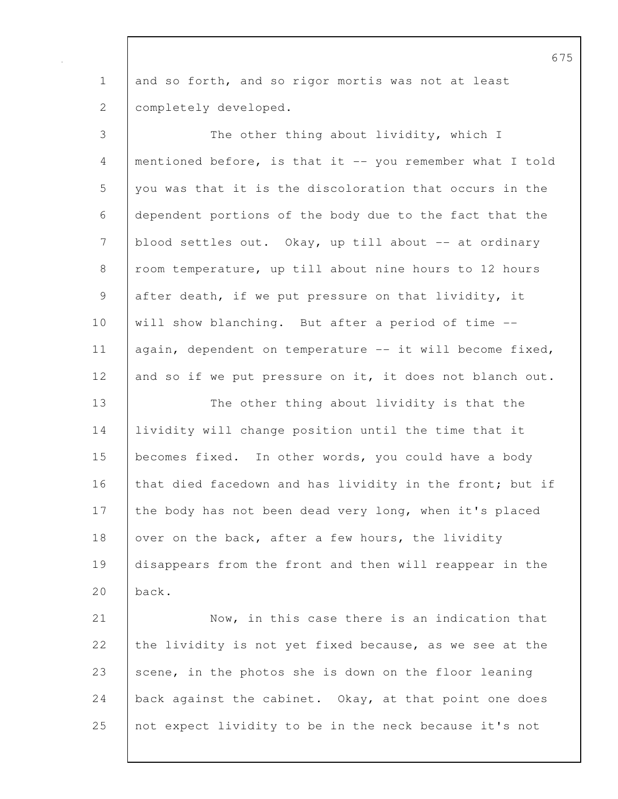1 and so forth, and so rigor mortis was not at least 2 completely developed.

3 The other thing about lividity, which I 4 mentioned before, is that it -- you remember what I told 5 you was that it is the discoloration that occurs in the 6 dependent portions of the body due to the fact that the 7 blood settles out. Okay, up till about -- at ordinary 8 room temperature, up till about nine hours to 12 hours 9 after death, if we put pressure on that lividity, it 10 | will show blanching. But after a period of time --11 | again, dependent on temperature -- it will become fixed, 12 and so if we put pressure on it, it does not blanch out. 13 The other thing about lividity is that the

14 | lividity will change position until the time that it 15 becomes fixed. In other words, you could have a body 16 that died facedown and has lividity in the front; but if 17 the body has not been dead very long, when it's placed 18 over on the back, after a few hours, the lividity 19 disappears from the front and then will reappear in the 20 back.

21 | Now, in this case there is an indication that 22 the lividity is not yet fixed because, as we see at the 23 scene, in the photos she is down on the floor leaning 24 back against the cabinet. Okay, at that point one does 25 not expect lividity to be in the neck because it's not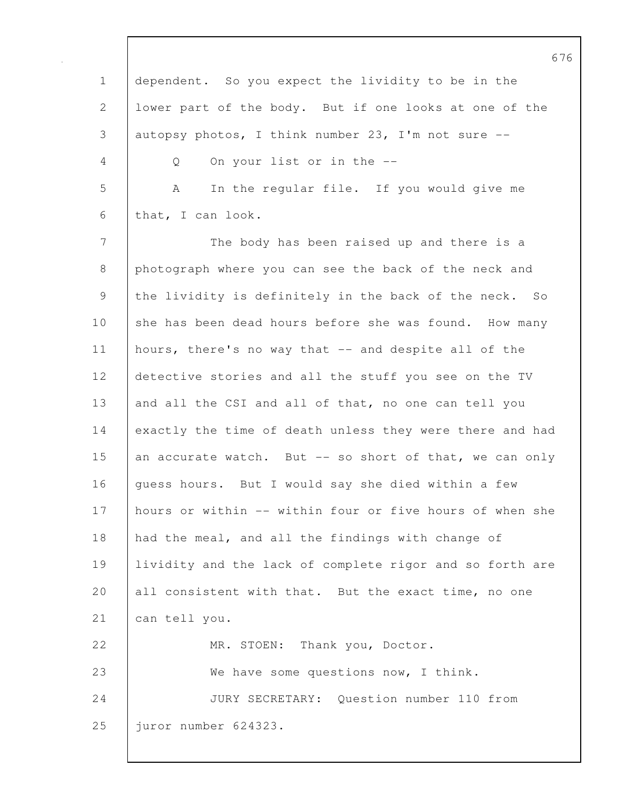|              | O                                                        |
|--------------|----------------------------------------------------------|
| $\mathbf 1$  | dependent. So you expect the lividity to be in the       |
| $\mathbf{2}$ | lower part of the body. But if one looks at one of the   |
| 3            | autopsy photos, I think number 23, I'm not sure $-$ -    |
| 4            | On your list or in the --<br>Q                           |
| 5            | In the regular file. If you would give me<br>A           |
| 6            | that, I can look.                                        |
| 7            | The body has been raised up and there is a               |
| $\,8\,$      | photograph where you can see the back of the neck and    |
| 9            | the lividity is definitely in the back of the neck. So   |
| 10           | she has been dead hours before she was found. How many   |
| 11           | hours, there's no way that -- and despite all of the     |
| 12           | detective stories and all the stuff you see on the TV    |
| 13           | and all the CSI and all of that, no one can tell you     |
| 14           | exactly the time of death unless they were there and had |
| 15           | an accurate watch. But -- so short of that, we can only  |
| 16           | guess hours. But I would say she died within a few       |
| 17           | hours or within -- within four or five hours of when she |
| 18           | had the meal, and all the findings with change of        |
| 19           | lividity and the lack of complete rigor and so forth are |
| 20           | all consistent with that. But the exact time, no one     |
| 21           | can tell you.                                            |
| 22           | MR. STOEN: Thank you, Doctor.                            |
| 23           | We have some questions now, I think.                     |
| 24           | JURY SECRETARY: Question number 110 from                 |
| 25           | juror number 624323.                                     |
|              |                                                          |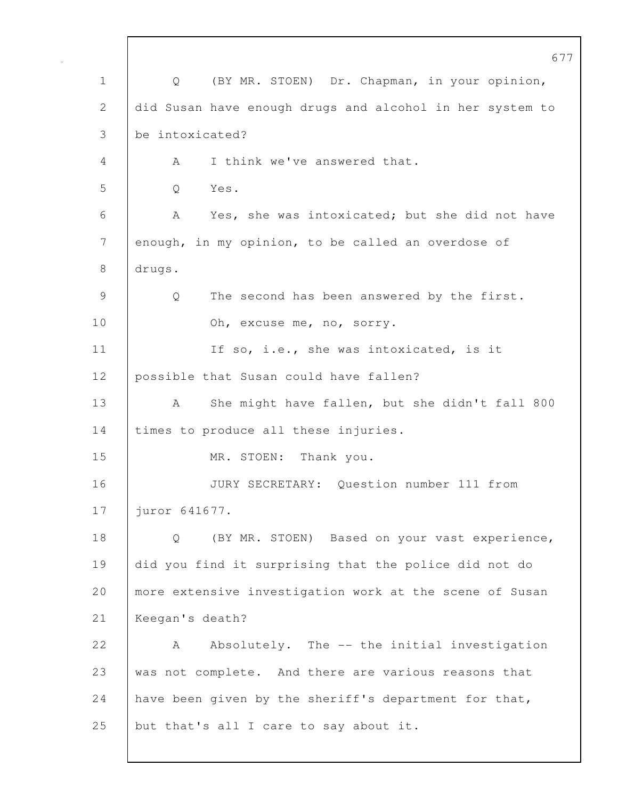677 1 Q (BY MR. STOEN) Dr. Chapman, in your opinion, 2 did Susan have enough drugs and alcohol in her system to 3 be intoxicated? 4 | A I think we've answered that. 5 Q Yes. 6 A Yes, she was intoxicated; but she did not have 7 enough, in my opinion, to be called an overdose of 8 drugs. 9 Q The second has been answered by the first. 10 Oh, excuse me, no, sorry. 11 | If so, i.e., she was intoxicated, is it 12 | possible that Susan could have fallen? 13 | A She might have fallen, but she didn't fall 800 14 times to produce all these injuries. 15 | MR. STOEN: Thank you. 16 JURY SECRETARY: Question number 111 from 17 juror 641677. 18 | Q (BY MR. STOEN) Based on your vast experience, 19 did you find it surprising that the police did not do 20 | more extensive investigation work at the scene of Susan 21 Keegan's death? 22 A Absolutely. The -- the initial investigation 23 was not complete. And there are various reasons that 24 | have been given by the sheriff's department for that, 25 but that's all I care to say about it.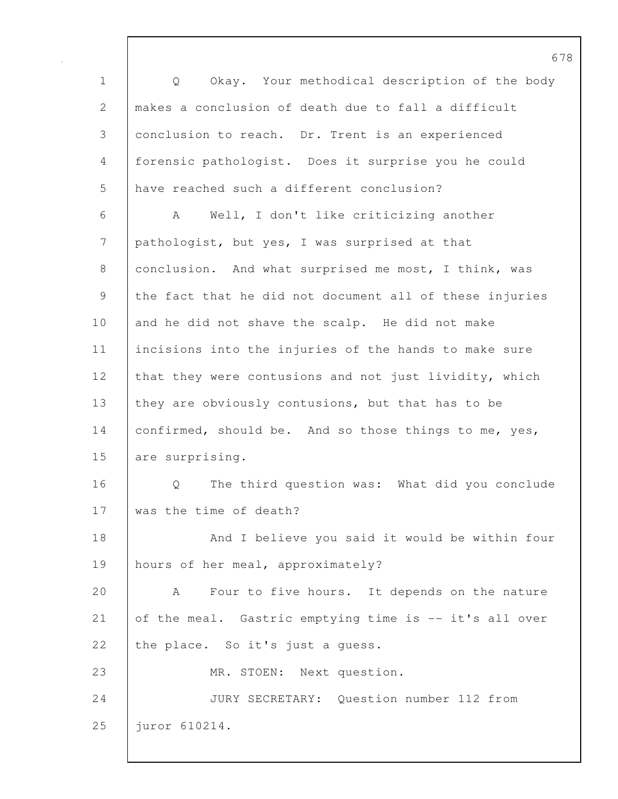1 Q Okay. Your methodical description of the body 2 makes a conclusion of death due to fall a difficult 3 conclusion to reach. Dr. Trent is an experienced 4 forensic pathologist. Does it surprise you he could 5 have reached such a different conclusion? 6 A Well, I don't like criticizing another 7 | pathologist, but yes, I was surprised at that 8 conclusion. And what surprised me most, I think, was 9 the fact that he did not document all of these injuries 10 and he did not shave the scalp. He did not make 11 incisions into the injuries of the hands to make sure 12 that they were contusions and not just lividity, which 13 they are obviously contusions, but that has to be 14 confirmed, should be. And so those things to me, yes, 15 are surprising. 16 | O The third question was: What did you conclude 17 was the time of death? 18 | And I believe you said it would be within four 19 | hours of her meal, approximately? 20 A Four to five hours. It depends on the nature 21 of the meal. Gastric emptying time is -- it's all over 22 the place. So it's just a quess. 23 MR. STOEN: Next question. 24 JURY SECRETARY: Question number 112 from 25 juror 610214.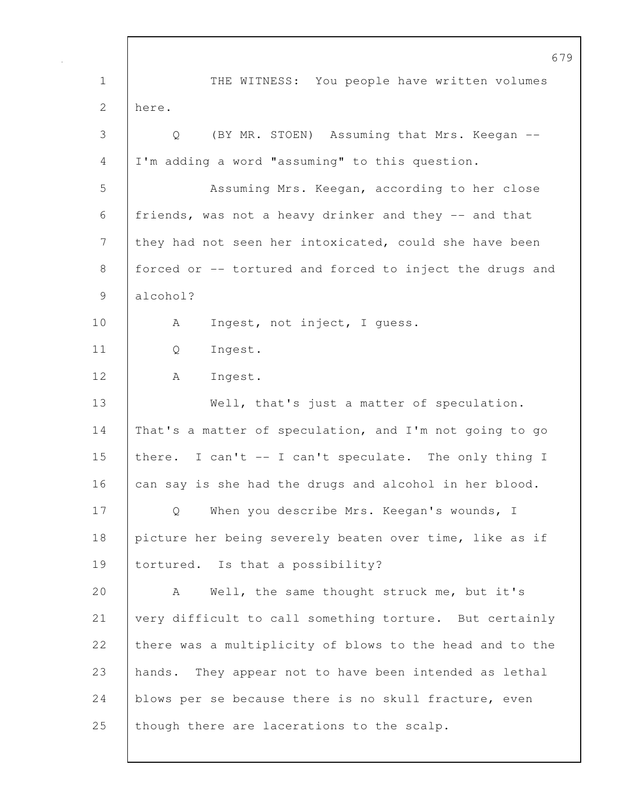679 1 THE WITNESS: You people have written volumes 2 here. 3 Q (BY MR. STOEN) Assuming that Mrs. Keegan -- 4 I'm adding a word "assuming" to this question. 5 Assuming Mrs. Keegan, according to her close 6 friends, was not a heavy drinker and they -- and that 7 they had not seen her intoxicated, could she have been 8 forced or -- tortured and forced to inject the drugs and 9 alcohol? 10 | A Ingest, not inject, I quess. 11 Q Ingest. 12 A Ingest. 13 Well, that's just a matter of speculation. 14 That's a matter of speculation, and I'm not going to go 15 there. I can't -- I can't speculate. The only thing I 16 can say is she had the drugs and alcohol in her blood. 17 | Q When you describe Mrs. Keegan's wounds, I 18 picture her being severely beaten over time, like as if 19 tortured. Is that a possibility? 20 | A Well, the same thought struck me, but it's 21 very difficult to call something torture. But certainly 22 there was a multiplicity of blows to the head and to the 23 hands. They appear not to have been intended as lethal 24 blows per se because there is no skull fracture, even 25 | though there are lacerations to the scalp.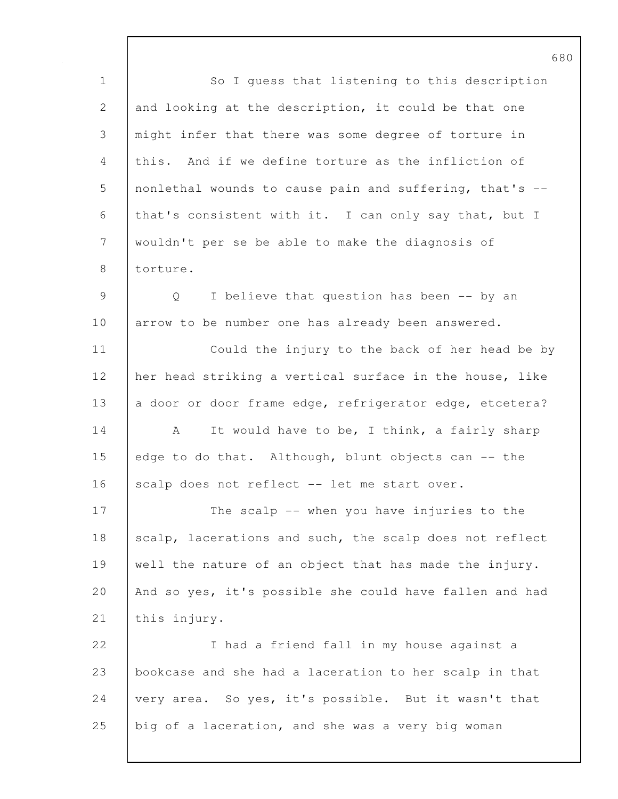1 So I guess that listening to this description 2 and looking at the description, it could be that one 3 might infer that there was some degree of torture in 4 this. And if we define torture as the infliction of 5 nonlethal wounds to cause pain and suffering, that's -- 6 that's consistent with it. I can only say that, but I 7 wouldn't per se be able to make the diagnosis of 8 torture. 9 Q I believe that question has been -- by an 10 arrow to be number one has already been answered. 11 | Could the injury to the back of her head be by 12 her head striking a vertical surface in the house, like 13 a door or door frame edge, refrigerator edge, etcetera? 14 A It would have to be, I think, a fairly sharp 15 edge to do that. Although, blunt objects can -- the 16 scalp does not reflect -- let me start over. 17 The scalp -- when you have injuries to the 18 scalp, lacerations and such, the scalp does not reflect 19 well the nature of an object that has made the injury. 20 And so yes, it's possible she could have fallen and had 21 | this injury. 22 I had a friend fall in my house against a 23 bookcase and she had a laceration to her scalp in that 24 very area. So yes, it's possible. But it wasn't that 25 big of a laceration, and she was a very big woman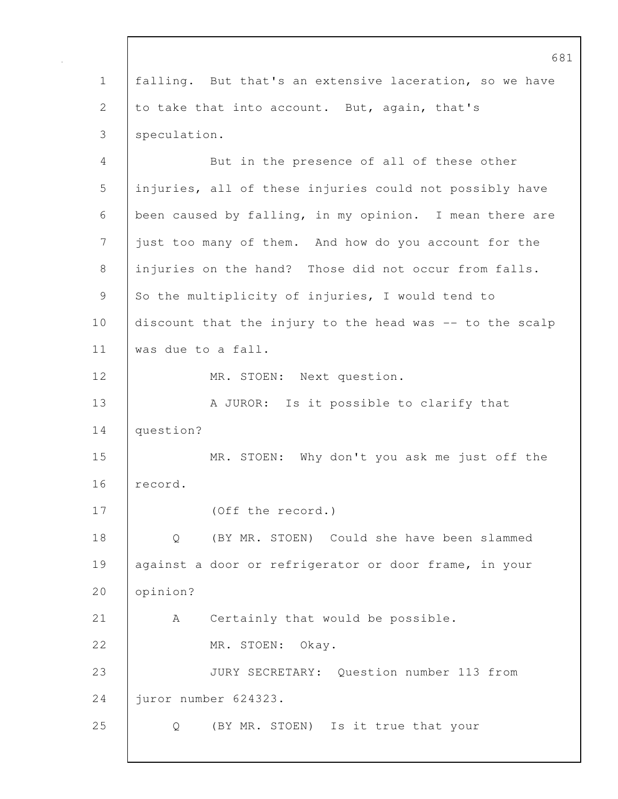681 1 falling. But that's an extensive laceration, so we have 2 to take that into account. But, again, that's 3 speculation. 4 But in the presence of all of these other 5 injuries, all of these injuries could not possibly have 6 been caused by falling, in my opinion. I mean there are 7 just too many of them. And how do you account for the 8 injuries on the hand? Those did not occur from falls. 9 So the multiplicity of injuries, I would tend to 10 discount that the injury to the head was -- to the scalp 11 was due to a fall. 12 | MR. STOEN: Next question. 13 | A JUROR: Is it possible to clarify that 14 question? 15 MR. STOEN: Why don't you ask me just off the 16 record. 17 (Off the record.) 18 Q (BY MR. STOEN) Could she have been slammed 19 | against a door or refrigerator or door frame, in your 20 opinion? 21 | A Certainly that would be possible. 22 MR. STOEN: Okay. 23 JURY SECRETARY: Question number 113 from 24 juror number 624323. 25 Q (BY MR. STOEN) Is it true that your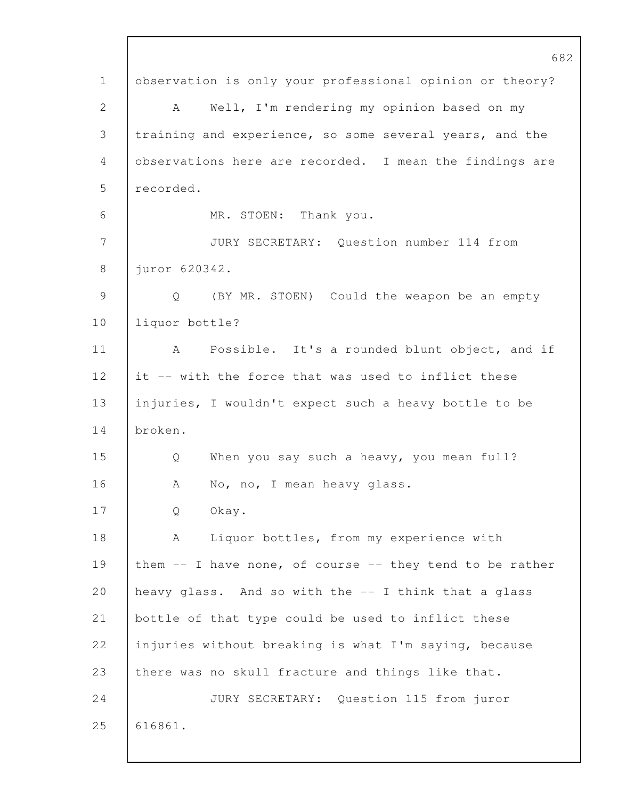|               | 682                                                              |
|---------------|------------------------------------------------------------------|
| $\mathbf 1$   | observation is only your professional opinion or theory?         |
| $\mathbf{2}$  | Well, I'm rendering my opinion based on my<br>A                  |
| 3             | training and experience, so some several years, and the          |
| 4             | observations here are recorded. I mean the findings are          |
| 5             | recorded.                                                        |
| 6             | MR. STOEN: Thank you.                                            |
| 7             | JURY SECRETARY: Question number 114 from                         |
| 8             | juror 620342.                                                    |
| $\mathcal{G}$ | (BY MR. STOEN) Could the weapon be an empty<br>$Q \qquad \qquad$ |
| 10            | liquor bottle?                                                   |
| 11            | Possible. It's a rounded blunt object, and if<br>A               |
| 12            | it -- with the force that was used to inflict these              |
| 13            | injuries, I wouldn't expect such a heavy bottle to be            |
| 14            | broken.                                                          |
| 15            | When you say such a heavy, you mean full?<br>Q                   |
| 16            | No, no, I mean heavy glass.<br>A                                 |
| 17            | Okay.<br>Q                                                       |
| 18            | Liquor bottles, from my experience with<br>A                     |
| 19            | them -- I have none, of course -- they tend to be rather         |
| 20            | heavy glass. And so with the -- I think that a glass             |
| 21            | bottle of that type could be used to inflict these               |
| 22            | injuries without breaking is what I'm saying, because            |
| 23            | there was no skull fracture and things like that.                |
| 24            | JURY SECRETARY: Question 115 from juror                          |
| 25            | 616861.                                                          |
|               |                                                                  |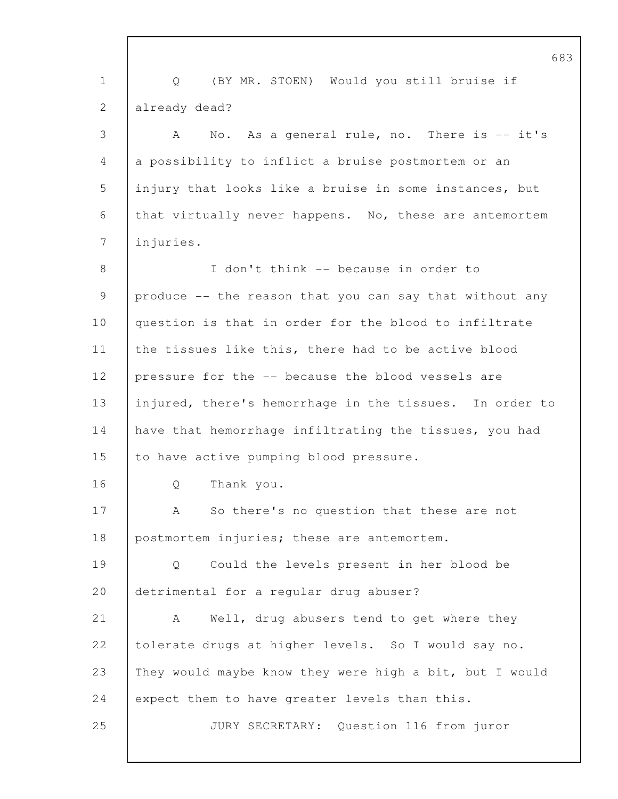683 1 Q (BY MR. STOEN) Would you still bruise if 2 already dead? 3 A No. As a general rule, no. There is -- it's 4 a possibility to inflict a bruise postmortem or an 5 injury that looks like a bruise in some instances, but 6 that virtually never happens. No, these are antemortem 7 injuries. 8 I don't think -- because in order to 9 produce -- the reason that you can say that without any 10 question is that in order for the blood to infiltrate 11 the tissues like this, there had to be active blood 12 pressure for the -- because the blood vessels are 13 injured, there's hemorrhage in the tissues. In order to 14 have that hemorrhage infiltrating the tissues, you had 15 to have active pumping blood pressure. 16 | O Thank you. 17 | A So there's no question that these are not 18 postmortem injuries; these are antemortem. 19 Q Could the levels present in her blood be 20 detrimental for a regular drug abuser? 21 | A Well, drug abusers tend to get where they 22 tolerate drugs at higher levels. So I would say no. 23 They would maybe know they were high a bit, but I would 24 expect them to have greater levels than this. 25 JURY SECRETARY: Question 116 from juror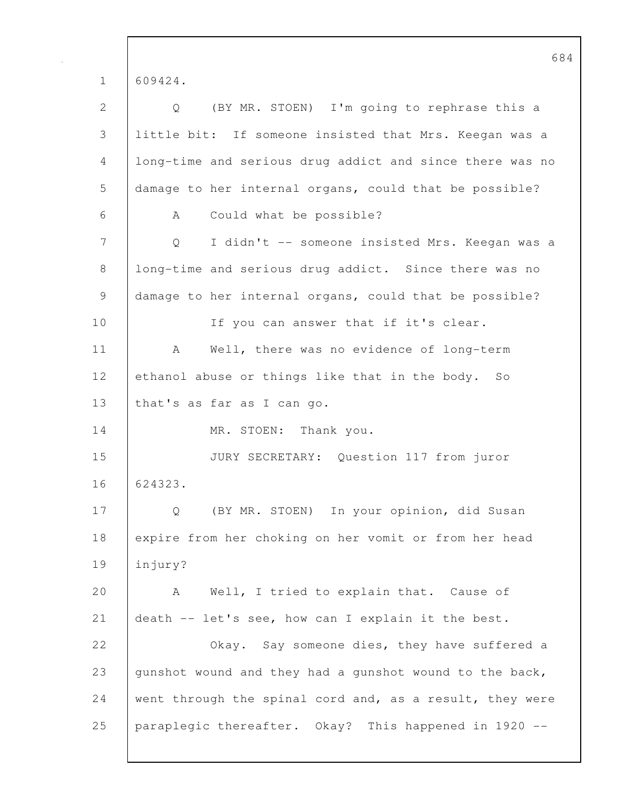|               | p ç                                                      |
|---------------|----------------------------------------------------------|
| $\mathbf 1$   | 609424.                                                  |
| $\mathbf{2}$  | (BY MR. STOEN) I'm going to rephrase this a<br>Q         |
| $\mathcal{S}$ | little bit: If someone insisted that Mrs. Keegan was a   |
| 4             | long-time and serious drug addict and since there was no |
| 5             | damage to her internal organs, could that be possible?   |
| 6             | Could what be possible?<br>A                             |
| 7             | I didn't -- someone insisted Mrs. Keegan was a<br>Q      |
| 8             | long-time and serious drug addict. Since there was no    |
| 9             | damage to her internal organs, could that be possible?   |
| 10            | If you can answer that if it's clear.                    |
| 11            | Well, there was no evidence of long-term<br>A            |
| 12            | ethanol abuse or things like that in the body. So        |
| 13            | that's as far as I can go.                               |
| 14            | MR. STOEN: Thank you.                                    |
| 15            | JURY SECRETARY: Question 117 from juror                  |
| 16            | 624323.                                                  |
| 17            | (BY MR. STOEN) In your opinion, did Susan<br>Q           |
| 18            | expire from her choking on her vomit or from her head    |
| 19            | injury?                                                  |
| 20            | Well, I tried to explain that. Cause of<br>A             |
| 21            | death -- let's see, how can I explain it the best.       |
| 22            | Okay. Say someone dies, they have suffered a             |
| 23            | qunshot wound and they had a gunshot wound to the back,  |
| 24            | went through the spinal cord and, as a result, they were |
| 25            | paraplegic thereafter. Okay? This happened in 1920 --    |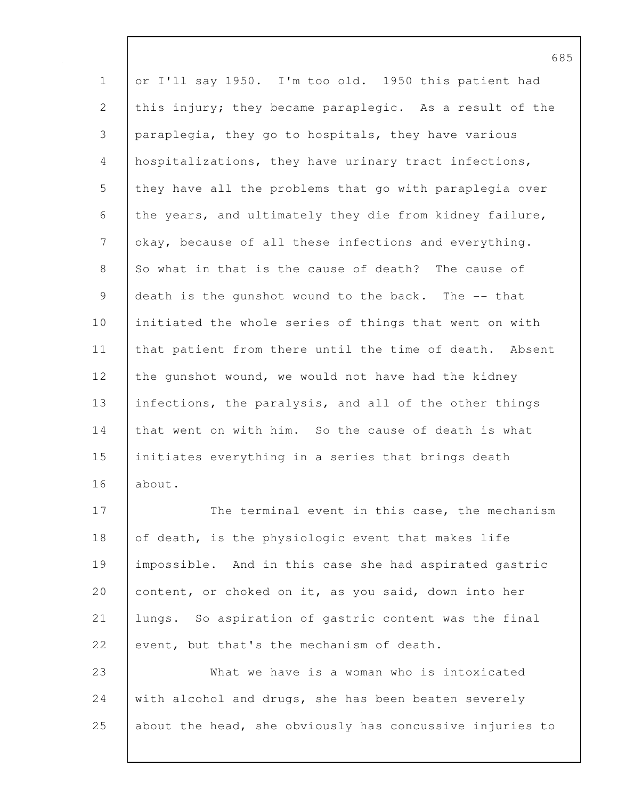1 or I'll say 1950. I'm too old. 1950 this patient had 2 this injury; they became paraplegic. As a result of the 3 paraplegia, they go to hospitals, they have various 4 hospitalizations, they have urinary tract infections, 5 they have all the problems that go with paraplegia over 6 the years, and ultimately they die from kidney failure, 7 okay, because of all these infections and everything. 8 So what in that is the cause of death? The cause of 9 death is the gunshot wound to the back. The -- that 10 initiated the whole series of things that went on with 11 | that patient from there until the time of death. Absent 12 the gunshot wound, we would not have had the kidney 13 | infections, the paralysis, and all of the other things 14 that went on with him. So the cause of death is what 15 initiates everything in a series that brings death 16 about.

17 The terminal event in this case, the mechanism 18 of death, is the physiologic event that makes life 19 impossible. And in this case she had aspirated gastric 20 content, or choked on it, as you said, down into her 21 lungs. So aspiration of gastric content was the final 22 event, but that's the mechanism of death. 23 What we have is a woman who is intoxicated

24 with alcohol and drugs, she has been beaten severely 25 about the head, she obviously has concussive injuries to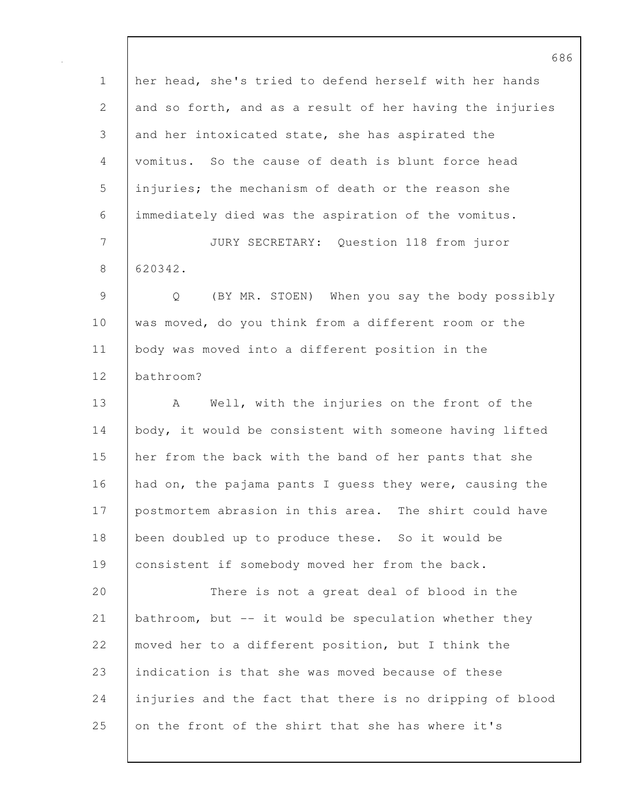1 her head, she's tried to defend herself with her hands 2 and so forth, and as a result of her having the injuries 3 and her intoxicated state, she has aspirated the 4 vomitus. So the cause of death is blunt force head 5 injuries; the mechanism of death or the reason she 6 immediately died was the aspiration of the vomitus. 7 JURY SECRETARY: Question 118 from juror 8 620342. 9 Q (BY MR. STOEN) When you say the body possibly 10 was moved, do you think from a different room or the 11 body was moved into a different position in the 12 bathroom? 13 | A Well, with the injuries on the front of the 14 body, it would be consistent with someone having lifted 15 her from the back with the band of her pants that she 16 had on, the pajama pants I quess they were, causing the 17 postmortem abrasion in this area. The shirt could have 18 been doubled up to produce these. So it would be 19 consistent if somebody moved her from the back. 20 There is not a great deal of blood in the 21 bathroom, but -- it would be speculation whether they 22 moved her to a different position, but I think the 23 indication is that she was moved because of these 24 injuries and the fact that there is no dripping of blood 25 on the front of the shirt that she has where it's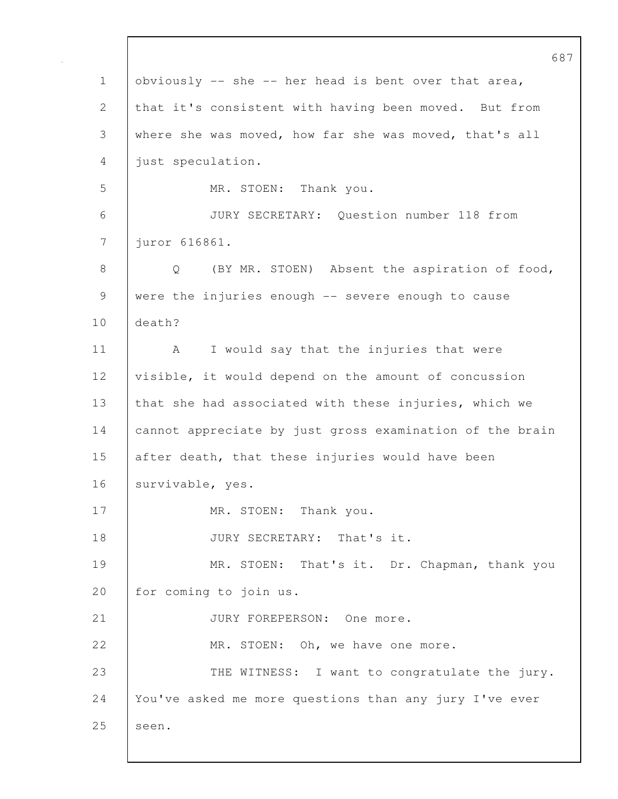|             | 68                                                                 |
|-------------|--------------------------------------------------------------------|
| $\mathbf 1$ | obviously -- she -- her head is bent over that area,               |
| 2           | that it's consistent with having been moved. But from              |
| 3           | where she was moved, how far she was moved, that's all             |
| 4           | just speculation.                                                  |
| 5           | MR. STOEN: Thank you.                                              |
| 6           | JURY SECRETARY: Question number 118 from                           |
| 7           | juror 616861.                                                      |
| 8           | (BY MR. STOEN) Absent the aspiration of food,<br>$Q \qquad \qquad$ |
| $\mathsf 9$ | were the injuries enough -- severe enough to cause                 |
| 10          | death?                                                             |
| 11          | I would say that the injuries that were<br>A                       |
| 12          | visible, it would depend on the amount of concussion               |
| 13          | that she had associated with these injuries, which we              |
| 14          | cannot appreciate by just gross examination of the brain           |
| 15          | after death, that these injuries would have been                   |
| 16          | survivable, yes.                                                   |
| 17          | MR. STOEN: Thank you.                                              |
| 18          | JURY SECRETARY: That's it.                                         |
| 19          | MR. STOEN: That's it. Dr. Chapman, thank you                       |
| 20          | for coming to join us.                                             |
| 21          | JURY FOREPERSON: One more.                                         |
| 22          | MR. STOEN: Oh, we have one more.                                   |
| 23          | THE WITNESS: I want to congratulate the jury.                      |
| 24          | You've asked me more questions than any jury I've ever             |
| 25          | seen.                                                              |
|             |                                                                    |

 $\mathsf{I}$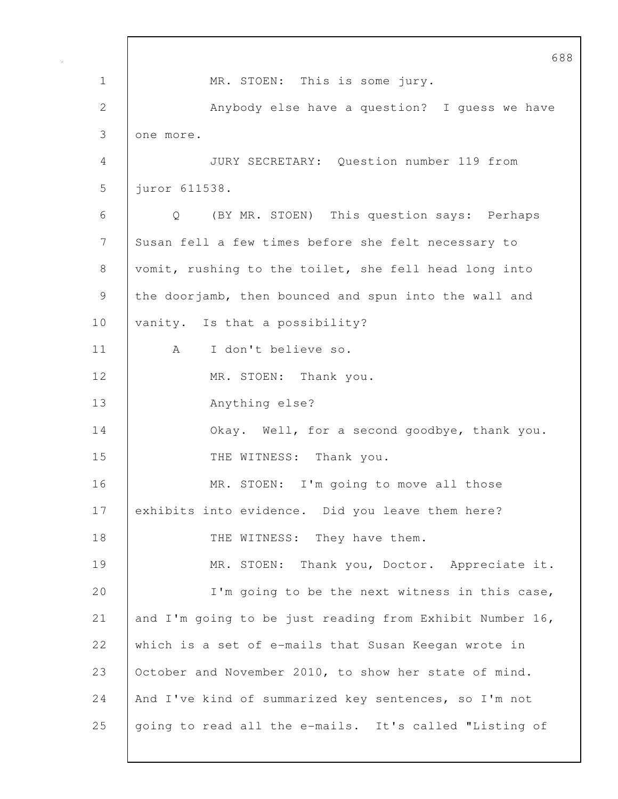688 1 MR. STOEN: This is some jury. 2 Anybody else have a question? I guess we have 3 one more. 4 JURY SECRETARY: Question number 119 from 5 juror 611538. 6 Q (BY MR. STOEN) This question says: Perhaps 7 Susan fell a few times before she felt necessary to 8 vomit, rushing to the toilet, she fell head long into 9 the doorjamb, then bounced and spun into the wall and 10 | vanity. Is that a possibility? 11 | A I don't believe so. 12 | MR. STOEN: Thank you. 13 Anything else? 14 **Okay.** Well, for a second goodbye, thank you. 15 THE WITNESS: Thank you. 16 MR. STOEN: I'm going to move all those 17 exhibits into evidence. Did you leave them here? 18 THE WITNESS: They have them. 19 MR. STOEN: Thank you, Doctor. Appreciate it. 20 | I'm going to be the next witness in this case, 21 and I'm going to be just reading from Exhibit Number 16, 22 which is a set of e-mails that Susan Keegan wrote in 23 October and November 2010, to show her state of mind. 24 And I've kind of summarized key sentences, so I'm not 25 going to read all the e-mails. It's called "Listing of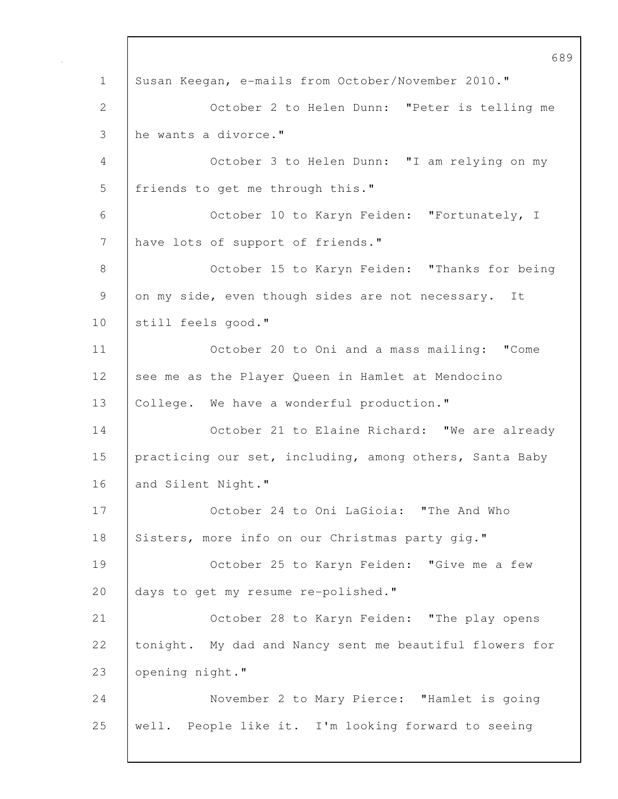689 1 Susan Keegan, e-mails from October/November 2010." 2 October 2 to Helen Dunn: "Peter is telling me 3 he wants a divorce." 4 October 3 to Helen Dunn: "I am relying on my 5 | friends to get me through this." 6 October 10 to Karyn Feiden: "Fortunately, I 7 | have lots of support of friends." 8 | October 15 to Karyn Feiden: "Thanks for being 9 on my side, even though sides are not necessary. It 10 | still feels good." 11 October 20 to Oni and a mass mailing: "Come 12 see me as the Player Queen in Hamlet at Mendocino 13 | College. We have a wonderful production." 14 | October 21 to Elaine Richard: "We are already 15 practicing our set, including, among others, Santa Baby 16 and Silent Night." 17 **COLOGET 24 to Oni LaGioia: "The And Who** 18 Sisters, more info on our Christmas party gig." 19 October 25 to Karyn Feiden: "Give me a few 20 days to get my resume re-polished." 21 October 28 to Karyn Feiden: "The play opens 22 tonight. My dad and Nancy sent me beautiful flowers for 23 opening night." 24 November 2 to Mary Pierce: "Hamlet is going 25 well. People like it. I'm looking forward to seeing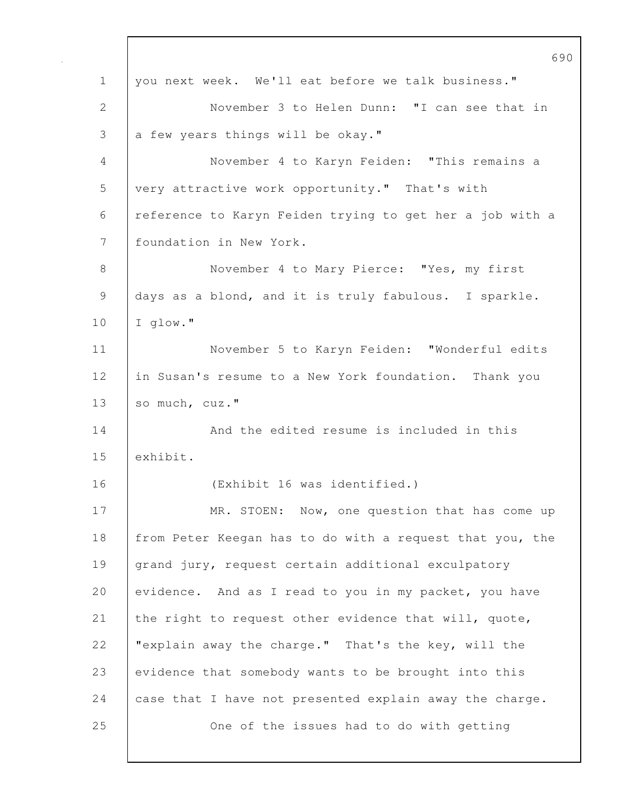|             | 6 <sup>c</sup>                                           |
|-------------|----------------------------------------------------------|
| $\mathbf 1$ | you next week. We'll eat before we talk business."       |
| 2           | November 3 to Helen Dunn: "I can see that in             |
| 3           | a few years things will be okay."                        |
| 4           | November 4 to Karyn Feiden: "This remains a              |
| 5           | very attractive work opportunity." That's with           |
| 6           | reference to Karyn Feiden trying to get her a job with a |
| 7           | foundation in New York.                                  |
| $8\,$       | November 4 to Mary Pierce: "Yes, my first                |
| 9           | days as a blond, and it is truly fabulous. I sparkle.    |
| 10          | I glow."                                                 |
| 11          | November 5 to Karyn Feiden: "Wonderful edits             |
| 12          | in Susan's resume to a New York foundation. Thank you    |
| 13          | so much, cuz."                                           |
| 14          | And the edited resume is included in this                |
| 15          | exhibit.                                                 |
| 16          | (Exhibit 16 was identified.)                             |
| 17          | MR. STOEN: Now, one question that has come up            |
| 18          | from Peter Keegan has to do with a request that you, the |
| 19          | grand jury, request certain additional exculpatory       |
| 20          | evidence. And as I read to you in my packet, you have    |
| 21          | the right to request other evidence that will, quote,    |
| 22          | "explain away the charge." That's the key, will the      |
| 23          | evidence that somebody wants to be brought into this     |
| 24          | case that I have not presented explain away the charge.  |
| 25          | One of the issues had to do with getting                 |
|             |                                                          |

 $\mathbf{I}$ 

 $\overline{0}$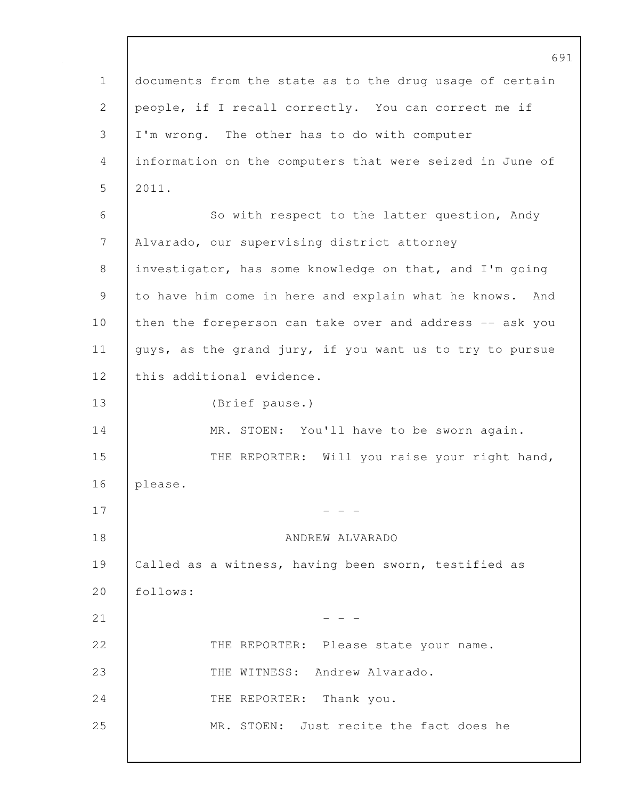691 1 documents from the state as to the drug usage of certain 2 people, if I recall correctly. You can correct me if 3 I'm wrong. The other has to do with computer 4 information on the computers that were seized in June of 5 2011. 6 So with respect to the latter question, Andy 7 Alvarado, our supervising district attorney 8 investigator, has some knowledge on that, and I'm going 9 to have him come in here and explain what he knows. And 10 then the foreperson can take over and address -- ask you 11 guys, as the grand jury, if you want us to try to pursue 12 this additional evidence. 13 (Brief pause.) 14 | MR. STOEN: You'll have to be sworn again. 15 THE REPORTER: Will you raise your right hand, 16 please.  $17$  - - -18 ANDREW ALVARADO 19 Called as a witness, having been sworn, testified as 20 follows:  $21$  - - -22 THE REPORTER: Please state your name. 23 THE WITNESS: Andrew Alvarado. 24 THE REPORTER: Thank you. 25 MR. STOEN: Just recite the fact does he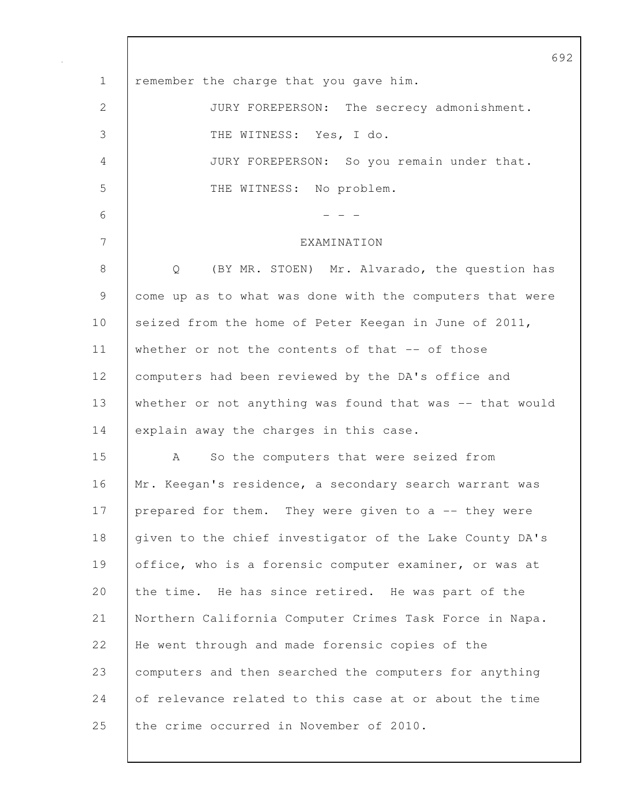|                | 6 <sup>c</sup>                                           |
|----------------|----------------------------------------------------------|
| $\mathbf 1$    | remember the charge that you gave him.                   |
| 2              | JURY FOREPERSON: The secrecy admonishment.               |
| 3              | THE WITNESS: Yes, I do.                                  |
| $\overline{4}$ | JURY FOREPERSON: So you remain under that.               |
| 5              | THE WITNESS: No problem.                                 |
| 6              |                                                          |
| 7              | EXAMINATION                                              |
| $8\,$          | (BY MR. STOEN) Mr. Alvarado, the question has<br>Q       |
| 9              | come up as to what was done with the computers that were |
| 10             | seized from the home of Peter Keegan in June of 2011,    |
| 11             | whether or not the contents of that -- of those          |
| 12             | computers had been reviewed by the DA's office and       |
| 13             | whether or not anything was found that was -- that would |
| 14             | explain away the charges in this case.                   |
| 15             | So the computers that were seized from<br>A              |
| 16             | Mr. Keegan's residence, a secondary search warrant was   |
| 17             | prepared for them. They were given to a -- they were     |
| 18             | given to the chief investigator of the Lake County DA's  |
| 19             | office, who is a forensic computer examiner, or was at   |
| 20             | the time. He has since retired. He was part of the       |
| 21             | Northern California Computer Crimes Task Force in Napa.  |
| 22             | He went through and made forensic copies of the          |
| 23             | computers and then searched the computers for anything   |
| 24             | of relevance related to this case at or about the time   |
| 25             | the crime occurred in November of 2010.                  |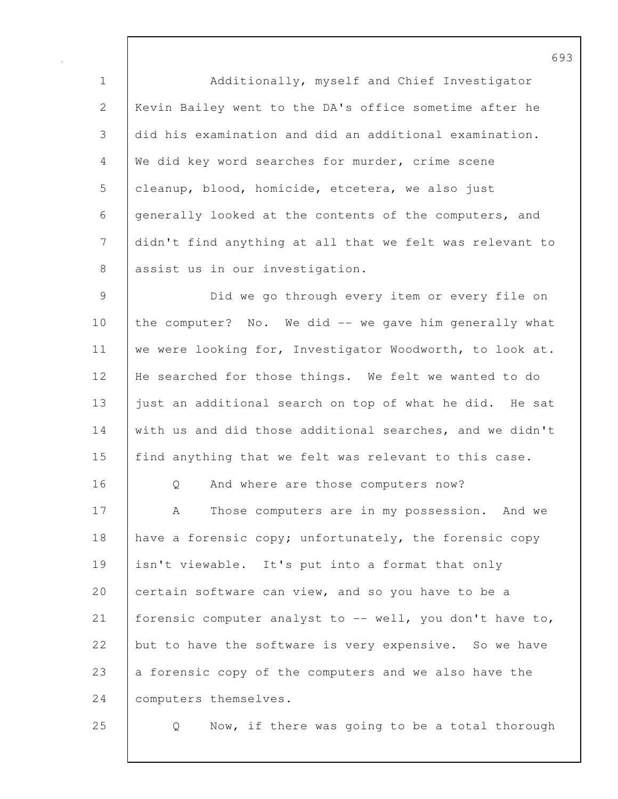1 Additionally, myself and Chief Investigator 2 Kevin Bailey went to the DA's office sometime after he 3 did his examination and did an additional examination. 4 We did key word searches for murder, crime scene 5 cleanup, blood, homicide, etcetera, we also just 6 generally looked at the contents of the computers, and 7 didn't find anything at all that we felt was relevant to 8 | assist us in our investigation.

9 Did we go through every item or every file on 10 the computer? No. We did -- we gave him generally what 11 we were looking for, Investigator Woodworth, to look at. 12 He searched for those things. We felt we wanted to do 13 | just an additional search on top of what he did. He sat 14 with us and did those additional searches, and we didn't 15 find anything that we felt was relevant to this case.

16 | O And where are those computers now?

17 A Those computers are in my possession. And we 18 have a forensic copy; unfortunately, the forensic copy 19 isn't viewable. It's put into a format that only 20 certain software can view, and so you have to be a 21 forensic computer analyst to  $-$ - well, you don't have to, 22 but to have the software is very expensive. So we have 23 a forensic copy of the computers and we also have the 24 | computers themselves.

25 Q Now, if there was going to be a total thorough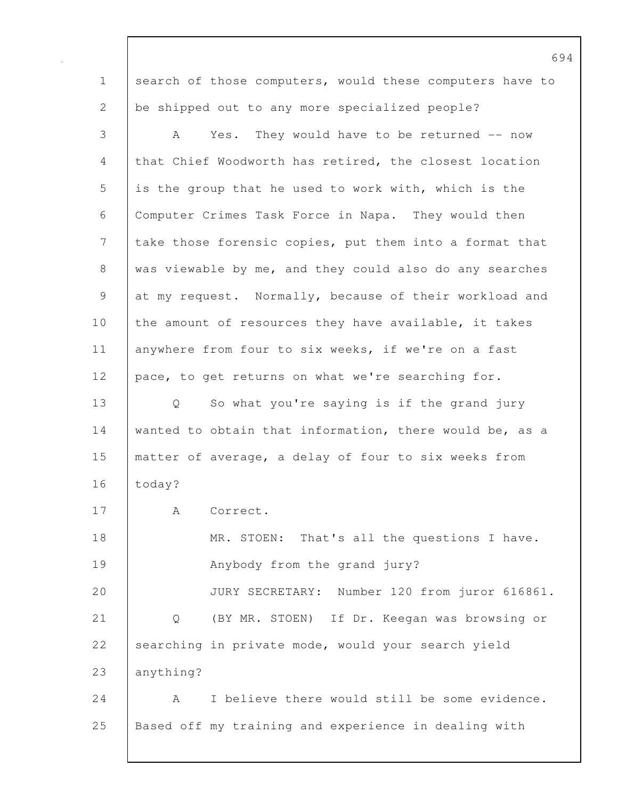1 search of those computers, would these computers have to 2 be shipped out to any more specialized people? 3 A Yes. They would have to be returned -- now 4 that Chief Woodworth has retired, the closest location 5 is the group that he used to work with, which is the 6 Computer Crimes Task Force in Napa. They would then 7 take those forensic copies, put them into a format that 8 was viewable by me, and they could also do any searches 9 at my request. Normally, because of their workload and 10 the amount of resources they have available, it takes 11 | anywhere from four to six weeks, if we're on a fast 12 pace, to get returns on what we're searching for. 13 Q So what you're saying is if the grand jury 14 wanted to obtain that information, there would be, as a 15 matter of average, a delay of four to six weeks from 16 | today? 17 | A Correct. 18 MR. STOEN: That's all the questions I have. 19 | Anybody from the grand jury? 20 JURY SECRETARY: Number 120 from juror 616861. 21 Q (BY MR. STOEN) If Dr. Keegan was browsing or 22 searching in private mode, would your search yield 23 anything? 24 A I believe there would still be some evidence. 25 Based off my training and experience in dealing with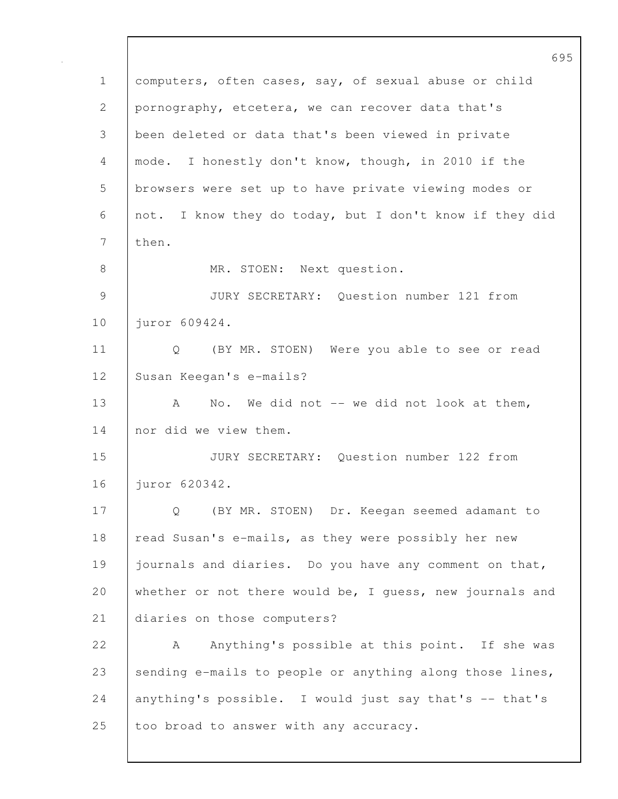695 1 computers, often cases, say, of sexual abuse or child 2 pornography, etcetera, we can recover data that's 3 been deleted or data that's been viewed in private 4 mode. I honestly don't know, though, in 2010 if the 5 browsers were set up to have private viewing modes or 6 not. I know they do today, but I don't know if they did 7 | then. 8 MR. STOEN: Next question. 9 JURY SECRETARY: Question number 121 from 10 | juror 609424. 11 | Q (BY MR. STOEN) Were you able to see or read 12 Susan Keegan's e-mails? 13 A No. We did not -- we did not look at them, 14 nor did we view them. 15 JURY SECRETARY: Question number 122 from 16 juror 620342. 17 Q (BY MR. STOEN) Dr. Keegan seemed adamant to 18 read Susan's e-mails, as they were possibly her new 19 journals and diaries. Do you have any comment on that, 20 whether or not there would be, I guess, new journals and 21 diaries on those computers? 22 A Anything's possible at this point. If she was 23 | sending e-mails to people or anything along those lines, 24 anything's possible. I would just say that's -- that's 25 too broad to answer with any accuracy.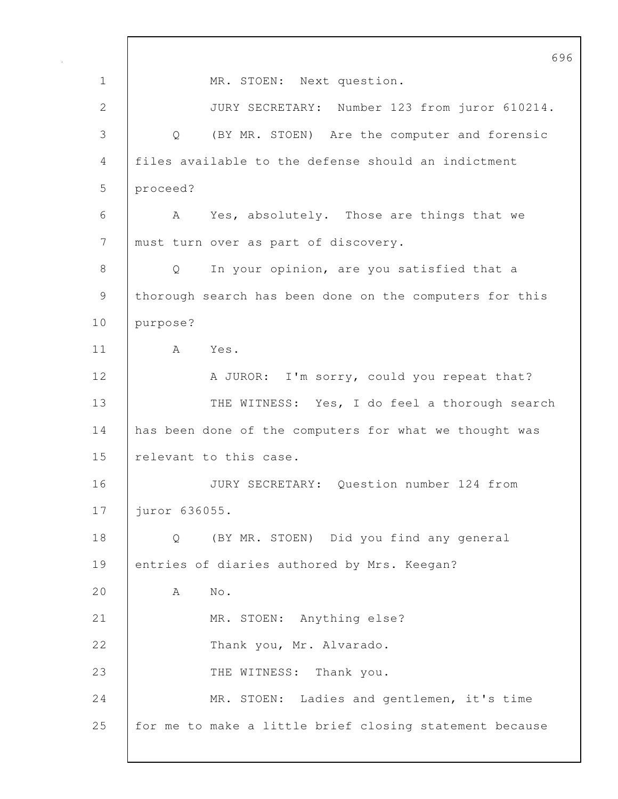696 1 MR. STOEN: Next question. 2 JURY SECRETARY: Number 123 from juror 610214. 3 Q (BY MR. STOEN) Are the computer and forensic 4 files available to the defense should an indictment 5 proceed? 6 A Yes, absolutely. Those are things that we 7 must turn over as part of discovery. 8 | Q In your opinion, are you satisfied that a 9 | thorough search has been done on the computers for this 10 purpose? 11 A Yes. 12 A JUROR: I'm sorry, could you repeat that? 13 THE WITNESS: Yes, I do feel a thorough search 14 has been done of the computers for what we thought was 15 Prelevant to this case. 16 JURY SECRETARY: Question number 124 from 17 juror 636055. 18 Q (BY MR. STOEN) Did you find any general 19 entries of diaries authored by Mrs. Keegan? 20 A No. 21 MR. STOEN: Anything else? 22 Thank you, Mr. Alvarado. 23 THE WITNESS: Thank you. 24 MR. STOEN: Ladies and gentlemen, it's time 25 for me to make a little brief closing statement because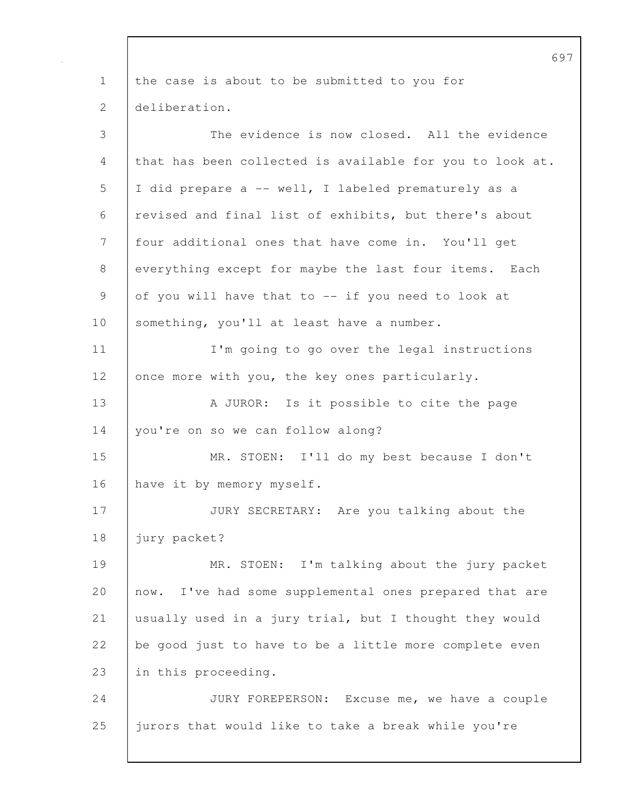1 the case is about to be submitted to you for 2 deliberation. 3 The evidence is now closed. All the evidence 4 that has been collected is available for you to look at. 5 I did prepare a -- well, I labeled prematurely as a 6 revised and final list of exhibits, but there's about 7 four additional ones that have come in. You'll get 8 everything except for maybe the last four items. Each 9 of you will have that to -- if you need to look at 10 | something, you'll at least have a number. 11 I'm going to go over the legal instructions 12 once more with you, the key ones particularly. 13 | A JUROR: Is it possible to cite the page 14 | you're on so we can follow along? 15 MR. STOEN: I'll do my best because I don't 16 have it by memory myself. 17 JURY SECRETARY: Are you talking about the 18 | jury packet? 19 MR. STOEN: I'm talking about the jury packet 20 now. I've had some supplemental ones prepared that are 21 usually used in a jury trial, but I thought they would 22 be good just to have to be a little more complete even 23 in this proceeding. 24 JURY FOREPERSON: Excuse me, we have a couple 25 jurors that would like to take a break while you're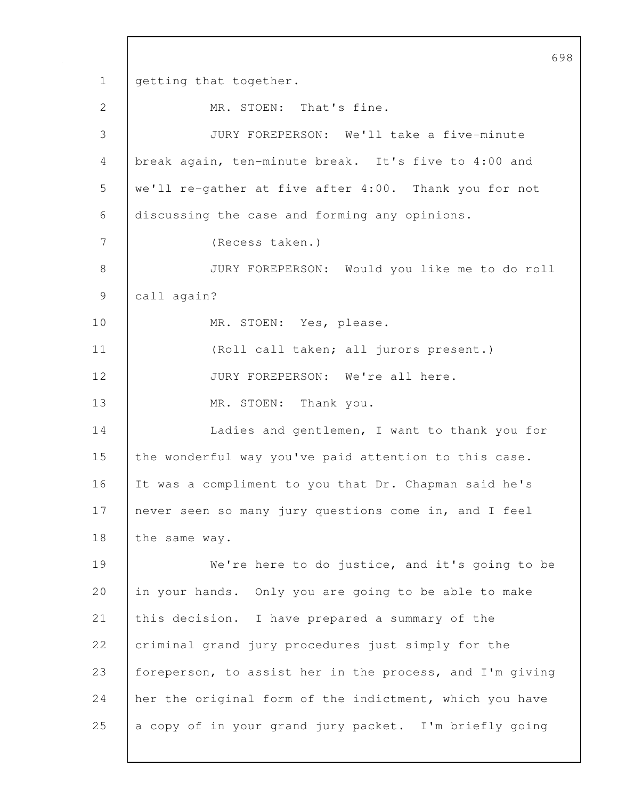698 1 getting that together. 2 MR. STOEN: That's fine. 3 JURY FOREPERSON: We'll take a five-minute 4 break again, ten-minute break. It's five to 4:00 and 5 we'll re-gather at five after 4:00. Thank you for not 6 discussing the case and forming any opinions. 7 (Recess taken.) 8 JURY FOREPERSON: Would you like me to do roll 9 call again? 10 | MR. STOEN: Yes, please. 11 (Roll call taken; all jurors present.) 12 JURY FOREPERSON: We're all here. 13 | MR. STOEN: Thank you. 14 | Ladies and gentlemen, I want to thank you for 15 the wonderful way you've paid attention to this case. 16 It was a compliment to you that Dr. Chapman said he's 17 never seen so many jury questions come in, and I feel 18 the same way. 19 We're here to do justice, and it's going to be 20 in your hands. Only you are going to be able to make 21 this decision. I have prepared a summary of the 22 criminal grand jury procedures just simply for the 23 foreperson, to assist her in the process, and I'm giving 24 her the original form of the indictment, which you have 25 a copy of in your grand jury packet. I'm briefly going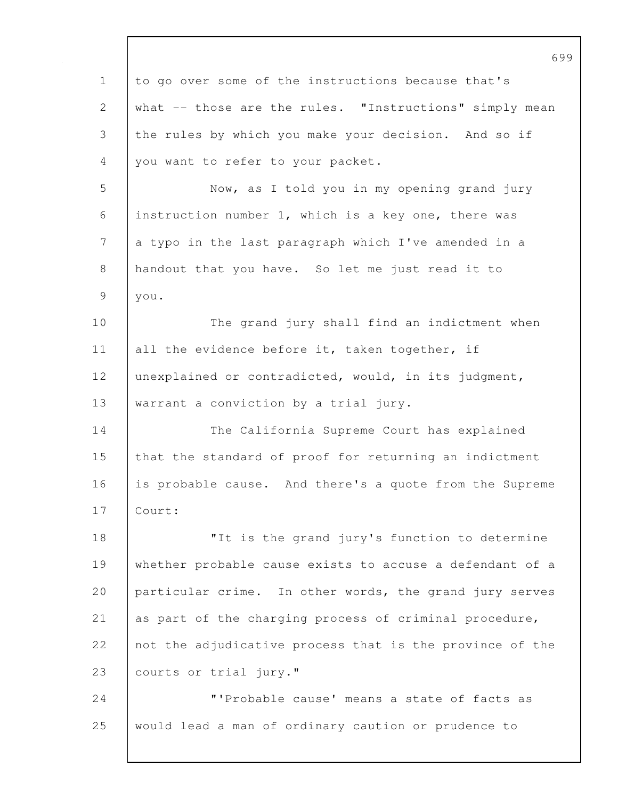699 1 to go over some of the instructions because that's 2 what -- those are the rules. "Instructions" simply mean 3 the rules by which you make your decision. And so if 4 you want to refer to your packet. 5 Now, as I told you in my opening grand jury 6 instruction number 1, which is a key one, there was 7 a typo in the last paragraph which I've amended in a 8 handout that you have. So let me just read it to 9 you. 10 The grand jury shall find an indictment when 11 all the evidence before it, taken together, if 12 unexplained or contradicted, would, in its judgment, 13 | warrant a conviction by a trial jury. 14 The California Supreme Court has explained 15 that the standard of proof for returning an indictment 16 is probable cause. And there's a quote from the Supreme 17 Court: 18 **I** The is the grand jury's function to determine 19 whether probable cause exists to accuse a defendant of a 20 particular crime. In other words, the grand jury serves 21 as part of the charging process of criminal procedure, 22 not the adjudicative process that is the province of the 23 | courts or trial jury." 24 | T'Probable cause' means a state of facts as 25 would lead a man of ordinary caution or prudence to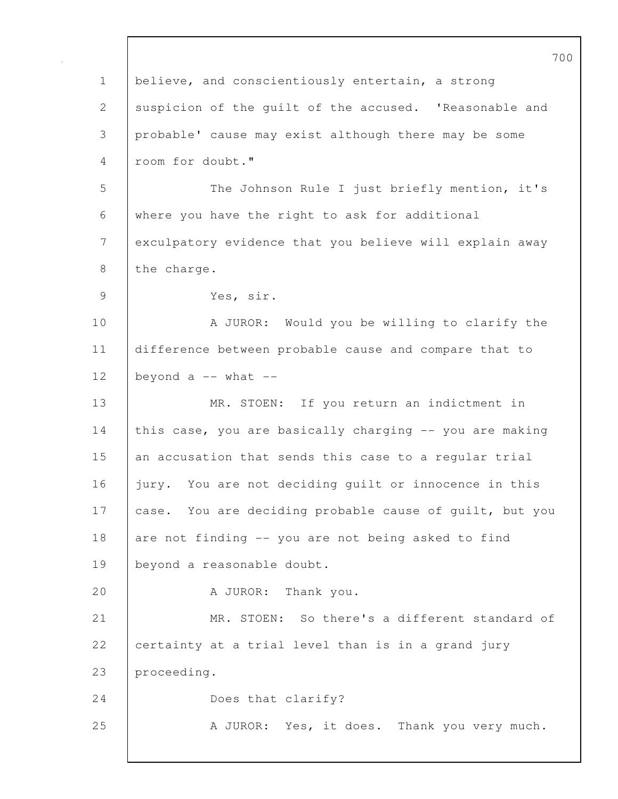|                | 7 C                                                     |
|----------------|---------------------------------------------------------|
| $\mathbf 1$    | believe, and conscientiously entertain, a strong        |
| $\mathbf{2}$   | suspicion of the guilt of the accused. 'Reasonable and  |
| 3              | probable' cause may exist although there may be some    |
| $\overline{4}$ | room for doubt."                                        |
| 5              | The Johnson Rule I just briefly mention, it's           |
| 6              | where you have the right to ask for additional          |
| 7              | exculpatory evidence that you believe will explain away |
| 8              | the charge.                                             |
| $\mathcal{G}$  | Yes, sir.                                               |
| 10             | A JUROR: Would you be willing to clarify the            |
| 11             | difference between probable cause and compare that to   |
| 12             | beyond $a$ -- what --                                   |
| 13             | MR. STOEN: If you return an indictment in               |
| 14             | this case, you are basically charging -- you are making |
| 15             | an accusation that sends this case to a regular trial   |
| 16             | jury. You are not deciding quilt or innocence in this   |
| 17             | case. You are deciding probable cause of guilt, but you |
| 18             | are not finding -- you are not being asked to find      |
| 19             | beyond a reasonable doubt.                              |
| 20             | A JUROR: Thank you.                                     |
| 21             | MR. STOEN: So there's a different standard of           |
| 22             | certainty at a trial level than is in a grand jury      |
| 23             | proceeding.                                             |
| 24             | Does that clarify?                                      |
| 25             | A JUROR: Yes, it does. Thank you very much.             |
|                |                                                         |

 $\overline{0}$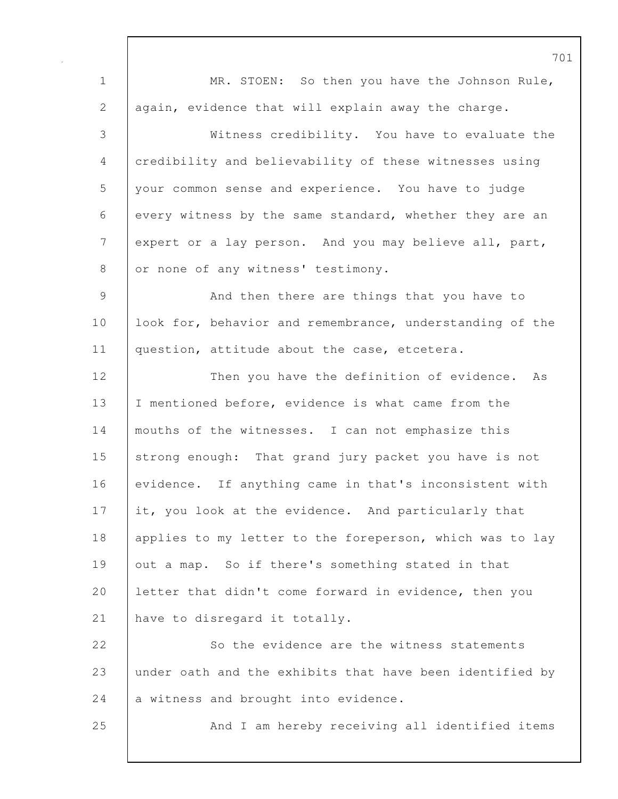701 1 | MR. STOEN: So then you have the Johnson Rule, 2 aqain, evidence that will explain away the charge. 3 Witness credibility. You have to evaluate the 4 credibility and believability of these witnesses using 5 your common sense and experience. You have to judge 6 every witness by the same standard, whether they are an 7 expert or a lay person. And you may believe all, part, 8 or none of any witness' testimony. 9 | And then there are things that you have to 10 look for, behavior and remembrance, understanding of the 11 | question, attitude about the case, etcetera. 12 Then you have the definition of evidence. As 13 I mentioned before, evidence is what came from the 14 mouths of the witnesses. I can not emphasize this 15 strong enough: That grand jury packet you have is not 16 evidence. If anything came in that's inconsistent with 17 it, you look at the evidence. And particularly that 18 | applies to my letter to the foreperson, which was to lay 19 out a map. So if there's something stated in that 20 letter that didn't come forward in evidence, then you 21 have to disregard it totally. 22 So the evidence are the witness statements 23 under oath and the exhibits that have been identified by 24 a witness and brought into evidence. 25 And I am hereby receiving all identified items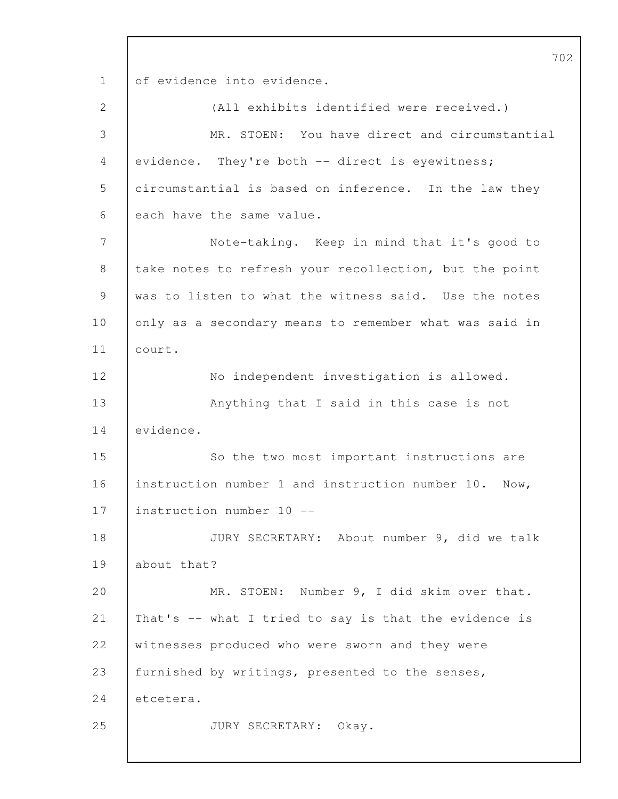702 1 of evidence into evidence. 2 (All exhibits identified were received.) 3 MR. STOEN: You have direct and circumstantial 4 evidence. They're both -- direct is eyewitness; 5 circumstantial is based on inference. In the law they 6 each have the same value. 7 Note-taking. Keep in mind that it's good to 8 take notes to refresh your recollection, but the point 9 was to listen to what the witness said. Use the notes 10 only as a secondary means to remember what was said in 11 court. 12 No independent investigation is allowed. 13 | Anything that I said in this case is not 14 evidence. 15 So the two most important instructions are 16 instruction number 1 and instruction number 10. Now, 17 | instruction number 10 --18 JURY SECRETARY: About number 9, did we talk 19 about that? 20 MR. STOEN: Number 9, I did skim over that. 21 That's -- what I tried to say is that the evidence is 22 witnesses produced who were sworn and they were 23 | furnished by writings, presented to the senses, 24 etcetera. 25 JURY SECRETARY: Okay.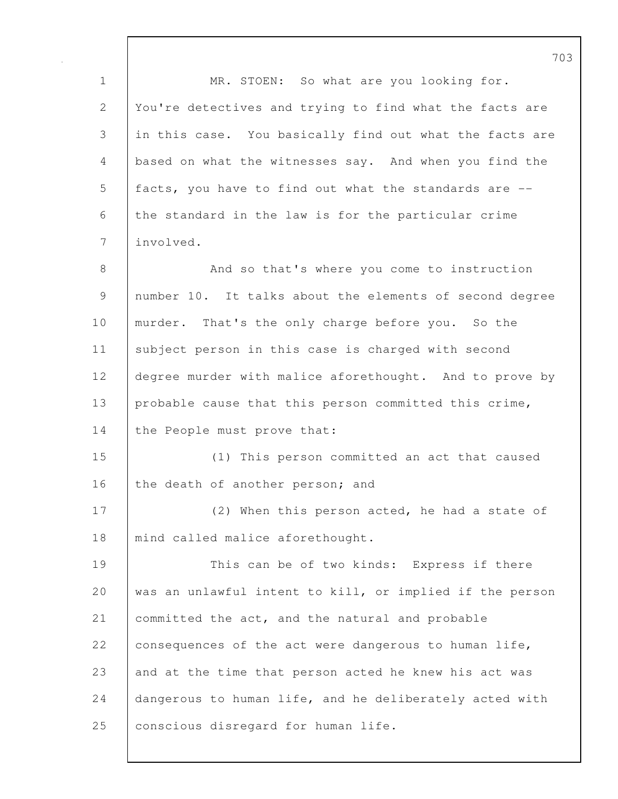1 | MR. STOEN: So what are you looking for. 2 You're detectives and trying to find what the facts are 3 in this case. You basically find out what the facts are 4 based on what the witnesses say. And when you find the 5 facts, you have to find out what the standards are -- 6 the standard in the law is for the particular crime 7 involved. 8 And so that's where you come to instruction 9 number 10. It talks about the elements of second degree 10 murder. That's the only charge before you. So the 11 | subject person in this case is charged with second 12 degree murder with malice aforethought. And to prove by 13 | probable cause that this person committed this crime, 14 the People must prove that: 15 (1) This person committed an act that caused 16 the death of another person; and 17 (2) When this person acted, he had a state of 18 | mind called malice aforethought. 19 This can be of two kinds: Express if there 20 was an unlawful intent to kill, or implied if the person 21 committed the act, and the natural and probable 22  $\vert$  consequences of the act were dangerous to human life, 23 and at the time that person acted he knew his act was 24 dangerous to human life, and he deliberately acted with 25 | conscious disregard for human life.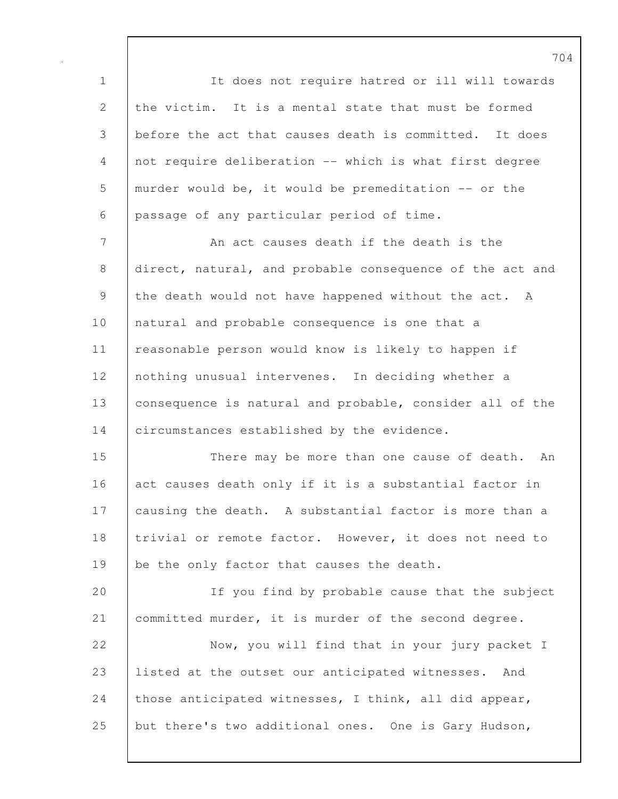1 It does not require hatred or ill will towards 2 the victim. It is a mental state that must be formed 3 before the act that causes death is committed. It does 4 not require deliberation -- which is what first degree 5 murder would be, it would be premeditation -- or the 6 passage of any particular period of time.

7 An act causes death if the death is the 8 direct, natural, and probable consequence of the act and 9 the death would not have happened without the act. A 10 | natural and probable consequence is one that a 11 reasonable person would know is likely to happen if 12 | nothing unusual intervenes. In deciding whether a 13 consequence is natural and probable, consider all of the 14 circumstances established by the evidence.

15 There may be more than one cause of death. An 16 act causes death only if it is a substantial factor in 17 causing the death. A substantial factor is more than a 18 | trivial or remote factor. However, it does not need to 19 be the only factor that causes the death.

20 If you find by probable cause that the subject 21 | committed murder, it is murder of the second degree.

22 Now, you will find that in your jury packet I 23 listed at the outset our anticipated witnesses. And 24 those anticipated witnesses, I think, all did appear, 25 but there's two additional ones. One is Gary Hudson,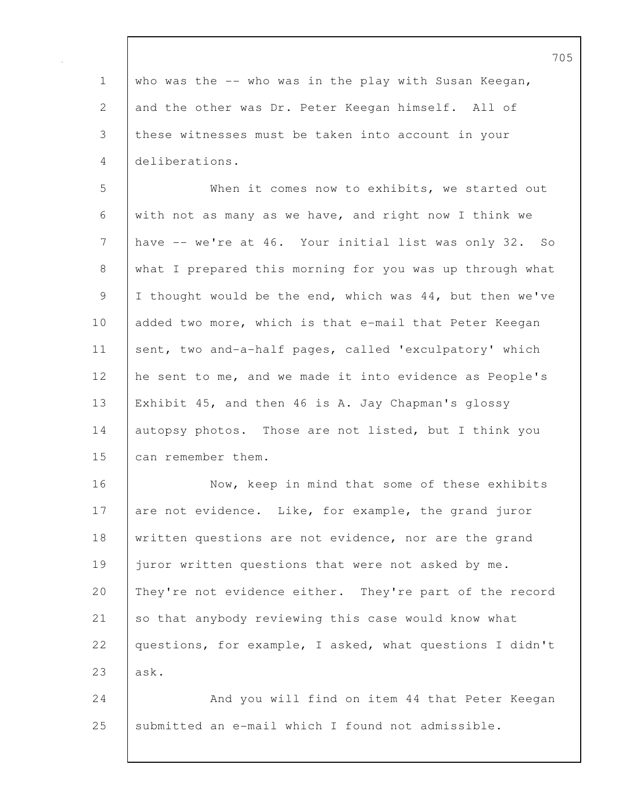| $\mathbf 1$                                               | who was the -- who was in the play with Susan Keegan,    |
|-----------------------------------------------------------|----------------------------------------------------------|
| $\mathbf{2}$                                              | and the other was Dr. Peter Keegan himself. All of       |
| 3                                                         | these witnesses must be taken into account in your       |
| 4                                                         | deliberations.                                           |
| 5                                                         | When it comes now to exhibits, we started out            |
| 6                                                         | with not as many as we have, and right now I think we    |
| $\overline{7}$                                            | have -- we're at 46. Your initial list was only 32. So   |
| 8                                                         | what I prepared this morning for you was up through what |
| $\mathcal{G}% _{M_{1},M_{2}}^{\alpha,\beta}(\mathcal{A})$ | I thought would be the end, which was 44, but then we've |
| 10                                                        | added two more, which is that e-mail that Peter Keegan   |
| 11                                                        | sent, two and-a-half pages, called 'exculpatory' which   |
| 12                                                        | he sent to me, and we made it into evidence as People's  |
| 13                                                        | Exhibit 45, and then 46 is A. Jay Chapman's glossy       |
| 14                                                        | autopsy photos. Those are not listed, but I think you    |
| 15                                                        | can remember them.                                       |
| 16                                                        | Now, keep in mind that some of these exhibits            |
| 17                                                        | are not evidence. Like, for example, the grand juror     |
| 18                                                        | written questions are not evidence, nor are the grand    |
| 19                                                        | juror written questions that were not asked by me.       |
| 20                                                        | They're not evidence either. They're part of the record  |
| 21                                                        | so that anybody reviewing this case would know what      |
| 22                                                        | questions, for example, I asked, what questions I didn't |
| 23                                                        | ask.                                                     |
| 24                                                        | And you will find on item 44 that Peter Keegan           |
| 25                                                        | submitted an e-mail which I found not admissible.        |
|                                                           |                                                          |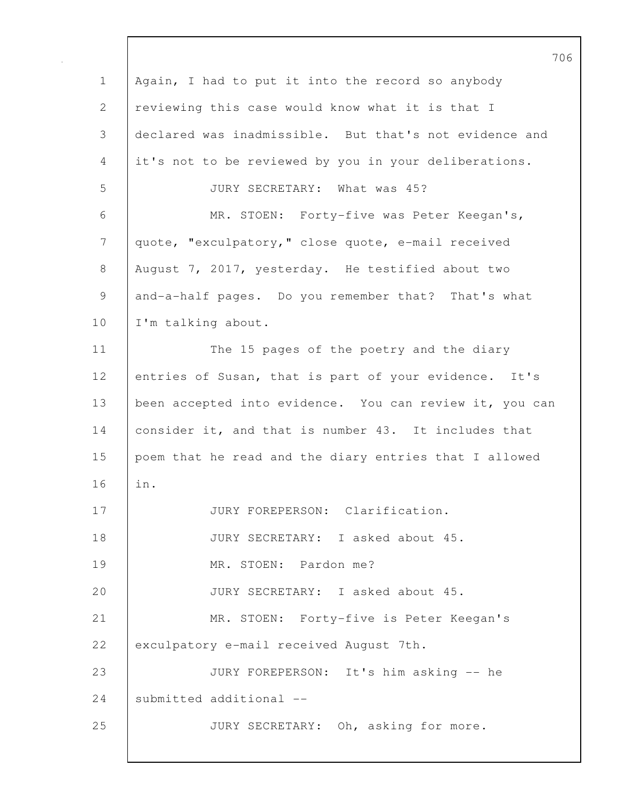706 1 | Again, I had to put it into the record so anybody 2 reviewing this case would know what it is that I 3 declared was inadmissible. But that's not evidence and 4 it's not to be reviewed by you in your deliberations. 5 JURY SECRETARY: What was 45? 6 MR. STOEN: Forty-five was Peter Keegan's, 7 quote, "exculpatory," close quote, e-mail received 8 August 7, 2017, yesterday. He testified about two 9 and-a-half pages. Do you remember that? That's what 10 | I'm talking about. 11 | The 15 pages of the poetry and the diary 12 entries of Susan, that is part of your evidence. It's 13 | been accepted into evidence. You can review it, you can 14 consider it, and that is number 43. It includes that 15 poem that he read and the diary entries that I allowed 16 in. 17 | JURY FOREPERSON: Clarification. 18 JURY SECRETARY: I asked about 45. 19 MR. STOEN: Pardon me? 20 JURY SECRETARY: I asked about 45. 21 MR. STOEN: Forty-five is Peter Keegan's 22 exculpatory e-mail received August 7th. 23 JURY FOREPERSON: It's him asking -- he 24 Submitted additional --25 JURY SECRETARY: Oh, asking for more.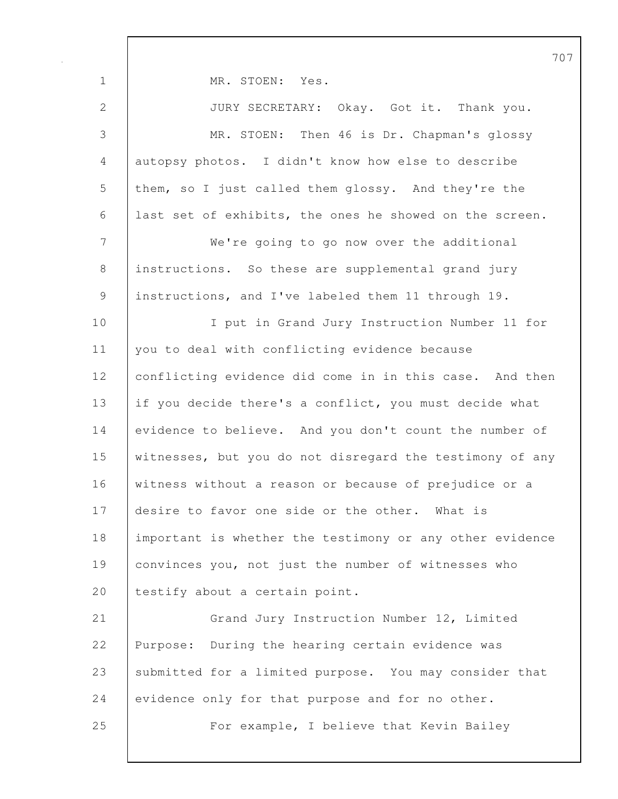1 MR. STOEN: Yes. 2 JURY SECRETARY: Okay. Got it. Thank you. 3 MR. STOEN: Then 46 is Dr. Chapman's glossy 4 autopsy photos. I didn't know how else to describe 5 them, so I just called them glossy. And they're the 6 last set of exhibits, the ones he showed on the screen. 7 We're going to go now over the additional 8 instructions. So these are supplemental grand jury 9 instructions, and I've labeled them 11 through 19. 10 I put in Grand Jury Instruction Number 11 for 11 you to deal with conflicting evidence because 12 conflicting evidence did come in in this case. And then 13 if you decide there's a conflict, you must decide what 14 evidence to believe. And you don't count the number of 15 | witnesses, but you do not disregard the testimony of any 16 | witness without a reason or because of prejudice or a 17 desire to favor one side or the other. What is 18 important is whether the testimony or any other evidence 19 convinces you, not just the number of witnesses who 20 | testify about a certain point. 21 Grand Jury Instruction Number 12, Limited 22 Purpose: During the hearing certain evidence was 23 submitted for a limited purpose. You may consider that 24 evidence only for that purpose and for no other. 25 For example, I believe that Kevin Bailey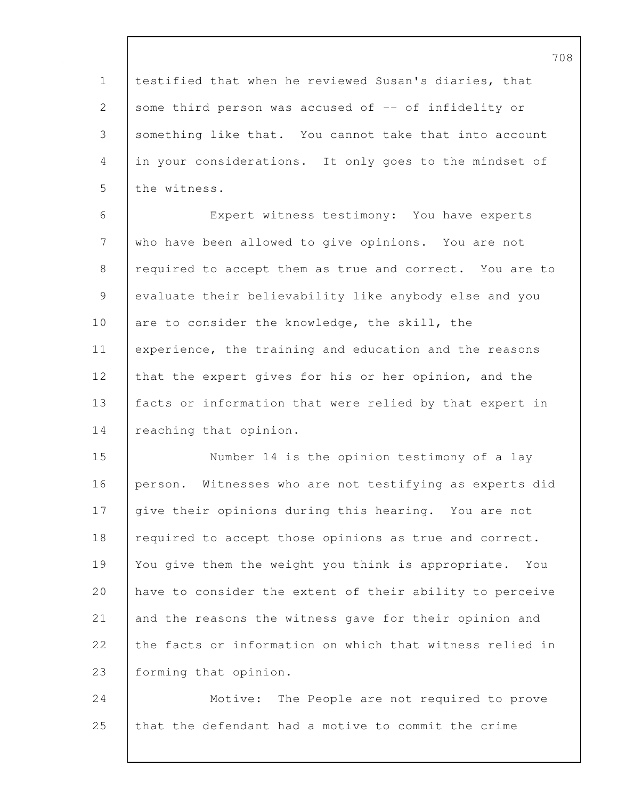1 testified that when he reviewed Susan's diaries, that 2 some third person was accused of -- of infidelity or 3 something like that. You cannot take that into account 4 in your considerations. It only goes to the mindset of 5 the witness.

6 Expert witness testimony: You have experts 7 who have been allowed to give opinions. You are not 8 required to accept them as true and correct. You are to 9 evaluate their believability like anybody else and you 10 are to consider the knowledge, the skill, the 11 experience, the training and education and the reasons 12 that the expert gives for his or her opinion, and the 13 facts or information that were relied by that expert in 14 reaching that opinion.

15 Number 14 is the opinion testimony of a lay 16 person. Witnesses who are not testifying as experts did 17 give their opinions during this hearing. You are not 18 required to accept those opinions as true and correct. 19 You give them the weight you think is appropriate. You 20 have to consider the extent of their ability to perceive 21 and the reasons the witness gave for their opinion and 22 the facts or information on which that witness relied in 23 forming that opinion.

24 | Motive: The People are not required to prove 25 that the defendant had a motive to commit the crime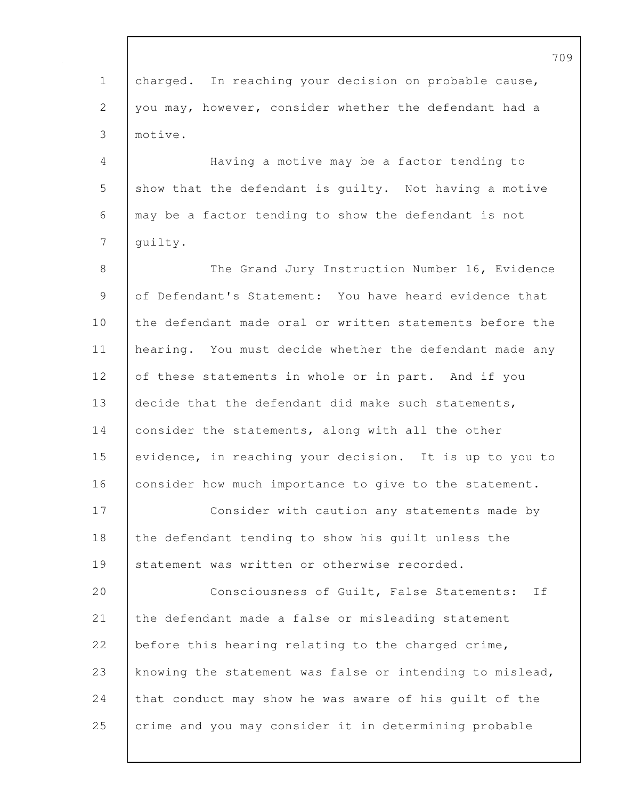|             | 7(                                                       |
|-------------|----------------------------------------------------------|
| $\mathbf 1$ | charged. In reaching your decision on probable cause,    |
| 2           | you may, however, consider whether the defendant had a   |
| 3           | motive.                                                  |
| 4           | Having a motive may be a factor tending to               |
| 5           | show that the defendant is quilty. Not having a motive   |
| 6           | may be a factor tending to show the defendant is not     |
| 7           | quilty.                                                  |
| 8           | The Grand Jury Instruction Number 16, Evidence           |
| 9           | of Defendant's Statement: You have heard evidence that   |
| 10          | the defendant made oral or written statements before the |
| 11          | hearing. You must decide whether the defendant made any  |
| 12          | of these statements in whole or in part. And if you      |
| 13          | decide that the defendant did make such statements,      |
| 14          | consider the statements, along with all the other        |
| 15          | evidence, in reaching your decision. It is up to you to  |
| 16          | consider how much importance to give to the statement.   |
| 17          | Consider with caution any statements made by             |
| 18          | the defendant tending to show his quilt unless the       |
| 19          | statement was written or otherwise recorded.             |
| 20          | Consciousness of Guilt, False Statements:<br>If          |
| 21          | the defendant made a false or misleading statement       |
| 22          | before this hearing relating to the charged crime,       |
| 23          | knowing the statement was false or intending to mislead, |
| 24          | that conduct may show he was aware of his guilt of the   |
| 25          | crime and you may consider it in determining probable    |
|             |                                                          |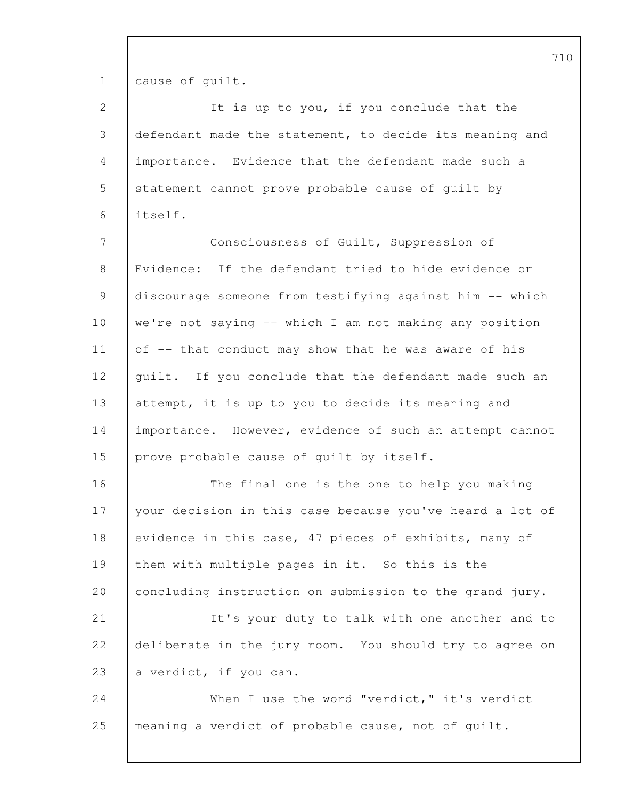1 cause of guilt.

| 2              | It is up to you, if you conclude that the                |
|----------------|----------------------------------------------------------|
| $\mathfrak{Z}$ | defendant made the statement, to decide its meaning and  |
| $\overline{4}$ | importance. Evidence that the defendant made such a      |
|                |                                                          |
| 5              | statement cannot prove probable cause of guilt by        |
| 6              | itself.                                                  |
| 7              | Consciousness of Guilt, Suppression of                   |
| 8              | Evidence: If the defendant tried to hide evidence or     |
| 9              | discourage someone from testifying against him -- which  |
| 10             | we're not saying -- which I am not making any position   |
| 11             | of -- that conduct may show that he was aware of his     |
| 12             | guilt. If you conclude that the defendant made such an   |
| 13             | attempt, it is up to you to decide its meaning and       |
| 14             | importance. However, evidence of such an attempt cannot  |
| 15             | prove probable cause of quilt by itself.                 |
| 16             | The final one is the one to help you making              |
| 17             | your decision in this case because you've heard a lot of |
| 18             | evidence in this case, 47 pieces of exhibits, many of    |
| 19             | them with multiple pages in it. So this is the           |
| 20             | concluding instruction on submission to the grand jury.  |
| 21             | It's your duty to talk with one another and to           |
| 22             | deliberate in the jury room. You should try to agree on  |
| 23             | a verdict, if you can.                                   |
| 24             | When I use the word "verdict," it's verdict              |
| 25             | meaning a verdict of probable cause, not of guilt.       |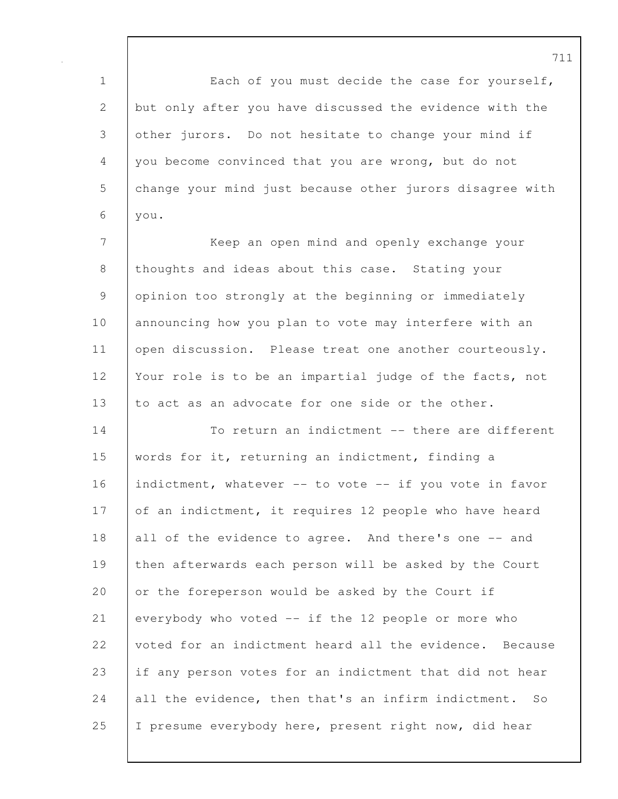1 Each of you must decide the case for yourself, 2 but only after you have discussed the evidence with the 3 other jurors. Do not hesitate to change your mind if 4 you become convinced that you are wrong, but do not 5 change your mind just because other jurors disagree with 6 you.

7 | Keep an open mind and openly exchange your 8 thoughts and ideas about this case. Stating your 9 opinion too strongly at the beginning or immediately 10 announcing how you plan to vote may interfere with an 11 | open discussion. Please treat one another courteously. 12 Your role is to be an impartial judge of the facts, not 13 to act as an advocate for one side or the other.

14 To return an indictment -- there are different 15 words for it, returning an indictment, finding a 16 indictment, whatever -- to vote -- if you vote in favor 17 of an indictment, it requires 12 people who have heard 18 all of the evidence to agree. And there's one -- and 19 then afterwards each person will be asked by the Court 20 or the foreperson would be asked by the Court if 21 everybody who voted -- if the 12 people or more who 22 voted for an indictment heard all the evidence. Because 23 if any person votes for an indictment that did not hear 24 all the evidence, then that's an infirm indictment. So 25 I presume everybody here, present right now, did hear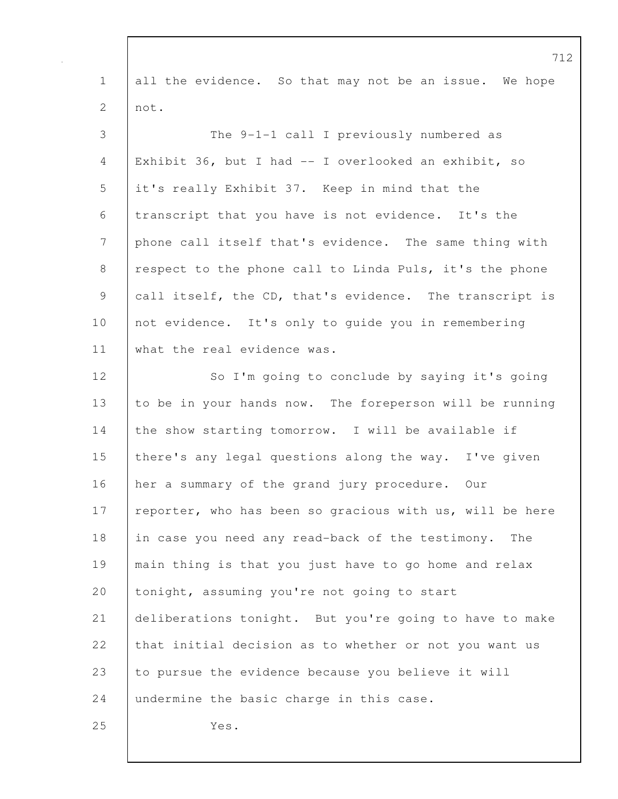|                | $\frac{1}{2}$                                            |
|----------------|----------------------------------------------------------|
| $\mathbf 1$    | all the evidence. So that may not be an issue. We hope   |
| 2              | not.                                                     |
| 3              | The 9-1-1 call I previously numbered as                  |
| 4              | Exhibit 36, but I had -- I overlooked an exhibit, so     |
| 5              | it's really Exhibit 37. Keep in mind that the            |
| 6              | transcript that you have is not evidence. It's the       |
| $\overline{7}$ | phone call itself that's evidence. The same thing with   |
| $8\,$          | respect to the phone call to Linda Puls, it's the phone  |
| 9              | call itself, the CD, that's evidence. The transcript is  |
| 10             | not evidence. It's only to guide you in remembering      |
| 11             | what the real evidence was.                              |
| 12             | So I'm going to conclude by saying it's going            |
| 13             | to be in your hands now. The foreperson will be running  |
| 14             | the show starting tomorrow. I will be available if       |
| 15             | there's any legal questions along the way. I've given    |
| 16             | her a summary of the grand jury procedure. Our           |
| 17             | reporter, who has been so gracious with us, will be here |
| 18             | in case you need any read-back of the testimony.<br>The  |
| 19             | main thing is that you just have to go home and relax    |
| 20             | tonight, assuming you're not going to start              |
| 21             | deliberations tonight. But you're going to have to make  |
| 22             | that initial decision as to whether or not you want us   |
| 23             | to pursue the evidence because you believe it will       |
| 24             | undermine the basic charge in this case.                 |
| 25             | Yes.                                                     |
|                |                                                          |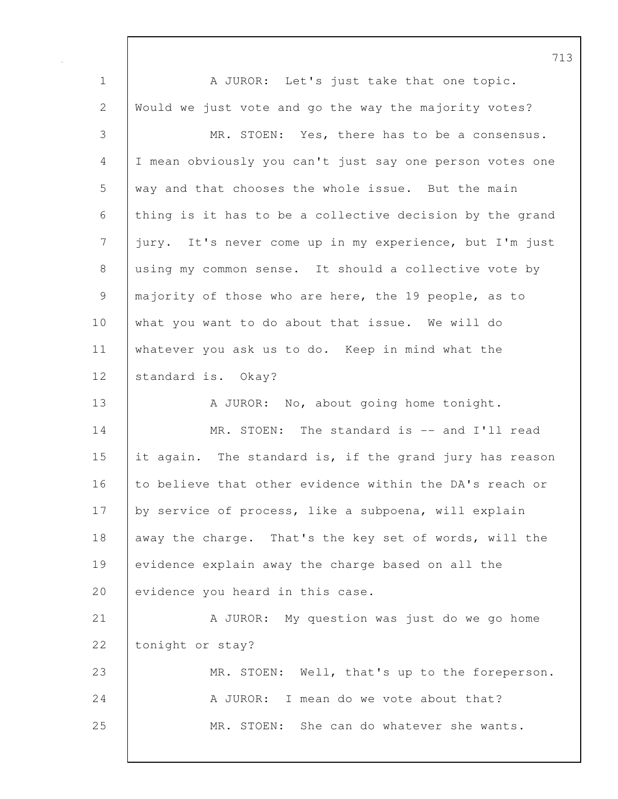713 1 A JUROR: Let's just take that one topic. 2 Would we just vote and go the way the majority votes? 3 MR. STOEN: Yes, there has to be a consensus. 4 I mean obviously you can't just say one person votes one 5 way and that chooses the whole issue. But the main 6 thing is it has to be a collective decision by the grand 7 jury. It's never come up in my experience, but I'm just 8 using my common sense. It should a collective vote by 9 majority of those who are here, the 19 people, as to 10 what you want to do about that issue. We will do 11 whatever you ask us to do. Keep in mind what the 12 standard is. Okay? 13 A JUROR: No, about going home tonight. 14 MR. STOEN: The standard is -- and I'll read 15 it again. The standard is, if the grand jury has reason 16 to believe that other evidence within the DA's reach or 17 by service of process, like a subpoena, will explain 18 away the charge. That's the key set of words, will the 19 evidence explain away the charge based on all the 20 evidence you heard in this case. 21 A JUROR: My question was just do we go home 22 tonight or stay? 23 MR. STOEN: Well, that's up to the foreperson. 24 A JUROR: I mean do we vote about that? 25 MR. STOEN: She can do whatever she wants.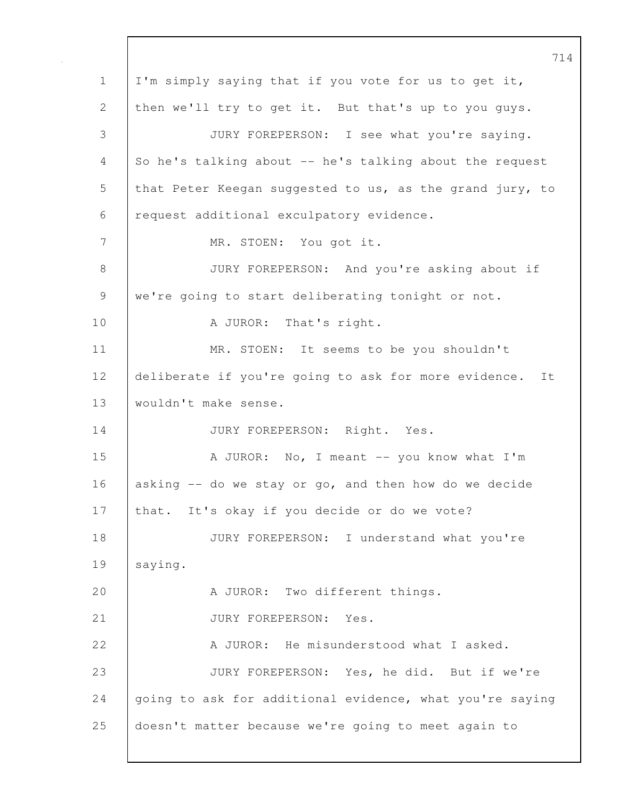714 1 I'm simply saying that if you vote for us to get it, 2 then we'll try to get it. But that's up to you guys. 3 JURY FOREPERSON: I see what you're saying. 4 So he's talking about -- he's talking about the request 5 that Peter Keegan suggested to us, as the grand jury, to 6 request additional exculpatory evidence. 7 MR. STOEN: You got it. 8 JURY FOREPERSON: And you're asking about if 9 | we're going to start deliberating tonight or not. 10 | A JUROR: That's right. 11 | MR. STOEN: It seems to be you shouldn't 12 deliberate if you're going to ask for more evidence. It 13 wouldn't make sense. 14 JURY FOREPERSON: Right. Yes. 15 A JUROR: No, I meant -- you know what I'm 16 asking -- do we stay or go, and then how do we decide 17 that. It's okay if you decide or do we vote? 18 JURY FOREPERSON: I understand what you're 19 | saying. 20 A JUROR: Two different things. 21 | JURY FOREPERSON: Yes. 22 A JUROR: He misunderstood what I asked. 23 JURY FOREPERSON: Yes, he did. But if we're 24 going to ask for additional evidence, what you're saying 25 doesn't matter because we're going to meet again to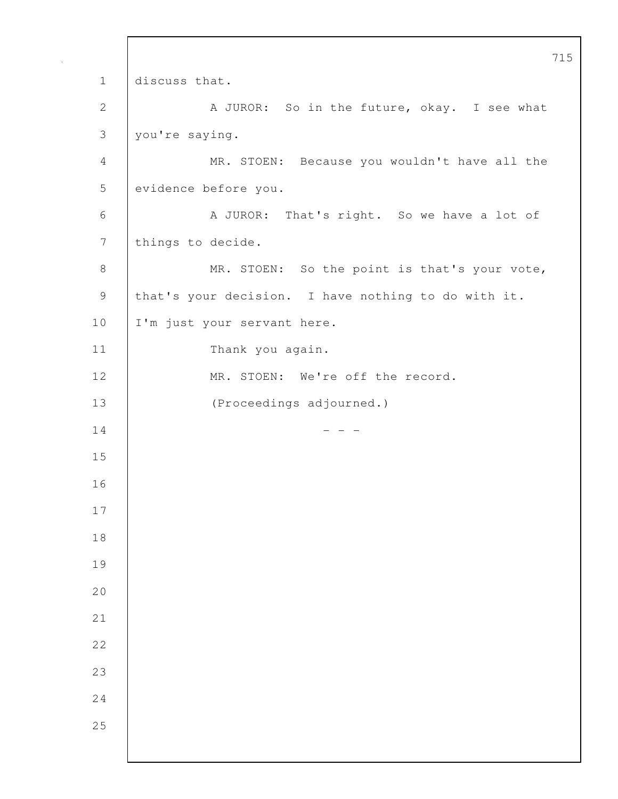715 1 discuss that. 2 A JUROR: So in the future, okay. I see what 3 you're saying. 4 MR. STOEN: Because you wouldn't have all the 5 evidence before you. 6 A JUROR: That's right. So we have a lot of 7 things to decide. 8 MR. STOEN: So the point is that's your vote, 9 that's your decision. I have nothing to do with it. 10 | I'm just your servant here. 11 | Thank you again. 12 | MR. STOEN: We're off the record. 13 (Proceedings adjourned.)  $14$  - - -15 16 17 18 19 20 21 22 23 24 25